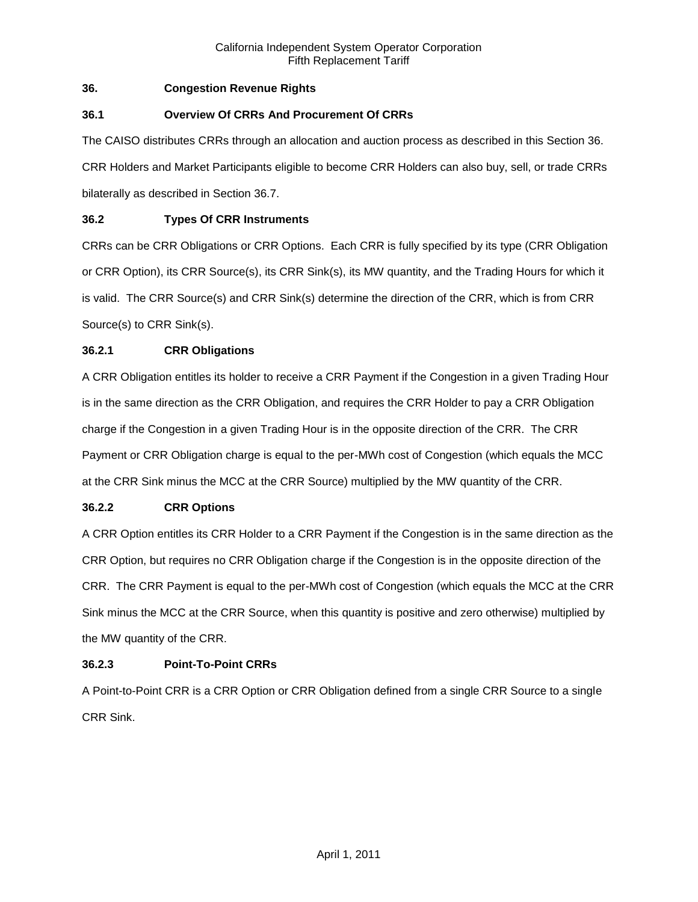# **36. Congestion Revenue Rights**

## **36.1 Overview Of CRRs And Procurement Of CRRs**

The CAISO distributes CRRs through an allocation and auction process as described in this Section 36. CRR Holders and Market Participants eligible to become CRR Holders can also buy, sell, or trade CRRs bilaterally as described in Section 36.7.

# **36.2 Types Of CRR Instruments**

CRRs can be CRR Obligations or CRR Options. Each CRR is fully specified by its type (CRR Obligation or CRR Option), its CRR Source(s), its CRR Sink(s), its MW quantity, and the Trading Hours for which it is valid. The CRR Source(s) and CRR Sink(s) determine the direction of the CRR, which is from CRR Source(s) to CRR Sink(s).

## **36.2.1 CRR Obligations**

A CRR Obligation entitles its holder to receive a CRR Payment if the Congestion in a given Trading Hour is in the same direction as the CRR Obligation, and requires the CRR Holder to pay a CRR Obligation charge if the Congestion in a given Trading Hour is in the opposite direction of the CRR. The CRR Payment or CRR Obligation charge is equal to the per-MWh cost of Congestion (which equals the MCC at the CRR Sink minus the MCC at the CRR Source) multiplied by the MW quantity of the CRR.

## **36.2.2 CRR Options**

A CRR Option entitles its CRR Holder to a CRR Payment if the Congestion is in the same direction as the CRR Option, but requires no CRR Obligation charge if the Congestion is in the opposite direction of the CRR. The CRR Payment is equal to the per-MWh cost of Congestion (which equals the MCC at the CRR Sink minus the MCC at the CRR Source, when this quantity is positive and zero otherwise) multiplied by the MW quantity of the CRR.

## **36.2.3 Point-To-Point CRRs**

A Point-to-Point CRR is a CRR Option or CRR Obligation defined from a single CRR Source to a single CRR Sink.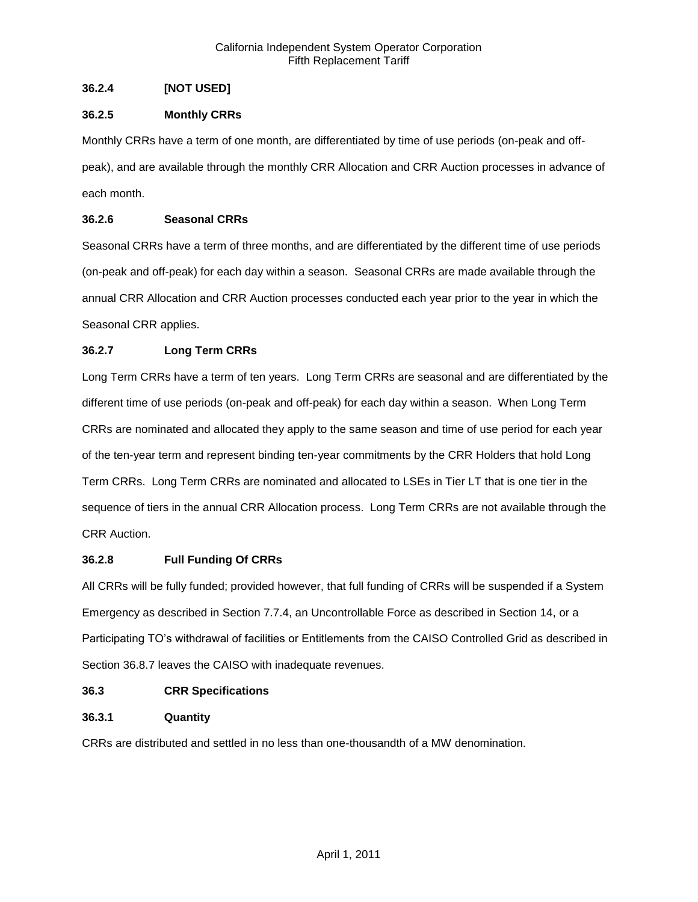# **36.2.4 [NOT USED]**

# **36.2.5 Monthly CRRs**

Monthly CRRs have a term of one month, are differentiated by time of use periods (on-peak and offpeak), and are available through the monthly CRR Allocation and CRR Auction processes in advance of each month.

# **36.2.6 Seasonal CRRs**

Seasonal CRRs have a term of three months, and are differentiated by the different time of use periods (on-peak and off-peak) for each day within a season. Seasonal CRRs are made available through the annual CRR Allocation and CRR Auction processes conducted each year prior to the year in which the Seasonal CRR applies.

# **36.2.7 Long Term CRRs**

Long Term CRRs have a term of ten years. Long Term CRRs are seasonal and are differentiated by the different time of use periods (on-peak and off-peak) for each day within a season. When Long Term CRRs are nominated and allocated they apply to the same season and time of use period for each year of the ten-year term and represent binding ten-year commitments by the CRR Holders that hold Long Term CRRs. Long Term CRRs are nominated and allocated to LSEs in Tier LT that is one tier in the sequence of tiers in the annual CRR Allocation process. Long Term CRRs are not available through the CRR Auction.

## **36.2.8 Full Funding Of CRRs**

All CRRs will be fully funded; provided however, that full funding of CRRs will be suspended if a System Emergency as described in Section 7.7.4, an Uncontrollable Force as described in Section 14, or a Participating TO's withdrawal of facilities or Entitlements from the CAISO Controlled Grid as described in Section 36.8.7 leaves the CAISO with inadequate revenues.

## **36.3 CRR Specifications**

# **36.3.1 Quantity**

CRRs are distributed and settled in no less than one-thousandth of a MW denomination.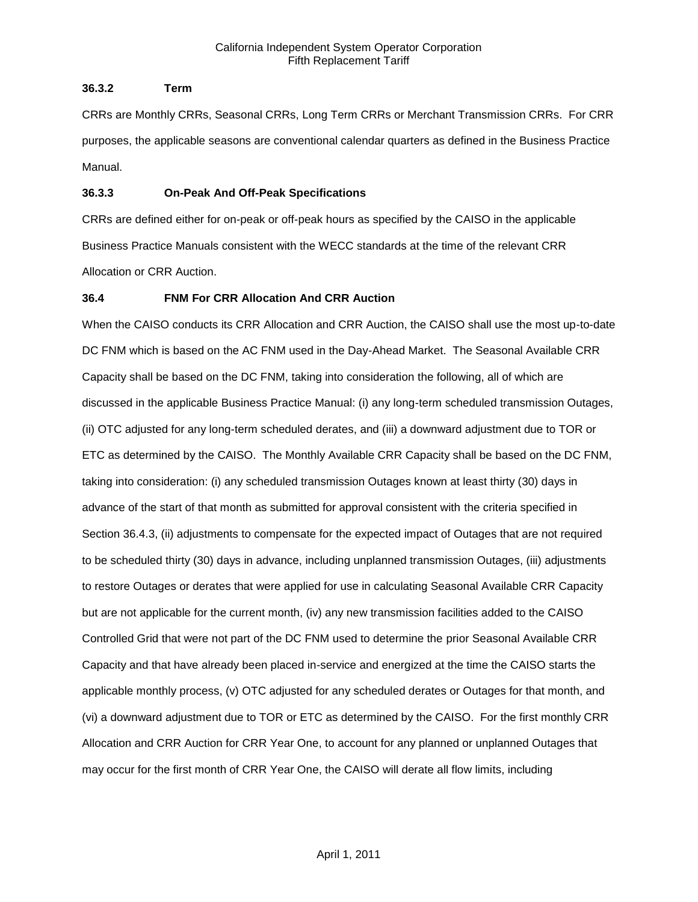# **36.3.2 Term**

CRRs are Monthly CRRs, Seasonal CRRs, Long Term CRRs or Merchant Transmission CRRs. For CRR purposes, the applicable seasons are conventional calendar quarters as defined in the Business Practice Manual.

## **36.3.3 On-Peak And Off-Peak Specifications**

CRRs are defined either for on-peak or off-peak hours as specified by the CAISO in the applicable Business Practice Manuals consistent with the WECC standards at the time of the relevant CRR Allocation or CRR Auction.

# **36.4 FNM For CRR Allocation And CRR Auction**

When the CAISO conducts its CRR Allocation and CRR Auction, the CAISO shall use the most up-to-date DC FNM which is based on the AC FNM used in the Day-Ahead Market. The Seasonal Available CRR Capacity shall be based on the DC FNM, taking into consideration the following, all of which are discussed in the applicable Business Practice Manual: (i) any long-term scheduled transmission Outages, (ii) OTC adjusted for any long-term scheduled derates, and (iii) a downward adjustment due to TOR or ETC as determined by the CAISO. The Monthly Available CRR Capacity shall be based on the DC FNM, taking into consideration: (i) any scheduled transmission Outages known at least thirty (30) days in advance of the start of that month as submitted for approval consistent with the criteria specified in Section 36.4.3, (ii) adjustments to compensate for the expected impact of Outages that are not required to be scheduled thirty (30) days in advance, including unplanned transmission Outages, (iii) adjustments to restore Outages or derates that were applied for use in calculating Seasonal Available CRR Capacity but are not applicable for the current month, (iv) any new transmission facilities added to the CAISO Controlled Grid that were not part of the DC FNM used to determine the prior Seasonal Available CRR Capacity and that have already been placed in-service and energized at the time the CAISO starts the applicable monthly process, (v) OTC adjusted for any scheduled derates or Outages for that month, and (vi) a downward adjustment due to TOR or ETC as determined by the CAISO. For the first monthly CRR Allocation and CRR Auction for CRR Year One, to account for any planned or unplanned Outages that may occur for the first month of CRR Year One, the CAISO will derate all flow limits, including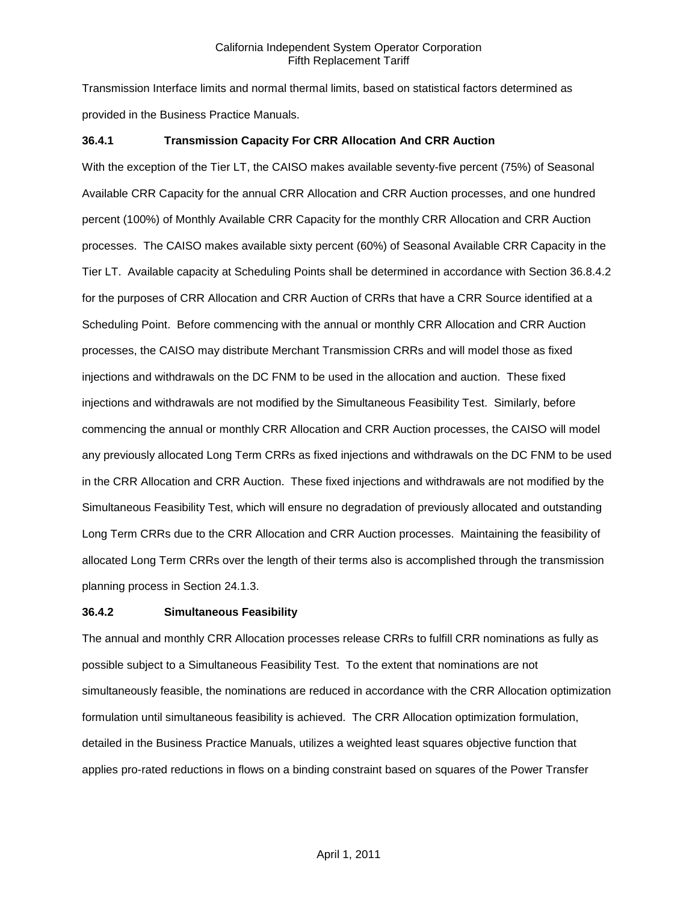Transmission Interface limits and normal thermal limits, based on statistical factors determined as provided in the Business Practice Manuals.

## **36.4.1 Transmission Capacity For CRR Allocation And CRR Auction**

With the exception of the Tier LT, the CAISO makes available seventy-five percent (75%) of Seasonal Available CRR Capacity for the annual CRR Allocation and CRR Auction processes, and one hundred percent (100%) of Monthly Available CRR Capacity for the monthly CRR Allocation and CRR Auction processes. The CAISO makes available sixty percent (60%) of Seasonal Available CRR Capacity in the Tier LT. Available capacity at Scheduling Points shall be determined in accordance with Section 36.8.4.2 for the purposes of CRR Allocation and CRR Auction of CRRs that have a CRR Source identified at a Scheduling Point. Before commencing with the annual or monthly CRR Allocation and CRR Auction processes, the CAISO may distribute Merchant Transmission CRRs and will model those as fixed injections and withdrawals on the DC FNM to be used in the allocation and auction. These fixed injections and withdrawals are not modified by the Simultaneous Feasibility Test. Similarly, before commencing the annual or monthly CRR Allocation and CRR Auction processes, the CAISO will model any previously allocated Long Term CRRs as fixed injections and withdrawals on the DC FNM to be used in the CRR Allocation and CRR Auction. These fixed injections and withdrawals are not modified by the Simultaneous Feasibility Test, which will ensure no degradation of previously allocated and outstanding Long Term CRRs due to the CRR Allocation and CRR Auction processes. Maintaining the feasibility of allocated Long Term CRRs over the length of their terms also is accomplished through the transmission planning process in Section 24.1.3.

## **36.4.2 Simultaneous Feasibility**

The annual and monthly CRR Allocation processes release CRRs to fulfill CRR nominations as fully as possible subject to a Simultaneous Feasibility Test. To the extent that nominations are not simultaneously feasible, the nominations are reduced in accordance with the CRR Allocation optimization formulation until simultaneous feasibility is achieved. The CRR Allocation optimization formulation, detailed in the Business Practice Manuals, utilizes a weighted least squares objective function that applies pro-rated reductions in flows on a binding constraint based on squares of the Power Transfer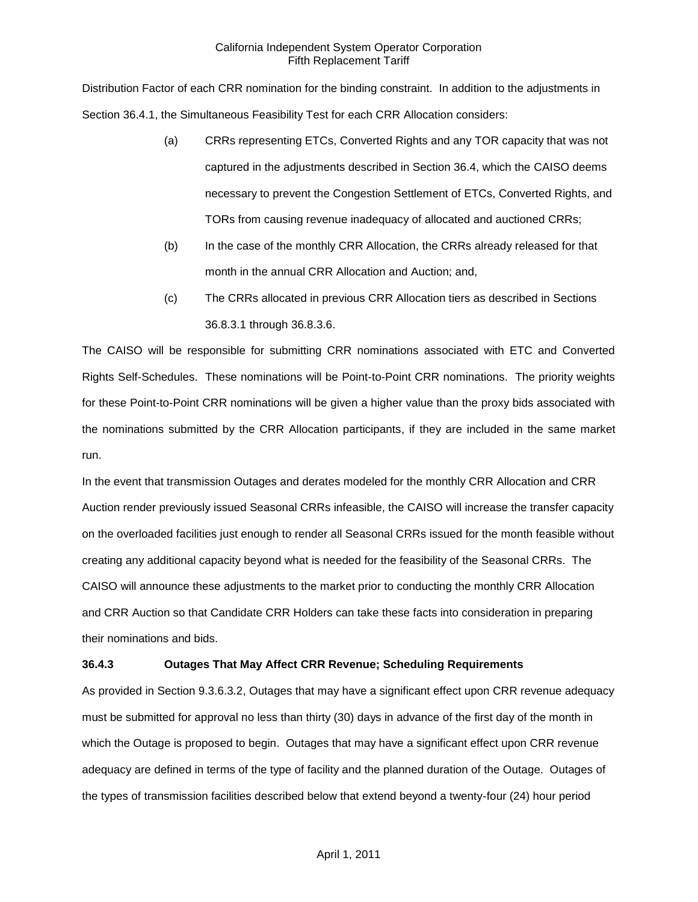Distribution Factor of each CRR nomination for the binding constraint. In addition to the adjustments in Section 36.4.1, the Simultaneous Feasibility Test for each CRR Allocation considers:

- (a) CRRs representing ETCs, Converted Rights and any TOR capacity that was not captured in the adjustments described in Section 36.4, which the CAISO deems necessary to prevent the Congestion Settlement of ETCs, Converted Rights, and TORs from causing revenue inadequacy of allocated and auctioned CRRs;
- (b) In the case of the monthly CRR Allocation, the CRRs already released for that month in the annual CRR Allocation and Auction; and,
- (c) The CRRs allocated in previous CRR Allocation tiers as described in Sections 36.8.3.1 through 36.8.3.6.

The CAISO will be responsible for submitting CRR nominations associated with ETC and Converted Rights Self-Schedules. These nominations will be Point-to-Point CRR nominations. The priority weights for these Point-to-Point CRR nominations will be given a higher value than the proxy bids associated with the nominations submitted by the CRR Allocation participants, if they are included in the same market run.

In the event that transmission Outages and derates modeled for the monthly CRR Allocation and CRR Auction render previously issued Seasonal CRRs infeasible, the CAISO will increase the transfer capacity on the overloaded facilities just enough to render all Seasonal CRRs issued for the month feasible without creating any additional capacity beyond what is needed for the feasibility of the Seasonal CRRs. The CAISO will announce these adjustments to the market prior to conducting the monthly CRR Allocation and CRR Auction so that Candidate CRR Holders can take these facts into consideration in preparing their nominations and bids.

# **36.4.3 Outages That May Affect CRR Revenue; Scheduling Requirements**

As provided in Section 9.3.6.3.2, Outages that may have a significant effect upon CRR revenue adequacy must be submitted for approval no less than thirty (30) days in advance of the first day of the month in which the Outage is proposed to begin. Outages that may have a significant effect upon CRR revenue adequacy are defined in terms of the type of facility and the planned duration of the Outage. Outages of the types of transmission facilities described below that extend beyond a twenty-four (24) hour period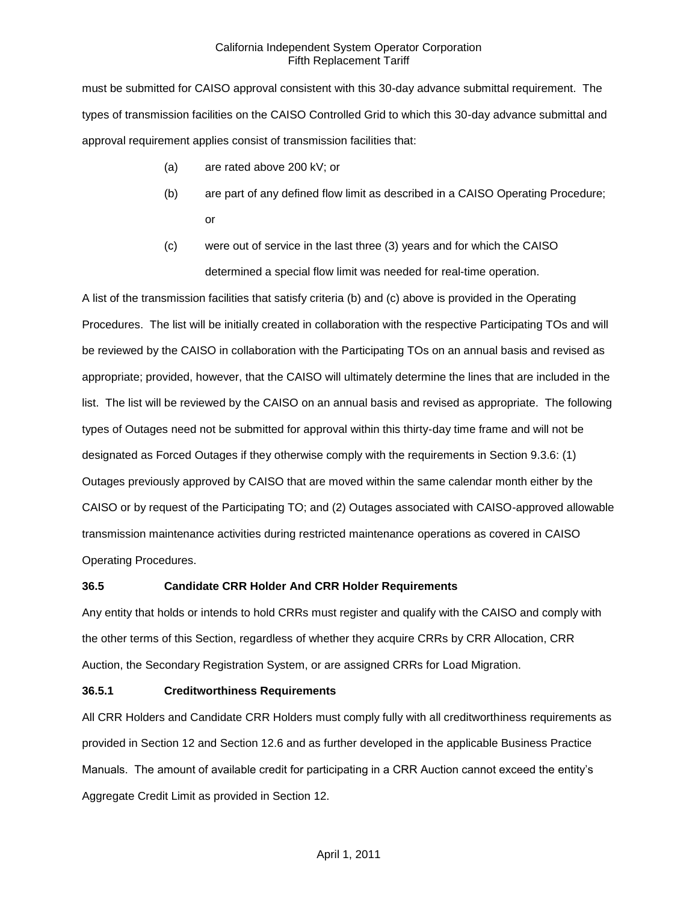must be submitted for CAISO approval consistent with this 30-day advance submittal requirement. The types of transmission facilities on the CAISO Controlled Grid to which this 30-day advance submittal and approval requirement applies consist of transmission facilities that:

- (a) are rated above 200 kV; or
- (b) are part of any defined flow limit as described in a CAISO Operating Procedure; or
- (c) were out of service in the last three (3) years and for which the CAISO determined a special flow limit was needed for real-time operation.

A list of the transmission facilities that satisfy criteria (b) and (c) above is provided in the Operating Procedures. The list will be initially created in collaboration with the respective Participating TOs and will be reviewed by the CAISO in collaboration with the Participating TOs on an annual basis and revised as appropriate; provided, however, that the CAISO will ultimately determine the lines that are included in the list. The list will be reviewed by the CAISO on an annual basis and revised as appropriate. The following types of Outages need not be submitted for approval within this thirty-day time frame and will not be designated as Forced Outages if they otherwise comply with the requirements in Section 9.3.6: (1) Outages previously approved by CAISO that are moved within the same calendar month either by the CAISO or by request of the Participating TO; and (2) Outages associated with CAISO-approved allowable transmission maintenance activities during restricted maintenance operations as covered in CAISO Operating Procedures.

# **36.5 Candidate CRR Holder And CRR Holder Requirements**

Any entity that holds or intends to hold CRRs must register and qualify with the CAISO and comply with the other terms of this Section, regardless of whether they acquire CRRs by CRR Allocation, CRR Auction, the Secondary Registration System, or are assigned CRRs for Load Migration.

# **36.5.1 Creditworthiness Requirements**

All CRR Holders and Candidate CRR Holders must comply fully with all creditworthiness requirements as provided in Section 12 and Section 12.6 and as further developed in the applicable Business Practice Manuals. The amount of available credit for participating in a CRR Auction cannot exceed the entity's Aggregate Credit Limit as provided in Section 12.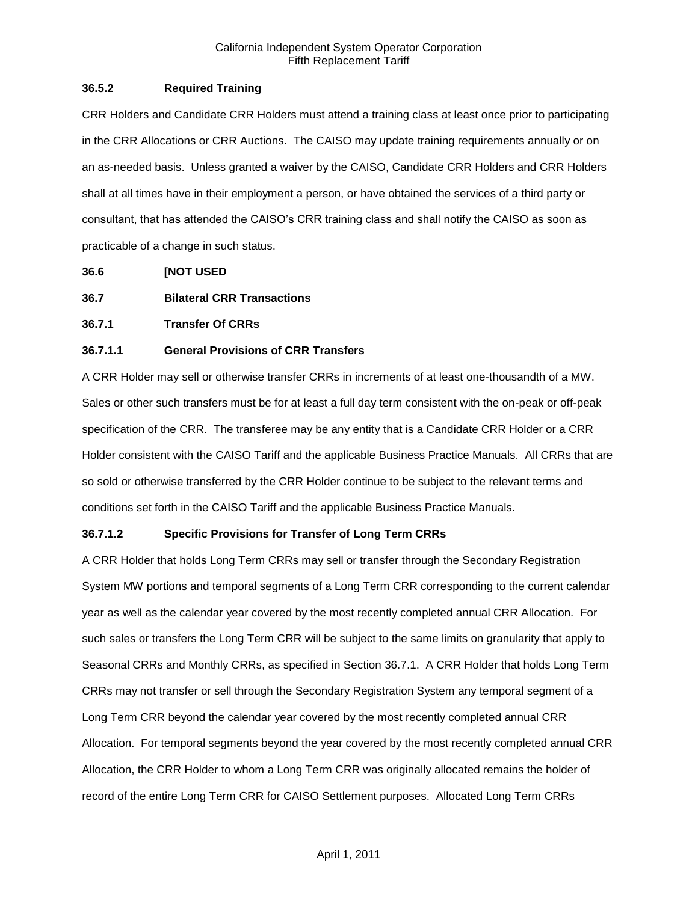## **36.5.2 Required Training**

CRR Holders and Candidate CRR Holders must attend a training class at least once prior to participating in the CRR Allocations or CRR Auctions. The CAISO may update training requirements annually or on an as-needed basis. Unless granted a waiver by the CAISO, Candidate CRR Holders and CRR Holders shall at all times have in their employment a person, or have obtained the services of a third party or consultant, that has attended the CAISO's CRR training class and shall notify the CAISO as soon as practicable of a change in such status.

**36.6 [NOT USED**

- **36.7 Bilateral CRR Transactions**
- **36.7.1 Transfer Of CRRs**

## **36.7.1.1 General Provisions of CRR Transfers**

A CRR Holder may sell or otherwise transfer CRRs in increments of at least one-thousandth of a MW. Sales or other such transfers must be for at least a full day term consistent with the on-peak or off-peak specification of the CRR. The transferee may be any entity that is a Candidate CRR Holder or a CRR Holder consistent with the CAISO Tariff and the applicable Business Practice Manuals. All CRRs that are so sold or otherwise transferred by the CRR Holder continue to be subject to the relevant terms and conditions set forth in the CAISO Tariff and the applicable Business Practice Manuals.

## **36.7.1.2 Specific Provisions for Transfer of Long Term CRRs**

A CRR Holder that holds Long Term CRRs may sell or transfer through the Secondary Registration System MW portions and temporal segments of a Long Term CRR corresponding to the current calendar year as well as the calendar year covered by the most recently completed annual CRR Allocation. For such sales or transfers the Long Term CRR will be subject to the same limits on granularity that apply to Seasonal CRRs and Monthly CRRs, as specified in Section 36.7.1. A CRR Holder that holds Long Term CRRs may not transfer or sell through the Secondary Registration System any temporal segment of a Long Term CRR beyond the calendar year covered by the most recently completed annual CRR Allocation. For temporal segments beyond the year covered by the most recently completed annual CRR Allocation, the CRR Holder to whom a Long Term CRR was originally allocated remains the holder of record of the entire Long Term CRR for CAISO Settlement purposes. Allocated Long Term CRRs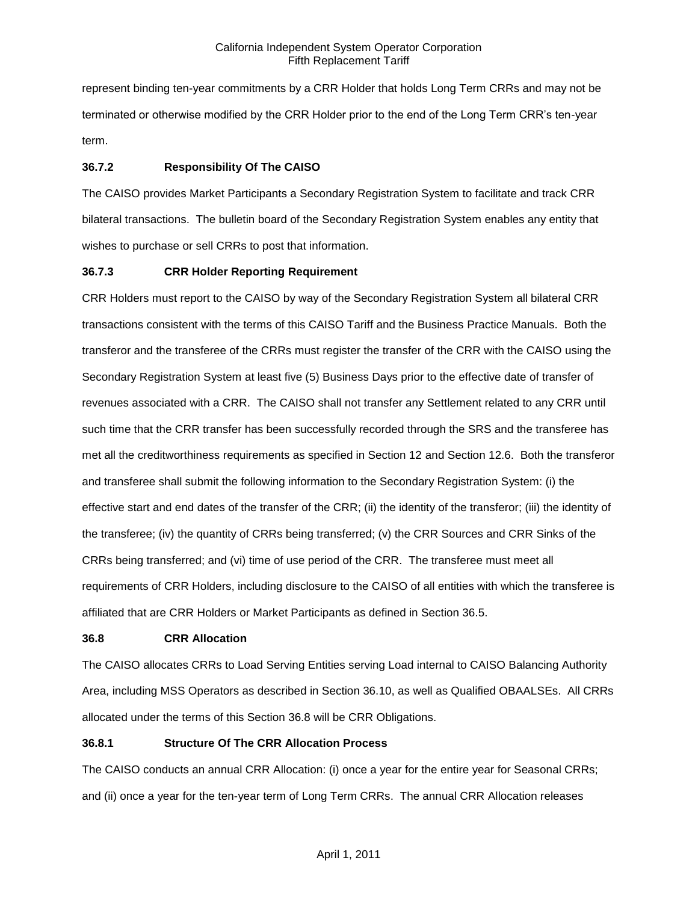represent binding ten-year commitments by a CRR Holder that holds Long Term CRRs and may not be terminated or otherwise modified by the CRR Holder prior to the end of the Long Term CRR's ten-year term.

# **36.7.2 Responsibility Of The CAISO**

The CAISO provides Market Participants a Secondary Registration System to facilitate and track CRR bilateral transactions. The bulletin board of the Secondary Registration System enables any entity that wishes to purchase or sell CRRs to post that information.

## **36.7.3 CRR Holder Reporting Requirement**

CRR Holders must report to the CAISO by way of the Secondary Registration System all bilateral CRR transactions consistent with the terms of this CAISO Tariff and the Business Practice Manuals. Both the transferor and the transferee of the CRRs must register the transfer of the CRR with the CAISO using the Secondary Registration System at least five (5) Business Days prior to the effective date of transfer of revenues associated with a CRR. The CAISO shall not transfer any Settlement related to any CRR until such time that the CRR transfer has been successfully recorded through the SRS and the transferee has met all the creditworthiness requirements as specified in Section 12 and Section 12.6. Both the transferor and transferee shall submit the following information to the Secondary Registration System: (i) the effective start and end dates of the transfer of the CRR; (ii) the identity of the transferor; (iii) the identity of the transferee; (iv) the quantity of CRRs being transferred; (v) the CRR Sources and CRR Sinks of the CRRs being transferred; and (vi) time of use period of the CRR. The transferee must meet all requirements of CRR Holders, including disclosure to the CAISO of all entities with which the transferee is affiliated that are CRR Holders or Market Participants as defined in Section 36.5.

## **36.8 CRR Allocation**

The CAISO allocates CRRs to Load Serving Entities serving Load internal to CAISO Balancing Authority Area, including MSS Operators as described in Section 36.10, as well as Qualified OBAALSEs. All CRRs allocated under the terms of this Section 36.8 will be CRR Obligations.

# **36.8.1 Structure Of The CRR Allocation Process**

The CAISO conducts an annual CRR Allocation: (i) once a year for the entire year for Seasonal CRRs; and (ii) once a year for the ten-year term of Long Term CRRs. The annual CRR Allocation releases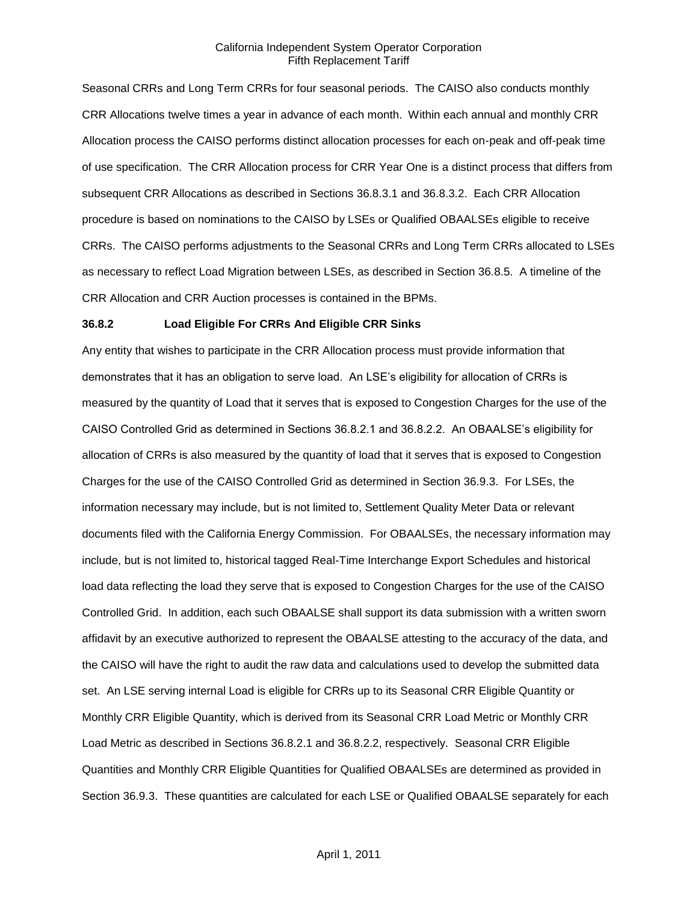Seasonal CRRs and Long Term CRRs for four seasonal periods. The CAISO also conducts monthly CRR Allocations twelve times a year in advance of each month. Within each annual and monthly CRR Allocation process the CAISO performs distinct allocation processes for each on-peak and off-peak time of use specification. The CRR Allocation process for CRR Year One is a distinct process that differs from subsequent CRR Allocations as described in Sections 36.8.3.1 and 36.8.3.2. Each CRR Allocation procedure is based on nominations to the CAISO by LSEs or Qualified OBAALSEs eligible to receive CRRs. The CAISO performs adjustments to the Seasonal CRRs and Long Term CRRs allocated to LSEs as necessary to reflect Load Migration between LSEs, as described in Section 36.8.5. A timeline of the CRR Allocation and CRR Auction processes is contained in the BPMs.

#### **36.8.2 Load Eligible For CRRs And Eligible CRR Sinks**

Any entity that wishes to participate in the CRR Allocation process must provide information that demonstrates that it has an obligation to serve load. An LSE's eligibility for allocation of CRRs is measured by the quantity of Load that it serves that is exposed to Congestion Charges for the use of the CAISO Controlled Grid as determined in Sections 36.8.2.1 and 36.8.2.2. An OBAALSE's eligibility for allocation of CRRs is also measured by the quantity of load that it serves that is exposed to Congestion Charges for the use of the CAISO Controlled Grid as determined in Section 36.9.3. For LSEs, the information necessary may include, but is not limited to, Settlement Quality Meter Data or relevant documents filed with the California Energy Commission. For OBAALSEs, the necessary information may include, but is not limited to, historical tagged Real-Time Interchange Export Schedules and historical load data reflecting the load they serve that is exposed to Congestion Charges for the use of the CAISO Controlled Grid. In addition, each such OBAALSE shall support its data submission with a written sworn affidavit by an executive authorized to represent the OBAALSE attesting to the accuracy of the data, and the CAISO will have the right to audit the raw data and calculations used to develop the submitted data set. An LSE serving internal Load is eligible for CRRs up to its Seasonal CRR Eligible Quantity or Monthly CRR Eligible Quantity, which is derived from its Seasonal CRR Load Metric or Monthly CRR Load Metric as described in Sections 36.8.2.1 and 36.8.2.2, respectively. Seasonal CRR Eligible Quantities and Monthly CRR Eligible Quantities for Qualified OBAALSEs are determined as provided in Section 36.9.3. These quantities are calculated for each LSE or Qualified OBAALSE separately for each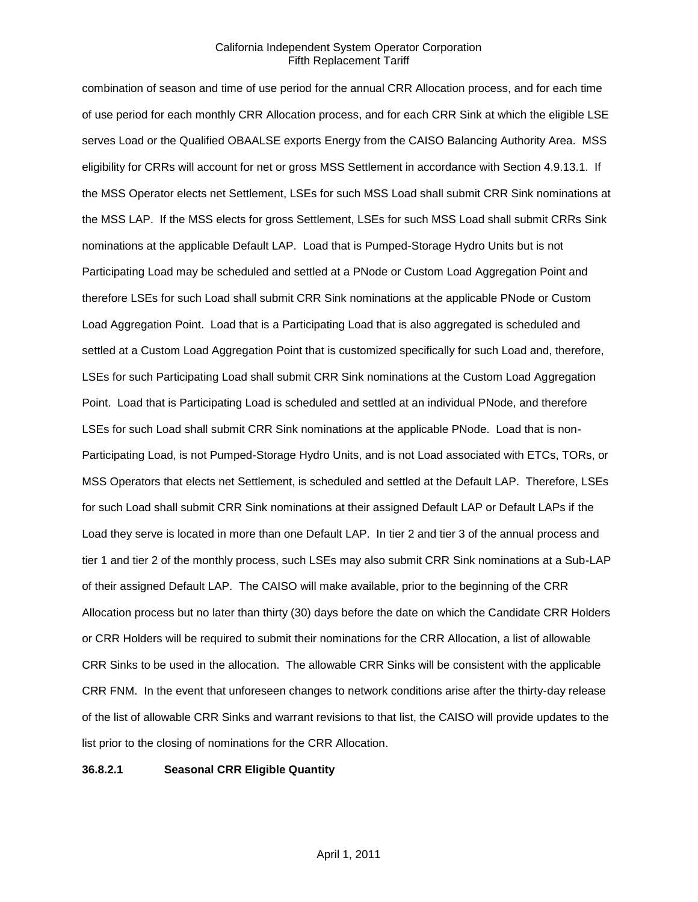combination of season and time of use period for the annual CRR Allocation process, and for each time of use period for each monthly CRR Allocation process, and for each CRR Sink at which the eligible LSE serves Load or the Qualified OBAALSE exports Energy from the CAISO Balancing Authority Area. MSS eligibility for CRRs will account for net or gross MSS Settlement in accordance with Section 4.9.13.1. If the MSS Operator elects net Settlement, LSEs for such MSS Load shall submit CRR Sink nominations at the MSS LAP. If the MSS elects for gross Settlement, LSEs for such MSS Load shall submit CRRs Sink nominations at the applicable Default LAP. Load that is Pumped-Storage Hydro Units but is not Participating Load may be scheduled and settled at a PNode or Custom Load Aggregation Point and therefore LSEs for such Load shall submit CRR Sink nominations at the applicable PNode or Custom Load Aggregation Point. Load that is a Participating Load that is also aggregated is scheduled and settled at a Custom Load Aggregation Point that is customized specifically for such Load and, therefore, LSEs for such Participating Load shall submit CRR Sink nominations at the Custom Load Aggregation Point. Load that is Participating Load is scheduled and settled at an individual PNode, and therefore LSEs for such Load shall submit CRR Sink nominations at the applicable PNode. Load that is non-Participating Load, is not Pumped-Storage Hydro Units, and is not Load associated with ETCs, TORs, or MSS Operators that elects net Settlement, is scheduled and settled at the Default LAP. Therefore, LSEs for such Load shall submit CRR Sink nominations at their assigned Default LAP or Default LAPs if the Load they serve is located in more than one Default LAP. In tier 2 and tier 3 of the annual process and tier 1 and tier 2 of the monthly process, such LSEs may also submit CRR Sink nominations at a Sub-LAP of their assigned Default LAP. The CAISO will make available, prior to the beginning of the CRR Allocation process but no later than thirty (30) days before the date on which the Candidate CRR Holders or CRR Holders will be required to submit their nominations for the CRR Allocation, a list of allowable CRR Sinks to be used in the allocation. The allowable CRR Sinks will be consistent with the applicable CRR FNM. In the event that unforeseen changes to network conditions arise after the thirty-day release of the list of allowable CRR Sinks and warrant revisions to that list, the CAISO will provide updates to the list prior to the closing of nominations for the CRR Allocation.

#### **36.8.2.1 Seasonal CRR Eligible Quantity**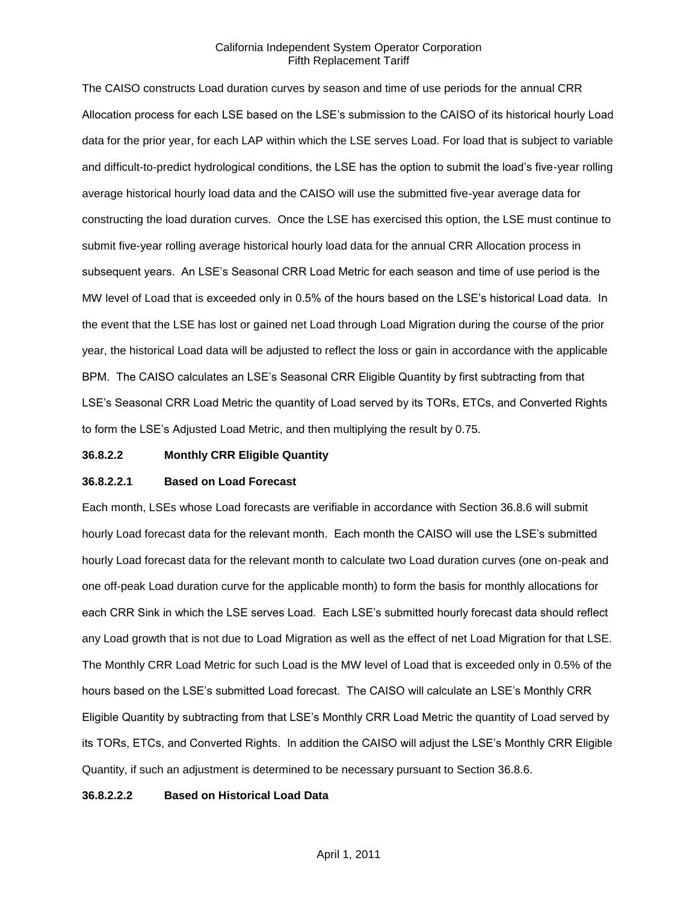The CAISO constructs Load duration curves by season and time of use periods for the annual CRR Allocation process for each LSE based on the LSE's submission to the CAISO of its historical hourly Load data for the prior year, for each LAP within which the LSE serves Load. For load that is subject to variable and difficult-to-predict hydrological conditions, the LSE has the option to submit the load's five-year rolling average historical hourly load data and the CAISO will use the submitted five-year average data for constructing the load duration curves. Once the LSE has exercised this option, the LSE must continue to submit five-year rolling average historical hourly load data for the annual CRR Allocation process in subsequent years. An LSE's Seasonal CRR Load Metric for each season and time of use period is the MW level of Load that is exceeded only in 0.5% of the hours based on the LSE's historical Load data. In the event that the LSE has lost or gained net Load through Load Migration during the course of the prior year, the historical Load data will be adjusted to reflect the loss or gain in accordance with the applicable BPM. The CAISO calculates an LSE's Seasonal CRR Eligible Quantity by first subtracting from that LSE's Seasonal CRR Load Metric the quantity of Load served by its TORs, ETCs, and Converted Rights to form the LSE's Adjusted Load Metric, and then multiplying the result by 0.75.

## **36.8.2.2 Monthly CRR Eligible Quantity**

#### **36.8.2.2.1 Based on Load Forecast**

Each month, LSEs whose Load forecasts are verifiable in accordance with Section 36.8.6 will submit hourly Load forecast data for the relevant month. Each month the CAISO will use the LSE's submitted hourly Load forecast data for the relevant month to calculate two Load duration curves (one on-peak and one off-peak Load duration curve for the applicable month) to form the basis for monthly allocations for each CRR Sink in which the LSE serves Load. Each LSE's submitted hourly forecast data should reflect any Load growth that is not due to Load Migration as well as the effect of net Load Migration for that LSE. The Monthly CRR Load Metric for such Load is the MW level of Load that is exceeded only in 0.5% of the hours based on the LSE's submitted Load forecast. The CAISO will calculate an LSE's Monthly CRR Eligible Quantity by subtracting from that LSE's Monthly CRR Load Metric the quantity of Load served by its TORs, ETCs, and Converted Rights. In addition the CAISO will adjust the LSE's Monthly CRR Eligible Quantity, if such an adjustment is determined to be necessary pursuant to Section 36.8.6.

## **36.8.2.2.2 Based on Historical Load Data**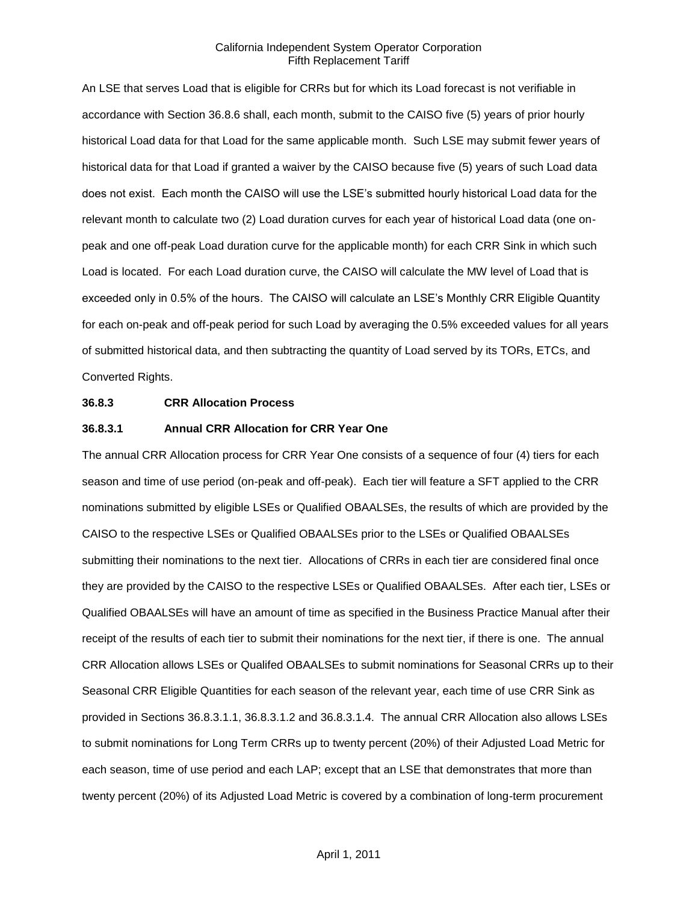An LSE that serves Load that is eligible for CRRs but for which its Load forecast is not verifiable in accordance with Section 36.8.6 shall, each month, submit to the CAISO five (5) years of prior hourly historical Load data for that Load for the same applicable month. Such LSE may submit fewer years of historical data for that Load if granted a waiver by the CAISO because five (5) years of such Load data does not exist. Each month the CAISO will use the LSE's submitted hourly historical Load data for the relevant month to calculate two (2) Load duration curves for each year of historical Load data (one onpeak and one off-peak Load duration curve for the applicable month) for each CRR Sink in which such Load is located. For each Load duration curve, the CAISO will calculate the MW level of Load that is exceeded only in 0.5% of the hours. The CAISO will calculate an LSE's Monthly CRR Eligible Quantity for each on-peak and off-peak period for such Load by averaging the 0.5% exceeded values for all years of submitted historical data, and then subtracting the quantity of Load served by its TORs, ETCs, and Converted Rights.

#### **36.8.3 CRR Allocation Process**

#### **36.8.3.1 Annual CRR Allocation for CRR Year One**

The annual CRR Allocation process for CRR Year One consists of a sequence of four (4) tiers for each season and time of use period (on-peak and off-peak). Each tier will feature a SFT applied to the CRR nominations submitted by eligible LSEs or Qualified OBAALSEs, the results of which are provided by the CAISO to the respective LSEs or Qualified OBAALSEs prior to the LSEs or Qualified OBAALSEs submitting their nominations to the next tier. Allocations of CRRs in each tier are considered final once they are provided by the CAISO to the respective LSEs or Qualified OBAALSEs. After each tier, LSEs or Qualified OBAALSEs will have an amount of time as specified in the Business Practice Manual after their receipt of the results of each tier to submit their nominations for the next tier, if there is one. The annual CRR Allocation allows LSEs or Qualifed OBAALSEs to submit nominations for Seasonal CRRs up to their Seasonal CRR Eligible Quantities for each season of the relevant year, each time of use CRR Sink as provided in Sections 36.8.3.1.1, 36.8.3.1.2 and 36.8.3.1.4. The annual CRR Allocation also allows LSEs to submit nominations for Long Term CRRs up to twenty percent (20%) of their Adjusted Load Metric for each season, time of use period and each LAP; except that an LSE that demonstrates that more than twenty percent (20%) of its Adjusted Load Metric is covered by a combination of long-term procurement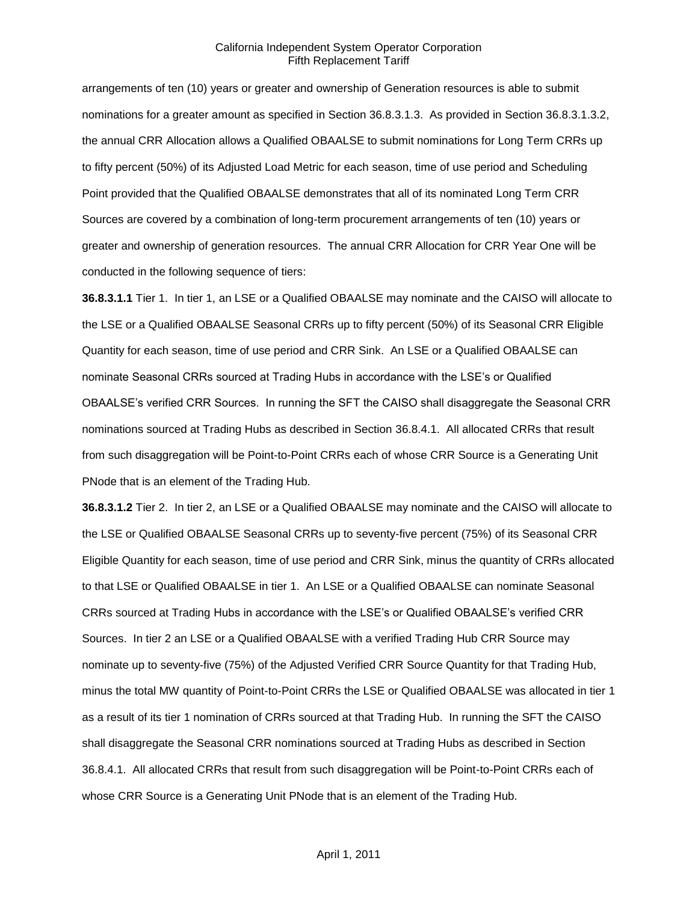arrangements of ten (10) years or greater and ownership of Generation resources is able to submit nominations for a greater amount as specified in Section 36.8.3.1.3. As provided in Section 36.8.3.1.3.2, the annual CRR Allocation allows a Qualified OBAALSE to submit nominations for Long Term CRRs up to fifty percent (50%) of its Adjusted Load Metric for each season, time of use period and Scheduling Point provided that the Qualified OBAALSE demonstrates that all of its nominated Long Term CRR Sources are covered by a combination of long-term procurement arrangements of ten (10) years or greater and ownership of generation resources. The annual CRR Allocation for CRR Year One will be conducted in the following sequence of tiers:

**36.8.3.1.1** Tier 1. In tier 1, an LSE or a Qualified OBAALSE may nominate and the CAISO will allocate to the LSE or a Qualified OBAALSE Seasonal CRRs up to fifty percent (50%) of its Seasonal CRR Eligible Quantity for each season, time of use period and CRR Sink. An LSE or a Qualified OBAALSE can nominate Seasonal CRRs sourced at Trading Hubs in accordance with the LSE's or Qualified OBAALSE's verified CRR Sources. In running the SFT the CAISO shall disaggregate the Seasonal CRR nominations sourced at Trading Hubs as described in Section 36.8.4.1. All allocated CRRs that result from such disaggregation will be Point-to-Point CRRs each of whose CRR Source is a Generating Unit PNode that is an element of the Trading Hub.

**36.8.3.1.2** Tier 2. In tier 2, an LSE or a Qualified OBAALSE may nominate and the CAISO will allocate to the LSE or Qualified OBAALSE Seasonal CRRs up to seventy-five percent (75%) of its Seasonal CRR Eligible Quantity for each season, time of use period and CRR Sink, minus the quantity of CRRs allocated to that LSE or Qualified OBAALSE in tier 1. An LSE or a Qualified OBAALSE can nominate Seasonal CRRs sourced at Trading Hubs in accordance with the LSE's or Qualified OBAALSE's verified CRR Sources. In tier 2 an LSE or a Qualified OBAALSE with a verified Trading Hub CRR Source may nominate up to seventy-five (75%) of the Adjusted Verified CRR Source Quantity for that Trading Hub, minus the total MW quantity of Point-to-Point CRRs the LSE or Qualified OBAALSE was allocated in tier 1 as a result of its tier 1 nomination of CRRs sourced at that Trading Hub. In running the SFT the CAISO shall disaggregate the Seasonal CRR nominations sourced at Trading Hubs as described in Section 36.8.4.1. All allocated CRRs that result from such disaggregation will be Point-to-Point CRRs each of whose CRR Source is a Generating Unit PNode that is an element of the Trading Hub.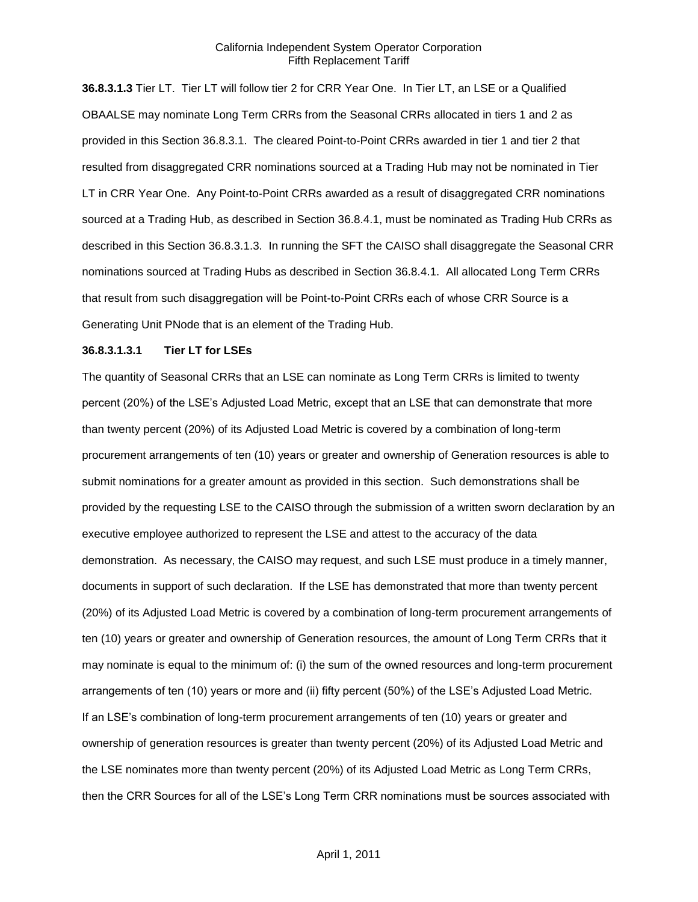**36.8.3.1.3** Tier LT. Tier LT will follow tier 2 for CRR Year One. In Tier LT, an LSE or a Qualified OBAALSE may nominate Long Term CRRs from the Seasonal CRRs allocated in tiers 1 and 2 as provided in this Section 36.8.3.1. The cleared Point-to-Point CRRs awarded in tier 1 and tier 2 that resulted from disaggregated CRR nominations sourced at a Trading Hub may not be nominated in Tier LT in CRR Year One. Any Point-to-Point CRRs awarded as a result of disaggregated CRR nominations sourced at a Trading Hub, as described in Section 36.8.4.1, must be nominated as Trading Hub CRRs as described in this Section 36.8.3.1.3. In running the SFT the CAISO shall disaggregate the Seasonal CRR nominations sourced at Trading Hubs as described in Section 36.8.4.1. All allocated Long Term CRRs that result from such disaggregation will be Point-to-Point CRRs each of whose CRR Source is a Generating Unit PNode that is an element of the Trading Hub.

### **36.8.3.1.3.1 Tier LT for LSEs**

The quantity of Seasonal CRRs that an LSE can nominate as Long Term CRRs is limited to twenty percent (20%) of the LSE's Adjusted Load Metric, except that an LSE that can demonstrate that more than twenty percent (20%) of its Adjusted Load Metric is covered by a combination of long-term procurement arrangements of ten (10) years or greater and ownership of Generation resources is able to submit nominations for a greater amount as provided in this section. Such demonstrations shall be provided by the requesting LSE to the CAISO through the submission of a written sworn declaration by an executive employee authorized to represent the LSE and attest to the accuracy of the data demonstration. As necessary, the CAISO may request, and such LSE must produce in a timely manner, documents in support of such declaration. If the LSE has demonstrated that more than twenty percent (20%) of its Adjusted Load Metric is covered by a combination of long-term procurement arrangements of ten (10) years or greater and ownership of Generation resources, the amount of Long Term CRRs that it may nominate is equal to the minimum of: (i) the sum of the owned resources and long-term procurement arrangements of ten (10) years or more and (ii) fifty percent (50%) of the LSE's Adjusted Load Metric. If an LSE's combination of long-term procurement arrangements of ten (10) years or greater and ownership of generation resources is greater than twenty percent (20%) of its Adjusted Load Metric and the LSE nominates more than twenty percent (20%) of its Adjusted Load Metric as Long Term CRRs, then the CRR Sources for all of the LSE's Long Term CRR nominations must be sources associated with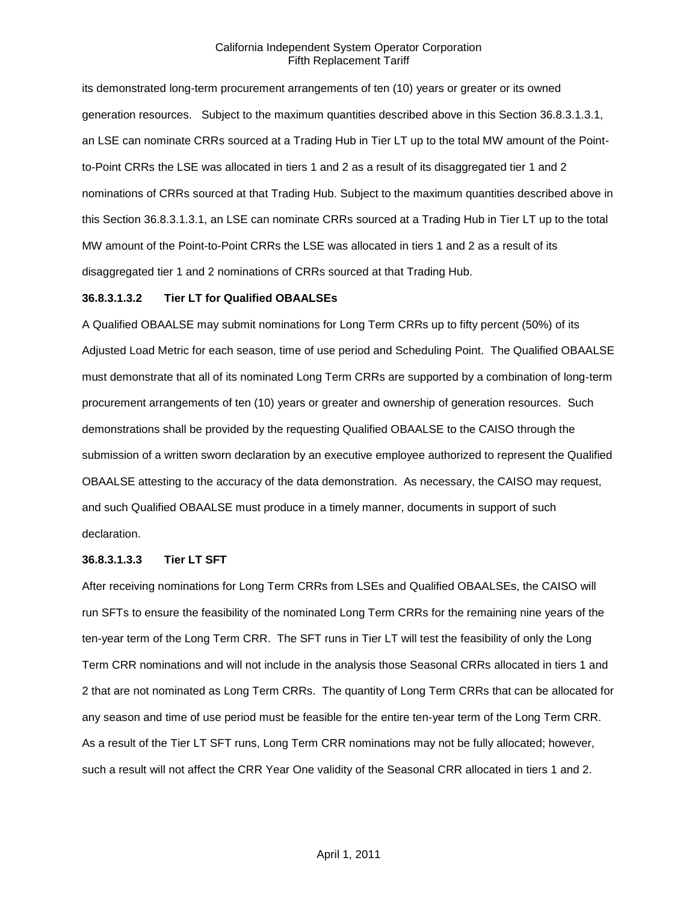its demonstrated long-term procurement arrangements of ten (10) years or greater or its owned generation resources. Subject to the maximum quantities described above in this Section 36.8.3.1.3.1, an LSE can nominate CRRs sourced at a Trading Hub in Tier LT up to the total MW amount of the Pointto-Point CRRs the LSE was allocated in tiers 1 and 2 as a result of its disaggregated tier 1 and 2 nominations of CRRs sourced at that Trading Hub. Subject to the maximum quantities described above in this Section 36.8.3.1.3.1, an LSE can nominate CRRs sourced at a Trading Hub in Tier LT up to the total MW amount of the Point-to-Point CRRs the LSE was allocated in tiers 1 and 2 as a result of its disaggregated tier 1 and 2 nominations of CRRs sourced at that Trading Hub.

#### **36.8.3.1.3.2 Tier LT for Qualified OBAALSEs**

A Qualified OBAALSE may submit nominations for Long Term CRRs up to fifty percent (50%) of its Adjusted Load Metric for each season, time of use period and Scheduling Point. The Qualified OBAALSE must demonstrate that all of its nominated Long Term CRRs are supported by a combination of long-term procurement arrangements of ten (10) years or greater and ownership of generation resources. Such demonstrations shall be provided by the requesting Qualified OBAALSE to the CAISO through the submission of a written sworn declaration by an executive employee authorized to represent the Qualified OBAALSE attesting to the accuracy of the data demonstration. As necessary, the CAISO may request, and such Qualified OBAALSE must produce in a timely manner, documents in support of such declaration.

#### **36.8.3.1.3.3 Tier LT SFT**

After receiving nominations for Long Term CRRs from LSEs and Qualified OBAALSEs, the CAISO will run SFTs to ensure the feasibility of the nominated Long Term CRRs for the remaining nine years of the ten-year term of the Long Term CRR. The SFT runs in Tier LT will test the feasibility of only the Long Term CRR nominations and will not include in the analysis those Seasonal CRRs allocated in tiers 1 and 2 that are not nominated as Long Term CRRs. The quantity of Long Term CRRs that can be allocated for any season and time of use period must be feasible for the entire ten-year term of the Long Term CRR. As a result of the Tier LT SFT runs, Long Term CRR nominations may not be fully allocated; however, such a result will not affect the CRR Year One validity of the Seasonal CRR allocated in tiers 1 and 2.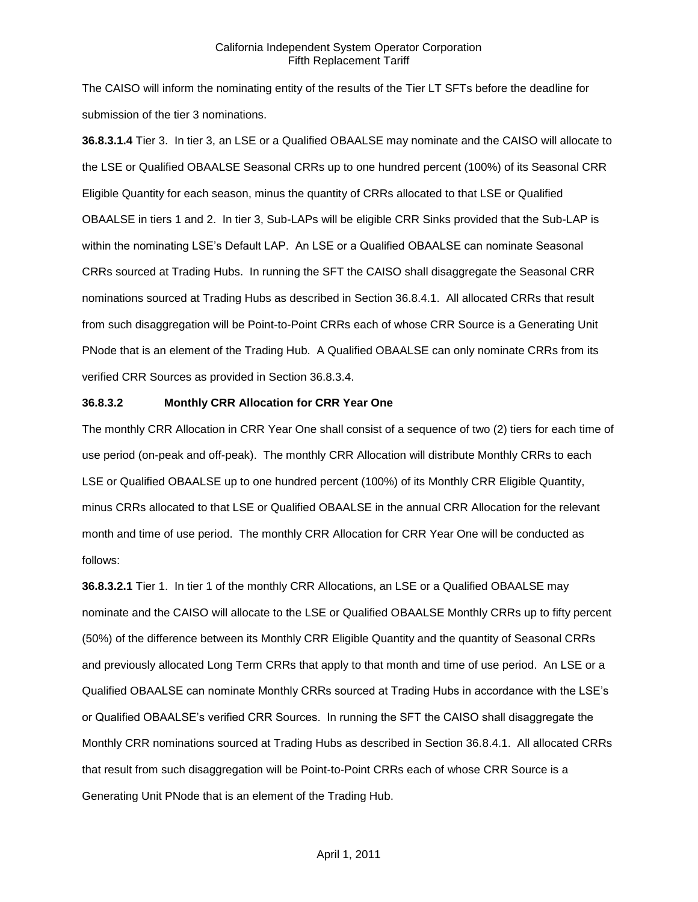The CAISO will inform the nominating entity of the results of the Tier LT SFTs before the deadline for submission of the tier 3 nominations.

**36.8.3.1.4** Tier 3. In tier 3, an LSE or a Qualified OBAALSE may nominate and the CAISO will allocate to the LSE or Qualified OBAALSE Seasonal CRRs up to one hundred percent (100%) of its Seasonal CRR Eligible Quantity for each season, minus the quantity of CRRs allocated to that LSE or Qualified OBAALSE in tiers 1 and 2. In tier 3, Sub-LAPs will be eligible CRR Sinks provided that the Sub-LAP is within the nominating LSE's Default LAP. An LSE or a Qualified OBAALSE can nominate Seasonal CRRs sourced at Trading Hubs. In running the SFT the CAISO shall disaggregate the Seasonal CRR nominations sourced at Trading Hubs as described in Section 36.8.4.1. All allocated CRRs that result from such disaggregation will be Point-to-Point CRRs each of whose CRR Source is a Generating Unit PNode that is an element of the Trading Hub. A Qualified OBAALSE can only nominate CRRs from its verified CRR Sources as provided in Section 36.8.3.4.

#### **36.8.3.2 Monthly CRR Allocation for CRR Year One**

The monthly CRR Allocation in CRR Year One shall consist of a sequence of two (2) tiers for each time of use period (on-peak and off-peak). The monthly CRR Allocation will distribute Monthly CRRs to each LSE or Qualified OBAALSE up to one hundred percent (100%) of its Monthly CRR Eligible Quantity, minus CRRs allocated to that LSE or Qualified OBAALSE in the annual CRR Allocation for the relevant month and time of use period. The monthly CRR Allocation for CRR Year One will be conducted as follows:

**36.8.3.2.1** Tier 1. In tier 1 of the monthly CRR Allocations, an LSE or a Qualified OBAALSE may nominate and the CAISO will allocate to the LSE or Qualified OBAALSE Monthly CRRs up to fifty percent (50%) of the difference between its Monthly CRR Eligible Quantity and the quantity of Seasonal CRRs and previously allocated Long Term CRRs that apply to that month and time of use period. An LSE or a Qualified OBAALSE can nominate Monthly CRRs sourced at Trading Hubs in accordance with the LSE's or Qualified OBAALSE's verified CRR Sources. In running the SFT the CAISO shall disaggregate the Monthly CRR nominations sourced at Trading Hubs as described in Section 36.8.4.1. All allocated CRRs that result from such disaggregation will be Point-to-Point CRRs each of whose CRR Source is a Generating Unit PNode that is an element of the Trading Hub.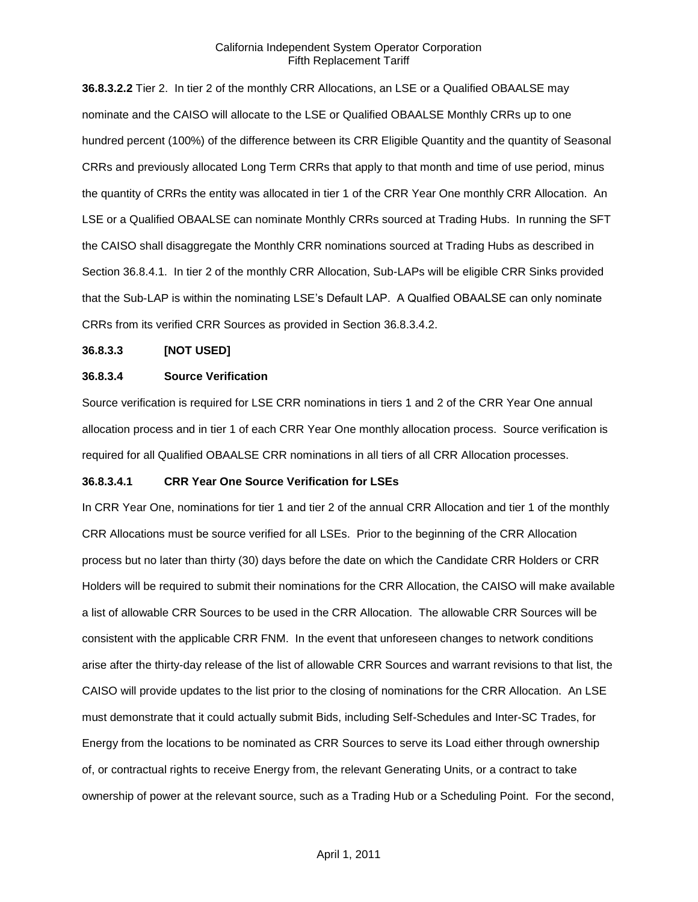**36.8.3.2.2** Tier 2. In tier 2 of the monthly CRR Allocations, an LSE or a Qualified OBAALSE may nominate and the CAISO will allocate to the LSE or Qualified OBAALSE Monthly CRRs up to one hundred percent (100%) of the difference between its CRR Eligible Quantity and the quantity of Seasonal CRRs and previously allocated Long Term CRRs that apply to that month and time of use period, minus the quantity of CRRs the entity was allocated in tier 1 of the CRR Year One monthly CRR Allocation. An LSE or a Qualified OBAALSE can nominate Monthly CRRs sourced at Trading Hubs. In running the SFT the CAISO shall disaggregate the Monthly CRR nominations sourced at Trading Hubs as described in Section 36.8.4.1. In tier 2 of the monthly CRR Allocation, Sub-LAPs will be eligible CRR Sinks provided that the Sub-LAP is within the nominating LSE's Default LAP. A Qualfied OBAALSE can only nominate CRRs from its verified CRR Sources as provided in Section 36.8.3.4.2.

### **36.8.3.3 [NOT USED]**

#### **36.8.3.4 Source Verification**

Source verification is required for LSE CRR nominations in tiers 1 and 2 of the CRR Year One annual allocation process and in tier 1 of each CRR Year One monthly allocation process. Source verification is required for all Qualified OBAALSE CRR nominations in all tiers of all CRR Allocation processes.

#### **36.8.3.4.1 CRR Year One Source Verification for LSEs**

In CRR Year One, nominations for tier 1 and tier 2 of the annual CRR Allocation and tier 1 of the monthly CRR Allocations must be source verified for all LSEs. Prior to the beginning of the CRR Allocation process but no later than thirty (30) days before the date on which the Candidate CRR Holders or CRR Holders will be required to submit their nominations for the CRR Allocation, the CAISO will make available a list of allowable CRR Sources to be used in the CRR Allocation. The allowable CRR Sources will be consistent with the applicable CRR FNM. In the event that unforeseen changes to network conditions arise after the thirty-day release of the list of allowable CRR Sources and warrant revisions to that list, the CAISO will provide updates to the list prior to the closing of nominations for the CRR Allocation. An LSE must demonstrate that it could actually submit Bids, including Self-Schedules and Inter-SC Trades, for Energy from the locations to be nominated as CRR Sources to serve its Load either through ownership of, or contractual rights to receive Energy from, the relevant Generating Units, or a contract to take ownership of power at the relevant source, such as a Trading Hub or a Scheduling Point. For the second,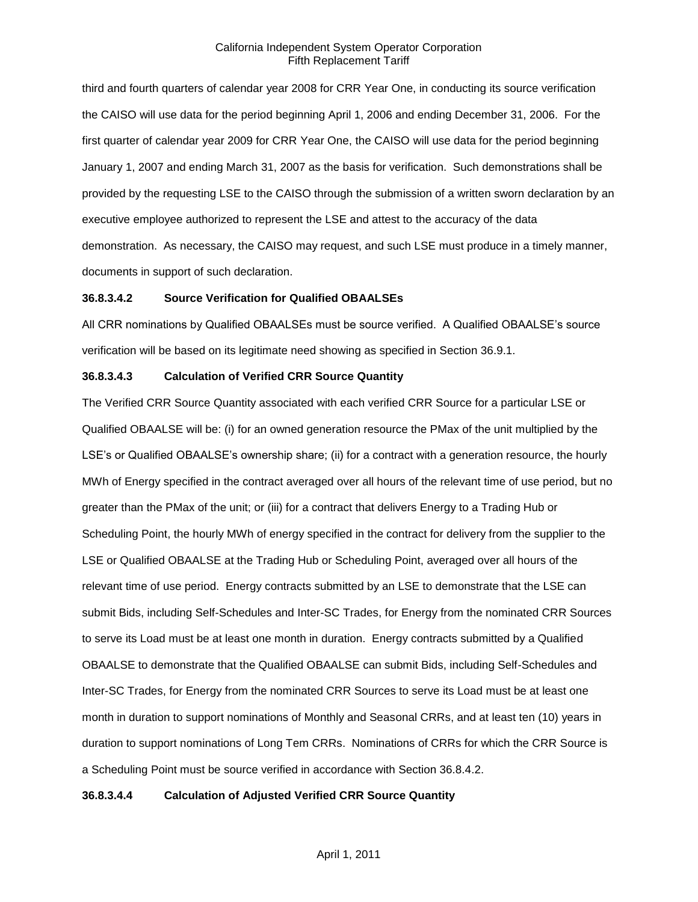third and fourth quarters of calendar year 2008 for CRR Year One, in conducting its source verification the CAISO will use data for the period beginning April 1, 2006 and ending December 31, 2006. For the first quarter of calendar year 2009 for CRR Year One, the CAISO will use data for the period beginning January 1, 2007 and ending March 31, 2007 as the basis for verification. Such demonstrations shall be provided by the requesting LSE to the CAISO through the submission of a written sworn declaration by an executive employee authorized to represent the LSE and attest to the accuracy of the data demonstration. As necessary, the CAISO may request, and such LSE must produce in a timely manner, documents in support of such declaration.

## **36.8.3.4.2 Source Verification for Qualified OBAALSEs**

All CRR nominations by Qualified OBAALSEs must be source verified. A Qualified OBAALSE's source verification will be based on its legitimate need showing as specified in Section 36.9.1.

# **36.8.3.4.3 Calculation of Verified CRR Source Quantity**

The Verified CRR Source Quantity associated with each verified CRR Source for a particular LSE or Qualified OBAALSE will be: (i) for an owned generation resource the PMax of the unit multiplied by the LSE's or Qualified OBAALSE's ownership share; (ii) for a contract with a generation resource, the hourly MWh of Energy specified in the contract averaged over all hours of the relevant time of use period, but no greater than the PMax of the unit; or (iii) for a contract that delivers Energy to a Trading Hub or Scheduling Point, the hourly MWh of energy specified in the contract for delivery from the supplier to the LSE or Qualified OBAALSE at the Trading Hub or Scheduling Point, averaged over all hours of the relevant time of use period. Energy contracts submitted by an LSE to demonstrate that the LSE can submit Bids, including Self-Schedules and Inter-SC Trades, for Energy from the nominated CRR Sources to serve its Load must be at least one month in duration. Energy contracts submitted by a Qualified OBAALSE to demonstrate that the Qualified OBAALSE can submit Bids, including Self-Schedules and Inter-SC Trades, for Energy from the nominated CRR Sources to serve its Load must be at least one month in duration to support nominations of Monthly and Seasonal CRRs, and at least ten (10) years in duration to support nominations of Long Tem CRRs. Nominations of CRRs for which the CRR Source is a Scheduling Point must be source verified in accordance with Section 36.8.4.2.

## **36.8.3.4.4 Calculation of Adjusted Verified CRR Source Quantity**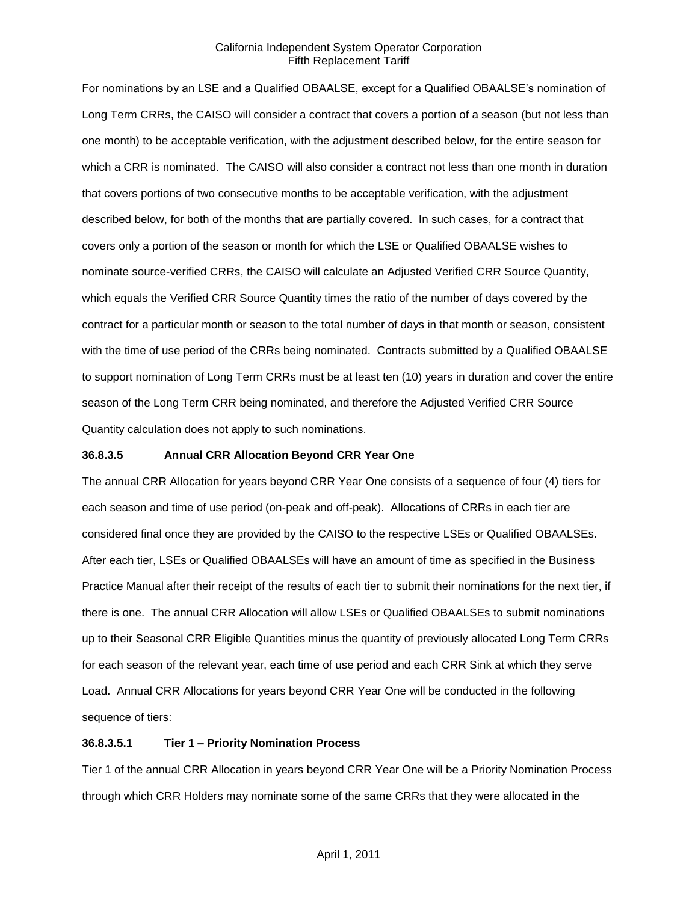For nominations by an LSE and a Qualified OBAALSE, except for a Qualified OBAALSE's nomination of Long Term CRRs, the CAISO will consider a contract that covers a portion of a season (but not less than one month) to be acceptable verification, with the adjustment described below, for the entire season for which a CRR is nominated. The CAISO will also consider a contract not less than one month in duration that covers portions of two consecutive months to be acceptable verification, with the adjustment described below, for both of the months that are partially covered. In such cases, for a contract that covers only a portion of the season or month for which the LSE or Qualified OBAALSE wishes to nominate source-verified CRRs, the CAISO will calculate an Adjusted Verified CRR Source Quantity, which equals the Verified CRR Source Quantity times the ratio of the number of days covered by the contract for a particular month or season to the total number of days in that month or season, consistent with the time of use period of the CRRs being nominated. Contracts submitted by a Qualified OBAALSE to support nomination of Long Term CRRs must be at least ten (10) years in duration and cover the entire season of the Long Term CRR being nominated, and therefore the Adjusted Verified CRR Source Quantity calculation does not apply to such nominations.

### **36.8.3.5 Annual CRR Allocation Beyond CRR Year One**

The annual CRR Allocation for years beyond CRR Year One consists of a sequence of four (4) tiers for each season and time of use period (on-peak and off-peak). Allocations of CRRs in each tier are considered final once they are provided by the CAISO to the respective LSEs or Qualified OBAALSEs. After each tier, LSEs or Qualified OBAALSEs will have an amount of time as specified in the Business Practice Manual after their receipt of the results of each tier to submit their nominations for the next tier, if there is one. The annual CRR Allocation will allow LSEs or Qualified OBAALSEs to submit nominations up to their Seasonal CRR Eligible Quantities minus the quantity of previously allocated Long Term CRRs for each season of the relevant year, each time of use period and each CRR Sink at which they serve Load. Annual CRR Allocations for years beyond CRR Year One will be conducted in the following sequence of tiers:

## **36.8.3.5.1 Tier 1 – Priority Nomination Process**

Tier 1 of the annual CRR Allocation in years beyond CRR Year One will be a Priority Nomination Process through which CRR Holders may nominate some of the same CRRs that they were allocated in the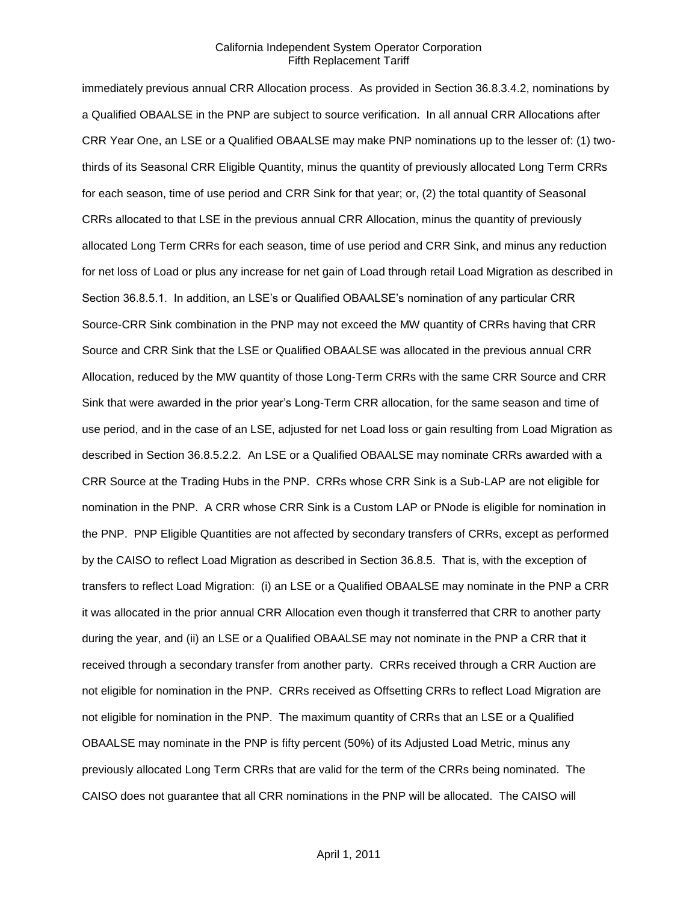immediately previous annual CRR Allocation process. As provided in Section 36.8.3.4.2, nominations by a Qualified OBAALSE in the PNP are subject to source verification. In all annual CRR Allocations after CRR Year One, an LSE or a Qualified OBAALSE may make PNP nominations up to the lesser of: (1) twothirds of its Seasonal CRR Eligible Quantity, minus the quantity of previously allocated Long Term CRRs for each season, time of use period and CRR Sink for that year; or, (2) the total quantity of Seasonal CRRs allocated to that LSE in the previous annual CRR Allocation, minus the quantity of previously allocated Long Term CRRs for each season, time of use period and CRR Sink, and minus any reduction for net loss of Load or plus any increase for net gain of Load through retail Load Migration as described in Section 36.8.5.1. In addition, an LSE's or Qualified OBAALSE's nomination of any particular CRR Source-CRR Sink combination in the PNP may not exceed the MW quantity of CRRs having that CRR Source and CRR Sink that the LSE or Qualified OBAALSE was allocated in the previous annual CRR Allocation, reduced by the MW quantity of those Long-Term CRRs with the same CRR Source and CRR Sink that were awarded in the prior year's Long-Term CRR allocation, for the same season and time of use period, and in the case of an LSE, adjusted for net Load loss or gain resulting from Load Migration as described in Section 36.8.5.2.2. An LSE or a Qualified OBAALSE may nominate CRRs awarded with a CRR Source at the Trading Hubs in the PNP. CRRs whose CRR Sink is a Sub-LAP are not eligible for nomination in the PNP. A CRR whose CRR Sink is a Custom LAP or PNode is eligible for nomination in the PNP. PNP Eligible Quantities are not affected by secondary transfers of CRRs, except as performed by the CAISO to reflect Load Migration as described in Section 36.8.5. That is, with the exception of transfers to reflect Load Migration: (i) an LSE or a Qualified OBAALSE may nominate in the PNP a CRR it was allocated in the prior annual CRR Allocation even though it transferred that CRR to another party during the year, and (ii) an LSE or a Qualified OBAALSE may not nominate in the PNP a CRR that it received through a secondary transfer from another party. CRRs received through a CRR Auction are not eligible for nomination in the PNP. CRRs received as Offsetting CRRs to reflect Load Migration are not eligible for nomination in the PNP. The maximum quantity of CRRs that an LSE or a Qualified OBAALSE may nominate in the PNP is fifty percent (50%) of its Adjusted Load Metric, minus any previously allocated Long Term CRRs that are valid for the term of the CRRs being nominated. The CAISO does not guarantee that all CRR nominations in the PNP will be allocated. The CAISO will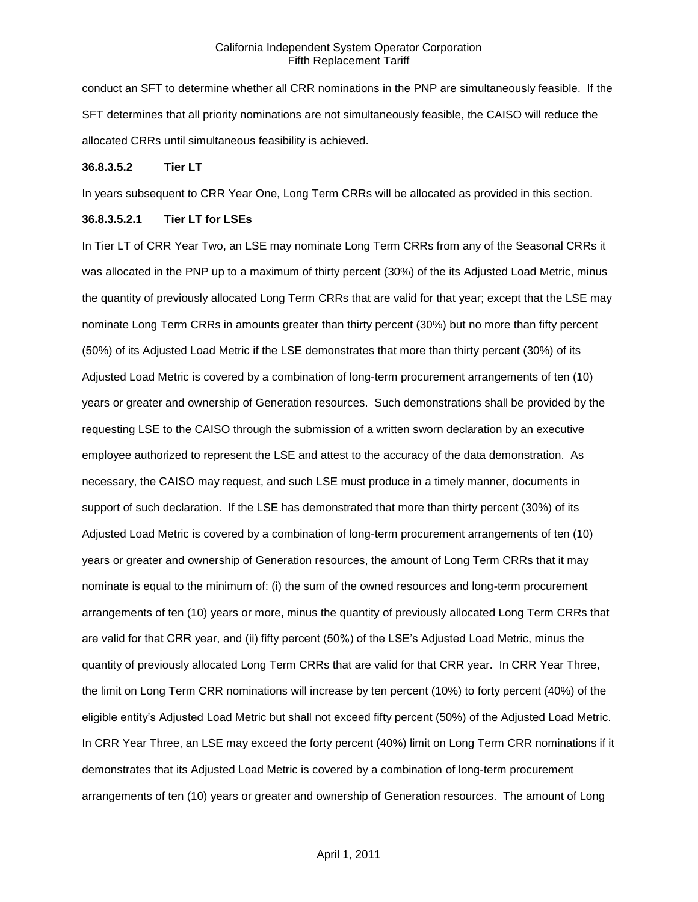conduct an SFT to determine whether all CRR nominations in the PNP are simultaneously feasible. If the SFT determines that all priority nominations are not simultaneously feasible, the CAISO will reduce the allocated CRRs until simultaneous feasibility is achieved.

#### **36.8.3.5.2 Tier LT**

In years subsequent to CRR Year One, Long Term CRRs will be allocated as provided in this section.

#### **36.8.3.5.2.1 Tier LT for LSEs**

In Tier LT of CRR Year Two, an LSE may nominate Long Term CRRs from any of the Seasonal CRRs it was allocated in the PNP up to a maximum of thirty percent (30%) of the its Adjusted Load Metric, minus the quantity of previously allocated Long Term CRRs that are valid for that year; except that the LSE may nominate Long Term CRRs in amounts greater than thirty percent (30%) but no more than fifty percent (50%) of its Adjusted Load Metric if the LSE demonstrates that more than thirty percent (30%) of its Adjusted Load Metric is covered by a combination of long-term procurement arrangements of ten (10) years or greater and ownership of Generation resources. Such demonstrations shall be provided by the requesting LSE to the CAISO through the submission of a written sworn declaration by an executive employee authorized to represent the LSE and attest to the accuracy of the data demonstration. As necessary, the CAISO may request, and such LSE must produce in a timely manner, documents in support of such declaration. If the LSE has demonstrated that more than thirty percent (30%) of its Adjusted Load Metric is covered by a combination of long-term procurement arrangements of ten (10) years or greater and ownership of Generation resources, the amount of Long Term CRRs that it may nominate is equal to the minimum of: (i) the sum of the owned resources and long-term procurement arrangements of ten (10) years or more, minus the quantity of previously allocated Long Term CRRs that are valid for that CRR year, and (ii) fifty percent (50%) of the LSE's Adjusted Load Metric, minus the quantity of previously allocated Long Term CRRs that are valid for that CRR year. In CRR Year Three, the limit on Long Term CRR nominations will increase by ten percent (10%) to forty percent (40%) of the eligible entity's Adjusted Load Metric but shall not exceed fifty percent (50%) of the Adjusted Load Metric. In CRR Year Three, an LSE may exceed the forty percent (40%) limit on Long Term CRR nominations if it demonstrates that its Adjusted Load Metric is covered by a combination of long-term procurement arrangements of ten (10) years or greater and ownership of Generation resources. The amount of Long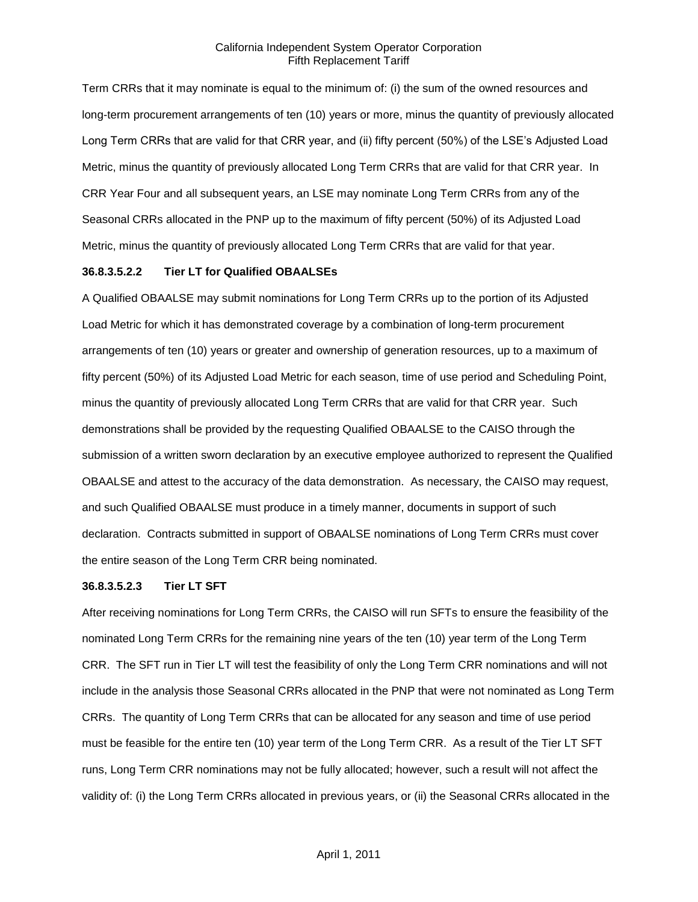Term CRRs that it may nominate is equal to the minimum of: (i) the sum of the owned resources and long-term procurement arrangements of ten (10) years or more, minus the quantity of previously allocated Long Term CRRs that are valid for that CRR year, and (ii) fifty percent (50%) of the LSE's Adjusted Load Metric, minus the quantity of previously allocated Long Term CRRs that are valid for that CRR year. In CRR Year Four and all subsequent years, an LSE may nominate Long Term CRRs from any of the Seasonal CRRs allocated in the PNP up to the maximum of fifty percent (50%) of its Adjusted Load Metric, minus the quantity of previously allocated Long Term CRRs that are valid for that year.

### **36.8.3.5.2.2 Tier LT for Qualified OBAALSEs**

A Qualified OBAALSE may submit nominations for Long Term CRRs up to the portion of its Adjusted Load Metric for which it has demonstrated coverage by a combination of long-term procurement arrangements of ten (10) years or greater and ownership of generation resources, up to a maximum of fifty percent (50%) of its Adjusted Load Metric for each season, time of use period and Scheduling Point, minus the quantity of previously allocated Long Term CRRs that are valid for that CRR year. Such demonstrations shall be provided by the requesting Qualified OBAALSE to the CAISO through the submission of a written sworn declaration by an executive employee authorized to represent the Qualified OBAALSE and attest to the accuracy of the data demonstration. As necessary, the CAISO may request, and such Qualified OBAALSE must produce in a timely manner, documents in support of such declaration. Contracts submitted in support of OBAALSE nominations of Long Term CRRs must cover the entire season of the Long Term CRR being nominated.

#### **36.8.3.5.2.3 Tier LT SFT**

After receiving nominations for Long Term CRRs, the CAISO will run SFTs to ensure the feasibility of the nominated Long Term CRRs for the remaining nine years of the ten (10) year term of the Long Term CRR. The SFT run in Tier LT will test the feasibility of only the Long Term CRR nominations and will not include in the analysis those Seasonal CRRs allocated in the PNP that were not nominated as Long Term CRRs. The quantity of Long Term CRRs that can be allocated for any season and time of use period must be feasible for the entire ten (10) year term of the Long Term CRR. As a result of the Tier LT SFT runs, Long Term CRR nominations may not be fully allocated; however, such a result will not affect the validity of: (i) the Long Term CRRs allocated in previous years, or (ii) the Seasonal CRRs allocated in the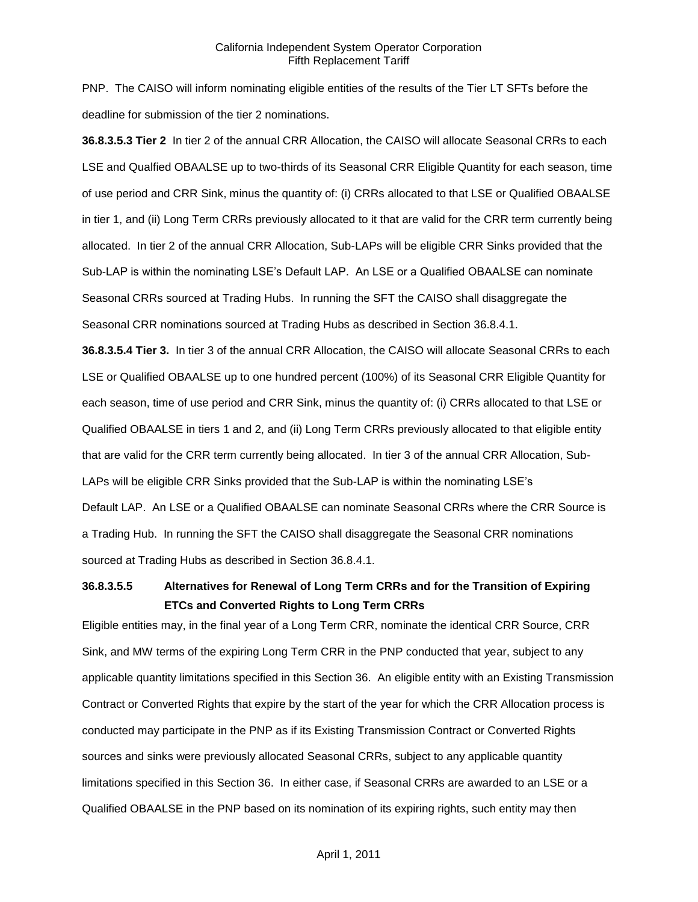PNP. The CAISO will inform nominating eligible entities of the results of the Tier LT SFTs before the deadline for submission of the tier 2 nominations.

**36.8.3.5.3 Tier 2** In tier 2 of the annual CRR Allocation, the CAISO will allocate Seasonal CRRs to each LSE and Qualfied OBAALSE up to two-thirds of its Seasonal CRR Eligible Quantity for each season, time of use period and CRR Sink, minus the quantity of: (i) CRRs allocated to that LSE or Qualified OBAALSE in tier 1, and (ii) Long Term CRRs previously allocated to it that are valid for the CRR term currently being allocated. In tier 2 of the annual CRR Allocation, Sub-LAPs will be eligible CRR Sinks provided that the Sub-LAP is within the nominating LSE's Default LAP. An LSE or a Qualified OBAALSE can nominate Seasonal CRRs sourced at Trading Hubs. In running the SFT the CAISO shall disaggregate the Seasonal CRR nominations sourced at Trading Hubs as described in Section 36.8.4.1.

**36.8.3.5.4 Tier 3.** In tier 3 of the annual CRR Allocation, the CAISO will allocate Seasonal CRRs to each LSE or Qualified OBAALSE up to one hundred percent (100%) of its Seasonal CRR Eligible Quantity for each season, time of use period and CRR Sink, minus the quantity of: (i) CRRs allocated to that LSE or Qualified OBAALSE in tiers 1 and 2, and (ii) Long Term CRRs previously allocated to that eligible entity that are valid for the CRR term currently being allocated. In tier 3 of the annual CRR Allocation, Sub-LAPs will be eligible CRR Sinks provided that the Sub-LAP is within the nominating LSE's Default LAP. An LSE or a Qualified OBAALSE can nominate Seasonal CRRs where the CRR Source is a Trading Hub. In running the SFT the CAISO shall disaggregate the Seasonal CRR nominations sourced at Trading Hubs as described in Section 36.8.4.1.

# **36.8.3.5.5 Alternatives for Renewal of Long Term CRRs and for the Transition of Expiring ETCs and Converted Rights to Long Term CRRs**

Eligible entities may, in the final year of a Long Term CRR, nominate the identical CRR Source, CRR Sink, and MW terms of the expiring Long Term CRR in the PNP conducted that year, subject to any applicable quantity limitations specified in this Section 36. An eligible entity with an Existing Transmission Contract or Converted Rights that expire by the start of the year for which the CRR Allocation process is conducted may participate in the PNP as if its Existing Transmission Contract or Converted Rights sources and sinks were previously allocated Seasonal CRRs, subject to any applicable quantity limitations specified in this Section 36. In either case, if Seasonal CRRs are awarded to an LSE or a Qualified OBAALSE in the PNP based on its nomination of its expiring rights, such entity may then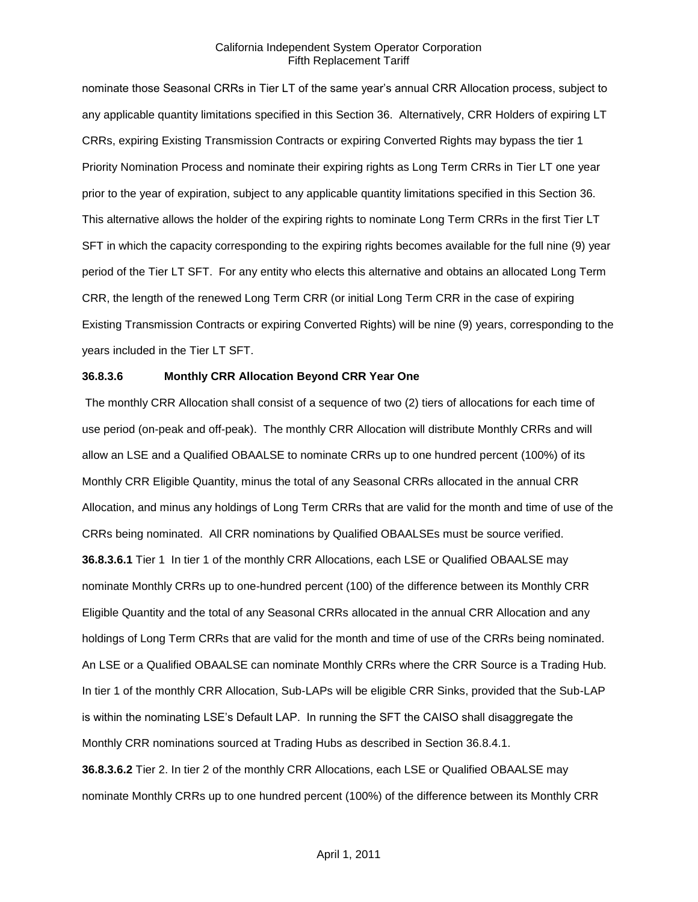nominate those Seasonal CRRs in Tier LT of the same year's annual CRR Allocation process, subject to any applicable quantity limitations specified in this Section 36. Alternatively, CRR Holders of expiring LT CRRs, expiring Existing Transmission Contracts or expiring Converted Rights may bypass the tier 1 Priority Nomination Process and nominate their expiring rights as Long Term CRRs in Tier LT one year prior to the year of expiration, subject to any applicable quantity limitations specified in this Section 36. This alternative allows the holder of the expiring rights to nominate Long Term CRRs in the first Tier LT SFT in which the capacity corresponding to the expiring rights becomes available for the full nine (9) year period of the Tier LT SFT. For any entity who elects this alternative and obtains an allocated Long Term CRR, the length of the renewed Long Term CRR (or initial Long Term CRR in the case of expiring Existing Transmission Contracts or expiring Converted Rights) will be nine (9) years, corresponding to the years included in the Tier LT SFT.

### **36.8.3.6 Monthly CRR Allocation Beyond CRR Year One**

The monthly CRR Allocation shall consist of a sequence of two (2) tiers of allocations for each time of use period (on-peak and off-peak). The monthly CRR Allocation will distribute Monthly CRRs and will allow an LSE and a Qualified OBAALSE to nominate CRRs up to one hundred percent (100%) of its Monthly CRR Eligible Quantity, minus the total of any Seasonal CRRs allocated in the annual CRR Allocation, and minus any holdings of Long Term CRRs that are valid for the month and time of use of the CRRs being nominated. All CRR nominations by Qualified OBAALSEs must be source verified. **36.8.3.6.1** Tier 1 In tier 1 of the monthly CRR Allocations, each LSE or Qualified OBAALSE may nominate Monthly CRRs up to one-hundred percent (100) of the difference between its Monthly CRR Eligible Quantity and the total of any Seasonal CRRs allocated in the annual CRR Allocation and any holdings of Long Term CRRs that are valid for the month and time of use of the CRRs being nominated. An LSE or a Qualified OBAALSE can nominate Monthly CRRs where the CRR Source is a Trading Hub. In tier 1 of the monthly CRR Allocation, Sub-LAPs will be eligible CRR Sinks, provided that the Sub-LAP is within the nominating LSE's Default LAP. In running the SFT the CAISO shall disaggregate the Monthly CRR nominations sourced at Trading Hubs as described in Section 36.8.4.1. **36.8.3.6.2** Tier 2. In tier 2 of the monthly CRR Allocations, each LSE or Qualified OBAALSE may nominate Monthly CRRs up to one hundred percent (100%) of the difference between its Monthly CRR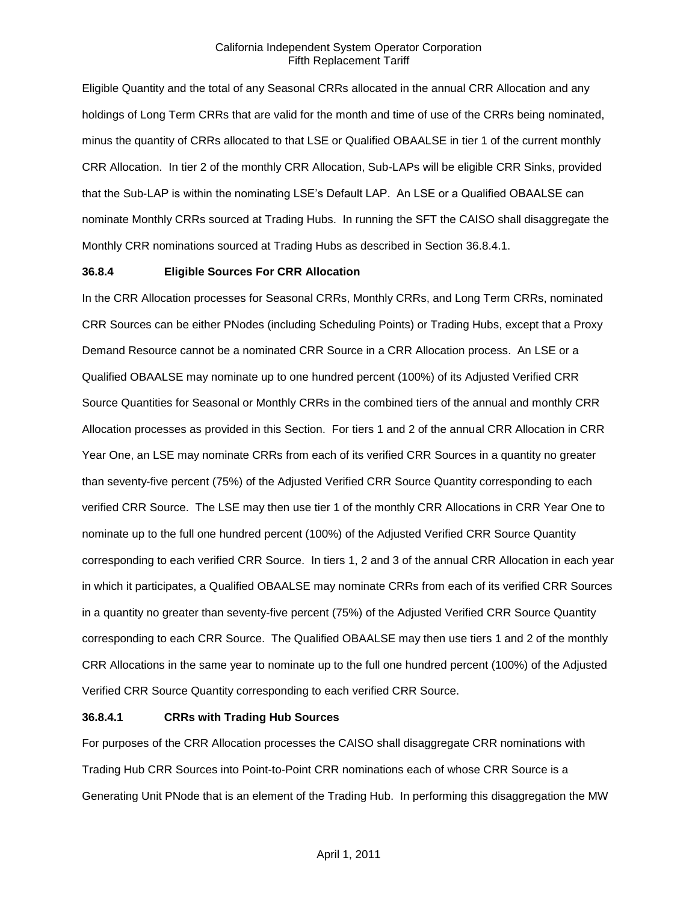Eligible Quantity and the total of any Seasonal CRRs allocated in the annual CRR Allocation and any holdings of Long Term CRRs that are valid for the month and time of use of the CRRs being nominated, minus the quantity of CRRs allocated to that LSE or Qualified OBAALSE in tier 1 of the current monthly CRR Allocation. In tier 2 of the monthly CRR Allocation, Sub-LAPs will be eligible CRR Sinks, provided that the Sub-LAP is within the nominating LSE's Default LAP. An LSE or a Qualified OBAALSE can nominate Monthly CRRs sourced at Trading Hubs. In running the SFT the CAISO shall disaggregate the Monthly CRR nominations sourced at Trading Hubs as described in Section 36.8.4.1.

#### **36.8.4 Eligible Sources For CRR Allocation**

In the CRR Allocation processes for Seasonal CRRs, Monthly CRRs, and Long Term CRRs, nominated CRR Sources can be either PNodes (including Scheduling Points) or Trading Hubs, except that a Proxy Demand Resource cannot be a nominated CRR Source in a CRR Allocation process. An LSE or a Qualified OBAALSE may nominate up to one hundred percent (100%) of its Adjusted Verified CRR Source Quantities for Seasonal or Monthly CRRs in the combined tiers of the annual and monthly CRR Allocation processes as provided in this Section. For tiers 1 and 2 of the annual CRR Allocation in CRR Year One, an LSE may nominate CRRs from each of its verified CRR Sources in a quantity no greater than seventy-five percent (75%) of the Adjusted Verified CRR Source Quantity corresponding to each verified CRR Source. The LSE may then use tier 1 of the monthly CRR Allocations in CRR Year One to nominate up to the full one hundred percent (100%) of the Adjusted Verified CRR Source Quantity corresponding to each verified CRR Source. In tiers 1, 2 and 3 of the annual CRR Allocation in each year in which it participates, a Qualified OBAALSE may nominate CRRs from each of its verified CRR Sources in a quantity no greater than seventy-five percent (75%) of the Adjusted Verified CRR Source Quantity corresponding to each CRR Source. The Qualified OBAALSE may then use tiers 1 and 2 of the monthly CRR Allocations in the same year to nominate up to the full one hundred percent (100%) of the Adjusted Verified CRR Source Quantity corresponding to each verified CRR Source.

## **36.8.4.1 CRRs with Trading Hub Sources**

For purposes of the CRR Allocation processes the CAISO shall disaggregate CRR nominations with Trading Hub CRR Sources into Point-to-Point CRR nominations each of whose CRR Source is a Generating Unit PNode that is an element of the Trading Hub. In performing this disaggregation the MW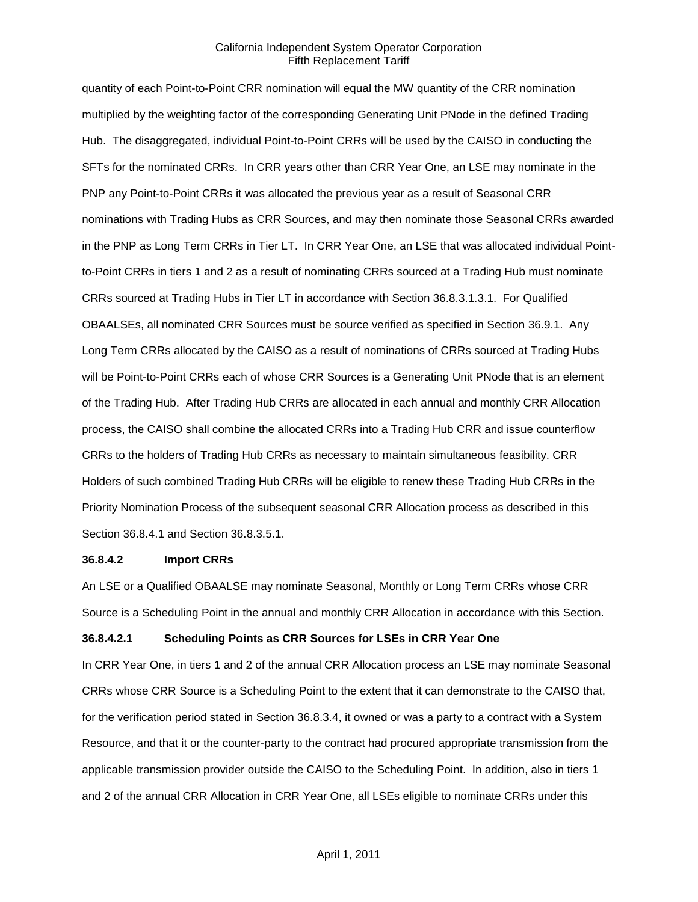quantity of each Point-to-Point CRR nomination will equal the MW quantity of the CRR nomination multiplied by the weighting factor of the corresponding Generating Unit PNode in the defined Trading Hub. The disaggregated, individual Point-to-Point CRRs will be used by the CAISO in conducting the SFTs for the nominated CRRs. In CRR years other than CRR Year One, an LSE may nominate in the PNP any Point-to-Point CRRs it was allocated the previous year as a result of Seasonal CRR nominations with Trading Hubs as CRR Sources, and may then nominate those Seasonal CRRs awarded in the PNP as Long Term CRRs in Tier LT. In CRR Year One, an LSE that was allocated individual Pointto-Point CRRs in tiers 1 and 2 as a result of nominating CRRs sourced at a Trading Hub must nominate CRRs sourced at Trading Hubs in Tier LT in accordance with Section 36.8.3.1.3.1. For Qualified OBAALSEs, all nominated CRR Sources must be source verified as specified in Section 36.9.1. Any Long Term CRRs allocated by the CAISO as a result of nominations of CRRs sourced at Trading Hubs will be Point-to-Point CRRs each of whose CRR Sources is a Generating Unit PNode that is an element of the Trading Hub. After Trading Hub CRRs are allocated in each annual and monthly CRR Allocation process, the CAISO shall combine the allocated CRRs into a Trading Hub CRR and issue counterflow CRRs to the holders of Trading Hub CRRs as necessary to maintain simultaneous feasibility. CRR Holders of such combined Trading Hub CRRs will be eligible to renew these Trading Hub CRRs in the Priority Nomination Process of the subsequent seasonal CRR Allocation process as described in this Section 36.8.4.1 and Section 36.8.3.5.1.

#### **36.8.4.2 Import CRRs**

An LSE or a Qualified OBAALSE may nominate Seasonal, Monthly or Long Term CRRs whose CRR Source is a Scheduling Point in the annual and monthly CRR Allocation in accordance with this Section.

## **36.8.4.2.1 Scheduling Points as CRR Sources for LSEs in CRR Year One**

In CRR Year One, in tiers 1 and 2 of the annual CRR Allocation process an LSE may nominate Seasonal CRRs whose CRR Source is a Scheduling Point to the extent that it can demonstrate to the CAISO that, for the verification period stated in Section 36.8.3.4, it owned or was a party to a contract with a System Resource, and that it or the counter-party to the contract had procured appropriate transmission from the applicable transmission provider outside the CAISO to the Scheduling Point. In addition, also in tiers 1 and 2 of the annual CRR Allocation in CRR Year One, all LSEs eligible to nominate CRRs under this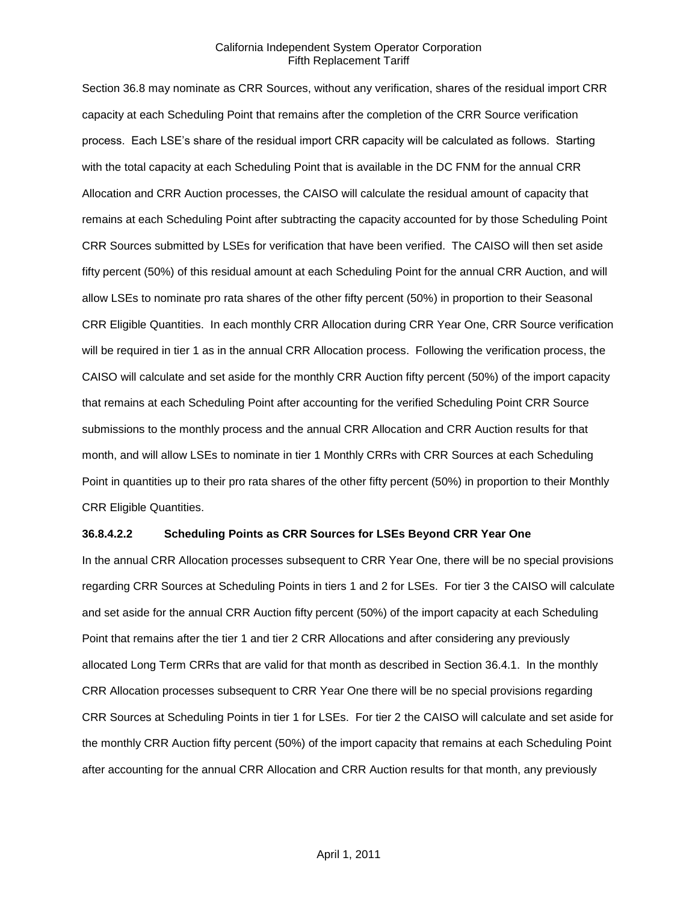Section 36.8 may nominate as CRR Sources, without any verification, shares of the residual import CRR capacity at each Scheduling Point that remains after the completion of the CRR Source verification process. Each LSE's share of the residual import CRR capacity will be calculated as follows. Starting with the total capacity at each Scheduling Point that is available in the DC FNM for the annual CRR Allocation and CRR Auction processes, the CAISO will calculate the residual amount of capacity that remains at each Scheduling Point after subtracting the capacity accounted for by those Scheduling Point CRR Sources submitted by LSEs for verification that have been verified. The CAISO will then set aside fifty percent (50%) of this residual amount at each Scheduling Point for the annual CRR Auction, and will allow LSEs to nominate pro rata shares of the other fifty percent (50%) in proportion to their Seasonal CRR Eligible Quantities. In each monthly CRR Allocation during CRR Year One, CRR Source verification will be required in tier 1 as in the annual CRR Allocation process. Following the verification process, the CAISO will calculate and set aside for the monthly CRR Auction fifty percent (50%) of the import capacity that remains at each Scheduling Point after accounting for the verified Scheduling Point CRR Source submissions to the monthly process and the annual CRR Allocation and CRR Auction results for that month, and will allow LSEs to nominate in tier 1 Monthly CRRs with CRR Sources at each Scheduling Point in quantities up to their pro rata shares of the other fifty percent (50%) in proportion to their Monthly CRR Eligible Quantities.

### **36.8.4.2.2 Scheduling Points as CRR Sources for LSEs Beyond CRR Year One**

In the annual CRR Allocation processes subsequent to CRR Year One, there will be no special provisions regarding CRR Sources at Scheduling Points in tiers 1 and 2 for LSEs. For tier 3 the CAISO will calculate and set aside for the annual CRR Auction fifty percent (50%) of the import capacity at each Scheduling Point that remains after the tier 1 and tier 2 CRR Allocations and after considering any previously allocated Long Term CRRs that are valid for that month as described in Section 36.4.1. In the monthly CRR Allocation processes subsequent to CRR Year One there will be no special provisions regarding CRR Sources at Scheduling Points in tier 1 for LSEs. For tier 2 the CAISO will calculate and set aside for the monthly CRR Auction fifty percent (50%) of the import capacity that remains at each Scheduling Point after accounting for the annual CRR Allocation and CRR Auction results for that month, any previously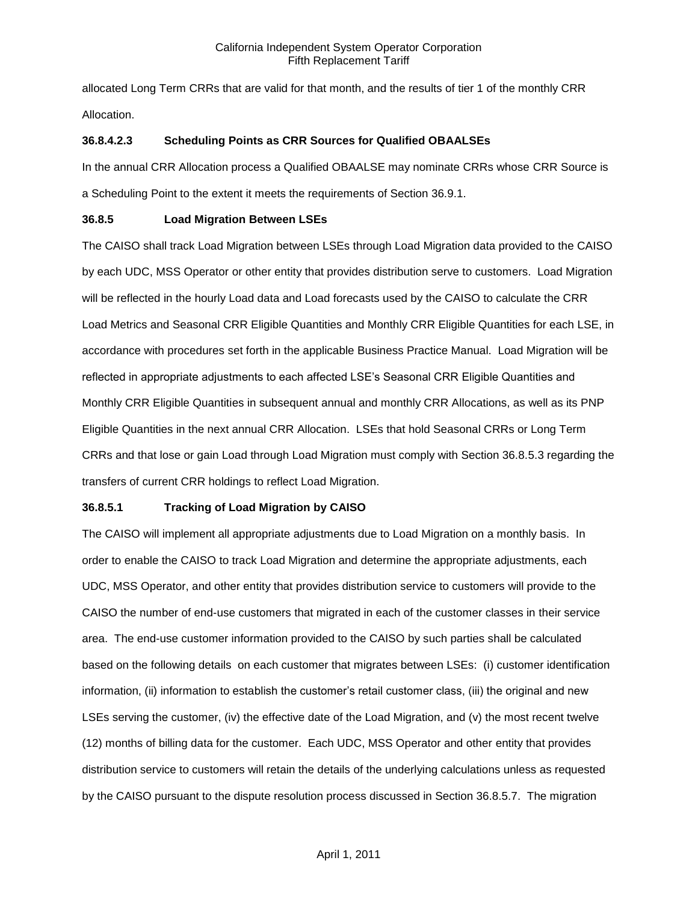allocated Long Term CRRs that are valid for that month, and the results of tier 1 of the monthly CRR Allocation.

## **36.8.4.2.3 Scheduling Points as CRR Sources for Qualified OBAALSEs**

In the annual CRR Allocation process a Qualified OBAALSE may nominate CRRs whose CRR Source is a Scheduling Point to the extent it meets the requirements of Section 36.9.1.

# **36.8.5 Load Migration Between LSEs**

The CAISO shall track Load Migration between LSEs through Load Migration data provided to the CAISO by each UDC, MSS Operator or other entity that provides distribution serve to customers. Load Migration will be reflected in the hourly Load data and Load forecasts used by the CAISO to calculate the CRR Load Metrics and Seasonal CRR Eligible Quantities and Monthly CRR Eligible Quantities for each LSE, in accordance with procedures set forth in the applicable Business Practice Manual. Load Migration will be reflected in appropriate adjustments to each affected LSE's Seasonal CRR Eligible Quantities and Monthly CRR Eligible Quantities in subsequent annual and monthly CRR Allocations, as well as its PNP Eligible Quantities in the next annual CRR Allocation. LSEs that hold Seasonal CRRs or Long Term CRRs and that lose or gain Load through Load Migration must comply with Section 36.8.5.3 regarding the transfers of current CRR holdings to reflect Load Migration.

## **36.8.5.1 Tracking of Load Migration by CAISO**

The CAISO will implement all appropriate adjustments due to Load Migration on a monthly basis. In order to enable the CAISO to track Load Migration and determine the appropriate adjustments, each UDC, MSS Operator, and other entity that provides distribution service to customers will provide to the CAISO the number of end-use customers that migrated in each of the customer classes in their service area. The end-use customer information provided to the CAISO by such parties shall be calculated based on the following details on each customer that migrates between LSEs: (i) customer identification information, (ii) information to establish the customer's retail customer class, (iii) the original and new LSEs serving the customer, (iv) the effective date of the Load Migration, and (v) the most recent twelve (12) months of billing data for the customer. Each UDC, MSS Operator and other entity that provides distribution service to customers will retain the details of the underlying calculations unless as requested by the CAISO pursuant to the dispute resolution process discussed in Section 36.8.5.7. The migration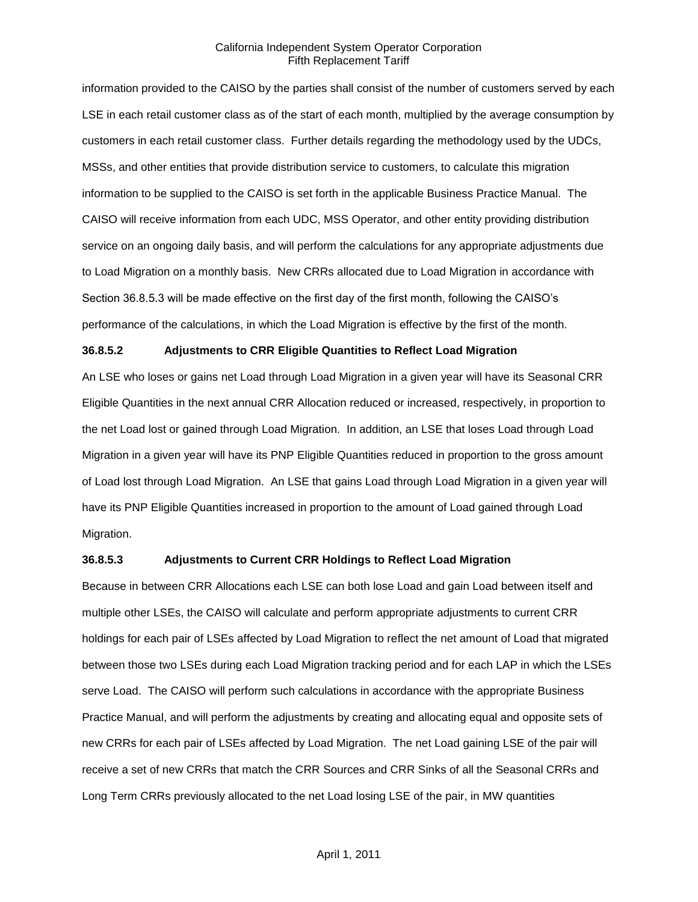information provided to the CAISO by the parties shall consist of the number of customers served by each LSE in each retail customer class as of the start of each month, multiplied by the average consumption by customers in each retail customer class. Further details regarding the methodology used by the UDCs, MSSs, and other entities that provide distribution service to customers, to calculate this migration information to be supplied to the CAISO is set forth in the applicable Business Practice Manual. The CAISO will receive information from each UDC, MSS Operator, and other entity providing distribution service on an ongoing daily basis, and will perform the calculations for any appropriate adjustments due to Load Migration on a monthly basis. New CRRs allocated due to Load Migration in accordance with Section 36.8.5.3 will be made effective on the first day of the first month, following the CAISO's performance of the calculations, in which the Load Migration is effective by the first of the month.

## **36.8.5.2 Adjustments to CRR Eligible Quantities to Reflect Load Migration**

An LSE who loses or gains net Load through Load Migration in a given year will have its Seasonal CRR Eligible Quantities in the next annual CRR Allocation reduced or increased, respectively, in proportion to the net Load lost or gained through Load Migration. In addition, an LSE that loses Load through Load Migration in a given year will have its PNP Eligible Quantities reduced in proportion to the gross amount of Load lost through Load Migration. An LSE that gains Load through Load Migration in a given year will have its PNP Eligible Quantities increased in proportion to the amount of Load gained through Load Migration.

### **36.8.5.3 Adjustments to Current CRR Holdings to Reflect Load Migration**

Because in between CRR Allocations each LSE can both lose Load and gain Load between itself and multiple other LSEs, the CAISO will calculate and perform appropriate adjustments to current CRR holdings for each pair of LSEs affected by Load Migration to reflect the net amount of Load that migrated between those two LSEs during each Load Migration tracking period and for each LAP in which the LSEs serve Load. The CAISO will perform such calculations in accordance with the appropriate Business Practice Manual, and will perform the adjustments by creating and allocating equal and opposite sets of new CRRs for each pair of LSEs affected by Load Migration. The net Load gaining LSE of the pair will receive a set of new CRRs that match the CRR Sources and CRR Sinks of all the Seasonal CRRs and Long Term CRRs previously allocated to the net Load losing LSE of the pair, in MW quantities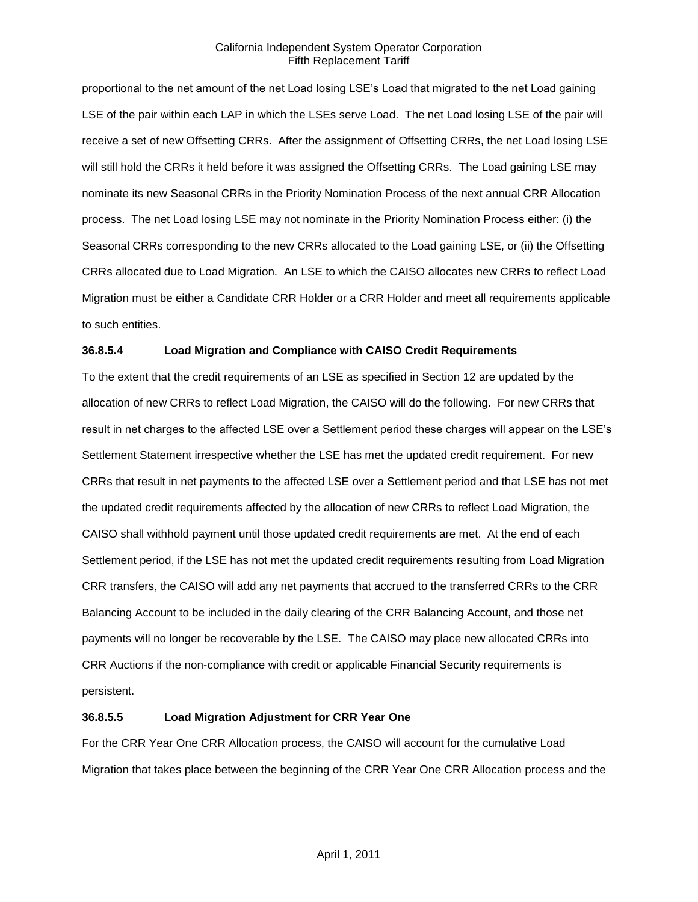proportional to the net amount of the net Load losing LSE's Load that migrated to the net Load gaining LSE of the pair within each LAP in which the LSEs serve Load. The net Load losing LSE of the pair will receive a set of new Offsetting CRRs. After the assignment of Offsetting CRRs, the net Load losing LSE will still hold the CRRs it held before it was assigned the Offsetting CRRs. The Load gaining LSE may nominate its new Seasonal CRRs in the Priority Nomination Process of the next annual CRR Allocation process. The net Load losing LSE may not nominate in the Priority Nomination Process either: (i) the Seasonal CRRs corresponding to the new CRRs allocated to the Load gaining LSE, or (ii) the Offsetting CRRs allocated due to Load Migration. An LSE to which the CAISO allocates new CRRs to reflect Load Migration must be either a Candidate CRR Holder or a CRR Holder and meet all requirements applicable to such entities.

## **36.8.5.4 Load Migration and Compliance with CAISO Credit Requirements**

To the extent that the credit requirements of an LSE as specified in Section 12 are updated by the allocation of new CRRs to reflect Load Migration, the CAISO will do the following. For new CRRs that result in net charges to the affected LSE over a Settlement period these charges will appear on the LSE's Settlement Statement irrespective whether the LSE has met the updated credit requirement. For new CRRs that result in net payments to the affected LSE over a Settlement period and that LSE has not met the updated credit requirements affected by the allocation of new CRRs to reflect Load Migration, the CAISO shall withhold payment until those updated credit requirements are met. At the end of each Settlement period, if the LSE has not met the updated credit requirements resulting from Load Migration CRR transfers, the CAISO will add any net payments that accrued to the transferred CRRs to the CRR Balancing Account to be included in the daily clearing of the CRR Balancing Account, and those net payments will no longer be recoverable by the LSE. The CAISO may place new allocated CRRs into CRR Auctions if the non-compliance with credit or applicable Financial Security requirements is persistent.

## **36.8.5.5 Load Migration Adjustment for CRR Year One**

For the CRR Year One CRR Allocation process, the CAISO will account for the cumulative Load Migration that takes place between the beginning of the CRR Year One CRR Allocation process and the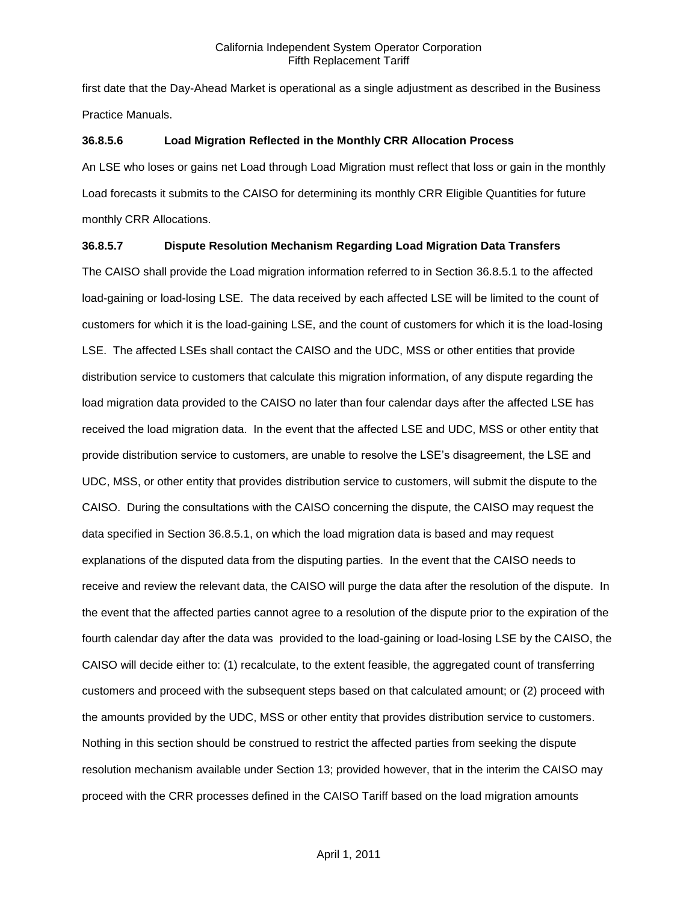first date that the Day-Ahead Market is operational as a single adjustment as described in the Business Practice Manuals.

### **36.8.5.6 Load Migration Reflected in the Monthly CRR Allocation Process**

An LSE who loses or gains net Load through Load Migration must reflect that loss or gain in the monthly Load forecasts it submits to the CAISO for determining its monthly CRR Eligible Quantities for future monthly CRR Allocations.

## **36.8.5.7 Dispute Resolution Mechanism Regarding Load Migration Data Transfers**

The CAISO shall provide the Load migration information referred to in Section 36.8.5.1 to the affected load-gaining or load-losing LSE. The data received by each affected LSE will be limited to the count of customers for which it is the load-gaining LSE, and the count of customers for which it is the load-losing LSE. The affected LSEs shall contact the CAISO and the UDC, MSS or other entities that provide distribution service to customers that calculate this migration information, of any dispute regarding the load migration data provided to the CAISO no later than four calendar days after the affected LSE has received the load migration data. In the event that the affected LSE and UDC, MSS or other entity that provide distribution service to customers, are unable to resolve the LSE's disagreement, the LSE and UDC, MSS, or other entity that provides distribution service to customers, will submit the dispute to the CAISO. During the consultations with the CAISO concerning the dispute, the CAISO may request the data specified in Section 36.8.5.1, on which the load migration data is based and may request explanations of the disputed data from the disputing parties. In the event that the CAISO needs to receive and review the relevant data, the CAISO will purge the data after the resolution of the dispute. In the event that the affected parties cannot agree to a resolution of the dispute prior to the expiration of the fourth calendar day after the data was provided to the load-gaining or load-losing LSE by the CAISO, the CAISO will decide either to: (1) recalculate, to the extent feasible, the aggregated count of transferring customers and proceed with the subsequent steps based on that calculated amount; or (2) proceed with the amounts provided by the UDC, MSS or other entity that provides distribution service to customers. Nothing in this section should be construed to restrict the affected parties from seeking the dispute resolution mechanism available under Section 13; provided however, that in the interim the CAISO may proceed with the CRR processes defined in the CAISO Tariff based on the load migration amounts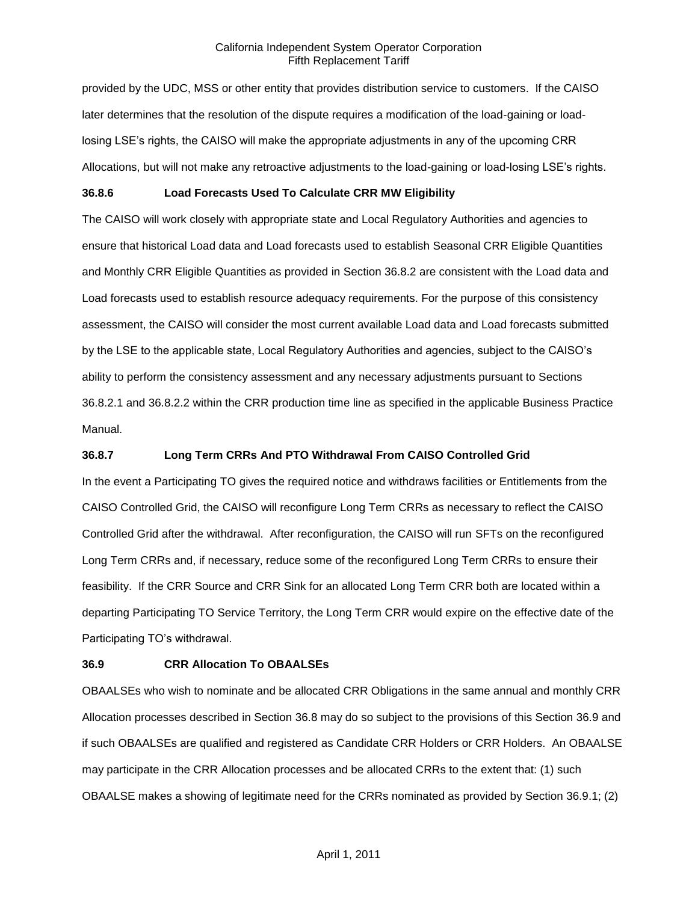provided by the UDC, MSS or other entity that provides distribution service to customers. If the CAISO later determines that the resolution of the dispute requires a modification of the load-gaining or loadlosing LSE's rights, the CAISO will make the appropriate adjustments in any of the upcoming CRR Allocations, but will not make any retroactive adjustments to the load-gaining or load-losing LSE's rights.

## **36.8.6 Load Forecasts Used To Calculate CRR MW Eligibility**

The CAISO will work closely with appropriate state and Local Regulatory Authorities and agencies to ensure that historical Load data and Load forecasts used to establish Seasonal CRR Eligible Quantities and Monthly CRR Eligible Quantities as provided in Section 36.8.2 are consistent with the Load data and Load forecasts used to establish resource adequacy requirements. For the purpose of this consistency assessment, the CAISO will consider the most current available Load data and Load forecasts submitted by the LSE to the applicable state, Local Regulatory Authorities and agencies, subject to the CAISO's ability to perform the consistency assessment and any necessary adjustments pursuant to Sections 36.8.2.1 and 36.8.2.2 within the CRR production time line as specified in the applicable Business Practice Manual.

## **36.8.7 Long Term CRRs And PTO Withdrawal From CAISO Controlled Grid**

In the event a Participating TO gives the required notice and withdraws facilities or Entitlements from the CAISO Controlled Grid, the CAISO will reconfigure Long Term CRRs as necessary to reflect the CAISO Controlled Grid after the withdrawal. After reconfiguration, the CAISO will run SFTs on the reconfigured Long Term CRRs and, if necessary, reduce some of the reconfigured Long Term CRRs to ensure their feasibility. If the CRR Source and CRR Sink for an allocated Long Term CRR both are located within a departing Participating TO Service Territory, the Long Term CRR would expire on the effective date of the Participating TO's withdrawal.

#### **36.9 CRR Allocation To OBAALSEs**

OBAALSEs who wish to nominate and be allocated CRR Obligations in the same annual and monthly CRR Allocation processes described in Section 36.8 may do so subject to the provisions of this Section 36.9 and if such OBAALSEs are qualified and registered as Candidate CRR Holders or CRR Holders. An OBAALSE may participate in the CRR Allocation processes and be allocated CRRs to the extent that: (1) such OBAALSE makes a showing of legitimate need for the CRRs nominated as provided by Section 36.9.1; (2)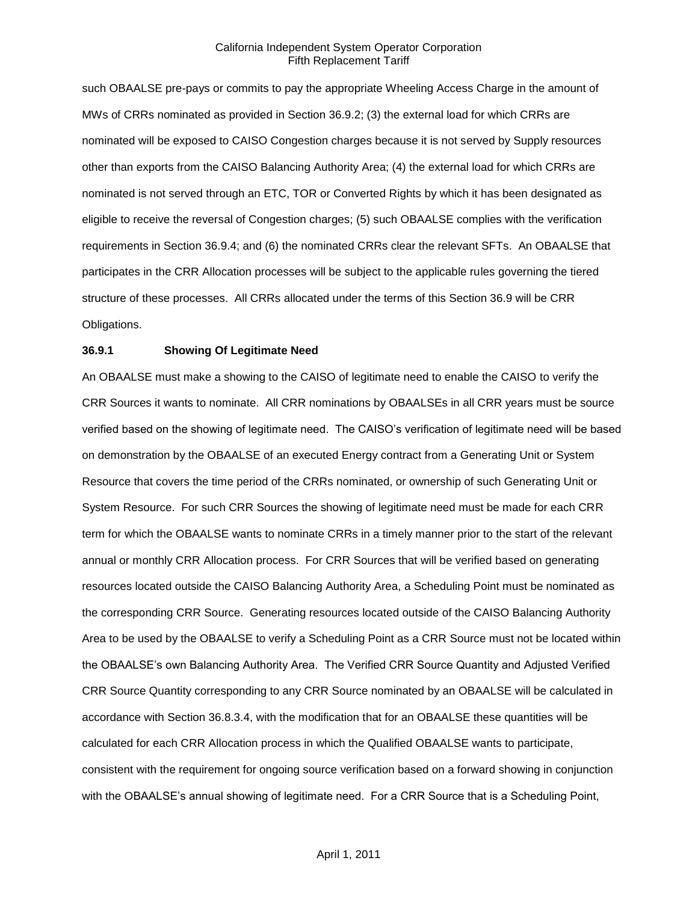such OBAALSE pre-pays or commits to pay the appropriate Wheeling Access Charge in the amount of MWs of CRRs nominated as provided in Section 36.9.2; (3) the external load for which CRRs are nominated will be exposed to CAISO Congestion charges because it is not served by Supply resources other than exports from the CAISO Balancing Authority Area; (4) the external load for which CRRs are nominated is not served through an ETC, TOR or Converted Rights by which it has been designated as eligible to receive the reversal of Congestion charges; (5) such OBAALSE complies with the verification requirements in Section 36.9.4; and (6) the nominated CRRs clear the relevant SFTs. An OBAALSE that participates in the CRR Allocation processes will be subject to the applicable rules governing the tiered structure of these processes. All CRRs allocated under the terms of this Section 36.9 will be CRR Obligations.

## **36.9.1 Showing Of Legitimate Need**

An OBAALSE must make a showing to the CAISO of legitimate need to enable the CAISO to verify the CRR Sources it wants to nominate. All CRR nominations by OBAALSEs in all CRR years must be source verified based on the showing of legitimate need. The CAISO's verification of legitimate need will be based on demonstration by the OBAALSE of an executed Energy contract from a Generating Unit or System Resource that covers the time period of the CRRs nominated, or ownership of such Generating Unit or System Resource. For such CRR Sources the showing of legitimate need must be made for each CRR term for which the OBAALSE wants to nominate CRRs in a timely manner prior to the start of the relevant annual or monthly CRR Allocation process. For CRR Sources that will be verified based on generating resources located outside the CAISO Balancing Authority Area, a Scheduling Point must be nominated as the corresponding CRR Source. Generating resources located outside of the CAISO Balancing Authority Area to be used by the OBAALSE to verify a Scheduling Point as a CRR Source must not be located within the OBAALSE's own Balancing Authority Area. The Verified CRR Source Quantity and Adjusted Verified CRR Source Quantity corresponding to any CRR Source nominated by an OBAALSE will be calculated in accordance with Section 36.8.3.4, with the modification that for an OBAALSE these quantities will be calculated for each CRR Allocation process in which the Qualified OBAALSE wants to participate, consistent with the requirement for ongoing source verification based on a forward showing in conjunction with the OBAALSE's annual showing of legitimate need. For a CRR Source that is a Scheduling Point,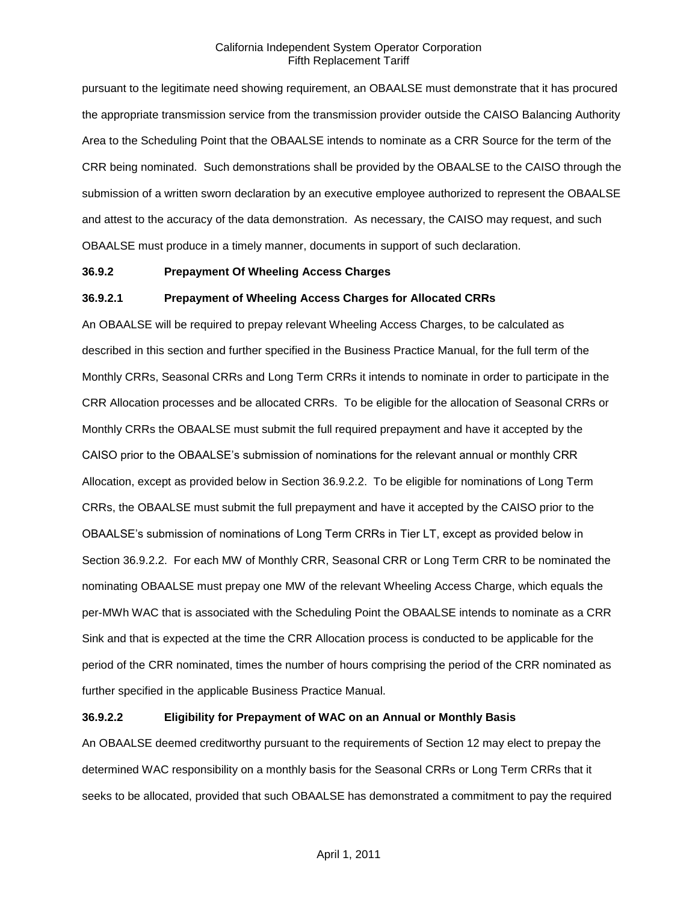pursuant to the legitimate need showing requirement, an OBAALSE must demonstrate that it has procured the appropriate transmission service from the transmission provider outside the CAISO Balancing Authority Area to the Scheduling Point that the OBAALSE intends to nominate as a CRR Source for the term of the CRR being nominated. Such demonstrations shall be provided by the OBAALSE to the CAISO through the submission of a written sworn declaration by an executive employee authorized to represent the OBAALSE and attest to the accuracy of the data demonstration. As necessary, the CAISO may request, and such OBAALSE must produce in a timely manner, documents in support of such declaration.

### **36.9.2 Prepayment Of Wheeling Access Charges**

#### **36.9.2.1 Prepayment of Wheeling Access Charges for Allocated CRRs**

An OBAALSE will be required to prepay relevant Wheeling Access Charges, to be calculated as described in this section and further specified in the Business Practice Manual, for the full term of the Monthly CRRs, Seasonal CRRs and Long Term CRRs it intends to nominate in order to participate in the CRR Allocation processes and be allocated CRRs. To be eligible for the allocation of Seasonal CRRs or Monthly CRRs the OBAALSE must submit the full required prepayment and have it accepted by the CAISO prior to the OBAALSE's submission of nominations for the relevant annual or monthly CRR Allocation, except as provided below in Section 36.9.2.2. To be eligible for nominations of Long Term CRRs, the OBAALSE must submit the full prepayment and have it accepted by the CAISO prior to the OBAALSE's submission of nominations of Long Term CRRs in Tier LT, except as provided below in Section 36.9.2.2. For each MW of Monthly CRR, Seasonal CRR or Long Term CRR to be nominated the nominating OBAALSE must prepay one MW of the relevant Wheeling Access Charge, which equals the per-MWh WAC that is associated with the Scheduling Point the OBAALSE intends to nominate as a CRR Sink and that is expected at the time the CRR Allocation process is conducted to be applicable for the period of the CRR nominated, times the number of hours comprising the period of the CRR nominated as further specified in the applicable Business Practice Manual.

### **36.9.2.2 Eligibility for Prepayment of WAC on an Annual or Monthly Basis**

An OBAALSE deemed creditworthy pursuant to the requirements of Section 12 may elect to prepay the determined WAC responsibility on a monthly basis for the Seasonal CRRs or Long Term CRRs that it seeks to be allocated, provided that such OBAALSE has demonstrated a commitment to pay the required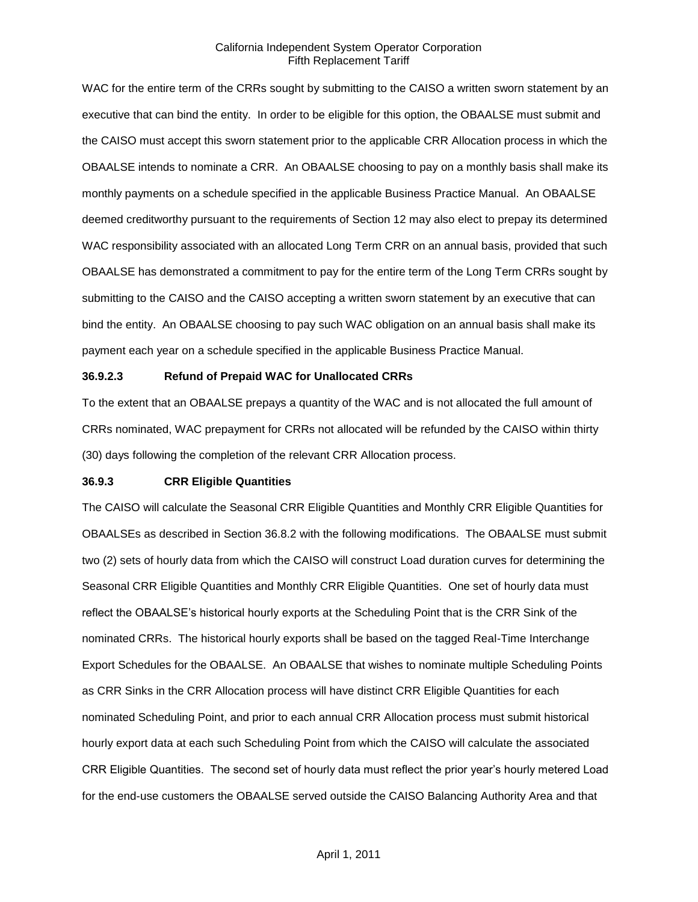WAC for the entire term of the CRRs sought by submitting to the CAISO a written sworn statement by an executive that can bind the entity. In order to be eligible for this option, the OBAALSE must submit and the CAISO must accept this sworn statement prior to the applicable CRR Allocation process in which the OBAALSE intends to nominate a CRR. An OBAALSE choosing to pay on a monthly basis shall make its monthly payments on a schedule specified in the applicable Business Practice Manual. An OBAALSE deemed creditworthy pursuant to the requirements of Section 12 may also elect to prepay its determined WAC responsibility associated with an allocated Long Term CRR on an annual basis, provided that such OBAALSE has demonstrated a commitment to pay for the entire term of the Long Term CRRs sought by submitting to the CAISO and the CAISO accepting a written sworn statement by an executive that can bind the entity. An OBAALSE choosing to pay such WAC obligation on an annual basis shall make its payment each year on a schedule specified in the applicable Business Practice Manual.

# **36.9.2.3 Refund of Prepaid WAC for Unallocated CRRs**

To the extent that an OBAALSE prepays a quantity of the WAC and is not allocated the full amount of CRRs nominated, WAC prepayment for CRRs not allocated will be refunded by the CAISO within thirty (30) days following the completion of the relevant CRR Allocation process.

## **36.9.3 CRR Eligible Quantities**

The CAISO will calculate the Seasonal CRR Eligible Quantities and Monthly CRR Eligible Quantities for OBAALSEs as described in Section 36.8.2 with the following modifications. The OBAALSE must submit two (2) sets of hourly data from which the CAISO will construct Load duration curves for determining the Seasonal CRR Eligible Quantities and Monthly CRR Eligible Quantities. One set of hourly data must reflect the OBAALSE's historical hourly exports at the Scheduling Point that is the CRR Sink of the nominated CRRs. The historical hourly exports shall be based on the tagged Real-Time Interchange Export Schedules for the OBAALSE. An OBAALSE that wishes to nominate multiple Scheduling Points as CRR Sinks in the CRR Allocation process will have distinct CRR Eligible Quantities for each nominated Scheduling Point, and prior to each annual CRR Allocation process must submit historical hourly export data at each such Scheduling Point from which the CAISO will calculate the associated CRR Eligible Quantities. The second set of hourly data must reflect the prior year's hourly metered Load for the end-use customers the OBAALSE served outside the CAISO Balancing Authority Area and that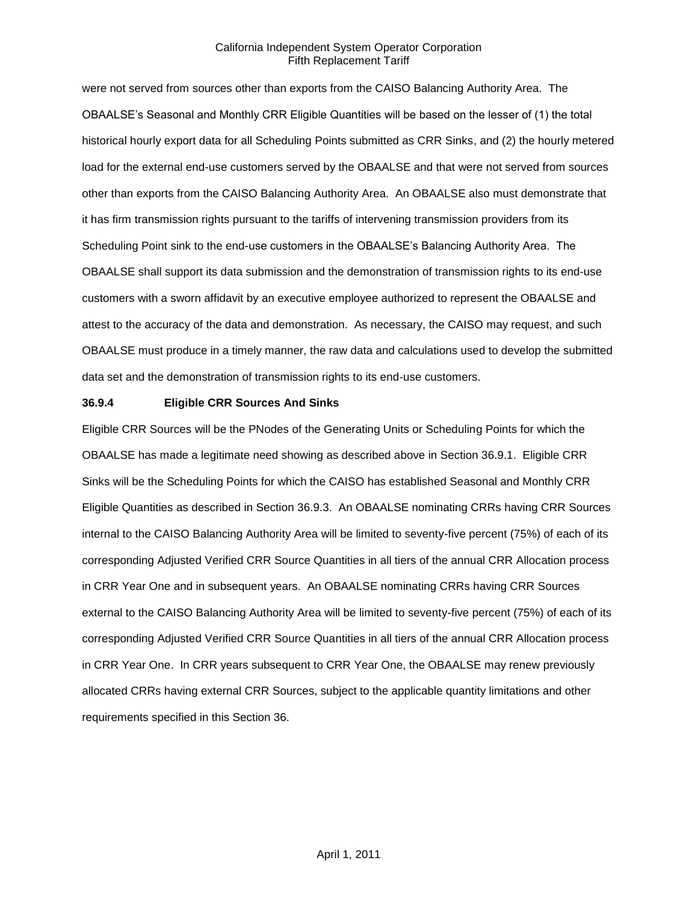were not served from sources other than exports from the CAISO Balancing Authority Area. The OBAALSE's Seasonal and Monthly CRR Eligible Quantities will be based on the lesser of (1) the total historical hourly export data for all Scheduling Points submitted as CRR Sinks, and (2) the hourly metered load for the external end-use customers served by the OBAALSE and that were not served from sources other than exports from the CAISO Balancing Authority Area. An OBAALSE also must demonstrate that it has firm transmission rights pursuant to the tariffs of intervening transmission providers from its Scheduling Point sink to the end-use customers in the OBAALSE's Balancing Authority Area. The OBAALSE shall support its data submission and the demonstration of transmission rights to its end-use customers with a sworn affidavit by an executive employee authorized to represent the OBAALSE and attest to the accuracy of the data and demonstration. As necessary, the CAISO may request, and such OBAALSE must produce in a timely manner, the raw data and calculations used to develop the submitted data set and the demonstration of transmission rights to its end-use customers.

#### **36.9.4 Eligible CRR Sources And Sinks**

Eligible CRR Sources will be the PNodes of the Generating Units or Scheduling Points for which the OBAALSE has made a legitimate need showing as described above in Section 36.9.1. Eligible CRR Sinks will be the Scheduling Points for which the CAISO has established Seasonal and Monthly CRR Eligible Quantities as described in Section 36.9.3. An OBAALSE nominating CRRs having CRR Sources internal to the CAISO Balancing Authority Area will be limited to seventy-five percent (75%) of each of its corresponding Adjusted Verified CRR Source Quantities in all tiers of the annual CRR Allocation process in CRR Year One and in subsequent years. An OBAALSE nominating CRRs having CRR Sources external to the CAISO Balancing Authority Area will be limited to seventy-five percent (75%) of each of its corresponding Adjusted Verified CRR Source Quantities in all tiers of the annual CRR Allocation process in CRR Year One. In CRR years subsequent to CRR Year One, the OBAALSE may renew previously allocated CRRs having external CRR Sources, subject to the applicable quantity limitations and other requirements specified in this Section 36.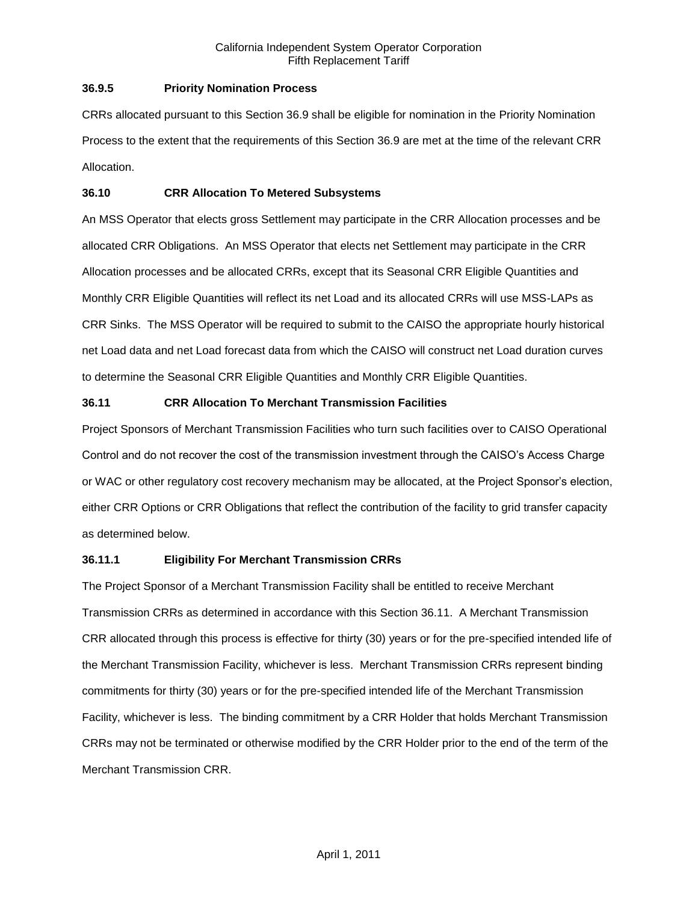## **36.9.5 Priority Nomination Process**

CRRs allocated pursuant to this Section 36.9 shall be eligible for nomination in the Priority Nomination Process to the extent that the requirements of this Section 36.9 are met at the time of the relevant CRR Allocation.

## **36.10 CRR Allocation To Metered Subsystems**

An MSS Operator that elects gross Settlement may participate in the CRR Allocation processes and be allocated CRR Obligations. An MSS Operator that elects net Settlement may participate in the CRR Allocation processes and be allocated CRRs, except that its Seasonal CRR Eligible Quantities and Monthly CRR Eligible Quantities will reflect its net Load and its allocated CRRs will use MSS-LAPs as CRR Sinks. The MSS Operator will be required to submit to the CAISO the appropriate hourly historical net Load data and net Load forecast data from which the CAISO will construct net Load duration curves to determine the Seasonal CRR Eligible Quantities and Monthly CRR Eligible Quantities.

# **36.11 CRR Allocation To Merchant Transmission Facilities**

Project Sponsors of Merchant Transmission Facilities who turn such facilities over to CAISO Operational Control and do not recover the cost of the transmission investment through the CAISO's Access Charge or WAC or other regulatory cost recovery mechanism may be allocated, at the Project Sponsor's election, either CRR Options or CRR Obligations that reflect the contribution of the facility to grid transfer capacity as determined below.

# **36.11.1 Eligibility For Merchant Transmission CRRs**

The Project Sponsor of a Merchant Transmission Facility shall be entitled to receive Merchant Transmission CRRs as determined in accordance with this Section 36.11. A Merchant Transmission CRR allocated through this process is effective for thirty (30) years or for the pre-specified intended life of the Merchant Transmission Facility, whichever is less. Merchant Transmission CRRs represent binding commitments for thirty (30) years or for the pre-specified intended life of the Merchant Transmission Facility, whichever is less. The binding commitment by a CRR Holder that holds Merchant Transmission CRRs may not be terminated or otherwise modified by the CRR Holder prior to the end of the term of the Merchant Transmission CRR.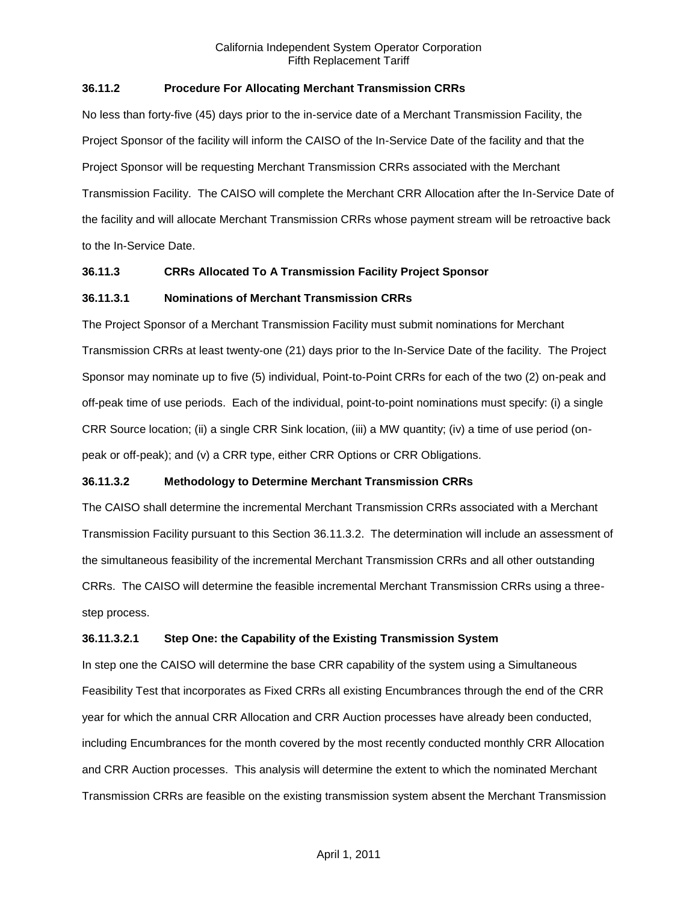## **36.11.2 Procedure For Allocating Merchant Transmission CRRs**

No less than forty-five (45) days prior to the in-service date of a Merchant Transmission Facility, the Project Sponsor of the facility will inform the CAISO of the In-Service Date of the facility and that the Project Sponsor will be requesting Merchant Transmission CRRs associated with the Merchant Transmission Facility. The CAISO will complete the Merchant CRR Allocation after the In-Service Date of the facility and will allocate Merchant Transmission CRRs whose payment stream will be retroactive back to the In-Service Date.

#### **36.11.3 CRRs Allocated To A Transmission Facility Project Sponsor**

## **36.11.3.1 Nominations of Merchant Transmission CRRs**

The Project Sponsor of a Merchant Transmission Facility must submit nominations for Merchant Transmission CRRs at least twenty-one (21) days prior to the In-Service Date of the facility. The Project Sponsor may nominate up to five (5) individual, Point-to-Point CRRs for each of the two (2) on-peak and off-peak time of use periods. Each of the individual, point-to-point nominations must specify: (i) a single CRR Source location; (ii) a single CRR Sink location, (iii) a MW quantity; (iv) a time of use period (onpeak or off-peak); and (v) a CRR type, either CRR Options or CRR Obligations.

# **36.11.3.2 Methodology to Determine Merchant Transmission CRRs**

The CAISO shall determine the incremental Merchant Transmission CRRs associated with a Merchant Transmission Facility pursuant to this Section 36.11.3.2. The determination will include an assessment of the simultaneous feasibility of the incremental Merchant Transmission CRRs and all other outstanding CRRs. The CAISO will determine the feasible incremental Merchant Transmission CRRs using a threestep process.

# **36.11.3.2.1 Step One: the Capability of the Existing Transmission System**

In step one the CAISO will determine the base CRR capability of the system using a Simultaneous Feasibility Test that incorporates as Fixed CRRs all existing Encumbrances through the end of the CRR year for which the annual CRR Allocation and CRR Auction processes have already been conducted, including Encumbrances for the month covered by the most recently conducted monthly CRR Allocation and CRR Auction processes. This analysis will determine the extent to which the nominated Merchant Transmission CRRs are feasible on the existing transmission system absent the Merchant Transmission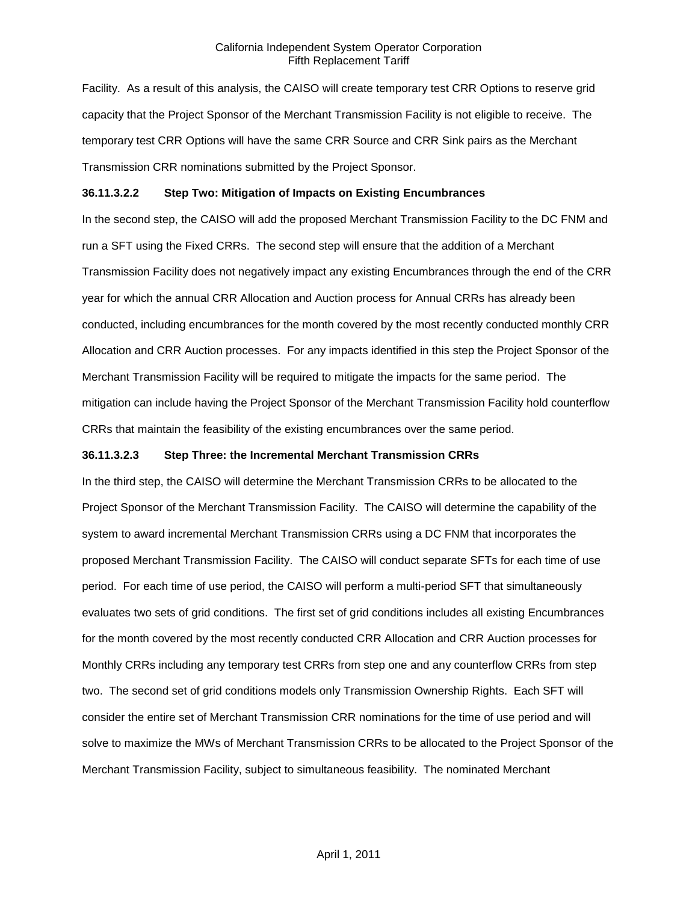Facility. As a result of this analysis, the CAISO will create temporary test CRR Options to reserve grid capacity that the Project Sponsor of the Merchant Transmission Facility is not eligible to receive. The temporary test CRR Options will have the same CRR Source and CRR Sink pairs as the Merchant Transmission CRR nominations submitted by the Project Sponsor.

#### **36.11.3.2.2 Step Two: Mitigation of Impacts on Existing Encumbrances**

In the second step, the CAISO will add the proposed Merchant Transmission Facility to the DC FNM and run a SFT using the Fixed CRRs. The second step will ensure that the addition of a Merchant Transmission Facility does not negatively impact any existing Encumbrances through the end of the CRR year for which the annual CRR Allocation and Auction process for Annual CRRs has already been conducted, including encumbrances for the month covered by the most recently conducted monthly CRR Allocation and CRR Auction processes. For any impacts identified in this step the Project Sponsor of the Merchant Transmission Facility will be required to mitigate the impacts for the same period. The mitigation can include having the Project Sponsor of the Merchant Transmission Facility hold counterflow CRRs that maintain the feasibility of the existing encumbrances over the same period.

#### **36.11.3.2.3 Step Three: the Incremental Merchant Transmission CRRs**

In the third step, the CAISO will determine the Merchant Transmission CRRs to be allocated to the Project Sponsor of the Merchant Transmission Facility. The CAISO will determine the capability of the system to award incremental Merchant Transmission CRRs using a DC FNM that incorporates the proposed Merchant Transmission Facility. The CAISO will conduct separate SFTs for each time of use period. For each time of use period, the CAISO will perform a multi-period SFT that simultaneously evaluates two sets of grid conditions. The first set of grid conditions includes all existing Encumbrances for the month covered by the most recently conducted CRR Allocation and CRR Auction processes for Monthly CRRs including any temporary test CRRs from step one and any counterflow CRRs from step two. The second set of grid conditions models only Transmission Ownership Rights. Each SFT will consider the entire set of Merchant Transmission CRR nominations for the time of use period and will solve to maximize the MWs of Merchant Transmission CRRs to be allocated to the Project Sponsor of the Merchant Transmission Facility, subject to simultaneous feasibility. The nominated Merchant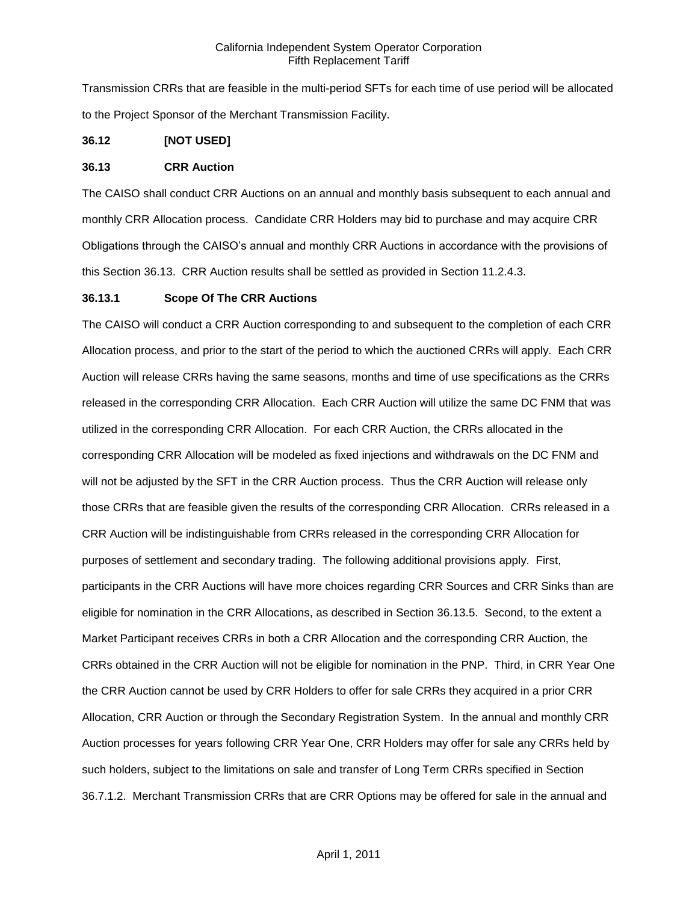Transmission CRRs that are feasible in the multi-period SFTs for each time of use period will be allocated to the Project Sponsor of the Merchant Transmission Facility.

## **36.12 [NOT USED]**

### **36.13 CRR Auction**

The CAISO shall conduct CRR Auctions on an annual and monthly basis subsequent to each annual and monthly CRR Allocation process. Candidate CRR Holders may bid to purchase and may acquire CRR Obligations through the CAISO's annual and monthly CRR Auctions in accordance with the provisions of this Section 36.13. CRR Auction results shall be settled as provided in Section 11.2.4.3.

## **36.13.1 Scope Of The CRR Auctions**

The CAISO will conduct a CRR Auction corresponding to and subsequent to the completion of each CRR Allocation process, and prior to the start of the period to which the auctioned CRRs will apply. Each CRR Auction will release CRRs having the same seasons, months and time of use specifications as the CRRs released in the corresponding CRR Allocation. Each CRR Auction will utilize the same DC FNM that was utilized in the corresponding CRR Allocation. For each CRR Auction, the CRRs allocated in the corresponding CRR Allocation will be modeled as fixed injections and withdrawals on the DC FNM and will not be adjusted by the SFT in the CRR Auction process. Thus the CRR Auction will release only those CRRs that are feasible given the results of the corresponding CRR Allocation. CRRs released in a CRR Auction will be indistinguishable from CRRs released in the corresponding CRR Allocation for purposes of settlement and secondary trading. The following additional provisions apply. First, participants in the CRR Auctions will have more choices regarding CRR Sources and CRR Sinks than are eligible for nomination in the CRR Allocations, as described in Section 36.13.5. Second, to the extent a Market Participant receives CRRs in both a CRR Allocation and the corresponding CRR Auction, the CRRs obtained in the CRR Auction will not be eligible for nomination in the PNP. Third, in CRR Year One the CRR Auction cannot be used by CRR Holders to offer for sale CRRs they acquired in a prior CRR Allocation, CRR Auction or through the Secondary Registration System. In the annual and monthly CRR Auction processes for years following CRR Year One, CRR Holders may offer for sale any CRRs held by such holders, subject to the limitations on sale and transfer of Long Term CRRs specified in Section 36.7.1.2. Merchant Transmission CRRs that are CRR Options may be offered for sale in the annual and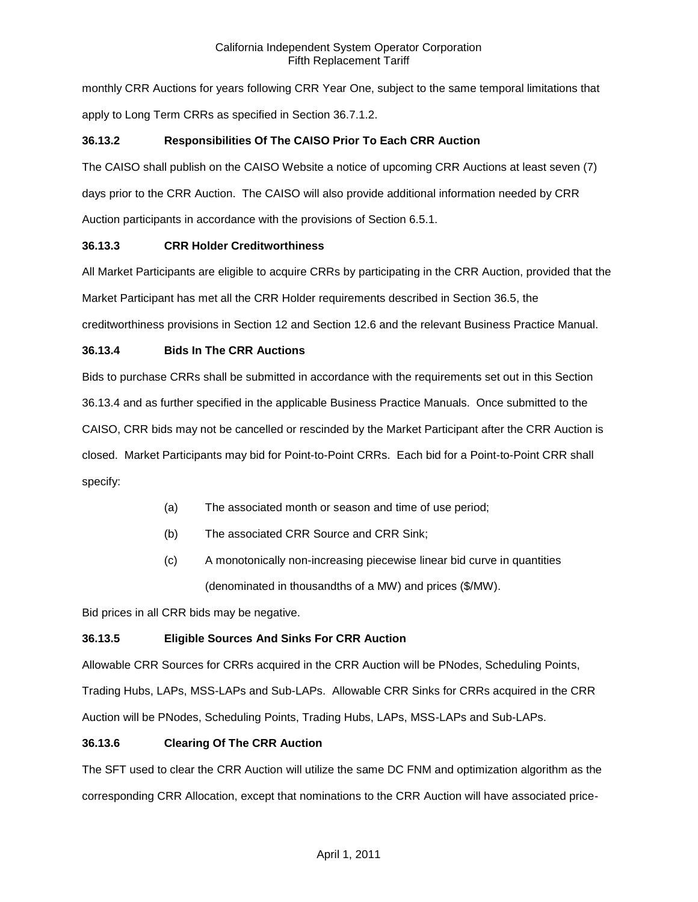monthly CRR Auctions for years following CRR Year One, subject to the same temporal limitations that apply to Long Term CRRs as specified in Section 36.7.1.2.

# **36.13.2 Responsibilities Of The CAISO Prior To Each CRR Auction**

The CAISO shall publish on the CAISO Website a notice of upcoming CRR Auctions at least seven (7) days prior to the CRR Auction. The CAISO will also provide additional information needed by CRR Auction participants in accordance with the provisions of Section 6.5.1.

# **36.13.3 CRR Holder Creditworthiness**

All Market Participants are eligible to acquire CRRs by participating in the CRR Auction, provided that the Market Participant has met all the CRR Holder requirements described in Section 36.5, the creditworthiness provisions in Section 12 and Section 12.6 and the relevant Business Practice Manual.

# **36.13.4 Bids In The CRR Auctions**

Bids to purchase CRRs shall be submitted in accordance with the requirements set out in this Section 36.13.4 and as further specified in the applicable Business Practice Manuals. Once submitted to the CAISO, CRR bids may not be cancelled or rescinded by the Market Participant after the CRR Auction is closed. Market Participants may bid for Point-to-Point CRRs. Each bid for a Point-to-Point CRR shall specify:

- (a) The associated month or season and time of use period;
- (b) The associated CRR Source and CRR Sink;
- (c) A monotonically non-increasing piecewise linear bid curve in quantities (denominated in thousandths of a MW) and prices (\$/MW).

Bid prices in all CRR bids may be negative.

# **36.13.5 Eligible Sources And Sinks For CRR Auction**

Allowable CRR Sources for CRRs acquired in the CRR Auction will be PNodes, Scheduling Points, Trading Hubs, LAPs, MSS-LAPs and Sub-LAPs. Allowable CRR Sinks for CRRs acquired in the CRR Auction will be PNodes, Scheduling Points, Trading Hubs, LAPs, MSS-LAPs and Sub-LAPs.

# **36.13.6 Clearing Of The CRR Auction**

The SFT used to clear the CRR Auction will utilize the same DC FNM and optimization algorithm as the corresponding CRR Allocation, except that nominations to the CRR Auction will have associated price-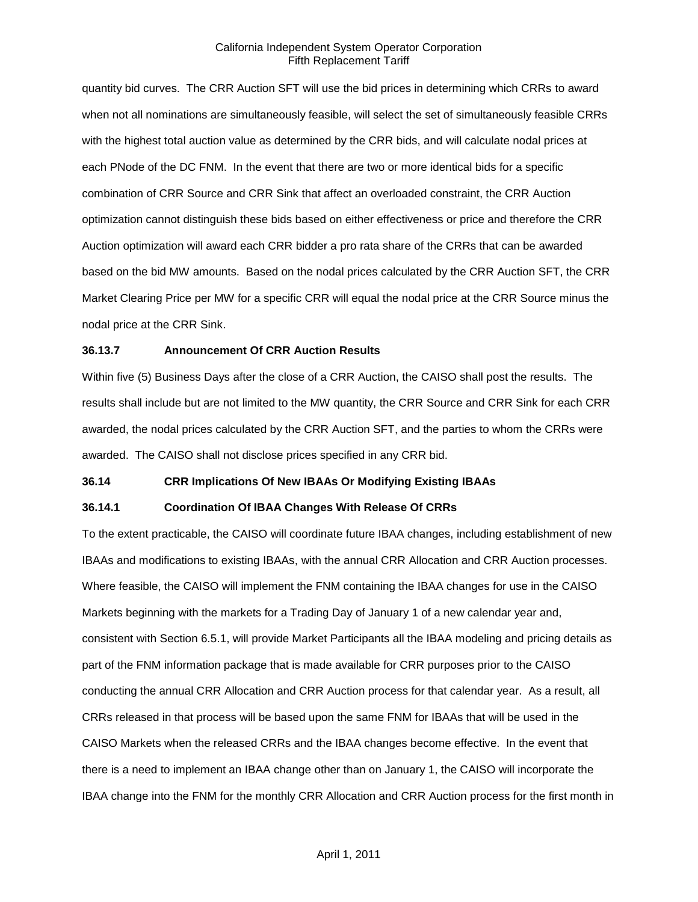quantity bid curves. The CRR Auction SFT will use the bid prices in determining which CRRs to award when not all nominations are simultaneously feasible, will select the set of simultaneously feasible CRRs with the highest total auction value as determined by the CRR bids, and will calculate nodal prices at each PNode of the DC FNM. In the event that there are two or more identical bids for a specific combination of CRR Source and CRR Sink that affect an overloaded constraint, the CRR Auction optimization cannot distinguish these bids based on either effectiveness or price and therefore the CRR Auction optimization will award each CRR bidder a pro rata share of the CRRs that can be awarded based on the bid MW amounts. Based on the nodal prices calculated by the CRR Auction SFT, the CRR Market Clearing Price per MW for a specific CRR will equal the nodal price at the CRR Source minus the nodal price at the CRR Sink.

## **36.13.7 Announcement Of CRR Auction Results**

Within five (5) Business Days after the close of a CRR Auction, the CAISO shall post the results. The results shall include but are not limited to the MW quantity, the CRR Source and CRR Sink for each CRR awarded, the nodal prices calculated by the CRR Auction SFT, and the parties to whom the CRRs were awarded. The CAISO shall not disclose prices specified in any CRR bid.

#### **36.14 CRR Implications Of New IBAAs Or Modifying Existing IBAAs**

#### **36.14.1 Coordination Of IBAA Changes With Release Of CRRs**

To the extent practicable, the CAISO will coordinate future IBAA changes, including establishment of new IBAAs and modifications to existing IBAAs, with the annual CRR Allocation and CRR Auction processes. Where feasible, the CAISO will implement the FNM containing the IBAA changes for use in the CAISO Markets beginning with the markets for a Trading Day of January 1 of a new calendar year and, consistent with Section 6.5.1, will provide Market Participants all the IBAA modeling and pricing details as part of the FNM information package that is made available for CRR purposes prior to the CAISO conducting the annual CRR Allocation and CRR Auction process for that calendar year. As a result, all CRRs released in that process will be based upon the same FNM for IBAAs that will be used in the CAISO Markets when the released CRRs and the IBAA changes become effective. In the event that there is a need to implement an IBAA change other than on January 1, the CAISO will incorporate the IBAA change into the FNM for the monthly CRR Allocation and CRR Auction process for the first month in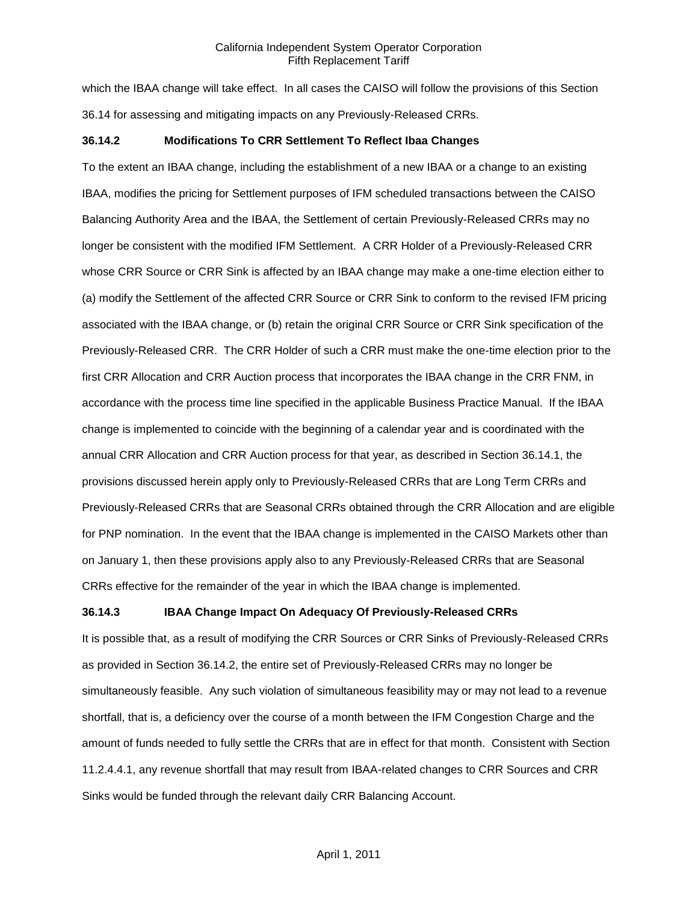which the IBAA change will take effect. In all cases the CAISO will follow the provisions of this Section 36.14 for assessing and mitigating impacts on any Previously-Released CRRs.

#### **36.14.2 Modifications To CRR Settlement To Reflect Ibaa Changes**

To the extent an IBAA change, including the establishment of a new IBAA or a change to an existing IBAA, modifies the pricing for Settlement purposes of IFM scheduled transactions between the CAISO Balancing Authority Area and the IBAA, the Settlement of certain Previously-Released CRRs may no longer be consistent with the modified IFM Settlement. A CRR Holder of a Previously-Released CRR whose CRR Source or CRR Sink is affected by an IBAA change may make a one-time election either to (a) modify the Settlement of the affected CRR Source or CRR Sink to conform to the revised IFM pricing associated with the IBAA change, or (b) retain the original CRR Source or CRR Sink specification of the Previously-Released CRR. The CRR Holder of such a CRR must make the one-time election prior to the first CRR Allocation and CRR Auction process that incorporates the IBAA change in the CRR FNM, in accordance with the process time line specified in the applicable Business Practice Manual. If the IBAA change is implemented to coincide with the beginning of a calendar year and is coordinated with the annual CRR Allocation and CRR Auction process for that year, as described in Section 36.14.1, the provisions discussed herein apply only to Previously-Released CRRs that are Long Term CRRs and Previously-Released CRRs that are Seasonal CRRs obtained through the CRR Allocation and are eligible for PNP nomination. In the event that the IBAA change is implemented in the CAISO Markets other than on January 1, then these provisions apply also to any Previously-Released CRRs that are Seasonal CRRs effective for the remainder of the year in which the IBAA change is implemented.

#### **36.14.3 IBAA Change Impact On Adequacy Of Previously-Released CRRs**

It is possible that, as a result of modifying the CRR Sources or CRR Sinks of Previously-Released CRRs as provided in Section 36.14.2, the entire set of Previously-Released CRRs may no longer be simultaneously feasible. Any such violation of simultaneous feasibility may or may not lead to a revenue shortfall, that is, a deficiency over the course of a month between the IFM Congestion Charge and the amount of funds needed to fully settle the CRRs that are in effect for that month. Consistent with Section 11.2.4.4.1, any revenue shortfall that may result from IBAA-related changes to CRR Sources and CRR Sinks would be funded through the relevant daily CRR Balancing Account.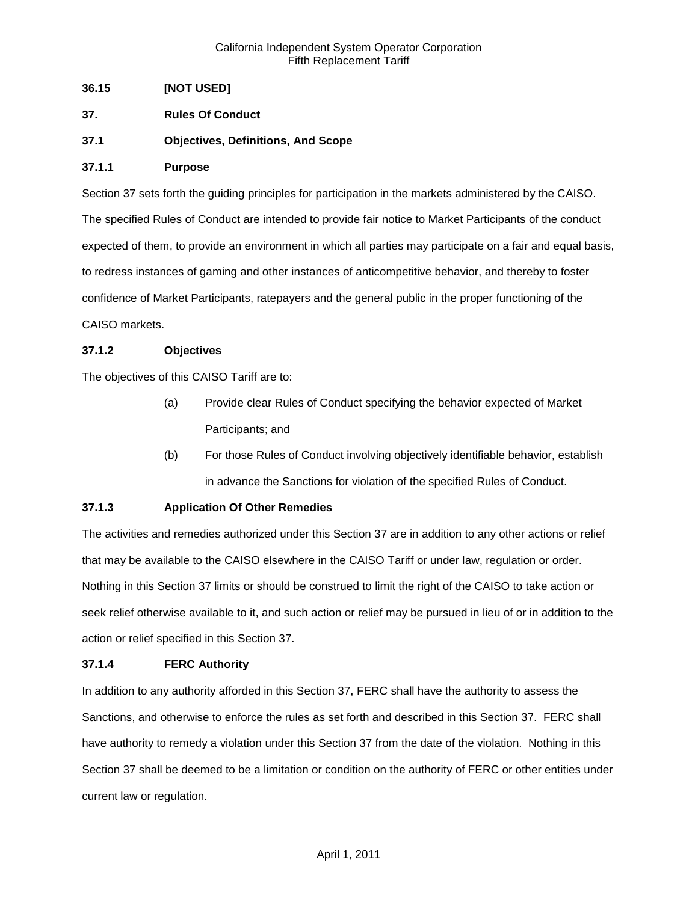# **36.15 [NOT USED]**

- **37. Rules Of Conduct**
- **37.1 Objectives, Definitions, And Scope**

## **37.1.1 Purpose**

Section 37 sets forth the guiding principles for participation in the markets administered by the CAISO. The specified Rules of Conduct are intended to provide fair notice to Market Participants of the conduct expected of them, to provide an environment in which all parties may participate on a fair and equal basis, to redress instances of gaming and other instances of anticompetitive behavior, and thereby to foster confidence of Market Participants, ratepayers and the general public in the proper functioning of the CAISO markets.

## **37.1.2 Objectives**

The objectives of this CAISO Tariff are to:

- (a) Provide clear Rules of Conduct specifying the behavior expected of Market Participants; and
- (b) For those Rules of Conduct involving objectively identifiable behavior, establish in advance the Sanctions for violation of the specified Rules of Conduct.

# **37.1.3 Application Of Other Remedies**

The activities and remedies authorized under this Section 37 are in addition to any other actions or relief that may be available to the CAISO elsewhere in the CAISO Tariff or under law, regulation or order. Nothing in this Section 37 limits or should be construed to limit the right of the CAISO to take action or seek relief otherwise available to it, and such action or relief may be pursued in lieu of or in addition to the action or relief specified in this Section 37.

#### **37.1.4 FERC Authority**

In addition to any authority afforded in this Section 37, FERC shall have the authority to assess the Sanctions, and otherwise to enforce the rules as set forth and described in this Section 37. FERC shall have authority to remedy a violation under this Section 37 from the date of the violation. Nothing in this Section 37 shall be deemed to be a limitation or condition on the authority of FERC or other entities under current law or regulation.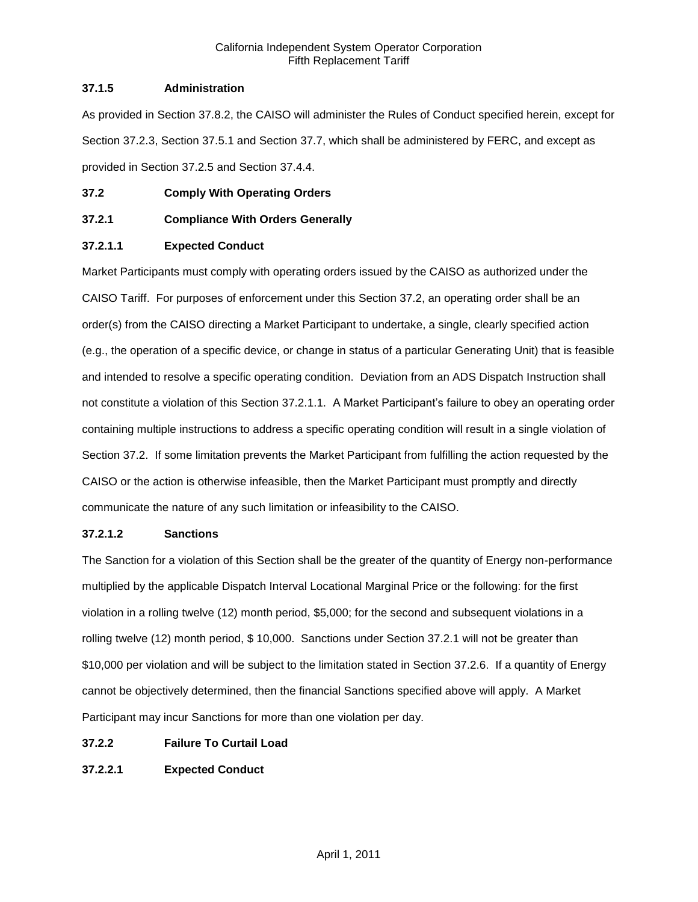# **37.1.5 Administration**

As provided in Section 37.8.2, the CAISO will administer the Rules of Conduct specified herein, except for Section 37.2.3, Section 37.5.1 and Section 37.7, which shall be administered by FERC, and except as provided in Section 37.2.5 and Section 37.4.4.

# **37.2 Comply With Operating Orders**

# **37.2.1 Compliance With Orders Generally**

# **37.2.1.1 Expected Conduct**

Market Participants must comply with operating orders issued by the CAISO as authorized under the CAISO Tariff. For purposes of enforcement under this Section 37.2, an operating order shall be an order(s) from the CAISO directing a Market Participant to undertake, a single, clearly specified action (e.g., the operation of a specific device, or change in status of a particular Generating Unit) that is feasible and intended to resolve a specific operating condition. Deviation from an ADS Dispatch Instruction shall not constitute a violation of this Section 37.2.1.1. A Market Participant's failure to obey an operating order containing multiple instructions to address a specific operating condition will result in a single violation of Section 37.2. If some limitation prevents the Market Participant from fulfilling the action requested by the CAISO or the action is otherwise infeasible, then the Market Participant must promptly and directly communicate the nature of any such limitation or infeasibility to the CAISO.

# **37.2.1.2 Sanctions**

The Sanction for a violation of this Section shall be the greater of the quantity of Energy non-performance multiplied by the applicable Dispatch Interval Locational Marginal Price or the following: for the first violation in a rolling twelve (12) month period, \$5,000; for the second and subsequent violations in a rolling twelve (12) month period, \$ 10,000. Sanctions under Section 37.2.1 will not be greater than \$10,000 per violation and will be subject to the limitation stated in Section 37.2.6. If a quantity of Energy cannot be objectively determined, then the financial Sanctions specified above will apply. A Market Participant may incur Sanctions for more than one violation per day.

# **37.2.2 Failure To Curtail Load**

# **37.2.2.1 Expected Conduct**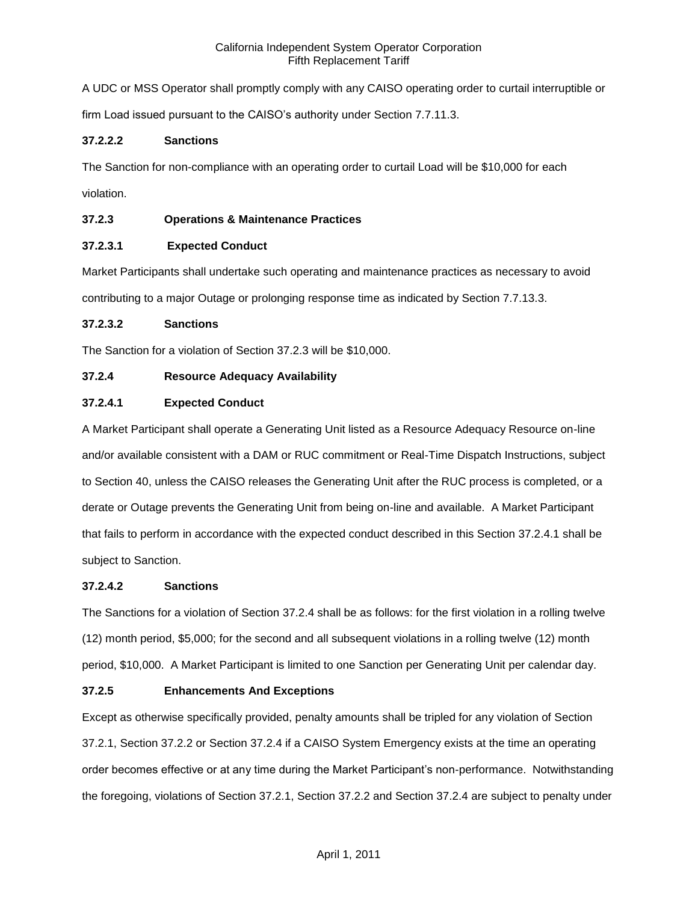A UDC or MSS Operator shall promptly comply with any CAISO operating order to curtail interruptible or

firm Load issued pursuant to the CAISO's authority under Section 7.7.11.3.

## **37.2.2.2 Sanctions**

The Sanction for non-compliance with an operating order to curtail Load will be \$10,000 for each

violation.

# **37.2.3 Operations & Maintenance Practices**

## **37.2.3.1 Expected Conduct**

Market Participants shall undertake such operating and maintenance practices as necessary to avoid contributing to a major Outage or prolonging response time as indicated by Section 7.7.13.3.

#### **37.2.3.2 Sanctions**

The Sanction for a violation of Section 37.2.3 will be \$10,000.

### **37.2.4 Resource Adequacy Availability**

## **37.2.4.1 Expected Conduct**

A Market Participant shall operate a Generating Unit listed as a Resource Adequacy Resource on-line and/or available consistent with a DAM or RUC commitment or Real-Time Dispatch Instructions, subject to Section 40, unless the CAISO releases the Generating Unit after the RUC process is completed, or a derate or Outage prevents the Generating Unit from being on-line and available. A Market Participant that fails to perform in accordance with the expected conduct described in this Section 37.2.4.1 shall be subject to Sanction.

#### **37.2.4.2 Sanctions**

The Sanctions for a violation of Section 37.2.4 shall be as follows: for the first violation in a rolling twelve (12) month period, \$5,000; for the second and all subsequent violations in a rolling twelve (12) month period, \$10,000. A Market Participant is limited to one Sanction per Generating Unit per calendar day.

#### **37.2.5 Enhancements And Exceptions**

Except as otherwise specifically provided, penalty amounts shall be tripled for any violation of Section 37.2.1, Section 37.2.2 or Section 37.2.4 if a CAISO System Emergency exists at the time an operating order becomes effective or at any time during the Market Participant's non-performance. Notwithstanding the foregoing, violations of Section 37.2.1, Section 37.2.2 and Section 37.2.4 are subject to penalty under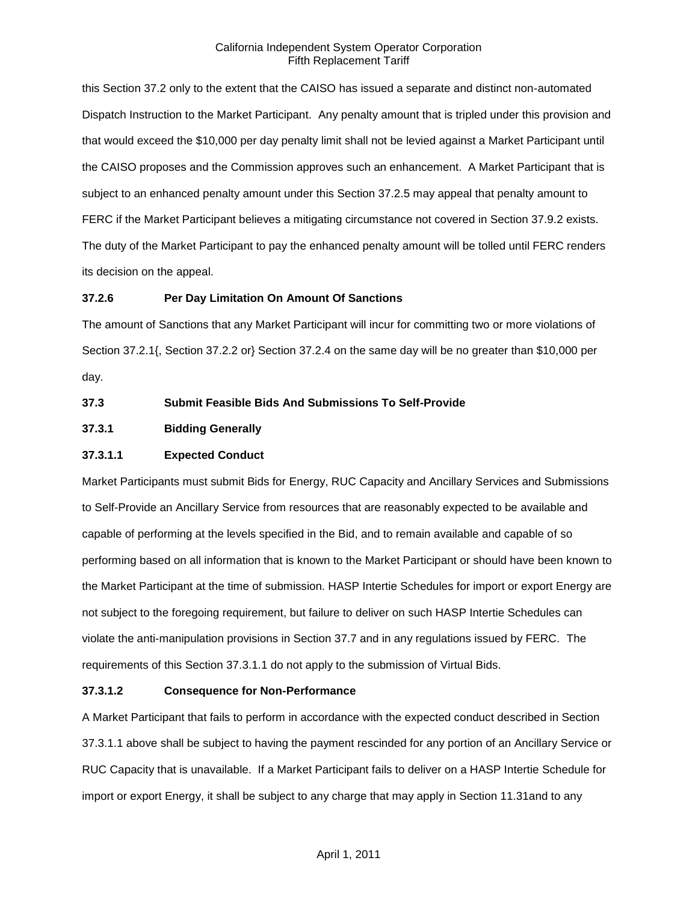this Section 37.2 only to the extent that the CAISO has issued a separate and distinct non-automated Dispatch Instruction to the Market Participant. Any penalty amount that is tripled under this provision and that would exceed the \$10,000 per day penalty limit shall not be levied against a Market Participant until the CAISO proposes and the Commission approves such an enhancement. A Market Participant that is subject to an enhanced penalty amount under this Section 37.2.5 may appeal that penalty amount to FERC if the Market Participant believes a mitigating circumstance not covered in Section 37.9.2 exists. The duty of the Market Participant to pay the enhanced penalty amount will be tolled until FERC renders its decision on the appeal.

## **37.2.6 Per Day Limitation On Amount Of Sanctions**

The amount of Sanctions that any Market Participant will incur for committing two or more violations of Section 37.2.1{, Section 37.2.2 or} Section 37.2.4 on the same day will be no greater than \$10,000 per day.

## **37.3 Submit Feasible Bids And Submissions To Self-Provide**

# **37.3.1 Bidding Generally**

### **37.3.1.1 Expected Conduct**

Market Participants must submit Bids for Energy, RUC Capacity and Ancillary Services and Submissions to Self-Provide an Ancillary Service from resources that are reasonably expected to be available and capable of performing at the levels specified in the Bid, and to remain available and capable of so performing based on all information that is known to the Market Participant or should have been known to the Market Participant at the time of submission. HASP Intertie Schedules for import or export Energy are not subject to the foregoing requirement, but failure to deliver on such HASP Intertie Schedules can violate the anti-manipulation provisions in Section 37.7 and in any regulations issued by FERC. The requirements of this Section 37.3.1.1 do not apply to the submission of Virtual Bids.

#### **37.3.1.2 Consequence for Non-Performance**

A Market Participant that fails to perform in accordance with the expected conduct described in Section 37.3.1.1 above shall be subject to having the payment rescinded for any portion of an Ancillary Service or RUC Capacity that is unavailable. If a Market Participant fails to deliver on a HASP Intertie Schedule for import or export Energy, it shall be subject to any charge that may apply in Section 11.31and to any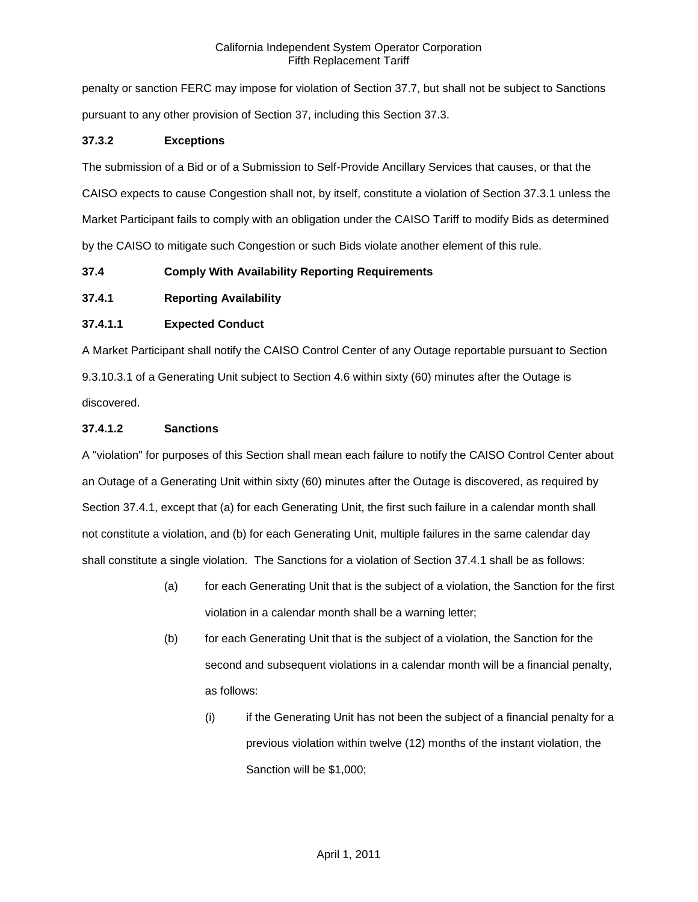penalty or sanction FERC may impose for violation of Section 37.7, but shall not be subject to Sanctions pursuant to any other provision of Section 37, including this Section 37.3.

# **37.3.2 Exceptions**

The submission of a Bid or of a Submission to Self-Provide Ancillary Services that causes, or that the CAISO expects to cause Congestion shall not, by itself, constitute a violation of Section 37.3.1 unless the Market Participant fails to comply with an obligation under the CAISO Tariff to modify Bids as determined by the CAISO to mitigate such Congestion or such Bids violate another element of this rule.

# **37.4 Comply With Availability Reporting Requirements**

# **37.4.1 Reporting Availability**

# **37.4.1.1 Expected Conduct**

A Market Participant shall notify the CAISO Control Center of any Outage reportable pursuant to Section 9.3.10.3.1 of a Generating Unit subject to Section 4.6 within sixty (60) minutes after the Outage is discovered.

# **37.4.1.2 Sanctions**

A "violation" for purposes of this Section shall mean each failure to notify the CAISO Control Center about an Outage of a Generating Unit within sixty (60) minutes after the Outage is discovered, as required by Section 37.4.1, except that (a) for each Generating Unit, the first such failure in a calendar month shall not constitute a violation, and (b) for each Generating Unit, multiple failures in the same calendar day shall constitute a single violation. The Sanctions for a violation of Section 37.4.1 shall be as follows:

- (a) for each Generating Unit that is the subject of a violation, the Sanction for the first violation in a calendar month shall be a warning letter;
- (b) for each Generating Unit that is the subject of a violation, the Sanction for the second and subsequent violations in a calendar month will be a financial penalty, as follows:
	- (i) if the Generating Unit has not been the subject of a financial penalty for a previous violation within twelve (12) months of the instant violation, the Sanction will be \$1,000;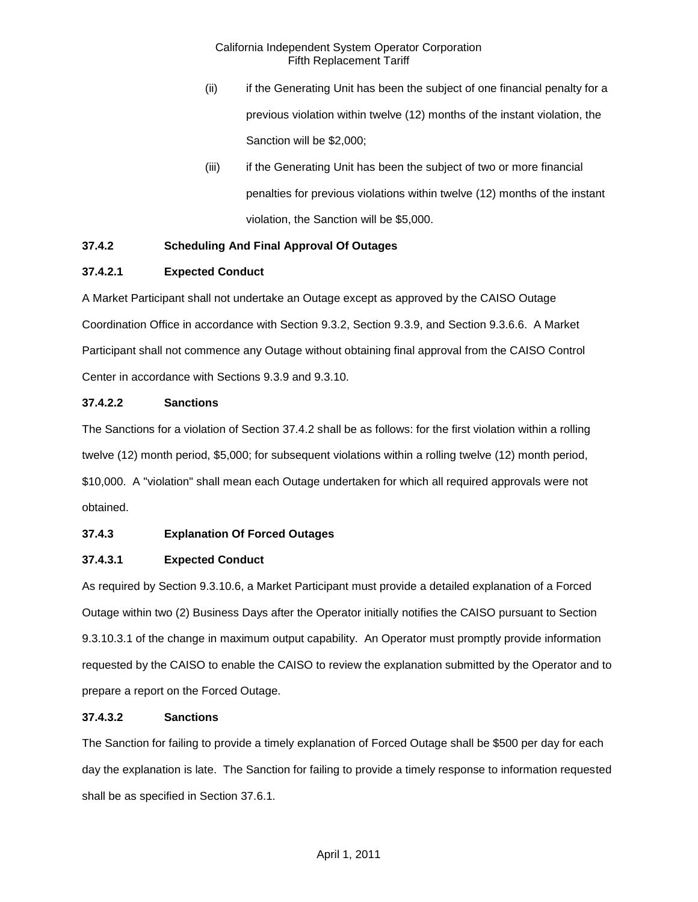- (ii) if the Generating Unit has been the subject of one financial penalty for a previous violation within twelve (12) months of the instant violation, the Sanction will be \$2,000;
- (iii) if the Generating Unit has been the subject of two or more financial penalties for previous violations within twelve (12) months of the instant violation, the Sanction will be \$5,000.

# **37.4.2 Scheduling And Final Approval Of Outages**

## **37.4.2.1 Expected Conduct**

A Market Participant shall not undertake an Outage except as approved by the CAISO Outage Coordination Office in accordance with Section 9.3.2, Section 9.3.9, and Section 9.3.6.6. A Market Participant shall not commence any Outage without obtaining final approval from the CAISO Control Center in accordance with Sections 9.3.9 and 9.3.10.

## **37.4.2.2 Sanctions**

The Sanctions for a violation of Section 37.4.2 shall be as follows: for the first violation within a rolling twelve (12) month period, \$5,000; for subsequent violations within a rolling twelve (12) month period, \$10,000. A "violation" shall mean each Outage undertaken for which all required approvals were not obtained.

# **37.4.3 Explanation Of Forced Outages**

#### **37.4.3.1 Expected Conduct**

As required by Section 9.3.10.6, a Market Participant must provide a detailed explanation of a Forced Outage within two (2) Business Days after the Operator initially notifies the CAISO pursuant to Section 9.3.10.3.1 of the change in maximum output capability. An Operator must promptly provide information requested by the CAISO to enable the CAISO to review the explanation submitted by the Operator and to prepare a report on the Forced Outage.

#### **37.4.3.2 Sanctions**

The Sanction for failing to provide a timely explanation of Forced Outage shall be \$500 per day for each day the explanation is late. The Sanction for failing to provide a timely response to information requested shall be as specified in Section 37.6.1.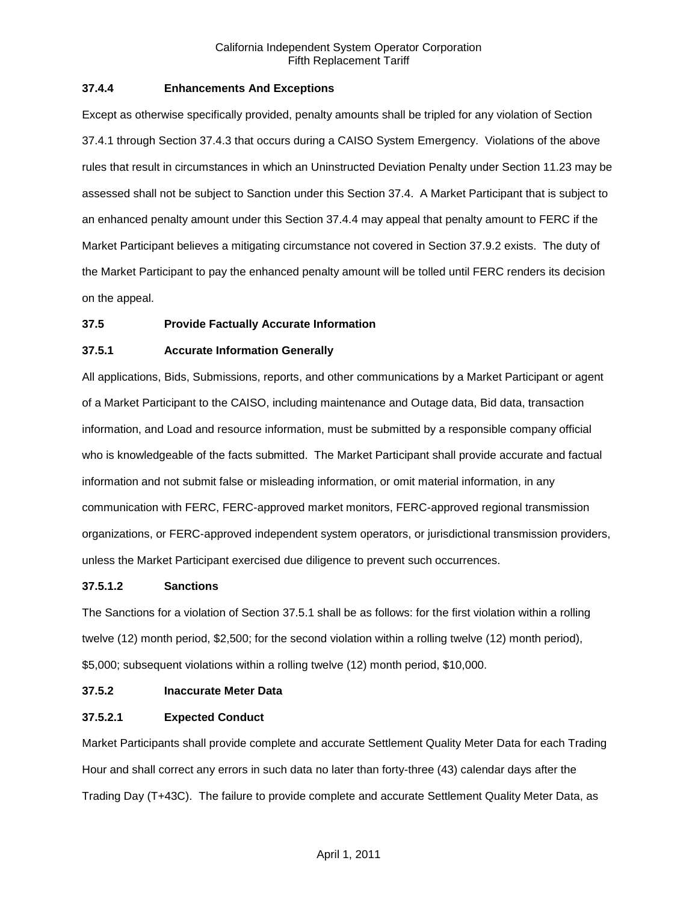### **37.4.4 Enhancements And Exceptions**

Except as otherwise specifically provided, penalty amounts shall be tripled for any violation of Section 37.4.1 through Section 37.4.3 that occurs during a CAISO System Emergency. Violations of the above rules that result in circumstances in which an Uninstructed Deviation Penalty under Section 11.23 may be assessed shall not be subject to Sanction under this Section 37.4. A Market Participant that is subject to an enhanced penalty amount under this Section 37.4.4 may appeal that penalty amount to FERC if the Market Participant believes a mitigating circumstance not covered in Section 37.9.2 exists. The duty of the Market Participant to pay the enhanced penalty amount will be tolled until FERC renders its decision on the appeal.

## **37.5 Provide Factually Accurate Information**

#### **37.5.1 Accurate Information Generally**

All applications, Bids, Submissions, reports, and other communications by a Market Participant or agent of a Market Participant to the CAISO, including maintenance and Outage data, Bid data, transaction information, and Load and resource information, must be submitted by a responsible company official who is knowledgeable of the facts submitted. The Market Participant shall provide accurate and factual information and not submit false or misleading information, or omit material information, in any communication with FERC, FERC-approved market monitors, FERC-approved regional transmission organizations, or FERC-approved independent system operators, or jurisdictional transmission providers, unless the Market Participant exercised due diligence to prevent such occurrences.

#### **37.5.1.2 Sanctions**

The Sanctions for a violation of Section 37.5.1 shall be as follows: for the first violation within a rolling twelve (12) month period, \$2,500; for the second violation within a rolling twelve (12) month period), \$5,000; subsequent violations within a rolling twelve (12) month period, \$10,000.

### **37.5.2 Inaccurate Meter Data**

# **37.5.2.1 Expected Conduct**

Market Participants shall provide complete and accurate Settlement Quality Meter Data for each Trading Hour and shall correct any errors in such data no later than forty-three (43) calendar days after the Trading Day (T+43C). The failure to provide complete and accurate Settlement Quality Meter Data, as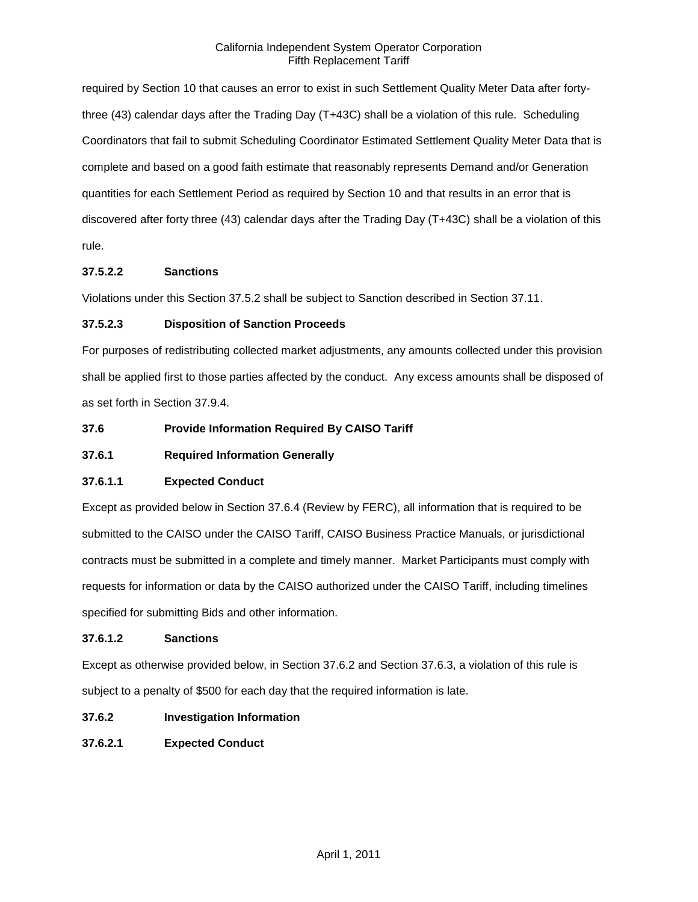required by Section 10 that causes an error to exist in such Settlement Quality Meter Data after fortythree (43) calendar days after the Trading Day (T+43C) shall be a violation of this rule. Scheduling Coordinators that fail to submit Scheduling Coordinator Estimated Settlement Quality Meter Data that is complete and based on a good faith estimate that reasonably represents Demand and/or Generation quantities for each Settlement Period as required by Section 10 and that results in an error that is discovered after forty three (43) calendar days after the Trading Day (T+43C) shall be a violation of this rule.

# **37.5.2.2 Sanctions**

Violations under this Section 37.5.2 shall be subject to Sanction described in Section 37.11.

# **37.5.2.3 Disposition of Sanction Proceeds**

For purposes of redistributing collected market adjustments, any amounts collected under this provision shall be applied first to those parties affected by the conduct. Any excess amounts shall be disposed of as set forth in Section 37.9.4.

# **37.6 Provide Information Required By CAISO Tariff**

# **37.6.1 Required Information Generally**

# **37.6.1.1 Expected Conduct**

Except as provided below in Section 37.6.4 (Review by FERC), all information that is required to be submitted to the CAISO under the CAISO Tariff, CAISO Business Practice Manuals, or jurisdictional contracts must be submitted in a complete and timely manner. Market Participants must comply with requests for information or data by the CAISO authorized under the CAISO Tariff, including timelines specified for submitting Bids and other information.

#### **37.6.1.2 Sanctions**

Except as otherwise provided below, in Section 37.6.2 and Section 37.6.3, a violation of this rule is subject to a penalty of \$500 for each day that the required information is late.

### **37.6.2 Investigation Information**

**37.6.2.1 Expected Conduct**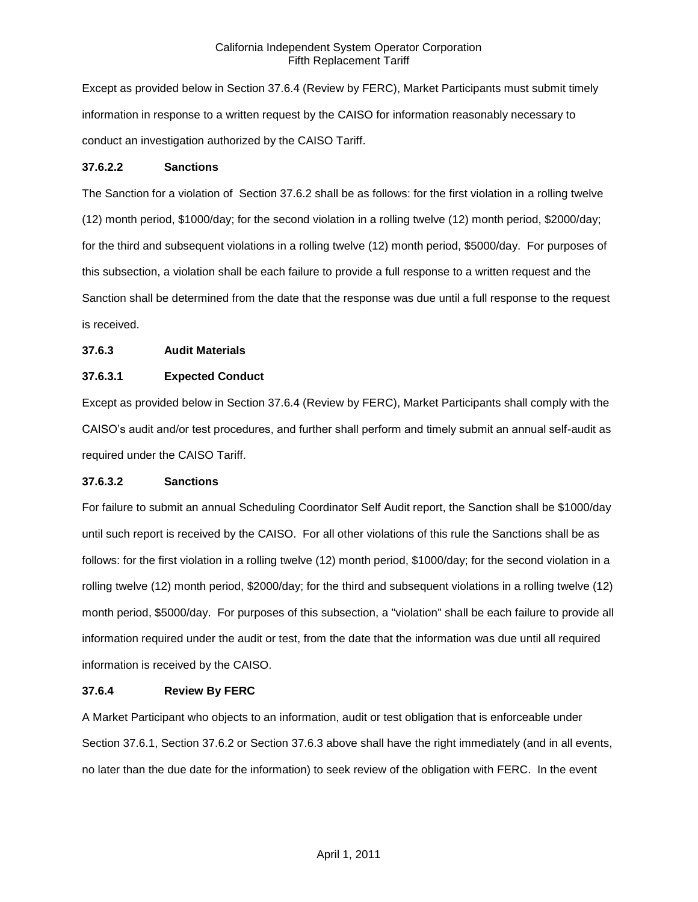Except as provided below in Section 37.6.4 (Review by FERC), Market Participants must submit timely information in response to a written request by the CAISO for information reasonably necessary to conduct an investigation authorized by the CAISO Tariff.

## **37.6.2.2 Sanctions**

The Sanction for a violation of Section 37.6.2 shall be as follows: for the first violation in a rolling twelve (12) month period, \$1000/day; for the second violation in a rolling twelve (12) month period, \$2000/day; for the third and subsequent violations in a rolling twelve (12) month period, \$5000/day. For purposes of this subsection, a violation shall be each failure to provide a full response to a written request and the Sanction shall be determined from the date that the response was due until a full response to the request is received.

# **37.6.3 Audit Materials**

## **37.6.3.1 Expected Conduct**

Except as provided below in Section 37.6.4 (Review by FERC), Market Participants shall comply with the CAISO's audit and/or test procedures, and further shall perform and timely submit an annual self-audit as required under the CAISO Tariff.

#### **37.6.3.2 Sanctions**

For failure to submit an annual Scheduling Coordinator Self Audit report, the Sanction shall be \$1000/day until such report is received by the CAISO. For all other violations of this rule the Sanctions shall be as follows: for the first violation in a rolling twelve (12) month period, \$1000/day; for the second violation in a rolling twelve (12) month period, \$2000/day; for the third and subsequent violations in a rolling twelve (12) month period, \$5000/day. For purposes of this subsection, a "violation" shall be each failure to provide all information required under the audit or test, from the date that the information was due until all required information is received by the CAISO.

#### **37.6.4 Review By FERC**

A Market Participant who objects to an information, audit or test obligation that is enforceable under Section 37.6.1, Section 37.6.2 or Section 37.6.3 above shall have the right immediately (and in all events, no later than the due date for the information) to seek review of the obligation with FERC. In the event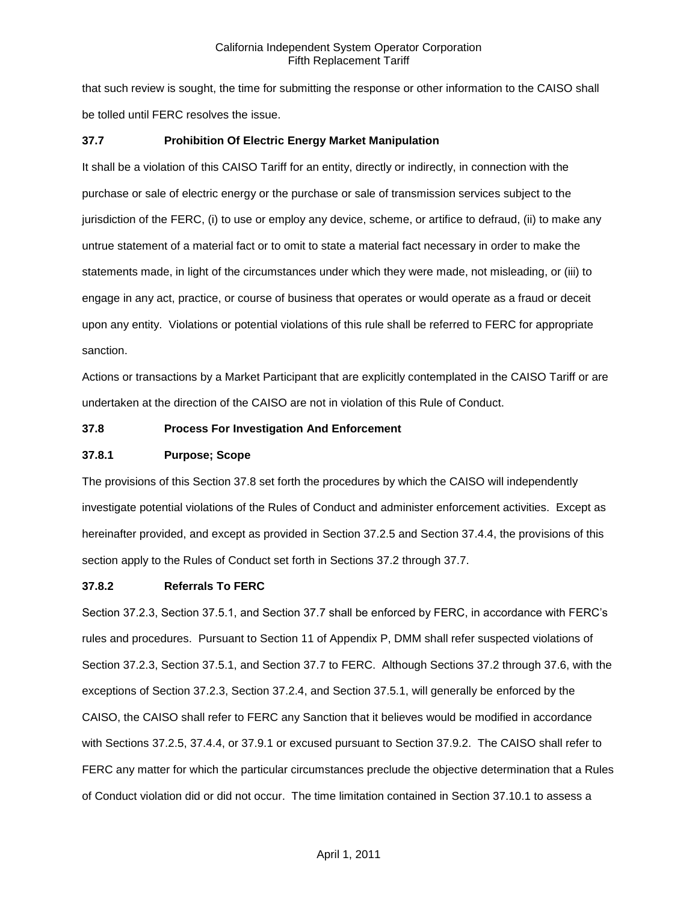that such review is sought, the time for submitting the response or other information to the CAISO shall be tolled until FERC resolves the issue.

# **37.7 Prohibition Of Electric Energy Market Manipulation**

It shall be a violation of this CAISO Tariff for an entity, directly or indirectly, in connection with the purchase or sale of electric energy or the purchase or sale of transmission services subject to the jurisdiction of the FERC, (i) to use or employ any device, scheme, or artifice to defraud, (ii) to make any untrue statement of a material fact or to omit to state a material fact necessary in order to make the statements made, in light of the circumstances under which they were made, not misleading, or (iii) to engage in any act, practice, or course of business that operates or would operate as a fraud or deceit upon any entity. Violations or potential violations of this rule shall be referred to FERC for appropriate sanction.

Actions or transactions by a Market Participant that are explicitly contemplated in the CAISO Tariff or are undertaken at the direction of the CAISO are not in violation of this Rule of Conduct.

#### **37.8 Process For Investigation And Enforcement**

### **37.8.1 Purpose; Scope**

The provisions of this Section 37.8 set forth the procedures by which the CAISO will independently investigate potential violations of the Rules of Conduct and administer enforcement activities. Except as hereinafter provided, and except as provided in Section 37.2.5 and Section 37.4.4, the provisions of this section apply to the Rules of Conduct set forth in Sections 37.2 through 37.7.

#### **37.8.2 Referrals To FERC**

Section 37.2.3, Section 37.5.1, and Section 37.7 shall be enforced by FERC, in accordance with FERC's rules and procedures. Pursuant to Section 11 of Appendix P, DMM shall refer suspected violations of Section 37.2.3, Section 37.5.1, and Section 37.7 to FERC. Although Sections 37.2 through 37.6, with the exceptions of Section 37.2.3, Section 37.2.4, and Section 37.5.1, will generally be enforced by the CAISO, the CAISO shall refer to FERC any Sanction that it believes would be modified in accordance with Sections 37.2.5, 37.4.4, or 37.9.1 or excused pursuant to Section 37.9.2. The CAISO shall refer to FERC any matter for which the particular circumstances preclude the objective determination that a Rules of Conduct violation did or did not occur. The time limitation contained in Section 37.10.1 to assess a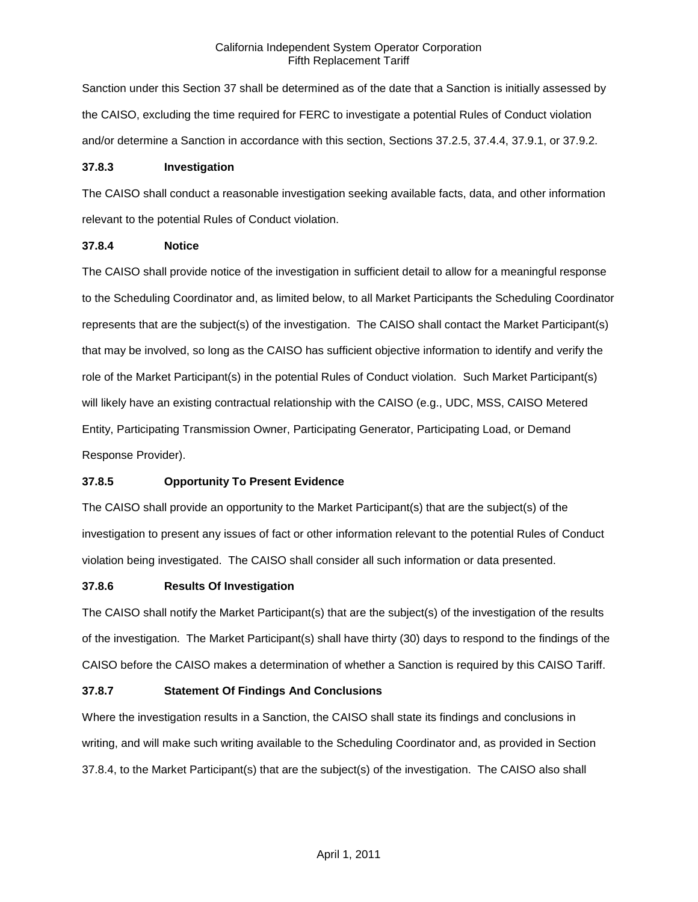Sanction under this Section 37 shall be determined as of the date that a Sanction is initially assessed by the CAISO, excluding the time required for FERC to investigate a potential Rules of Conduct violation and/or determine a Sanction in accordance with this section, Sections 37.2.5, 37.4.4, 37.9.1, or 37.9.2.

### **37.8.3 Investigation**

The CAISO shall conduct a reasonable investigation seeking available facts, data, and other information relevant to the potential Rules of Conduct violation.

## **37.8.4 Notice**

The CAISO shall provide notice of the investigation in sufficient detail to allow for a meaningful response to the Scheduling Coordinator and, as limited below, to all Market Participants the Scheduling Coordinator represents that are the subject(s) of the investigation. The CAISO shall contact the Market Participant(s) that may be involved, so long as the CAISO has sufficient objective information to identify and verify the role of the Market Participant(s) in the potential Rules of Conduct violation. Such Market Participant(s) will likely have an existing contractual relationship with the CAISO (e.g., UDC, MSS, CAISO Metered Entity, Participating Transmission Owner, Participating Generator, Participating Load, or Demand Response Provider).

# **37.8.5 Opportunity To Present Evidence**

The CAISO shall provide an opportunity to the Market Participant(s) that are the subject(s) of the investigation to present any issues of fact or other information relevant to the potential Rules of Conduct violation being investigated. The CAISO shall consider all such information or data presented.

# **37.8.6 Results Of Investigation**

The CAISO shall notify the Market Participant(s) that are the subject(s) of the investigation of the results of the investigation. The Market Participant(s) shall have thirty (30) days to respond to the findings of the CAISO before the CAISO makes a determination of whether a Sanction is required by this CAISO Tariff.

# **37.8.7 Statement Of Findings And Conclusions**

Where the investigation results in a Sanction, the CAISO shall state its findings and conclusions in writing, and will make such writing available to the Scheduling Coordinator and, as provided in Section 37.8.4, to the Market Participant(s) that are the subject(s) of the investigation. The CAISO also shall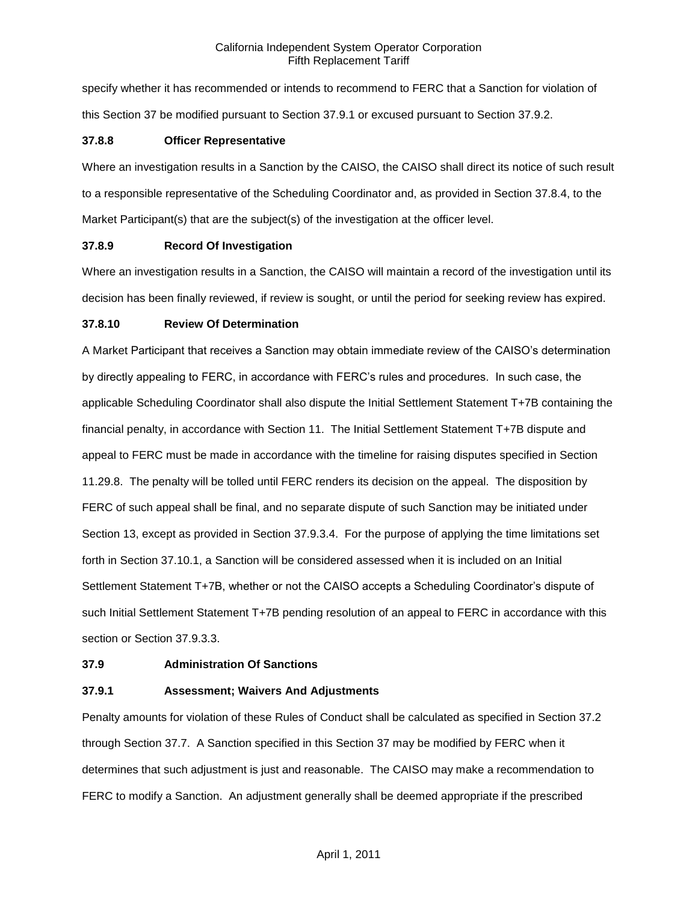specify whether it has recommended or intends to recommend to FERC that a Sanction for violation of this Section 37 be modified pursuant to Section 37.9.1 or excused pursuant to Section 37.9.2.

### **37.8.8 Officer Representative**

Where an investigation results in a Sanction by the CAISO, the CAISO shall direct its notice of such result to a responsible representative of the Scheduling Coordinator and, as provided in Section 37.8.4, to the Market Participant(s) that are the subject(s) of the investigation at the officer level.

## **37.8.9 Record Of Investigation**

Where an investigation results in a Sanction, the CAISO will maintain a record of the investigation until its decision has been finally reviewed, if review is sought, or until the period for seeking review has expired.

## **37.8.10 Review Of Determination**

A Market Participant that receives a Sanction may obtain immediate review of the CAISO's determination by directly appealing to FERC, in accordance with FERC's rules and procedures. In such case, the applicable Scheduling Coordinator shall also dispute the Initial Settlement Statement T+7B containing the financial penalty, in accordance with Section 11. The Initial Settlement Statement T+7B dispute and appeal to FERC must be made in accordance with the timeline for raising disputes specified in Section 11.29.8. The penalty will be tolled until FERC renders its decision on the appeal. The disposition by FERC of such appeal shall be final, and no separate dispute of such Sanction may be initiated under Section 13, except as provided in Section 37.9.3.4. For the purpose of applying the time limitations set forth in Section 37.10.1, a Sanction will be considered assessed when it is included on an Initial Settlement Statement T+7B, whether or not the CAISO accepts a Scheduling Coordinator's dispute of such Initial Settlement Statement T+7B pending resolution of an appeal to FERC in accordance with this section or Section 37.9.3.3.

#### **37.9 Administration Of Sanctions**

# **37.9.1 Assessment; Waivers And Adjustments**

Penalty amounts for violation of these Rules of Conduct shall be calculated as specified in Section 37.2 through Section 37.7. A Sanction specified in this Section 37 may be modified by FERC when it determines that such adjustment is just and reasonable. The CAISO may make a recommendation to FERC to modify a Sanction. An adjustment generally shall be deemed appropriate if the prescribed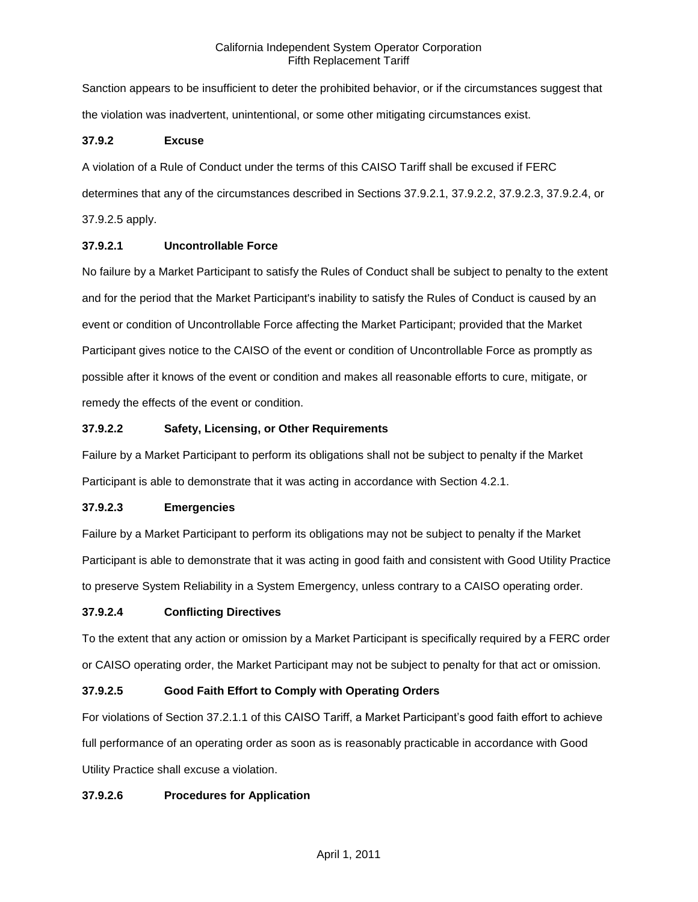Sanction appears to be insufficient to deter the prohibited behavior, or if the circumstances suggest that the violation was inadvertent, unintentional, or some other mitigating circumstances exist.

## **37.9.2 Excuse**

A violation of a Rule of Conduct under the terms of this CAISO Tariff shall be excused if FERC determines that any of the circumstances described in Sections 37.9.2.1, 37.9.2.2, 37.9.2.3, 37.9.2.4, or 37.9.2.5 apply.

# **37.9.2.1 Uncontrollable Force**

No failure by a Market Participant to satisfy the Rules of Conduct shall be subject to penalty to the extent and for the period that the Market Participant's inability to satisfy the Rules of Conduct is caused by an event or condition of Uncontrollable Force affecting the Market Participant; provided that the Market Participant gives notice to the CAISO of the event or condition of Uncontrollable Force as promptly as possible after it knows of the event or condition and makes all reasonable efforts to cure, mitigate, or remedy the effects of the event or condition.

## **37.9.2.2 Safety, Licensing, or Other Requirements**

Failure by a Market Participant to perform its obligations shall not be subject to penalty if the Market Participant is able to demonstrate that it was acting in accordance with Section 4.2.1.

# **37.9.2.3 Emergencies**

Failure by a Market Participant to perform its obligations may not be subject to penalty if the Market Participant is able to demonstrate that it was acting in good faith and consistent with Good Utility Practice to preserve System Reliability in a System Emergency, unless contrary to a CAISO operating order.

# **37.9.2.4 Conflicting Directives**

To the extent that any action or omission by a Market Participant is specifically required by a FERC order or CAISO operating order, the Market Participant may not be subject to penalty for that act or omission.

# **37.9.2.5 Good Faith Effort to Comply with Operating Orders**

For violations of Section 37.2.1.1 of this CAISO Tariff, a Market Participant's good faith effort to achieve full performance of an operating order as soon as is reasonably practicable in accordance with Good Utility Practice shall excuse a violation.

# **37.9.2.6 Procedures for Application**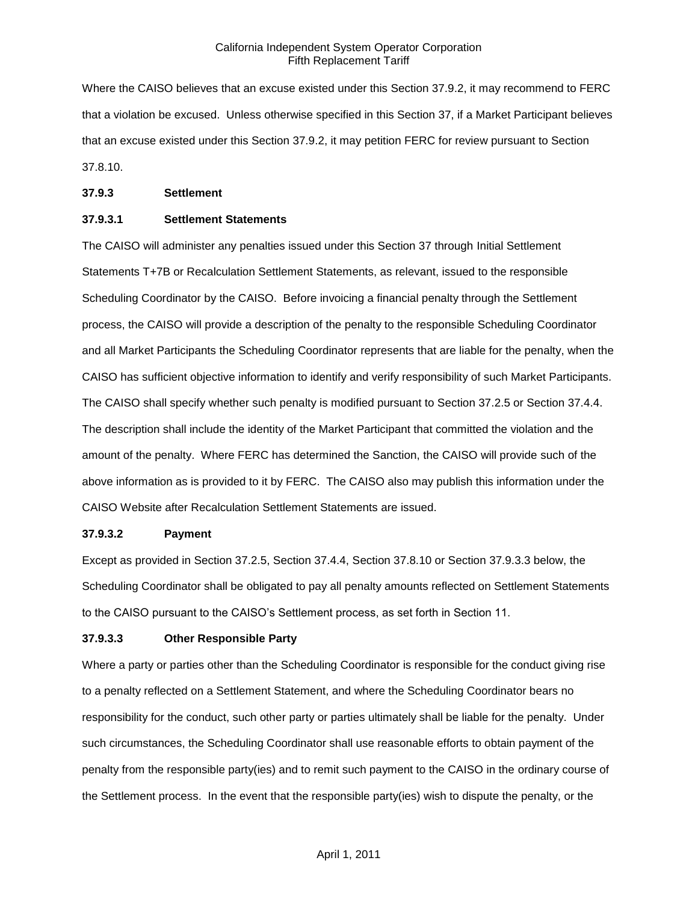Where the CAISO believes that an excuse existed under this Section 37.9.2, it may recommend to FERC that a violation be excused. Unless otherwise specified in this Section 37, if a Market Participant believes that an excuse existed under this Section 37.9.2, it may petition FERC for review pursuant to Section 37.8.10.

#### **37.9.3 Settlement**

### **37.9.3.1 Settlement Statements**

The CAISO will administer any penalties issued under this Section 37 through Initial Settlement Statements T+7B or Recalculation Settlement Statements, as relevant, issued to the responsible Scheduling Coordinator by the CAISO. Before invoicing a financial penalty through the Settlement process, the CAISO will provide a description of the penalty to the responsible Scheduling Coordinator and all Market Participants the Scheduling Coordinator represents that are liable for the penalty, when the CAISO has sufficient objective information to identify and verify responsibility of such Market Participants. The CAISO shall specify whether such penalty is modified pursuant to Section 37.2.5 or Section 37.4.4. The description shall include the identity of the Market Participant that committed the violation and the amount of the penalty. Where FERC has determined the Sanction, the CAISO will provide such of the above information as is provided to it by FERC. The CAISO also may publish this information under the CAISO Website after Recalculation Settlement Statements are issued.

# **37.9.3.2 Payment**

Except as provided in Section 37.2.5, Section 37.4.4, Section 37.8.10 or Section 37.9.3.3 below, the Scheduling Coordinator shall be obligated to pay all penalty amounts reflected on Settlement Statements to the CAISO pursuant to the CAISO's Settlement process, as set forth in Section 11.

#### **37.9.3.3 Other Responsible Party**

Where a party or parties other than the Scheduling Coordinator is responsible for the conduct giving rise to a penalty reflected on a Settlement Statement, and where the Scheduling Coordinator bears no responsibility for the conduct, such other party or parties ultimately shall be liable for the penalty. Under such circumstances, the Scheduling Coordinator shall use reasonable efforts to obtain payment of the penalty from the responsible party(ies) and to remit such payment to the CAISO in the ordinary course of the Settlement process. In the event that the responsible party(ies) wish to dispute the penalty, or the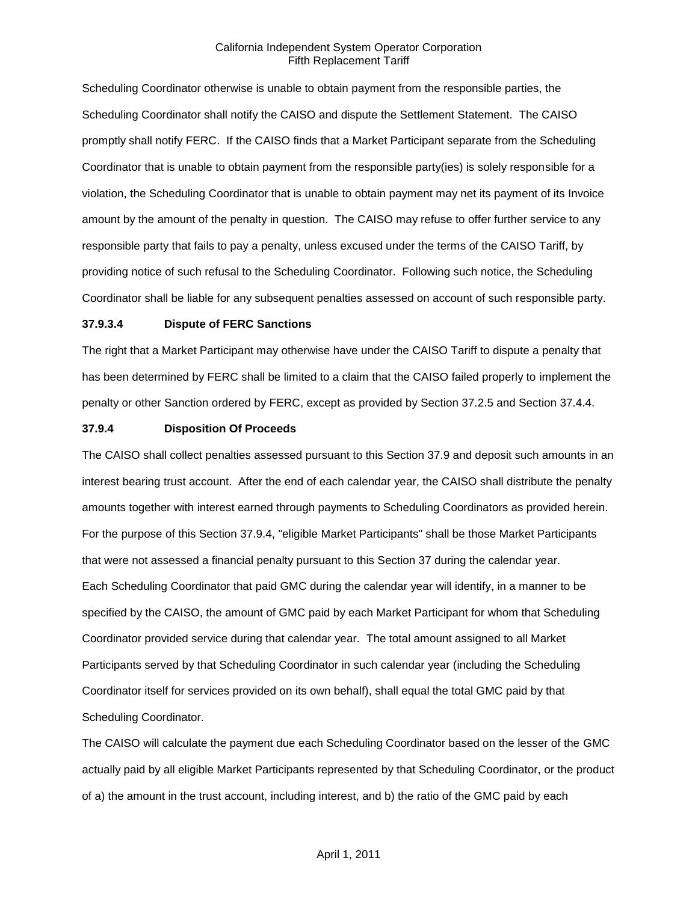Scheduling Coordinator otherwise is unable to obtain payment from the responsible parties, the Scheduling Coordinator shall notify the CAISO and dispute the Settlement Statement. The CAISO promptly shall notify FERC. If the CAISO finds that a Market Participant separate from the Scheduling Coordinator that is unable to obtain payment from the responsible party(ies) is solely responsible for a violation, the Scheduling Coordinator that is unable to obtain payment may net its payment of its Invoice amount by the amount of the penalty in question. The CAISO may refuse to offer further service to any responsible party that fails to pay a penalty, unless excused under the terms of the CAISO Tariff, by providing notice of such refusal to the Scheduling Coordinator. Following such notice, the Scheduling Coordinator shall be liable for any subsequent penalties assessed on account of such responsible party.

#### **37.9.3.4 Dispute of FERC Sanctions**

The right that a Market Participant may otherwise have under the CAISO Tariff to dispute a penalty that has been determined by FERC shall be limited to a claim that the CAISO failed properly to implement the penalty or other Sanction ordered by FERC, except as provided by Section 37.2.5 and Section 37.4.4.

#### **37.9.4 Disposition Of Proceeds**

The CAISO shall collect penalties assessed pursuant to this Section 37.9 and deposit such amounts in an interest bearing trust account. After the end of each calendar year, the CAISO shall distribute the penalty amounts together with interest earned through payments to Scheduling Coordinators as provided herein. For the purpose of this Section 37.9.4, "eligible Market Participants" shall be those Market Participants that were not assessed a financial penalty pursuant to this Section 37 during the calendar year. Each Scheduling Coordinator that paid GMC during the calendar year will identify, in a manner to be specified by the CAISO, the amount of GMC paid by each Market Participant for whom that Scheduling Coordinator provided service during that calendar year. The total amount assigned to all Market Participants served by that Scheduling Coordinator in such calendar year (including the Scheduling Coordinator itself for services provided on its own behalf), shall equal the total GMC paid by that Scheduling Coordinator.

The CAISO will calculate the payment due each Scheduling Coordinator based on the lesser of the GMC actually paid by all eligible Market Participants represented by that Scheduling Coordinator, or the product of a) the amount in the trust account, including interest, and b) the ratio of the GMC paid by each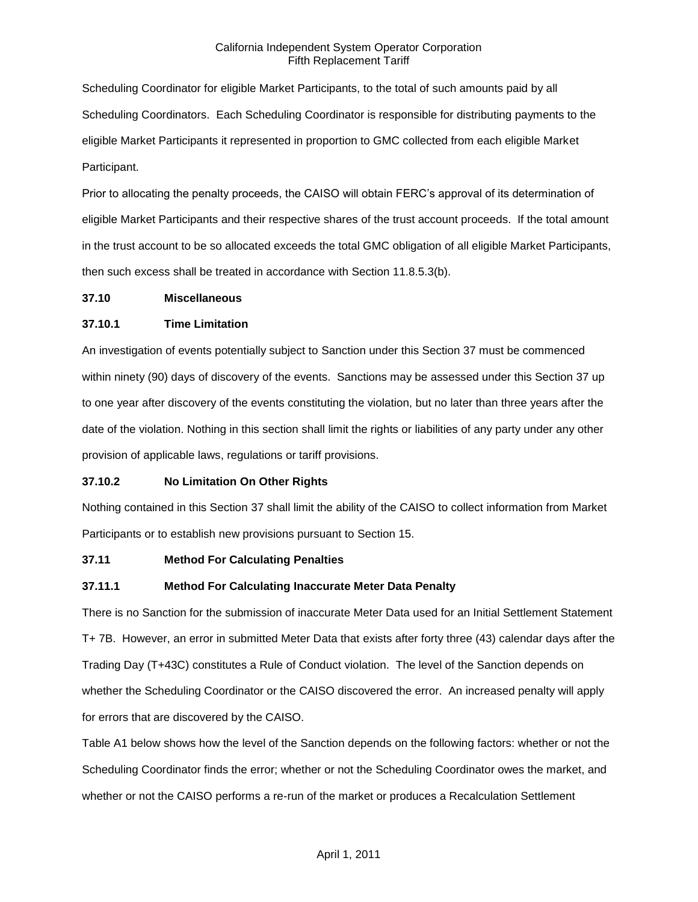Scheduling Coordinator for eligible Market Participants, to the total of such amounts paid by all Scheduling Coordinators. Each Scheduling Coordinator is responsible for distributing payments to the eligible Market Participants it represented in proportion to GMC collected from each eligible Market Participant.

Prior to allocating the penalty proceeds, the CAISO will obtain FERC's approval of its determination of eligible Market Participants and their respective shares of the trust account proceeds. If the total amount in the trust account to be so allocated exceeds the total GMC obligation of all eligible Market Participants, then such excess shall be treated in accordance with Section 11.8.5.3(b).

#### **37.10 Miscellaneous**

## **37.10.1 Time Limitation**

An investigation of events potentially subject to Sanction under this Section 37 must be commenced within ninety (90) days of discovery of the events. Sanctions may be assessed under this Section 37 up to one year after discovery of the events constituting the violation, but no later than three years after the date of the violation. Nothing in this section shall limit the rights or liabilities of any party under any other provision of applicable laws, regulations or tariff provisions.

#### **37.10.2 No Limitation On Other Rights**

Nothing contained in this Section 37 shall limit the ability of the CAISO to collect information from Market Participants or to establish new provisions pursuant to Section 15.

#### **37.11 Method For Calculating Penalties**

# **37.11.1 Method For Calculating Inaccurate Meter Data Penalty**

There is no Sanction for the submission of inaccurate Meter Data used for an Initial Settlement Statement T+ 7B. However, an error in submitted Meter Data that exists after forty three (43) calendar days after the Trading Day (T+43C) constitutes a Rule of Conduct violation. The level of the Sanction depends on whether the Scheduling Coordinator or the CAISO discovered the error. An increased penalty will apply for errors that are discovered by the CAISO.

Table A1 below shows how the level of the Sanction depends on the following factors: whether or not the Scheduling Coordinator finds the error; whether or not the Scheduling Coordinator owes the market, and whether or not the CAISO performs a re-run of the market or produces a Recalculation Settlement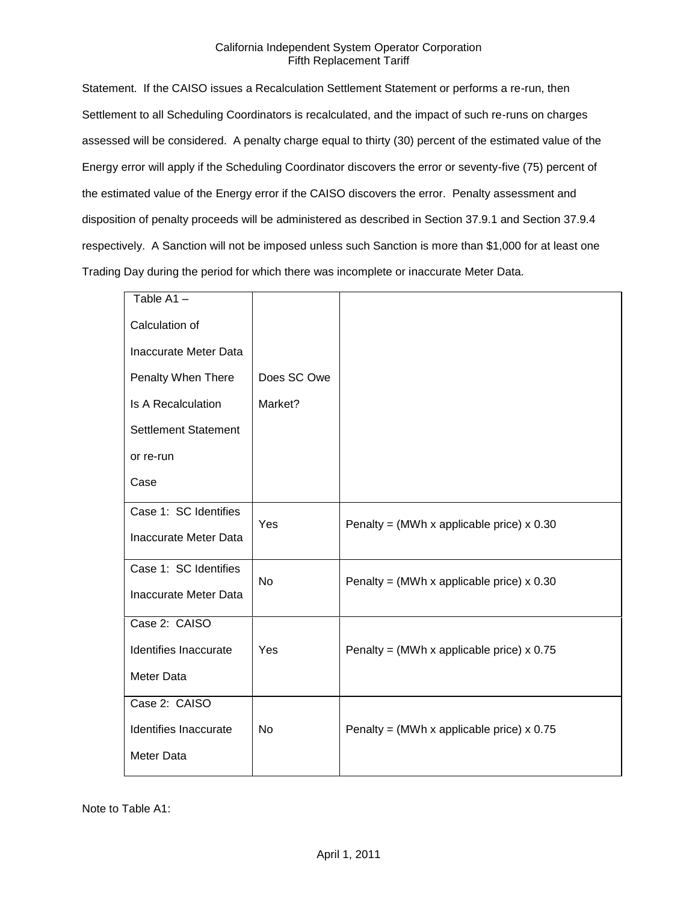Statement. If the CAISO issues a Recalculation Settlement Statement or performs a re-run, then Settlement to all Scheduling Coordinators is recalculated, and the impact of such re-runs on charges assessed will be considered. A penalty charge equal to thirty (30) percent of the estimated value of the Energy error will apply if the Scheduling Coordinator discovers the error or seventy-five (75) percent of the estimated value of the Energy error if the CAISO discovers the error. Penalty assessment and disposition of penalty proceeds will be administered as described in Section 37.9.1 and Section 37.9.4 respectively. A Sanction will not be imposed unless such Sanction is more than \$1,000 for at least one Trading Day during the period for which there was incomplete or inaccurate Meter Data.

| Table A1-                    |             |                                                  |
|------------------------------|-------------|--------------------------------------------------|
| Calculation of               |             |                                                  |
| Inaccurate Meter Data        |             |                                                  |
| Penalty When There           | Does SC Owe |                                                  |
| <b>Is A Recalculation</b>    | Market?     |                                                  |
| <b>Settlement Statement</b>  |             |                                                  |
| or re-run                    |             |                                                  |
| Case                         |             |                                                  |
| Case 1: SC Identifies        | Yes         | Penalty = (MWh x applicable price) $\times$ 0.30 |
| <b>Inaccurate Meter Data</b> |             |                                                  |
| Case 1: SC Identifies        | <b>No</b>   | Penalty = (MWh x applicable price) $x$ 0.30      |
| Inaccurate Meter Data        |             |                                                  |
| Case 2: CAISO                |             |                                                  |
| Identifies Inaccurate        | Yes         | Penalty = (MWh x applicable price) $x$ 0.75      |
| Meter Data                   |             |                                                  |
| Case 2: CAISO                |             |                                                  |
| Identifies Inaccurate        | <b>No</b>   | Penalty = (MWh x applicable price) $\times$ 0.75 |
| Meter Data                   |             |                                                  |
|                              |             |                                                  |

Note to Table A1: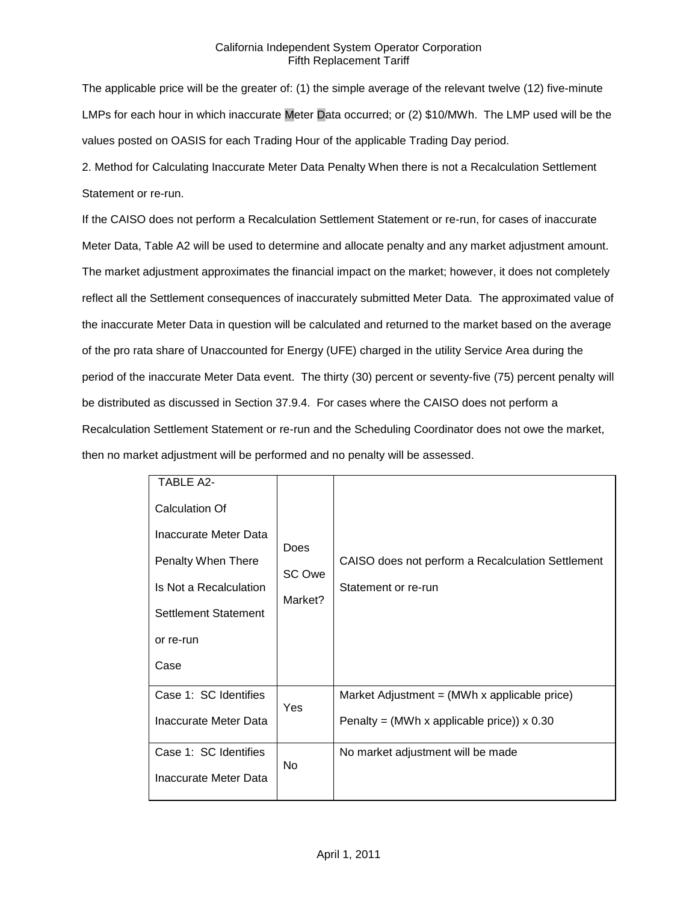The applicable price will be the greater of: (1) the simple average of the relevant twelve (12) five-minute LMPs for each hour in which inaccurate Meter Data occurred; or (2) \$10/MWh. The LMP used will be the values posted on OASIS for each Trading Hour of the applicable Trading Day period.

2. Method for Calculating Inaccurate Meter Data Penalty When there is not a Recalculation Settlement Statement or re-run.

If the CAISO does not perform a Recalculation Settlement Statement or re-run, for cases of inaccurate Meter Data, Table A2 will be used to determine and allocate penalty and any market adjustment amount. The market adjustment approximates the financial impact on the market; however, it does not completely reflect all the Settlement consequences of inaccurately submitted Meter Data. The approximated value of the inaccurate Meter Data in question will be calculated and returned to the market based on the average of the pro rata share of Unaccounted for Energy (UFE) charged in the utility Service Area during the period of the inaccurate Meter Data event. The thirty (30) percent or seventy-five (75) percent penalty will be distributed as discussed in Section 37.9.4. For cases where the CAISO does not perform a Recalculation Settlement Statement or re-run and the Scheduling Coordinator does not owe the market, then no market adjustment will be performed and no penalty will be assessed.

| TABLE A2-<br><b>Calculation Of</b><br>Inaccurate Meter Data<br>Penalty When There<br>Is Not a Recalculation<br>Settlement Statement<br>or re-run<br>Case | <b>Does</b><br>SC Owe<br>Market? | CAISO does not perform a Recalculation Settlement<br>Statement or re-run                                  |
|----------------------------------------------------------------------------------------------------------------------------------------------------------|----------------------------------|-----------------------------------------------------------------------------------------------------------|
| Case 1: SC Identifies<br>Inaccurate Meter Data                                                                                                           | Yes                              | Market Adjustment = $(MWh \times applicable\ price)$<br>Penalty = (MWh x applicable price)) $\times$ 0.30 |
| Case 1: SC Identifies<br>Inaccurate Meter Data                                                                                                           | No                               | No market adjustment will be made                                                                         |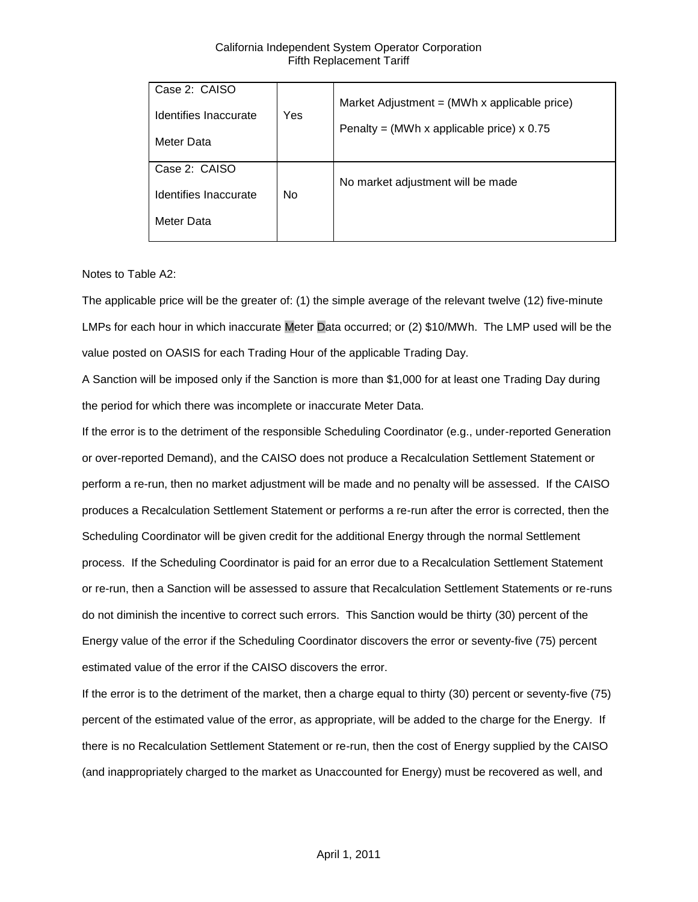| Case 2: CAISO<br>Identifies Inaccurate<br>Meter Data | Yes            | Market Adjustment = $(MWh \times \text{applicable price})$<br>Penalty = (MWh x applicable price) $x$ 0.75 |
|------------------------------------------------------|----------------|-----------------------------------------------------------------------------------------------------------|
| Case 2: CAISO<br>Identifies Inaccurate               | N <sub>o</sub> | No market adjustment will be made                                                                         |
| Meter Data                                           |                |                                                                                                           |

Notes to Table A2:

The applicable price will be the greater of: (1) the simple average of the relevant twelve (12) five-minute LMPs for each hour in which inaccurate Meter Data occurred; or (2) \$10/MWh. The LMP used will be the value posted on OASIS for each Trading Hour of the applicable Trading Day.

A Sanction will be imposed only if the Sanction is more than \$1,000 for at least one Trading Day during the period for which there was incomplete or inaccurate Meter Data.

If the error is to the detriment of the responsible Scheduling Coordinator (e.g., under-reported Generation or over-reported Demand), and the CAISO does not produce a Recalculation Settlement Statement or perform a re-run, then no market adjustment will be made and no penalty will be assessed. If the CAISO produces a Recalculation Settlement Statement or performs a re-run after the error is corrected, then the Scheduling Coordinator will be given credit for the additional Energy through the normal Settlement process. If the Scheduling Coordinator is paid for an error due to a Recalculation Settlement Statement or re-run, then a Sanction will be assessed to assure that Recalculation Settlement Statements or re-runs do not diminish the incentive to correct such errors. This Sanction would be thirty (30) percent of the Energy value of the error if the Scheduling Coordinator discovers the error or seventy-five (75) percent estimated value of the error if the CAISO discovers the error.

If the error is to the detriment of the market, then a charge equal to thirty (30) percent or seventy-five (75) percent of the estimated value of the error, as appropriate, will be added to the charge for the Energy. If there is no Recalculation Settlement Statement or re-run, then the cost of Energy supplied by the CAISO (and inappropriately charged to the market as Unaccounted for Energy) must be recovered as well, and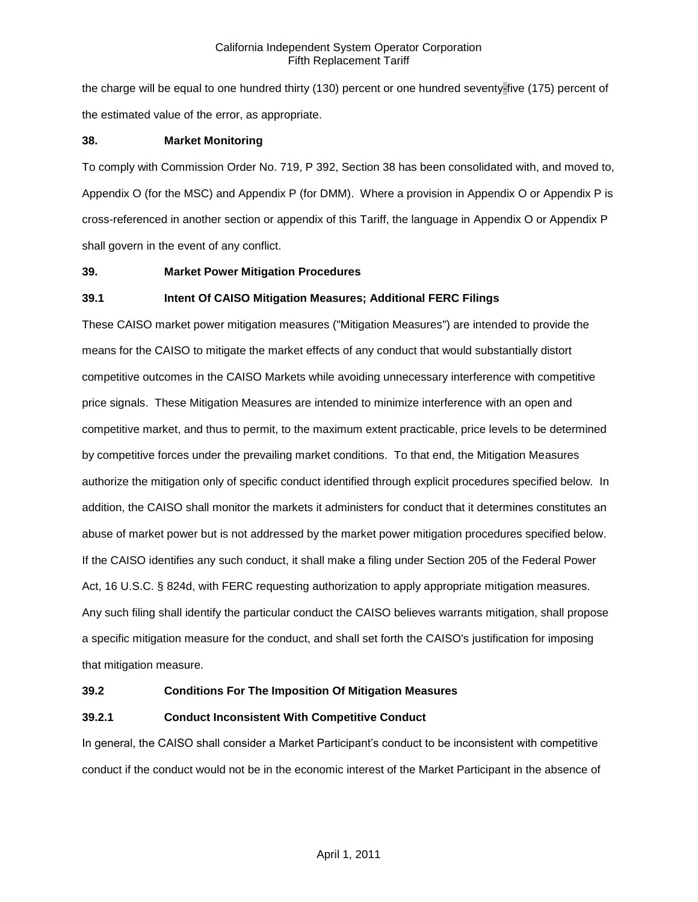the charge will be equal to one hundred thirty (130) percent or one hundred seventy-five (175) percent of the estimated value of the error, as appropriate.

## **38. Market Monitoring**

To comply with Commission Order No. 719, P 392, Section 38 has been consolidated with, and moved to, Appendix O (for the MSC) and Appendix P (for DMM). Where a provision in Appendix O or Appendix P is cross-referenced in another section or appendix of this Tariff, the language in Appendix O or Appendix P shall govern in the event of any conflict.

## **39. Market Power Mitigation Procedures**

## **39.1 Intent Of CAISO Mitigation Measures; Additional FERC Filings**

These CAISO market power mitigation measures ("Mitigation Measures") are intended to provide the means for the CAISO to mitigate the market effects of any conduct that would substantially distort competitive outcomes in the CAISO Markets while avoiding unnecessary interference with competitive price signals. These Mitigation Measures are intended to minimize interference with an open and competitive market, and thus to permit, to the maximum extent practicable, price levels to be determined by competitive forces under the prevailing market conditions. To that end, the Mitigation Measures authorize the mitigation only of specific conduct identified through explicit procedures specified below. In addition, the CAISO shall monitor the markets it administers for conduct that it determines constitutes an abuse of market power but is not addressed by the market power mitigation procedures specified below. If the CAISO identifies any such conduct, it shall make a filing under Section 205 of the Federal Power Act, 16 U.S.C. § 824d, with FERC requesting authorization to apply appropriate mitigation measures. Any such filing shall identify the particular conduct the CAISO believes warrants mitigation, shall propose a specific mitigation measure for the conduct, and shall set forth the CAISO's justification for imposing that mitigation measure.

#### **39.2 Conditions For The Imposition Of Mitigation Measures**

# **39.2.1 Conduct Inconsistent With Competitive Conduct**

In general, the CAISO shall consider a Market Participant's conduct to be inconsistent with competitive conduct if the conduct would not be in the economic interest of the Market Participant in the absence of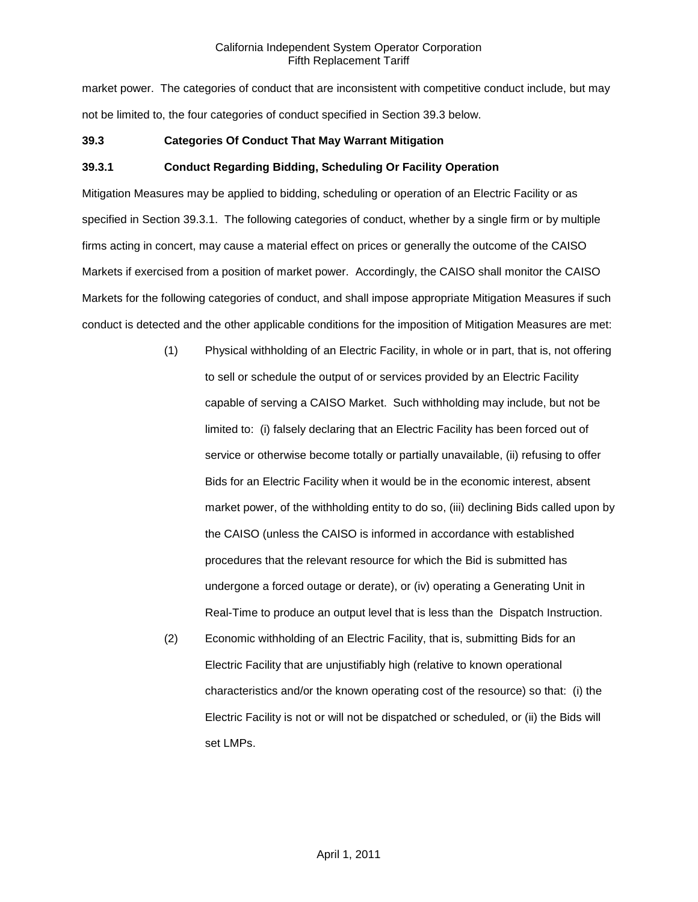market power. The categories of conduct that are inconsistent with competitive conduct include, but may not be limited to, the four categories of conduct specified in Section 39.3 below.

### **39.3 Categories Of Conduct That May Warrant Mitigation**

## **39.3.1 Conduct Regarding Bidding, Scheduling Or Facility Operation**

Mitigation Measures may be applied to bidding, scheduling or operation of an Electric Facility or as specified in Section 39.3.1. The following categories of conduct, whether by a single firm or by multiple firms acting in concert, may cause a material effect on prices or generally the outcome of the CAISO Markets if exercised from a position of market power. Accordingly, the CAISO shall monitor the CAISO Markets for the following categories of conduct, and shall impose appropriate Mitigation Measures if such conduct is detected and the other applicable conditions for the imposition of Mitigation Measures are met:

- (1) Physical withholding of an Electric Facility, in whole or in part, that is, not offering to sell or schedule the output of or services provided by an Electric Facility capable of serving a CAISO Market. Such withholding may include, but not be limited to: (i) falsely declaring that an Electric Facility has been forced out of service or otherwise become totally or partially unavailable, (ii) refusing to offer Bids for an Electric Facility when it would be in the economic interest, absent market power, of the withholding entity to do so, (iii) declining Bids called upon by the CAISO (unless the CAISO is informed in accordance with established procedures that the relevant resource for which the Bid is submitted has undergone a forced outage or derate), or (iv) operating a Generating Unit in Real-Time to produce an output level that is less than the Dispatch Instruction.
- (2) Economic withholding of an Electric Facility, that is, submitting Bids for an Electric Facility that are unjustifiably high (relative to known operational characteristics and/or the known operating cost of the resource) so that: (i) the Electric Facility is not or will not be dispatched or scheduled, or (ii) the Bids will set LMPs.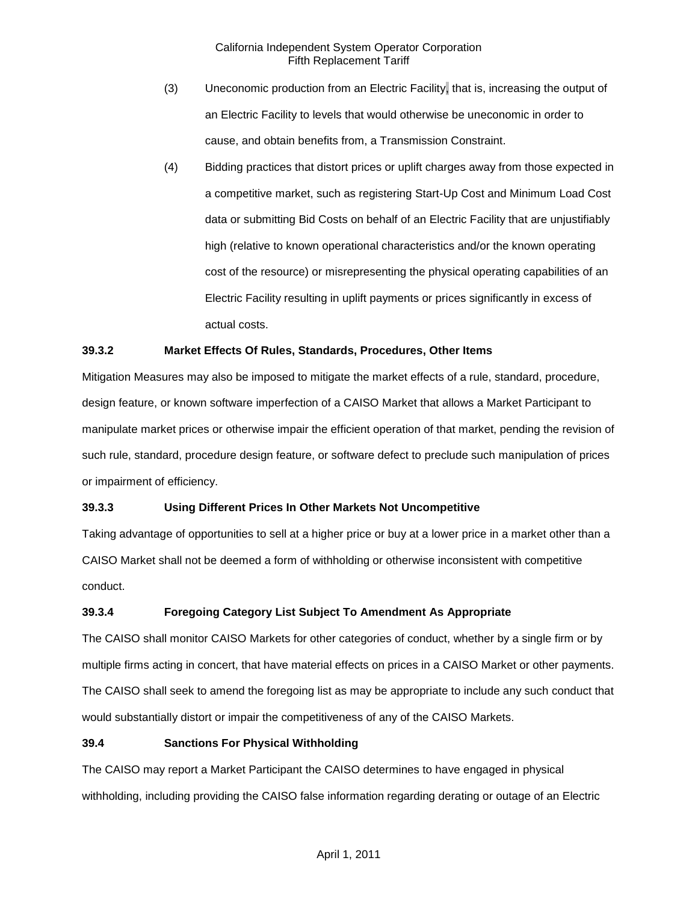- (3) Uneconomic production from an Electric Facility, that is, increasing the output of an Electric Facility to levels that would otherwise be uneconomic in order to cause, and obtain benefits from, a Transmission Constraint.
- (4) Bidding practices that distort prices or uplift charges away from those expected in a competitive market, such as registering Start-Up Cost and Minimum Load Cost data or submitting Bid Costs on behalf of an Electric Facility that are unjustifiably high (relative to known operational characteristics and/or the known operating cost of the resource) or misrepresenting the physical operating capabilities of an Electric Facility resulting in uplift payments or prices significantly in excess of actual costs.

# **39.3.2 Market Effects Of Rules, Standards, Procedures, Other Items**

Mitigation Measures may also be imposed to mitigate the market effects of a rule, standard, procedure, design feature, or known software imperfection of a CAISO Market that allows a Market Participant to manipulate market prices or otherwise impair the efficient operation of that market, pending the revision of such rule, standard, procedure design feature, or software defect to preclude such manipulation of prices or impairment of efficiency.

# **39.3.3 Using Different Prices In Other Markets Not Uncompetitive**

Taking advantage of opportunities to sell at a higher price or buy at a lower price in a market other than a CAISO Market shall not be deemed a form of withholding or otherwise inconsistent with competitive conduct.

# **39.3.4 Foregoing Category List Subject To Amendment As Appropriate**

The CAISO shall monitor CAISO Markets for other categories of conduct, whether by a single firm or by multiple firms acting in concert, that have material effects on prices in a CAISO Market or other payments. The CAISO shall seek to amend the foregoing list as may be appropriate to include any such conduct that would substantially distort or impair the competitiveness of any of the CAISO Markets.

#### **39.4 Sanctions For Physical Withholding**

The CAISO may report a Market Participant the CAISO determines to have engaged in physical withholding, including providing the CAISO false information regarding derating or outage of an Electric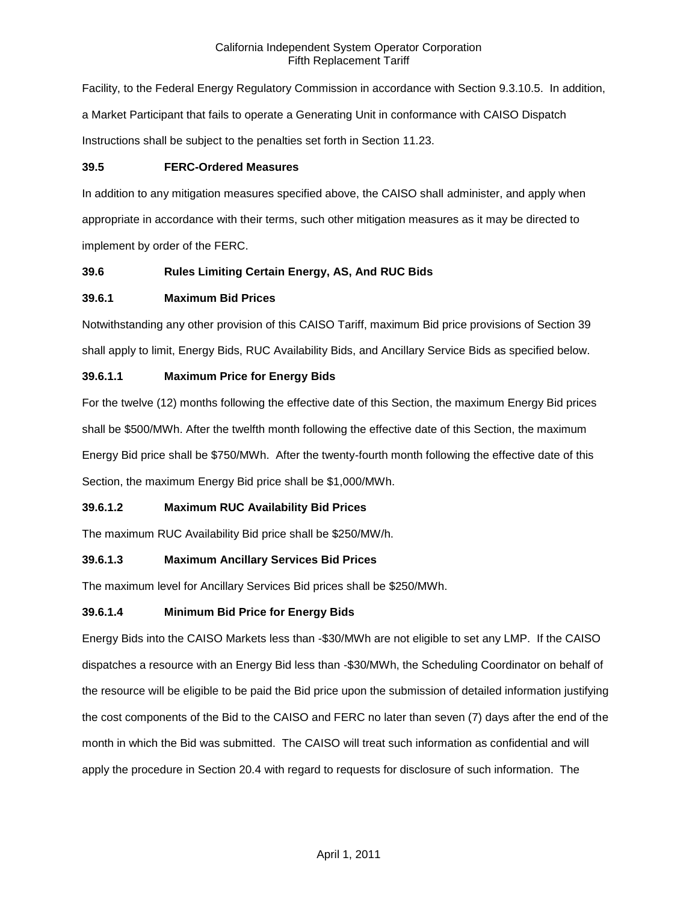Facility, to the Federal Energy Regulatory Commission in accordance with Section 9.3.10.5. In addition, a Market Participant that fails to operate a Generating Unit in conformance with CAISO Dispatch Instructions shall be subject to the penalties set forth in Section 11.23.

# **39.5 FERC-Ordered Measures**

In addition to any mitigation measures specified above, the CAISO shall administer, and apply when appropriate in accordance with their terms, such other mitigation measures as it may be directed to implement by order of the FERC.

# **39.6 Rules Limiting Certain Energy, AS, And RUC Bids**

# **39.6.1 Maximum Bid Prices**

Notwithstanding any other provision of this CAISO Tariff, maximum Bid price provisions of Section 39 shall apply to limit, Energy Bids, RUC Availability Bids, and Ancillary Service Bids as specified below.

## **39.6.1.1 Maximum Price for Energy Bids**

For the twelve (12) months following the effective date of this Section, the maximum Energy Bid prices shall be \$500/MWh. After the twelfth month following the effective date of this Section, the maximum Energy Bid price shall be \$750/MWh. After the twenty-fourth month following the effective date of this Section, the maximum Energy Bid price shall be \$1,000/MWh.

# **39.6.1.2 Maximum RUC Availability Bid Prices**

The maximum RUC Availability Bid price shall be \$250/MW/h.

# **39.6.1.3 Maximum Ancillary Services Bid Prices**

The maximum level for Ancillary Services Bid prices shall be \$250/MWh.

#### **39.6.1.4 Minimum Bid Price for Energy Bids**

Energy Bids into the CAISO Markets less than -\$30/MWh are not eligible to set any LMP. If the CAISO dispatches a resource with an Energy Bid less than -\$30/MWh, the Scheduling Coordinator on behalf of the resource will be eligible to be paid the Bid price upon the submission of detailed information justifying the cost components of the Bid to the CAISO and FERC no later than seven (7) days after the end of the month in which the Bid was submitted. The CAISO will treat such information as confidential and will apply the procedure in Section 20.4 with regard to requests for disclosure of such information. The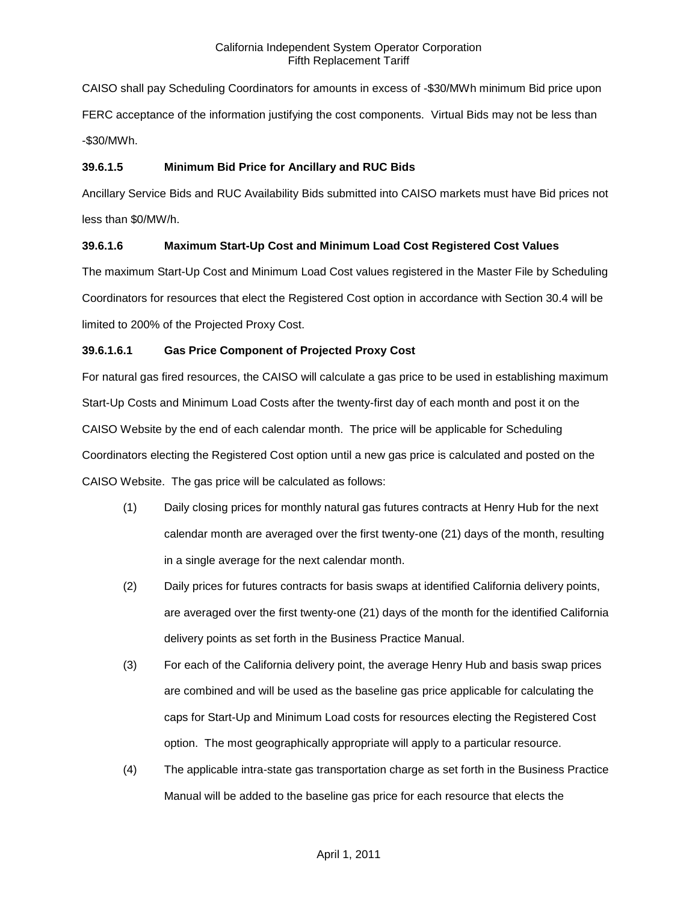CAISO shall pay Scheduling Coordinators for amounts in excess of -\$30/MWh minimum Bid price upon FERC acceptance of the information justifying the cost components. Virtual Bids may not be less than -\$30/MWh.

# **39.6.1.5 Minimum Bid Price for Ancillary and RUC Bids**

Ancillary Service Bids and RUC Availability Bids submitted into CAISO markets must have Bid prices not less than \$0/MW/h.

# **39.6.1.6 Maximum Start-Up Cost and Minimum Load Cost Registered Cost Values**

The maximum Start-Up Cost and Minimum Load Cost values registered in the Master File by Scheduling Coordinators for resources that elect the Registered Cost option in accordance with Section 30.4 will be limited to 200% of the Projected Proxy Cost.

# **39.6.1.6.1 Gas Price Component of Projected Proxy Cost**

For natural gas fired resources, the CAISO will calculate a gas price to be used in establishing maximum Start-Up Costs and Minimum Load Costs after the twenty-first day of each month and post it on the CAISO Website by the end of each calendar month. The price will be applicable for Scheduling Coordinators electing the Registered Cost option until a new gas price is calculated and posted on the CAISO Website. The gas price will be calculated as follows:

- (1) Daily closing prices for monthly natural gas futures contracts at Henry Hub for the next calendar month are averaged over the first twenty-one (21) days of the month, resulting in a single average for the next calendar month.
- (2) Daily prices for futures contracts for basis swaps at identified California delivery points, are averaged over the first twenty-one (21) days of the month for the identified California delivery points as set forth in the Business Practice Manual.
- (3) For each of the California delivery point, the average Henry Hub and basis swap prices are combined and will be used as the baseline gas price applicable for calculating the caps for Start-Up and Minimum Load costs for resources electing the Registered Cost option. The most geographically appropriate will apply to a particular resource.
- (4) The applicable intra-state gas transportation charge as set forth in the Business Practice Manual will be added to the baseline gas price for each resource that elects the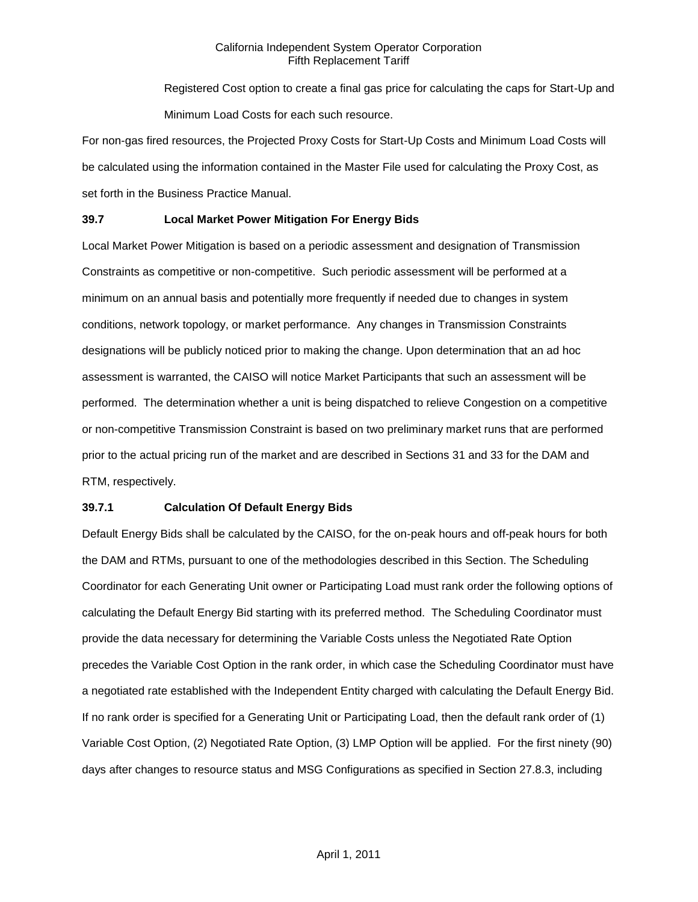Registered Cost option to create a final gas price for calculating the caps for Start-Up and Minimum Load Costs for each such resource.

For non-gas fired resources, the Projected Proxy Costs for Start-Up Costs and Minimum Load Costs will be calculated using the information contained in the Master File used for calculating the Proxy Cost, as set forth in the Business Practice Manual.

# **39.7 Local Market Power Mitigation For Energy Bids**

Local Market Power Mitigation is based on a periodic assessment and designation of Transmission Constraints as competitive or non-competitive. Such periodic assessment will be performed at a minimum on an annual basis and potentially more frequently if needed due to changes in system conditions, network topology, or market performance. Any changes in Transmission Constraints designations will be publicly noticed prior to making the change. Upon determination that an ad hoc assessment is warranted, the CAISO will notice Market Participants that such an assessment will be performed. The determination whether a unit is being dispatched to relieve Congestion on a competitive or non-competitive Transmission Constraint is based on two preliminary market runs that are performed prior to the actual pricing run of the market and are described in Sections 31 and 33 for the DAM and RTM, respectively.

#### **39.7.1 Calculation Of Default Energy Bids**

Default Energy Bids shall be calculated by the CAISO, for the on-peak hours and off-peak hours for both the DAM and RTMs, pursuant to one of the methodologies described in this Section. The Scheduling Coordinator for each Generating Unit owner or Participating Load must rank order the following options of calculating the Default Energy Bid starting with its preferred method. The Scheduling Coordinator must provide the data necessary for determining the Variable Costs unless the Negotiated Rate Option precedes the Variable Cost Option in the rank order, in which case the Scheduling Coordinator must have a negotiated rate established with the Independent Entity charged with calculating the Default Energy Bid. If no rank order is specified for a Generating Unit or Participating Load, then the default rank order of (1) Variable Cost Option, (2) Negotiated Rate Option, (3) LMP Option will be applied. For the first ninety (90) days after changes to resource status and MSG Configurations as specified in Section 27.8.3, including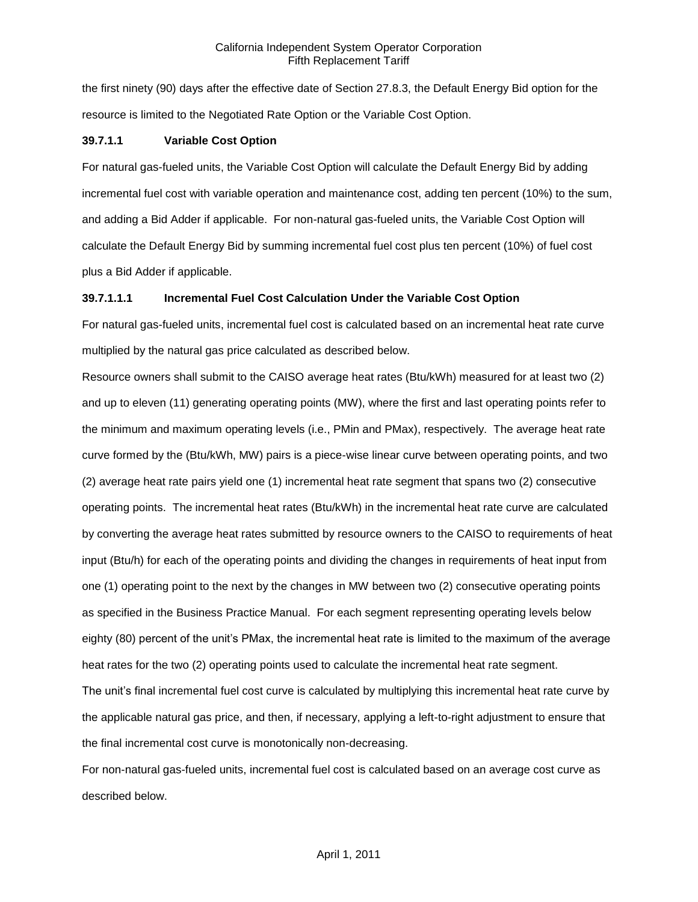the first ninety (90) days after the effective date of Section 27.8.3, the Default Energy Bid option for the resource is limited to the Negotiated Rate Option or the Variable Cost Option.

# **39.7.1.1 Variable Cost Option**

For natural gas-fueled units, the Variable Cost Option will calculate the Default Energy Bid by adding incremental fuel cost with variable operation and maintenance cost, adding ten percent (10%) to the sum, and adding a Bid Adder if applicable. For non-natural gas-fueled units, the Variable Cost Option will calculate the Default Energy Bid by summing incremental fuel cost plus ten percent (10%) of fuel cost plus a Bid Adder if applicable.

## **39.7.1.1.1 Incremental Fuel Cost Calculation Under the Variable Cost Option**

For natural gas-fueled units, incremental fuel cost is calculated based on an incremental heat rate curve multiplied by the natural gas price calculated as described below.

Resource owners shall submit to the CAISO average heat rates (Btu/kWh) measured for at least two (2) and up to eleven (11) generating operating points (MW), where the first and last operating points refer to the minimum and maximum operating levels (i.e., PMin and PMax), respectively. The average heat rate curve formed by the (Btu/kWh, MW) pairs is a piece-wise linear curve between operating points, and two (2) average heat rate pairs yield one (1) incremental heat rate segment that spans two (2) consecutive operating points. The incremental heat rates (Btu/kWh) in the incremental heat rate curve are calculated by converting the average heat rates submitted by resource owners to the CAISO to requirements of heat input (Btu/h) for each of the operating points and dividing the changes in requirements of heat input from one (1) operating point to the next by the changes in MW between two (2) consecutive operating points as specified in the Business Practice Manual. For each segment representing operating levels below eighty (80) percent of the unit's PMax, the incremental heat rate is limited to the maximum of the average heat rates for the two (2) operating points used to calculate the incremental heat rate segment.

The unit's final incremental fuel cost curve is calculated by multiplying this incremental heat rate curve by the applicable natural gas price, and then, if necessary, applying a left-to-right adjustment to ensure that the final incremental cost curve is monotonically non-decreasing.

For non-natural gas-fueled units, incremental fuel cost is calculated based on an average cost curve as described below.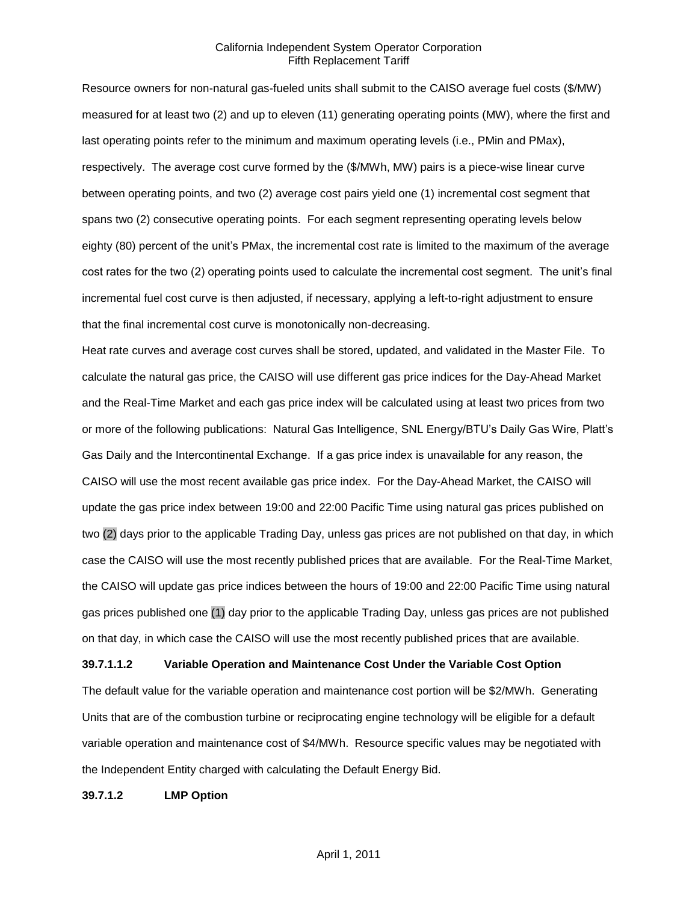Resource owners for non-natural gas-fueled units shall submit to the CAISO average fuel costs (\$/MW) measured for at least two (2) and up to eleven (11) generating operating points (MW), where the first and last operating points refer to the minimum and maximum operating levels (i.e., PMin and PMax), respectively. The average cost curve formed by the (\$/MWh, MW) pairs is a piece-wise linear curve between operating points, and two (2) average cost pairs yield one (1) incremental cost segment that spans two (2) consecutive operating points. For each segment representing operating levels below eighty (80) percent of the unit's PMax, the incremental cost rate is limited to the maximum of the average cost rates for the two (2) operating points used to calculate the incremental cost segment. The unit's final incremental fuel cost curve is then adjusted, if necessary, applying a left-to-right adjustment to ensure that the final incremental cost curve is monotonically non-decreasing.

Heat rate curves and average cost curves shall be stored, updated, and validated in the Master File. To calculate the natural gas price, the CAISO will use different gas price indices for the Day-Ahead Market and the Real-Time Market and each gas price index will be calculated using at least two prices from two or more of the following publications: Natural Gas Intelligence, SNL Energy/BTU's Daily Gas Wire, Platt's Gas Daily and the Intercontinental Exchange. If a gas price index is unavailable for any reason, the CAISO will use the most recent available gas price index. For the Day-Ahead Market, the CAISO will update the gas price index between 19:00 and 22:00 Pacific Time using natural gas prices published on two (2) days prior to the applicable Trading Day, unless gas prices are not published on that day, in which case the CAISO will use the most recently published prices that are available. For the Real-Time Market, the CAISO will update gas price indices between the hours of 19:00 and 22:00 Pacific Time using natural gas prices published one (1) day prior to the applicable Trading Day, unless gas prices are not published on that day, in which case the CAISO will use the most recently published prices that are available.

#### **39.7.1.1.2 Variable Operation and Maintenance Cost Under the Variable Cost Option**

The default value for the variable operation and maintenance cost portion will be \$2/MWh. Generating Units that are of the combustion turbine or reciprocating engine technology will be eligible for a default variable operation and maintenance cost of \$4/MWh. Resource specific values may be negotiated with the Independent Entity charged with calculating the Default Energy Bid.

#### **39.7.1.2 LMP Option**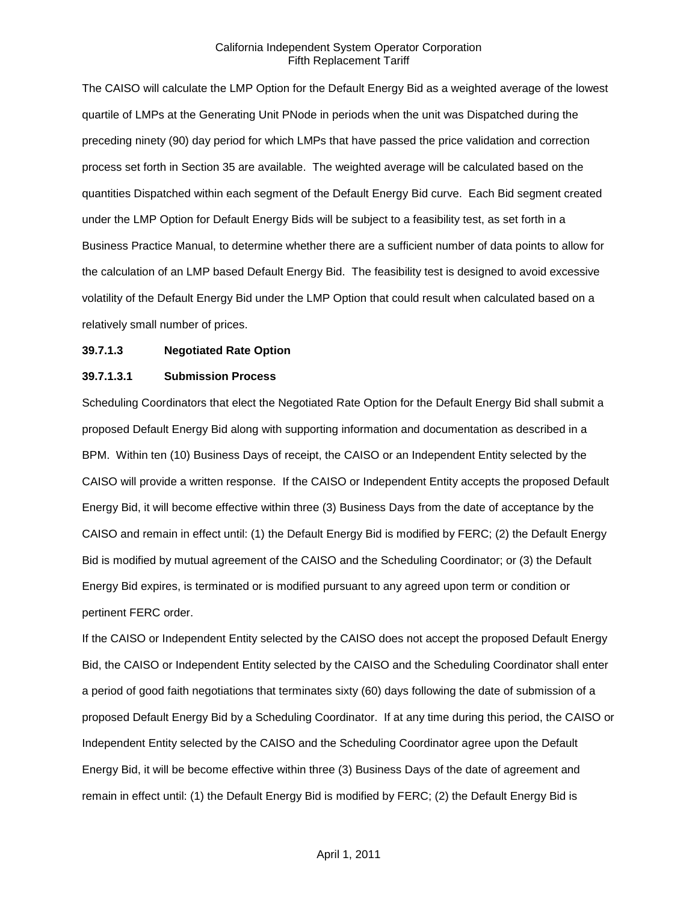The CAISO will calculate the LMP Option for the Default Energy Bid as a weighted average of the lowest quartile of LMPs at the Generating Unit PNode in periods when the unit was Dispatched during the preceding ninety (90) day period for which LMPs that have passed the price validation and correction process set forth in Section 35 are available. The weighted average will be calculated based on the quantities Dispatched within each segment of the Default Energy Bid curve. Each Bid segment created under the LMP Option for Default Energy Bids will be subject to a feasibility test, as set forth in a Business Practice Manual, to determine whether there are a sufficient number of data points to allow for the calculation of an LMP based Default Energy Bid. The feasibility test is designed to avoid excessive volatility of the Default Energy Bid under the LMP Option that could result when calculated based on a relatively small number of prices.

#### **39.7.1.3 Negotiated Rate Option**

#### **39.7.1.3.1 Submission Process**

Scheduling Coordinators that elect the Negotiated Rate Option for the Default Energy Bid shall submit a proposed Default Energy Bid along with supporting information and documentation as described in a BPM. Within ten (10) Business Days of receipt, the CAISO or an Independent Entity selected by the CAISO will provide a written response. If the CAISO or Independent Entity accepts the proposed Default Energy Bid, it will become effective within three (3) Business Days from the date of acceptance by the CAISO and remain in effect until: (1) the Default Energy Bid is modified by FERC; (2) the Default Energy Bid is modified by mutual agreement of the CAISO and the Scheduling Coordinator; or (3) the Default Energy Bid expires, is terminated or is modified pursuant to any agreed upon term or condition or pertinent FERC order.

If the CAISO or Independent Entity selected by the CAISO does not accept the proposed Default Energy Bid, the CAISO or Independent Entity selected by the CAISO and the Scheduling Coordinator shall enter a period of good faith negotiations that terminates sixty (60) days following the date of submission of a proposed Default Energy Bid by a Scheduling Coordinator. If at any time during this period, the CAISO or Independent Entity selected by the CAISO and the Scheduling Coordinator agree upon the Default Energy Bid, it will be become effective within three (3) Business Days of the date of agreement and remain in effect until: (1) the Default Energy Bid is modified by FERC; (2) the Default Energy Bid is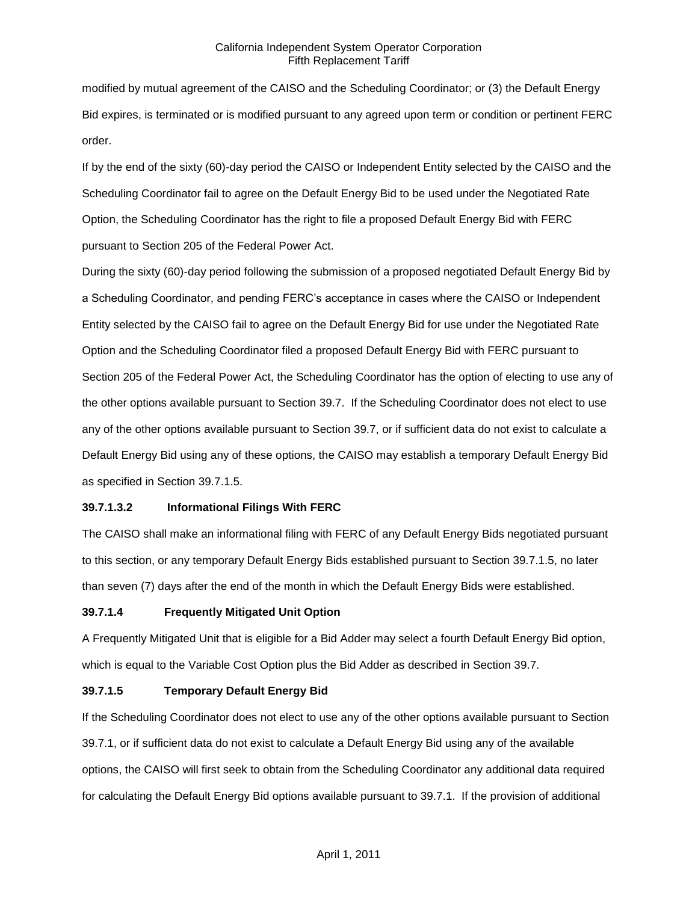modified by mutual agreement of the CAISO and the Scheduling Coordinator; or (3) the Default Energy Bid expires, is terminated or is modified pursuant to any agreed upon term or condition or pertinent FERC order.

If by the end of the sixty (60)-day period the CAISO or Independent Entity selected by the CAISO and the Scheduling Coordinator fail to agree on the Default Energy Bid to be used under the Negotiated Rate Option, the Scheduling Coordinator has the right to file a proposed Default Energy Bid with FERC pursuant to Section 205 of the Federal Power Act.

During the sixty (60)-day period following the submission of a proposed negotiated Default Energy Bid by a Scheduling Coordinator, and pending FERC's acceptance in cases where the CAISO or Independent Entity selected by the CAISO fail to agree on the Default Energy Bid for use under the Negotiated Rate Option and the Scheduling Coordinator filed a proposed Default Energy Bid with FERC pursuant to Section 205 of the Federal Power Act, the Scheduling Coordinator has the option of electing to use any of the other options available pursuant to Section 39.7. If the Scheduling Coordinator does not elect to use any of the other options available pursuant to Section 39.7, or if sufficient data do not exist to calculate a Default Energy Bid using any of these options, the CAISO may establish a temporary Default Energy Bid as specified in Section 39.7.1.5.

# **39.7.1.3.2 Informational Filings With FERC**

The CAISO shall make an informational filing with FERC of any Default Energy Bids negotiated pursuant to this section, or any temporary Default Energy Bids established pursuant to Section 39.7.1.5, no later than seven (7) days after the end of the month in which the Default Energy Bids were established.

#### **39.7.1.4 Frequently Mitigated Unit Option**

A Frequently Mitigated Unit that is eligible for a Bid Adder may select a fourth Default Energy Bid option, which is equal to the Variable Cost Option plus the Bid Adder as described in Section 39.7.

#### **39.7.1.5 Temporary Default Energy Bid**

If the Scheduling Coordinator does not elect to use any of the other options available pursuant to Section 39.7.1, or if sufficient data do not exist to calculate a Default Energy Bid using any of the available options, the CAISO will first seek to obtain from the Scheduling Coordinator any additional data required for calculating the Default Energy Bid options available pursuant to 39.7.1. If the provision of additional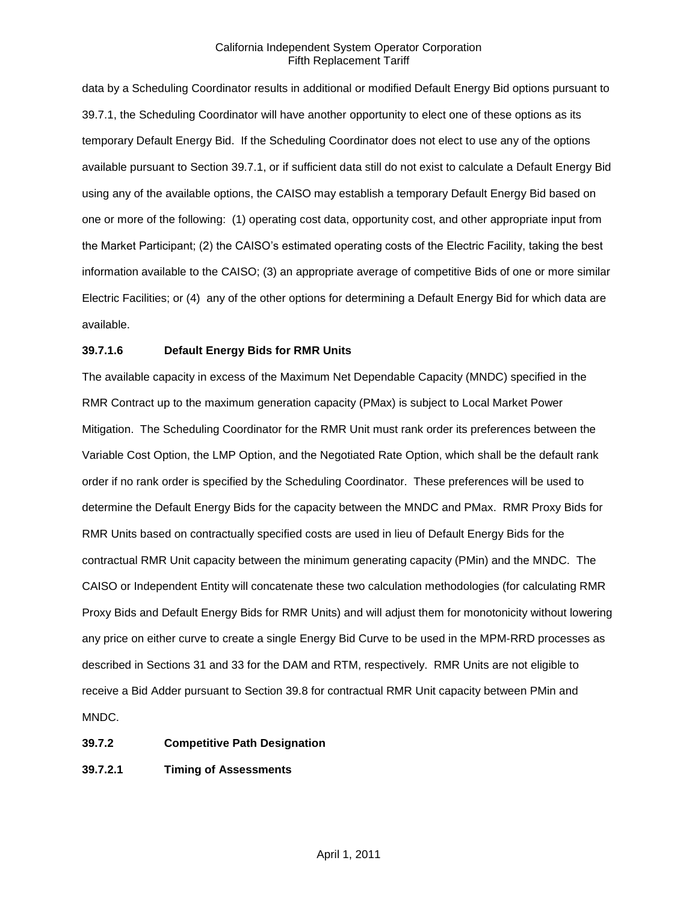data by a Scheduling Coordinator results in additional or modified Default Energy Bid options pursuant to 39.7.1, the Scheduling Coordinator will have another opportunity to elect one of these options as its temporary Default Energy Bid. If the Scheduling Coordinator does not elect to use any of the options available pursuant to Section 39.7.1, or if sufficient data still do not exist to calculate a Default Energy Bid using any of the available options, the CAISO may establish a temporary Default Energy Bid based on one or more of the following: (1) operating cost data, opportunity cost, and other appropriate input from the Market Participant; (2) the CAISO's estimated operating costs of the Electric Facility, taking the best information available to the CAISO; (3) an appropriate average of competitive Bids of one or more similar Electric Facilities; or (4) any of the other options for determining a Default Energy Bid for which data are available.

### **39.7.1.6 Default Energy Bids for RMR Units**

The available capacity in excess of the Maximum Net Dependable Capacity (MNDC) specified in the RMR Contract up to the maximum generation capacity (PMax) is subject to Local Market Power Mitigation. The Scheduling Coordinator for the RMR Unit must rank order its preferences between the Variable Cost Option, the LMP Option, and the Negotiated Rate Option, which shall be the default rank order if no rank order is specified by the Scheduling Coordinator. These preferences will be used to determine the Default Energy Bids for the capacity between the MNDC and PMax. RMR Proxy Bids for RMR Units based on contractually specified costs are used in lieu of Default Energy Bids for the contractual RMR Unit capacity between the minimum generating capacity (PMin) and the MNDC. The CAISO or Independent Entity will concatenate these two calculation methodologies (for calculating RMR Proxy Bids and Default Energy Bids for RMR Units) and will adjust them for monotonicity without lowering any price on either curve to create a single Energy Bid Curve to be used in the MPM-RRD processes as described in Sections 31 and 33 for the DAM and RTM, respectively. RMR Units are not eligible to receive a Bid Adder pursuant to Section 39.8 for contractual RMR Unit capacity between PMin and MNDC.

#### **39.7.2 Competitive Path Designation**

### **39.7.2.1 Timing of Assessments**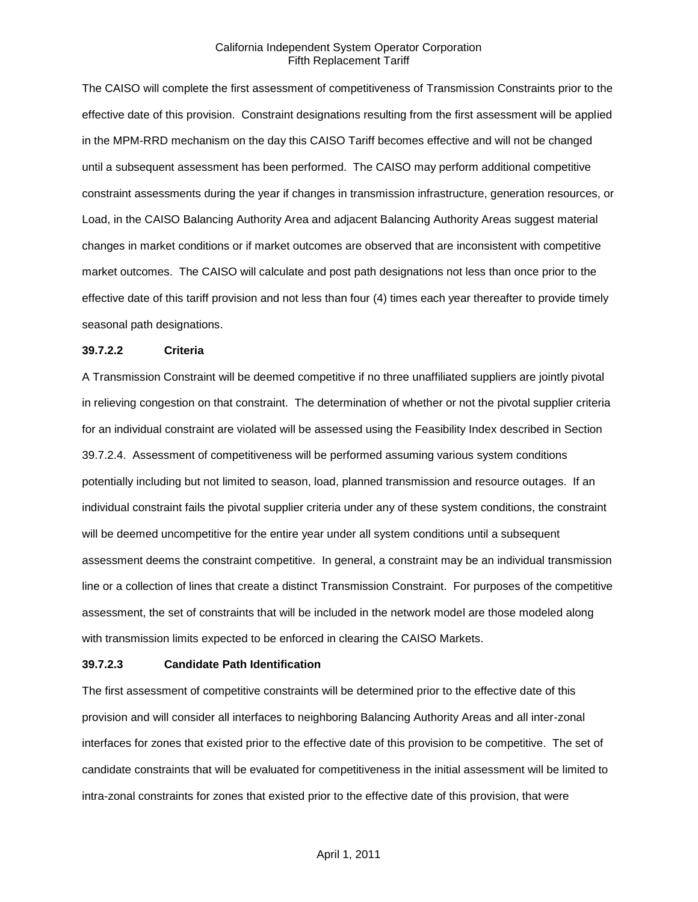The CAISO will complete the first assessment of competitiveness of Transmission Constraints prior to the effective date of this provision. Constraint designations resulting from the first assessment will be applied in the MPM-RRD mechanism on the day this CAISO Tariff becomes effective and will not be changed until a subsequent assessment has been performed. The CAISO may perform additional competitive constraint assessments during the year if changes in transmission infrastructure, generation resources, or Load, in the CAISO Balancing Authority Area and adjacent Balancing Authority Areas suggest material changes in market conditions or if market outcomes are observed that are inconsistent with competitive market outcomes. The CAISO will calculate and post path designations not less than once prior to the effective date of this tariff provision and not less than four (4) times each year thereafter to provide timely seasonal path designations.

#### **39.7.2.2 Criteria**

A Transmission Constraint will be deemed competitive if no three unaffiliated suppliers are jointly pivotal in relieving congestion on that constraint. The determination of whether or not the pivotal supplier criteria for an individual constraint are violated will be assessed using the Feasibility Index described in Section 39.7.2.4. Assessment of competitiveness will be performed assuming various system conditions potentially including but not limited to season, load, planned transmission and resource outages. If an individual constraint fails the pivotal supplier criteria under any of these system conditions, the constraint will be deemed uncompetitive for the entire year under all system conditions until a subsequent assessment deems the constraint competitive. In general, a constraint may be an individual transmission line or a collection of lines that create a distinct Transmission Constraint. For purposes of the competitive assessment, the set of constraints that will be included in the network model are those modeled along with transmission limits expected to be enforced in clearing the CAISO Markets.

#### **39.7.2.3 Candidate Path Identification**

The first assessment of competitive constraints will be determined prior to the effective date of this provision and will consider all interfaces to neighboring Balancing Authority Areas and all inter-zonal interfaces for zones that existed prior to the effective date of this provision to be competitive. The set of candidate constraints that will be evaluated for competitiveness in the initial assessment will be limited to intra-zonal constraints for zones that existed prior to the effective date of this provision, that were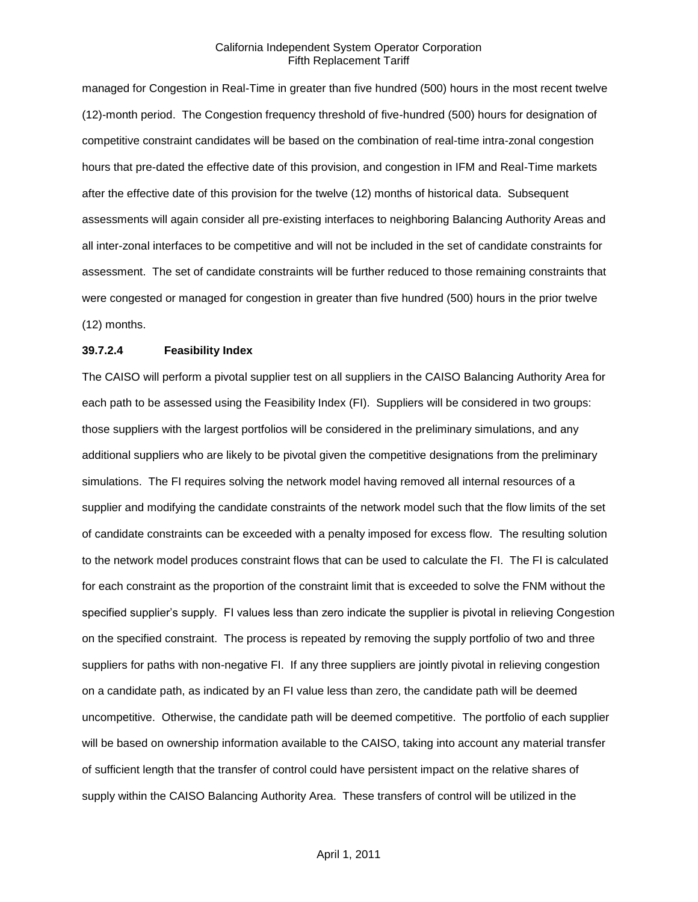managed for Congestion in Real-Time in greater than five hundred (500) hours in the most recent twelve (12)-month period. The Congestion frequency threshold of five-hundred (500) hours for designation of competitive constraint candidates will be based on the combination of real-time intra-zonal congestion hours that pre-dated the effective date of this provision, and congestion in IFM and Real-Time markets after the effective date of this provision for the twelve (12) months of historical data. Subsequent assessments will again consider all pre-existing interfaces to neighboring Balancing Authority Areas and all inter-zonal interfaces to be competitive and will not be included in the set of candidate constraints for assessment. The set of candidate constraints will be further reduced to those remaining constraints that were congested or managed for congestion in greater than five hundred (500) hours in the prior twelve (12) months.

#### **39.7.2.4 Feasibility Index**

The CAISO will perform a pivotal supplier test on all suppliers in the CAISO Balancing Authority Area for each path to be assessed using the Feasibility Index (FI). Suppliers will be considered in two groups: those suppliers with the largest portfolios will be considered in the preliminary simulations, and any additional suppliers who are likely to be pivotal given the competitive designations from the preliminary simulations. The FI requires solving the network model having removed all internal resources of a supplier and modifying the candidate constraints of the network model such that the flow limits of the set of candidate constraints can be exceeded with a penalty imposed for excess flow. The resulting solution to the network model produces constraint flows that can be used to calculate the FI. The FI is calculated for each constraint as the proportion of the constraint limit that is exceeded to solve the FNM without the specified supplier's supply. FI values less than zero indicate the supplier is pivotal in relieving Congestion on the specified constraint. The process is repeated by removing the supply portfolio of two and three suppliers for paths with non-negative FI. If any three suppliers are jointly pivotal in relieving congestion on a candidate path, as indicated by an FI value less than zero, the candidate path will be deemed uncompetitive. Otherwise, the candidate path will be deemed competitive. The portfolio of each supplier will be based on ownership information available to the CAISO, taking into account any material transfer of sufficient length that the transfer of control could have persistent impact on the relative shares of supply within the CAISO Balancing Authority Area. These transfers of control will be utilized in the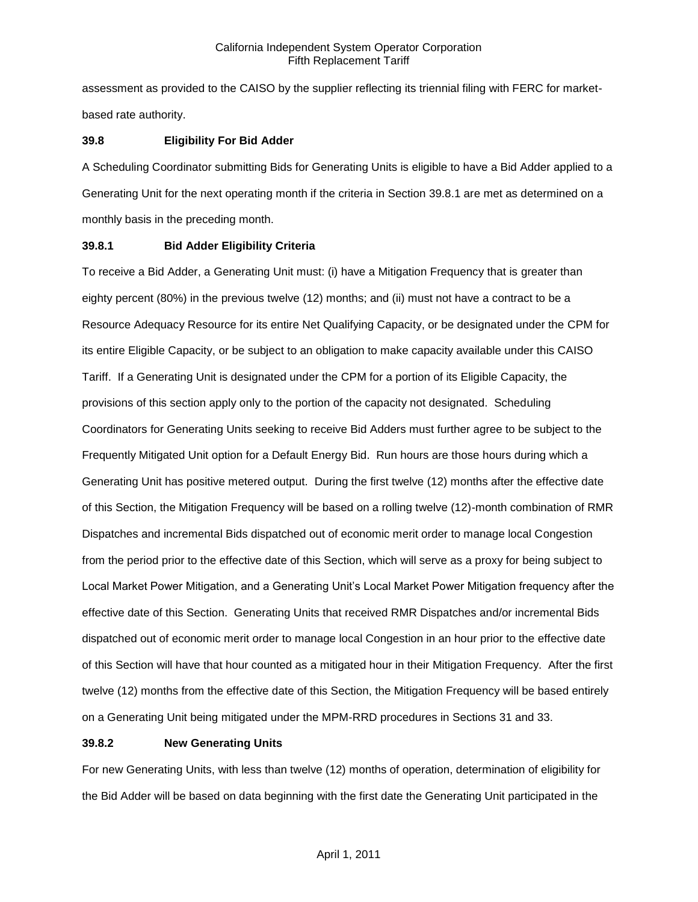assessment as provided to the CAISO by the supplier reflecting its triennial filing with FERC for marketbased rate authority.

### **39.8 Eligibility For Bid Adder**

A Scheduling Coordinator submitting Bids for Generating Units is eligible to have a Bid Adder applied to a Generating Unit for the next operating month if the criteria in Section 39.8.1 are met as determined on a monthly basis in the preceding month.

## **39.8.1 Bid Adder Eligibility Criteria**

To receive a Bid Adder, a Generating Unit must: (i) have a Mitigation Frequency that is greater than eighty percent (80%) in the previous twelve (12) months; and (ii) must not have a contract to be a Resource Adequacy Resource for its entire Net Qualifying Capacity, or be designated under the CPM for its entire Eligible Capacity, or be subject to an obligation to make capacity available under this CAISO Tariff. If a Generating Unit is designated under the CPM for a portion of its Eligible Capacity, the provisions of this section apply only to the portion of the capacity not designated. Scheduling Coordinators for Generating Units seeking to receive Bid Adders must further agree to be subject to the Frequently Mitigated Unit option for a Default Energy Bid. Run hours are those hours during which a Generating Unit has positive metered output. During the first twelve (12) months after the effective date of this Section, the Mitigation Frequency will be based on a rolling twelve (12)-month combination of RMR Dispatches and incremental Bids dispatched out of economic merit order to manage local Congestion from the period prior to the effective date of this Section, which will serve as a proxy for being subject to Local Market Power Mitigation, and a Generating Unit's Local Market Power Mitigation frequency after the effective date of this Section. Generating Units that received RMR Dispatches and/or incremental Bids dispatched out of economic merit order to manage local Congestion in an hour prior to the effective date of this Section will have that hour counted as a mitigated hour in their Mitigation Frequency. After the first twelve (12) months from the effective date of this Section, the Mitigation Frequency will be based entirely on a Generating Unit being mitigated under the MPM-RRD procedures in Sections 31 and 33.

### **39.8.2 New Generating Units**

For new Generating Units, with less than twelve (12) months of operation, determination of eligibility for the Bid Adder will be based on data beginning with the first date the Generating Unit participated in the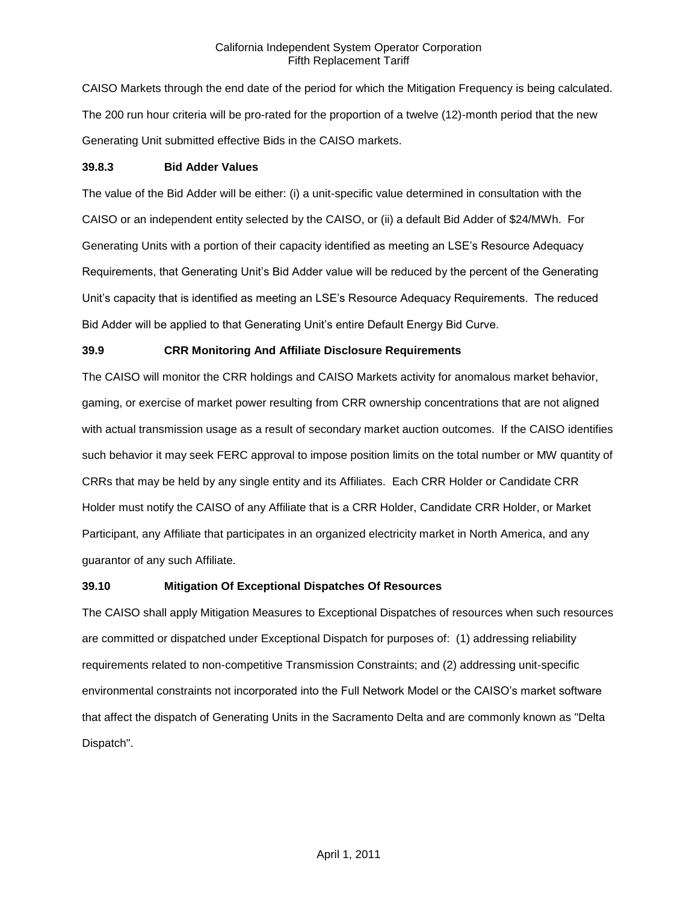CAISO Markets through the end date of the period for which the Mitigation Frequency is being calculated. The 200 run hour criteria will be pro-rated for the proportion of a twelve (12)-month period that the new Generating Unit submitted effective Bids in the CAISO markets.

## **39.8.3 Bid Adder Values**

The value of the Bid Adder will be either: (i) a unit-specific value determined in consultation with the CAISO or an independent entity selected by the CAISO, or (ii) a default Bid Adder of \$24/MWh. For Generating Units with a portion of their capacity identified as meeting an LSE's Resource Adequacy Requirements, that Generating Unit's Bid Adder value will be reduced by the percent of the Generating Unit's capacity that is identified as meeting an LSE's Resource Adequacy Requirements. The reduced Bid Adder will be applied to that Generating Unit's entire Default Energy Bid Curve.

## **39.9 CRR Monitoring And Affiliate Disclosure Requirements**

The CAISO will monitor the CRR holdings and CAISO Markets activity for anomalous market behavior, gaming, or exercise of market power resulting from CRR ownership concentrations that are not aligned with actual transmission usage as a result of secondary market auction outcomes. If the CAISO identifies such behavior it may seek FERC approval to impose position limits on the total number or MW quantity of CRRs that may be held by any single entity and its Affiliates. Each CRR Holder or Candidate CRR Holder must notify the CAISO of any Affiliate that is a CRR Holder, Candidate CRR Holder, or Market Participant, any Affiliate that participates in an organized electricity market in North America, and any guarantor of any such Affiliate.

## **39.10 Mitigation Of Exceptional Dispatches Of Resources**

The CAISO shall apply Mitigation Measures to Exceptional Dispatches of resources when such resources are committed or dispatched under Exceptional Dispatch for purposes of: (1) addressing reliability requirements related to non-competitive Transmission Constraints; and (2) addressing unit-specific environmental constraints not incorporated into the Full Network Model or the CAISO's market software that affect the dispatch of Generating Units in the Sacramento Delta and are commonly known as "Delta Dispatch".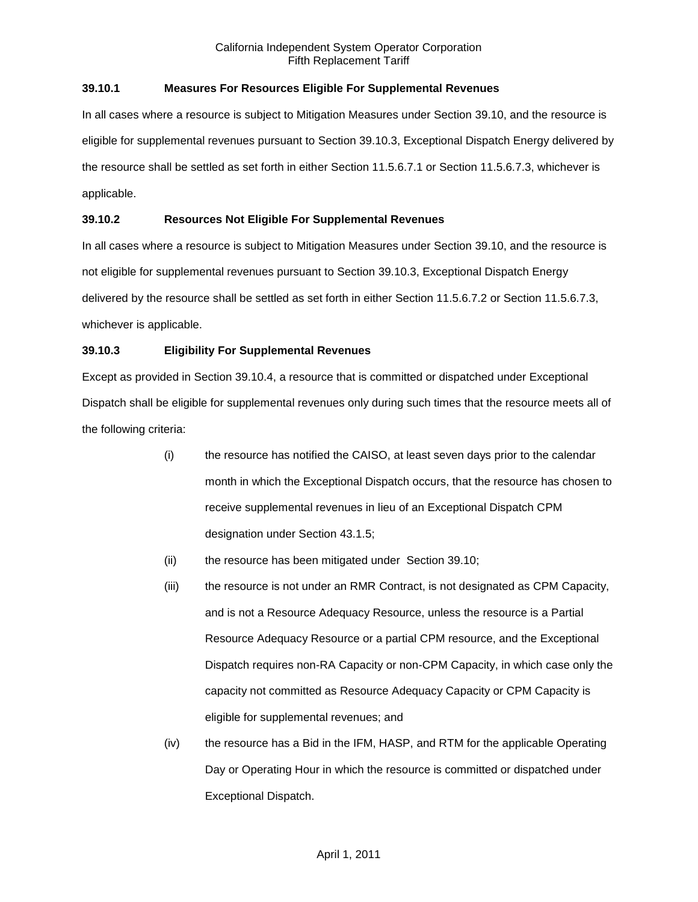## **39.10.1 Measures For Resources Eligible For Supplemental Revenues**

In all cases where a resource is subject to Mitigation Measures under Section 39.10, and the resource is eligible for supplemental revenues pursuant to Section 39.10.3, Exceptional Dispatch Energy delivered by the resource shall be settled as set forth in either Section 11.5.6.7.1 or Section 11.5.6.7.3, whichever is applicable.

## **39.10.2 Resources Not Eligible For Supplemental Revenues**

In all cases where a resource is subject to Mitigation Measures under Section 39.10, and the resource is not eligible for supplemental revenues pursuant to Section 39.10.3, Exceptional Dispatch Energy delivered by the resource shall be settled as set forth in either Section 11.5.6.7.2 or Section 11.5.6.7.3, whichever is applicable.

# **39.10.3 Eligibility For Supplemental Revenues**

Except as provided in Section 39.10.4, a resource that is committed or dispatched under Exceptional Dispatch shall be eligible for supplemental revenues only during such times that the resource meets all of the following criteria:

- (i) the resource has notified the CAISO, at least seven days prior to the calendar month in which the Exceptional Dispatch occurs, that the resource has chosen to receive supplemental revenues in lieu of an Exceptional Dispatch CPM designation under Section 43.1.5;
- (ii) the resource has been mitigated under Section 39.10;
- (iii) the resource is not under an RMR Contract, is not designated as CPM Capacity, and is not a Resource Adequacy Resource, unless the resource is a Partial Resource Adequacy Resource or a partial CPM resource, and the Exceptional Dispatch requires non-RA Capacity or non-CPM Capacity, in which case only the capacity not committed as Resource Adequacy Capacity or CPM Capacity is eligible for supplemental revenues; and
- (iv) the resource has a Bid in the IFM, HASP, and RTM for the applicable Operating Day or Operating Hour in which the resource is committed or dispatched under Exceptional Dispatch.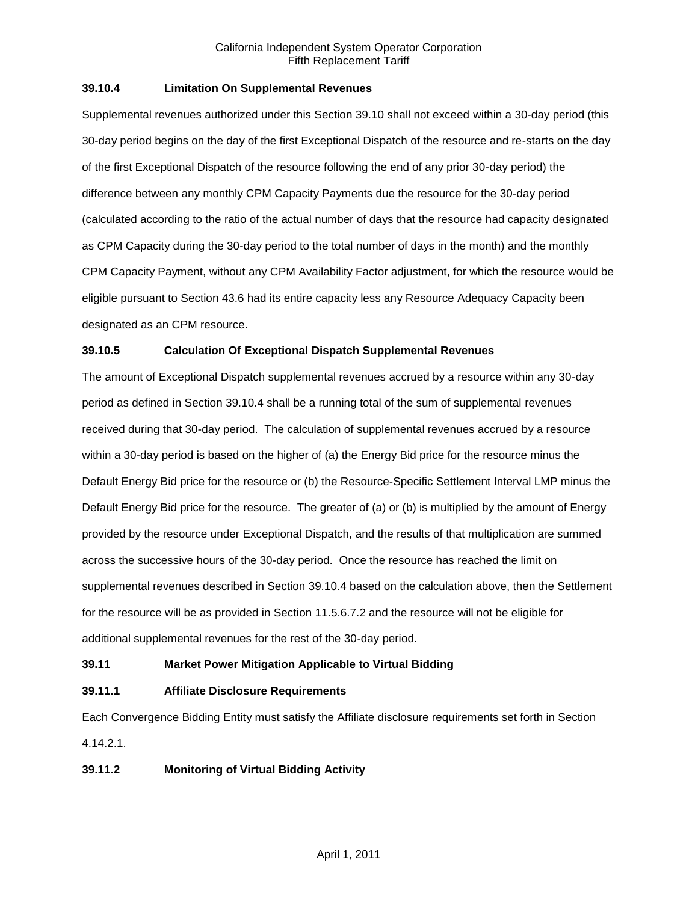## **39.10.4 Limitation On Supplemental Revenues**

Supplemental revenues authorized under this Section 39.10 shall not exceed within a 30-day period (this 30-day period begins on the day of the first Exceptional Dispatch of the resource and re-starts on the day of the first Exceptional Dispatch of the resource following the end of any prior 30-day period) the difference between any monthly CPM Capacity Payments due the resource for the 30-day period (calculated according to the ratio of the actual number of days that the resource had capacity designated as CPM Capacity during the 30-day period to the total number of days in the month) and the monthly CPM Capacity Payment, without any CPM Availability Factor adjustment, for which the resource would be eligible pursuant to Section 43.6 had its entire capacity less any Resource Adequacy Capacity been designated as an CPM resource.

## **39.10.5 Calculation Of Exceptional Dispatch Supplemental Revenues**

The amount of Exceptional Dispatch supplemental revenues accrued by a resource within any 30-day period as defined in Section 39.10.4 shall be a running total of the sum of supplemental revenues received during that 30-day period. The calculation of supplemental revenues accrued by a resource within a 30-day period is based on the higher of (a) the Energy Bid price for the resource minus the Default Energy Bid price for the resource or (b) the Resource-Specific Settlement Interval LMP minus the Default Energy Bid price for the resource. The greater of (a) or (b) is multiplied by the amount of Energy provided by the resource under Exceptional Dispatch, and the results of that multiplication are summed across the successive hours of the 30-day period. Once the resource has reached the limit on supplemental revenues described in Section 39.10.4 based on the calculation above, then the Settlement for the resource will be as provided in Section 11.5.6.7.2 and the resource will not be eligible for additional supplemental revenues for the rest of the 30-day period.

### **39.11 Market Power Mitigation Applicable to Virtual Bidding**

### **39.11.1 Affiliate Disclosure Requirements**

Each Convergence Bidding Entity must satisfy the Affiliate disclosure requirements set forth in Section 4.14.2.1.

## **39.11.2 Monitoring of Virtual Bidding Activity**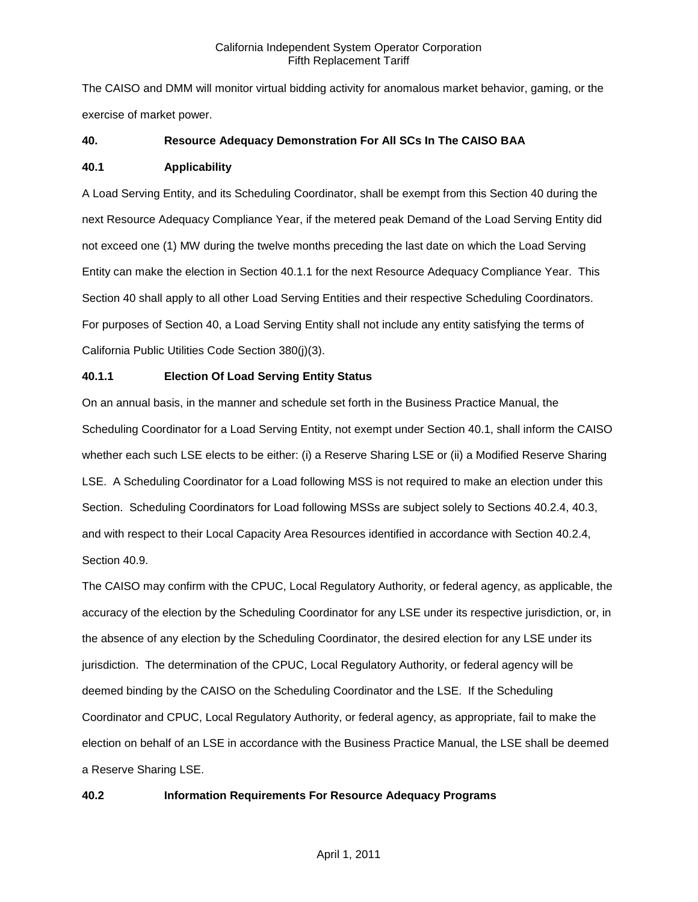The CAISO and DMM will monitor virtual bidding activity for anomalous market behavior, gaming, or the exercise of market power.

## **40. Resource Adequacy Demonstration For All SCs In The CAISO BAA**

### **40.1 Applicability**

A Load Serving Entity, and its Scheduling Coordinator, shall be exempt from this Section 40 during the next Resource Adequacy Compliance Year, if the metered peak Demand of the Load Serving Entity did not exceed one (1) MW during the twelve months preceding the last date on which the Load Serving Entity can make the election in Section 40.1.1 for the next Resource Adequacy Compliance Year. This Section 40 shall apply to all other Load Serving Entities and their respective Scheduling Coordinators. For purposes of Section 40, a Load Serving Entity shall not include any entity satisfying the terms of California Public Utilities Code Section 380(j)(3).

## **40.1.1 Election Of Load Serving Entity Status**

On an annual basis, in the manner and schedule set forth in the Business Practice Manual, the Scheduling Coordinator for a Load Serving Entity, not exempt under Section 40.1, shall inform the CAISO whether each such LSE elects to be either: (i) a Reserve Sharing LSE or (ii) a Modified Reserve Sharing LSE. A Scheduling Coordinator for a Load following MSS is not required to make an election under this Section. Scheduling Coordinators for Load following MSSs are subject solely to Sections 40.2.4, 40.3, and with respect to their Local Capacity Area Resources identified in accordance with Section 40.2.4, Section 40.9.

The CAISO may confirm with the CPUC, Local Regulatory Authority, or federal agency, as applicable, the accuracy of the election by the Scheduling Coordinator for any LSE under its respective jurisdiction, or, in the absence of any election by the Scheduling Coordinator, the desired election for any LSE under its jurisdiction. The determination of the CPUC, Local Regulatory Authority, or federal agency will be deemed binding by the CAISO on the Scheduling Coordinator and the LSE. If the Scheduling Coordinator and CPUC, Local Regulatory Authority, or federal agency, as appropriate, fail to make the election on behalf of an LSE in accordance with the Business Practice Manual, the LSE shall be deemed a Reserve Sharing LSE.

## **40.2 Information Requirements For Resource Adequacy Programs**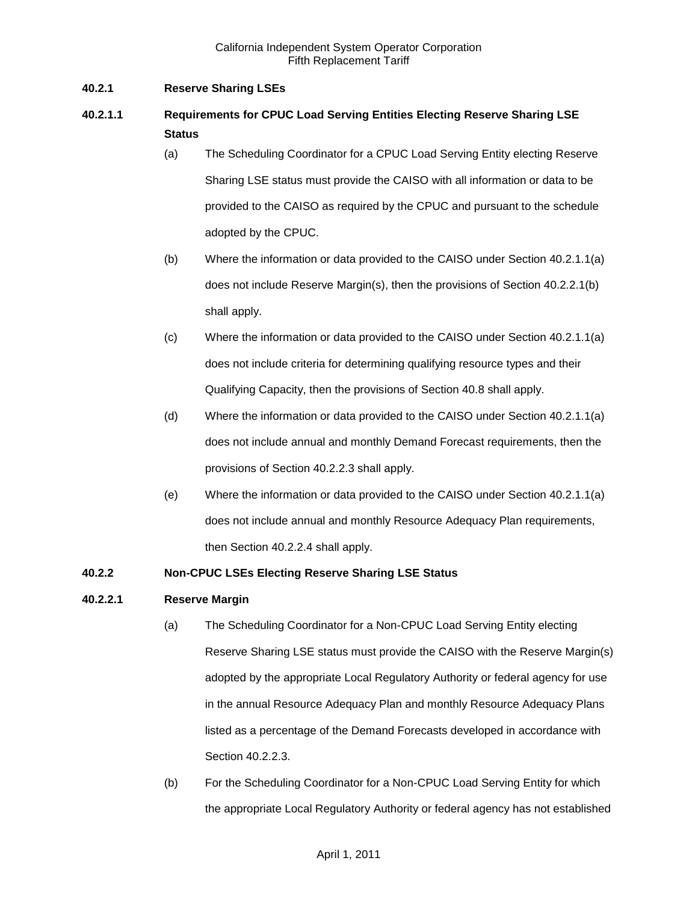## **40.2.1 Reserve Sharing LSEs**

# **40.2.1.1 Requirements for CPUC Load Serving Entities Electing Reserve Sharing LSE Status**

- (a) The Scheduling Coordinator for a CPUC Load Serving Entity electing Reserve Sharing LSE status must provide the CAISO with all information or data to be provided to the CAISO as required by the CPUC and pursuant to the schedule adopted by the CPUC.
- (b) Where the information or data provided to the CAISO under Section 40.2.1.1(a) does not include Reserve Margin(s), then the provisions of Section 40.2.2.1(b) shall apply.
- (c) Where the information or data provided to the CAISO under Section 40.2.1.1(a) does not include criteria for determining qualifying resource types and their Qualifying Capacity, then the provisions of Section 40.8 shall apply.
- (d) Where the information or data provided to the CAISO under Section 40.2.1.1(a) does not include annual and monthly Demand Forecast requirements, then the provisions of Section 40.2.2.3 shall apply.
- (e) Where the information or data provided to the CAISO under Section 40.2.1.1(a) does not include annual and monthly Resource Adequacy Plan requirements, then Section 40.2.2.4 shall apply.

## **40.2.2 Non-CPUC LSEs Electing Reserve Sharing LSE Status**

### **40.2.2.1 Reserve Margin**

- (a) The Scheduling Coordinator for a Non-CPUC Load Serving Entity electing Reserve Sharing LSE status must provide the CAISO with the Reserve Margin(s) adopted by the appropriate Local Regulatory Authority or federal agency for use in the annual Resource Adequacy Plan and monthly Resource Adequacy Plans listed as a percentage of the Demand Forecasts developed in accordance with Section 40.2.2.3.
- (b) For the Scheduling Coordinator for a Non-CPUC Load Serving Entity for which the appropriate Local Regulatory Authority or federal agency has not established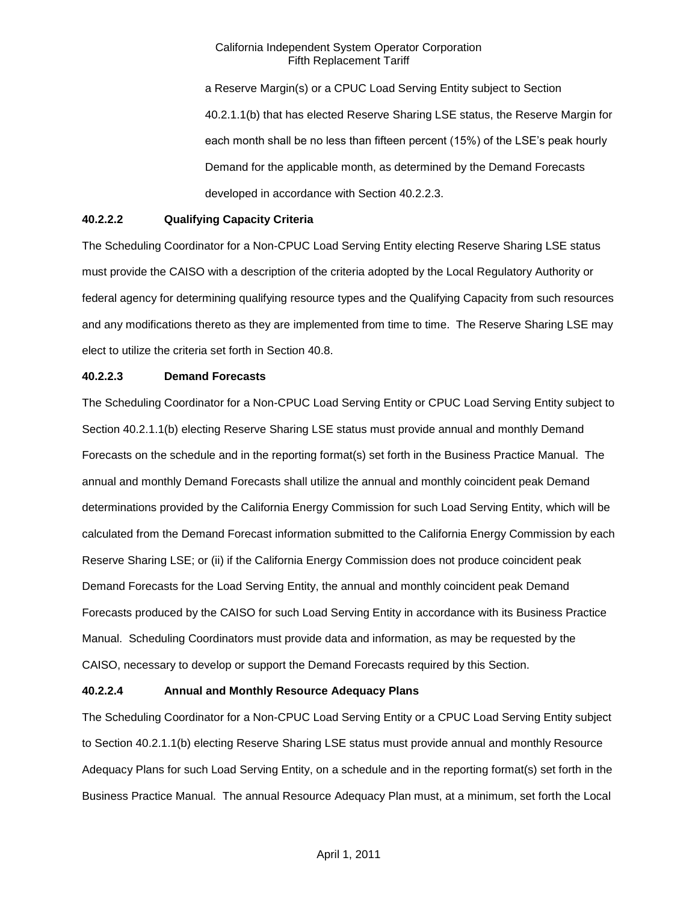a Reserve Margin(s) or a CPUC Load Serving Entity subject to Section 40.2.1.1(b) that has elected Reserve Sharing LSE status, the Reserve Margin for each month shall be no less than fifteen percent (15%) of the LSE's peak hourly Demand for the applicable month, as determined by the Demand Forecasts developed in accordance with Section 40.2.2.3.

## **40.2.2.2 Qualifying Capacity Criteria**

The Scheduling Coordinator for a Non-CPUC Load Serving Entity electing Reserve Sharing LSE status must provide the CAISO with a description of the criteria adopted by the Local Regulatory Authority or federal agency for determining qualifying resource types and the Qualifying Capacity from such resources and any modifications thereto as they are implemented from time to time. The Reserve Sharing LSE may elect to utilize the criteria set forth in Section 40.8.

### **40.2.2.3 Demand Forecasts**

The Scheduling Coordinator for a Non-CPUC Load Serving Entity or CPUC Load Serving Entity subject to Section 40.2.1.1(b) electing Reserve Sharing LSE status must provide annual and monthly Demand Forecasts on the schedule and in the reporting format(s) set forth in the Business Practice Manual. The annual and monthly Demand Forecasts shall utilize the annual and monthly coincident peak Demand determinations provided by the California Energy Commission for such Load Serving Entity, which will be calculated from the Demand Forecast information submitted to the California Energy Commission by each Reserve Sharing LSE; or (ii) if the California Energy Commission does not produce coincident peak Demand Forecasts for the Load Serving Entity, the annual and monthly coincident peak Demand Forecasts produced by the CAISO for such Load Serving Entity in accordance with its Business Practice Manual. Scheduling Coordinators must provide data and information, as may be requested by the CAISO, necessary to develop or support the Demand Forecasts required by this Section.

### **40.2.2.4 Annual and Monthly Resource Adequacy Plans**

The Scheduling Coordinator for a Non-CPUC Load Serving Entity or a CPUC Load Serving Entity subject to Section 40.2.1.1(b) electing Reserve Sharing LSE status must provide annual and monthly Resource Adequacy Plans for such Load Serving Entity, on a schedule and in the reporting format(s) set forth in the Business Practice Manual. The annual Resource Adequacy Plan must, at a minimum, set forth the Local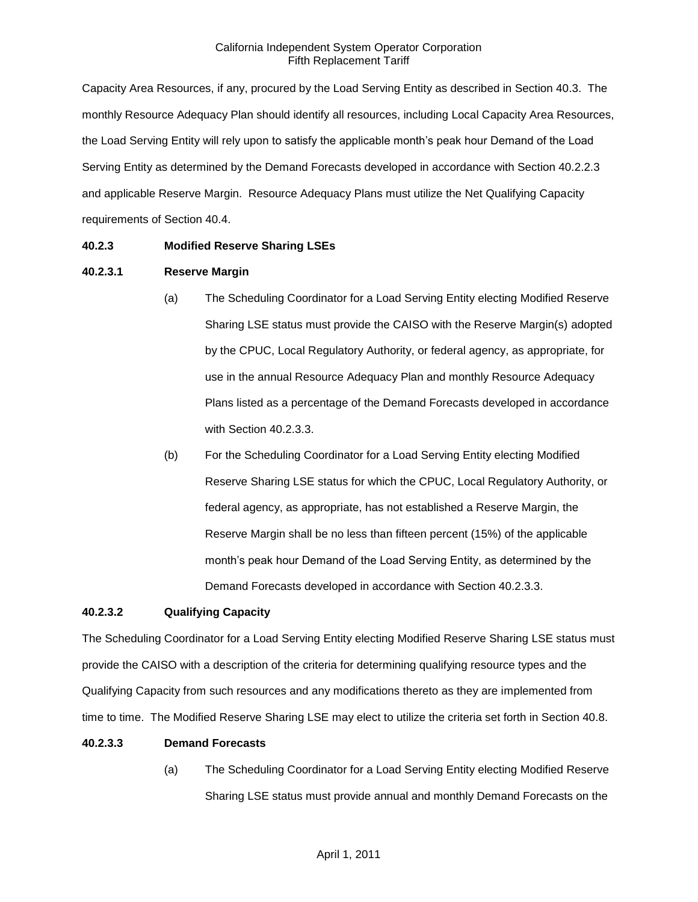Capacity Area Resources, if any, procured by the Load Serving Entity as described in Section 40.3. The monthly Resource Adequacy Plan should identify all resources, including Local Capacity Area Resources, the Load Serving Entity will rely upon to satisfy the applicable month's peak hour Demand of the Load Serving Entity as determined by the Demand Forecasts developed in accordance with Section 40.2.2.3 and applicable Reserve Margin. Resource Adequacy Plans must utilize the Net Qualifying Capacity requirements of Section 40.4.

## **40.2.3 Modified Reserve Sharing LSEs**

### **40.2.3.1 Reserve Margin**

- (a) The Scheduling Coordinator for a Load Serving Entity electing Modified Reserve Sharing LSE status must provide the CAISO with the Reserve Margin(s) adopted by the CPUC, Local Regulatory Authority, or federal agency, as appropriate, for use in the annual Resource Adequacy Plan and monthly Resource Adequacy Plans listed as a percentage of the Demand Forecasts developed in accordance with Section 40.2.3.3.
- (b) For the Scheduling Coordinator for a Load Serving Entity electing Modified Reserve Sharing LSE status for which the CPUC, Local Regulatory Authority, or federal agency, as appropriate, has not established a Reserve Margin, the Reserve Margin shall be no less than fifteen percent (15%) of the applicable month's peak hour Demand of the Load Serving Entity, as determined by the Demand Forecasts developed in accordance with Section 40.2.3.3.

### **40.2.3.2 Qualifying Capacity**

The Scheduling Coordinator for a Load Serving Entity electing Modified Reserve Sharing LSE status must provide the CAISO with a description of the criteria for determining qualifying resource types and the Qualifying Capacity from such resources and any modifications thereto as they are implemented from time to time. The Modified Reserve Sharing LSE may elect to utilize the criteria set forth in Section 40.8.

### **40.2.3.3 Demand Forecasts**

(a) The Scheduling Coordinator for a Load Serving Entity electing Modified Reserve Sharing LSE status must provide annual and monthly Demand Forecasts on the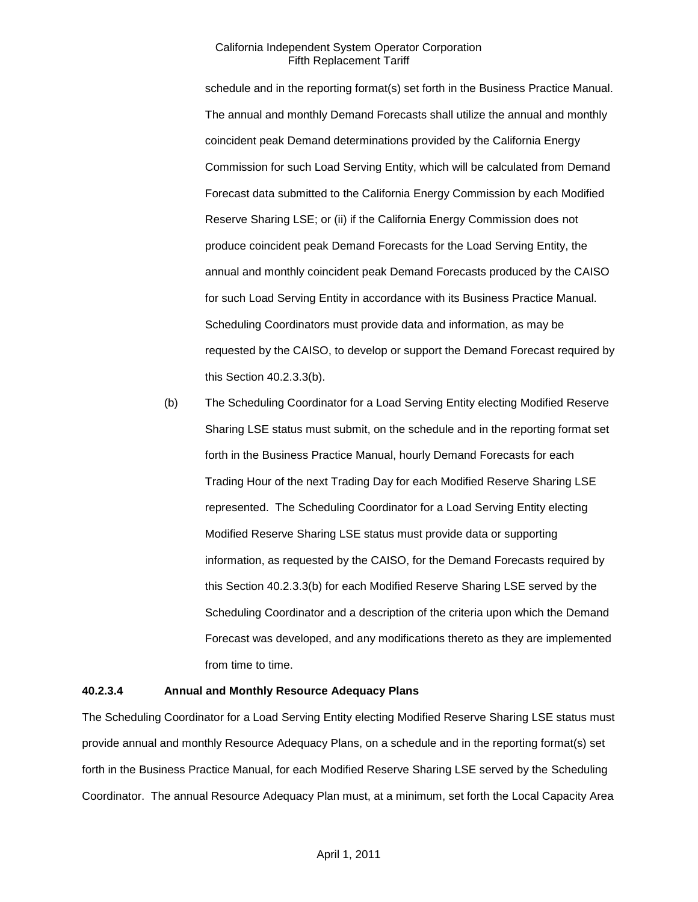schedule and in the reporting format(s) set forth in the Business Practice Manual. The annual and monthly Demand Forecasts shall utilize the annual and monthly coincident peak Demand determinations provided by the California Energy Commission for such Load Serving Entity, which will be calculated from Demand Forecast data submitted to the California Energy Commission by each Modified Reserve Sharing LSE; or (ii) if the California Energy Commission does not produce coincident peak Demand Forecasts for the Load Serving Entity, the annual and monthly coincident peak Demand Forecasts produced by the CAISO for such Load Serving Entity in accordance with its Business Practice Manual. Scheduling Coordinators must provide data and information, as may be requested by the CAISO, to develop or support the Demand Forecast required by this Section 40.2.3.3(b).

(b) The Scheduling Coordinator for a Load Serving Entity electing Modified Reserve Sharing LSE status must submit, on the schedule and in the reporting format set forth in the Business Practice Manual, hourly Demand Forecasts for each Trading Hour of the next Trading Day for each Modified Reserve Sharing LSE represented. The Scheduling Coordinator for a Load Serving Entity electing Modified Reserve Sharing LSE status must provide data or supporting information, as requested by the CAISO, for the Demand Forecasts required by this Section 40.2.3.3(b) for each Modified Reserve Sharing LSE served by the Scheduling Coordinator and a description of the criteria upon which the Demand Forecast was developed, and any modifications thereto as they are implemented from time to time.

#### **40.2.3.4 Annual and Monthly Resource Adequacy Plans**

The Scheduling Coordinator for a Load Serving Entity electing Modified Reserve Sharing LSE status must provide annual and monthly Resource Adequacy Plans, on a schedule and in the reporting format(s) set forth in the Business Practice Manual, for each Modified Reserve Sharing LSE served by the Scheduling Coordinator. The annual Resource Adequacy Plan must, at a minimum, set forth the Local Capacity Area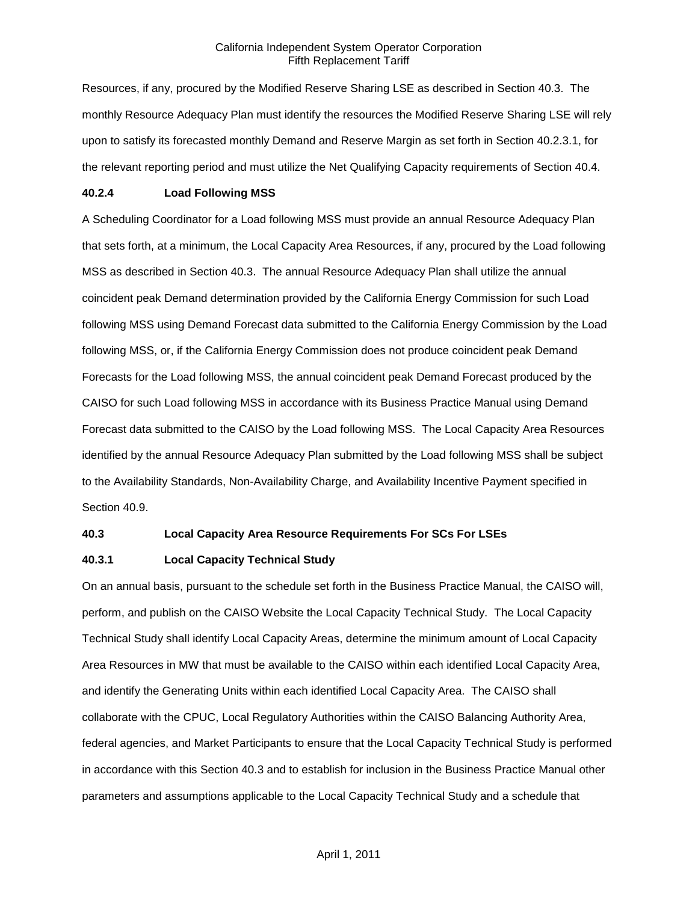Resources, if any, procured by the Modified Reserve Sharing LSE as described in Section 40.3. The monthly Resource Adequacy Plan must identify the resources the Modified Reserve Sharing LSE will rely upon to satisfy its forecasted monthly Demand and Reserve Margin as set forth in Section 40.2.3.1, for the relevant reporting period and must utilize the Net Qualifying Capacity requirements of Section 40.4.

#### **40.2.4 Load Following MSS**

A Scheduling Coordinator for a Load following MSS must provide an annual Resource Adequacy Plan that sets forth, at a minimum, the Local Capacity Area Resources, if any, procured by the Load following MSS as described in Section 40.3. The annual Resource Adequacy Plan shall utilize the annual coincident peak Demand determination provided by the California Energy Commission for such Load following MSS using Demand Forecast data submitted to the California Energy Commission by the Load following MSS, or, if the California Energy Commission does not produce coincident peak Demand Forecasts for the Load following MSS, the annual coincident peak Demand Forecast produced by the CAISO for such Load following MSS in accordance with its Business Practice Manual using Demand Forecast data submitted to the CAISO by the Load following MSS. The Local Capacity Area Resources identified by the annual Resource Adequacy Plan submitted by the Load following MSS shall be subject to the Availability Standards, Non-Availability Charge, and Availability Incentive Payment specified in Section 40.9.

### **40.3 Local Capacity Area Resource Requirements For SCs For LSEs**

### **40.3.1 Local Capacity Technical Study**

On an annual basis, pursuant to the schedule set forth in the Business Practice Manual, the CAISO will, perform, and publish on the CAISO Website the Local Capacity Technical Study. The Local Capacity Technical Study shall identify Local Capacity Areas, determine the minimum amount of Local Capacity Area Resources in MW that must be available to the CAISO within each identified Local Capacity Area, and identify the Generating Units within each identified Local Capacity Area. The CAISO shall collaborate with the CPUC, Local Regulatory Authorities within the CAISO Balancing Authority Area, federal agencies, and Market Participants to ensure that the Local Capacity Technical Study is performed in accordance with this Section 40.3 and to establish for inclusion in the Business Practice Manual other parameters and assumptions applicable to the Local Capacity Technical Study and a schedule that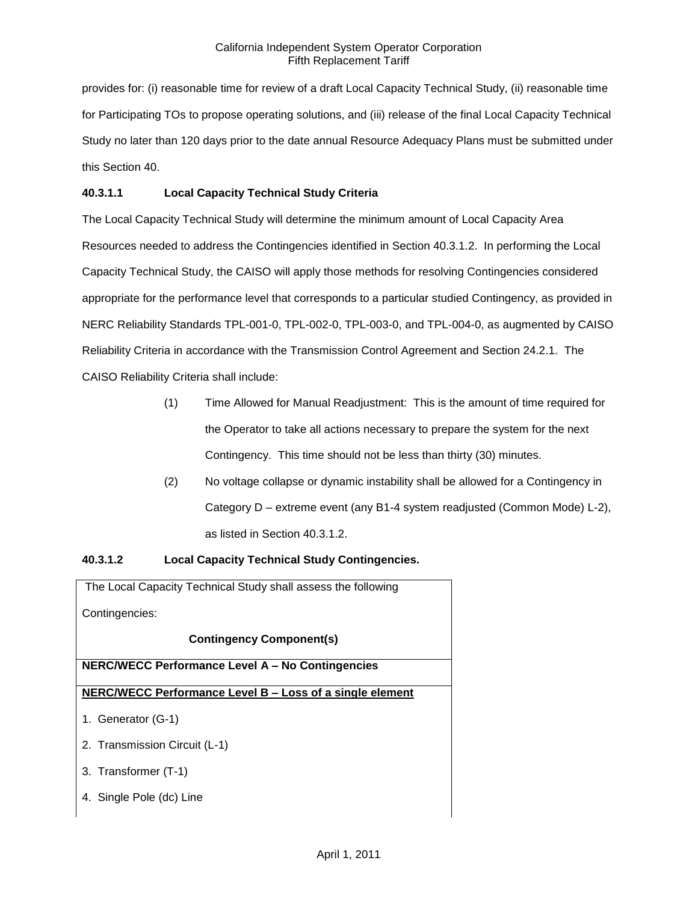provides for: (i) reasonable time for review of a draft Local Capacity Technical Study, (ii) reasonable time for Participating TOs to propose operating solutions, and (iii) release of the final Local Capacity Technical Study no later than 120 days prior to the date annual Resource Adequacy Plans must be submitted under this Section 40.

## **40.3.1.1 Local Capacity Technical Study Criteria**

The Local Capacity Technical Study will determine the minimum amount of Local Capacity Area Resources needed to address the Contingencies identified in Section 40.3.1.2. In performing the Local Capacity Technical Study, the CAISO will apply those methods for resolving Contingencies considered appropriate for the performance level that corresponds to a particular studied Contingency, as provided in NERC Reliability Standards TPL-001-0, TPL-002-0, TPL-003-0, and TPL-004-0, as augmented by CAISO Reliability Criteria in accordance with the Transmission Control Agreement and Section 24.2.1. The CAISO Reliability Criteria shall include:

- (1) Time Allowed for Manual Readjustment: This is the amount of time required for the Operator to take all actions necessary to prepare the system for the next Contingency. This time should not be less than thirty (30) minutes.
- (2) No voltage collapse or dynamic instability shall be allowed for a Contingency in Category D – extreme event (any B1-4 system readjusted (Common Mode) L-2), as listed in Section 40.3.1.2.

# **40.3.1.2 Local Capacity Technical Study Contingencies.**

The Local Capacity Technical Study shall assess the following Contingencies: **Contingency Component(s) NERC/WECC Performance Level A – No Contingencies NERC/WECC Performance Level B – Loss of a single element** 1. Generator (G-1) 2. Transmission Circuit (L-1) 3. Transformer (T-1) 4. Single Pole (dc) Line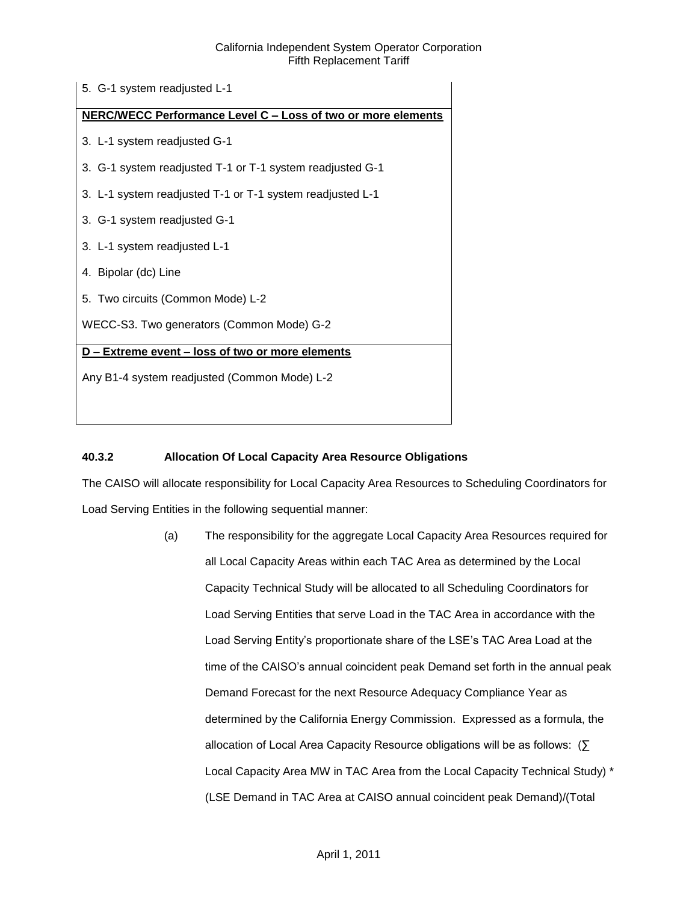| 5. G-1 system readjusted L-1                                        |
|---------------------------------------------------------------------|
| <b>NERC/WECC Performance Level C - Loss of two or more elements</b> |
| 3. L-1 system readjusted G-1                                        |
| 3. G-1 system readjusted T-1 or T-1 system readjusted G-1           |
| 3. L-1 system readjusted T-1 or T-1 system readjusted L-1           |
| 3. G-1 system readjusted G-1                                        |
| 3. L-1 system readjusted L-1                                        |
| 4. Bipolar (dc) Line                                                |
| 5. Two circuits (Common Mode) L-2                                   |
| WECC-S3. Two generators (Common Mode) G-2                           |
| D – Extreme event – loss of two or more elements                    |
| Any B1-4 system readjusted (Common Mode) L-2                        |
|                                                                     |

# **40.3.2 Allocation Of Local Capacity Area Resource Obligations**

The CAISO will allocate responsibility for Local Capacity Area Resources to Scheduling Coordinators for Load Serving Entities in the following sequential manner:

> (a) The responsibility for the aggregate Local Capacity Area Resources required for all Local Capacity Areas within each TAC Area as determined by the Local Capacity Technical Study will be allocated to all Scheduling Coordinators for Load Serving Entities that serve Load in the TAC Area in accordance with the Load Serving Entity's proportionate share of the LSE's TAC Area Load at the time of the CAISO's annual coincident peak Demand set forth in the annual peak Demand Forecast for the next Resource Adequacy Compliance Year as determined by the California Energy Commission. Expressed as a formula, the allocation of Local Area Capacity Resource obligations will be as follows: (∑ Local Capacity Area MW in TAC Area from the Local Capacity Technical Study) \* (LSE Demand in TAC Area at CAISO annual coincident peak Demand)/(Total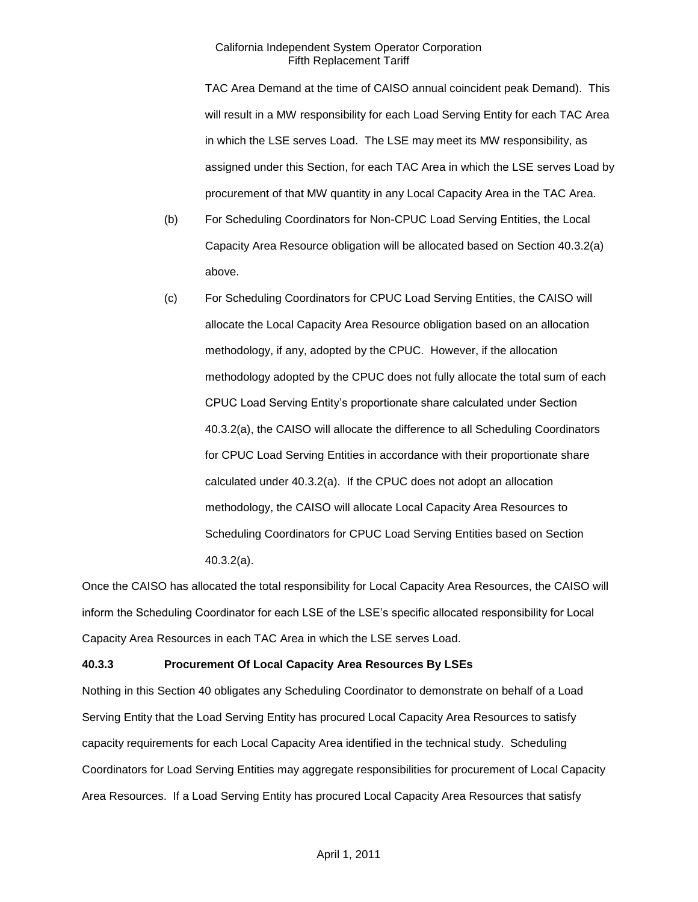TAC Area Demand at the time of CAISO annual coincident peak Demand). This will result in a MW responsibility for each Load Serving Entity for each TAC Area in which the LSE serves Load. The LSE may meet its MW responsibility, as assigned under this Section, for each TAC Area in which the LSE serves Load by procurement of that MW quantity in any Local Capacity Area in the TAC Area.

- (b) For Scheduling Coordinators for Non-CPUC Load Serving Entities, the Local Capacity Area Resource obligation will be allocated based on Section 40.3.2(a) above.
- (c) For Scheduling Coordinators for CPUC Load Serving Entities, the CAISO will allocate the Local Capacity Area Resource obligation based on an allocation methodology, if any, adopted by the CPUC. However, if the allocation methodology adopted by the CPUC does not fully allocate the total sum of each CPUC Load Serving Entity's proportionate share calculated under Section 40.3.2(a), the CAISO will allocate the difference to all Scheduling Coordinators for CPUC Load Serving Entities in accordance with their proportionate share calculated under 40.3.2(a). If the CPUC does not adopt an allocation methodology, the CAISO will allocate Local Capacity Area Resources to Scheduling Coordinators for CPUC Load Serving Entities based on Section 40.3.2(a).

Once the CAISO has allocated the total responsibility for Local Capacity Area Resources, the CAISO will inform the Scheduling Coordinator for each LSE of the LSE's specific allocated responsibility for Local Capacity Area Resources in each TAC Area in which the LSE serves Load.

### **40.3.3 Procurement Of Local Capacity Area Resources By LSEs**

Nothing in this Section 40 obligates any Scheduling Coordinator to demonstrate on behalf of a Load Serving Entity that the Load Serving Entity has procured Local Capacity Area Resources to satisfy capacity requirements for each Local Capacity Area identified in the technical study. Scheduling Coordinators for Load Serving Entities may aggregate responsibilities for procurement of Local Capacity Area Resources. If a Load Serving Entity has procured Local Capacity Area Resources that satisfy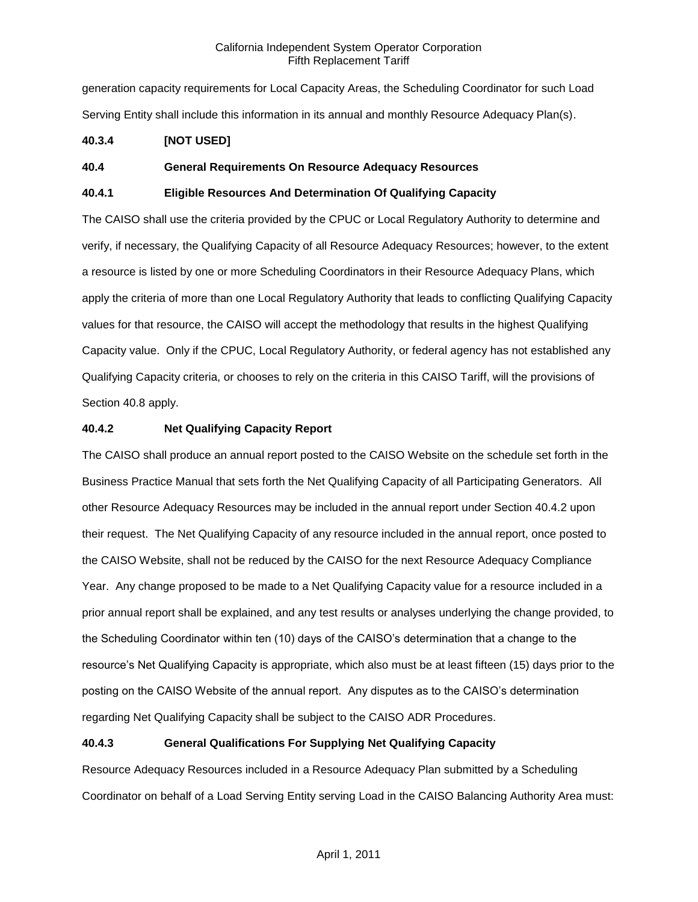generation capacity requirements for Local Capacity Areas, the Scheduling Coordinator for such Load Serving Entity shall include this information in its annual and monthly Resource Adequacy Plan(s).

## **40.3.4 [NOT USED]**

## **40.4 General Requirements On Resource Adequacy Resources**

## **40.4.1 Eligible Resources And Determination Of Qualifying Capacity**

The CAISO shall use the criteria provided by the CPUC or Local Regulatory Authority to determine and verify, if necessary, the Qualifying Capacity of all Resource Adequacy Resources; however, to the extent a resource is listed by one or more Scheduling Coordinators in their Resource Adequacy Plans, which apply the criteria of more than one Local Regulatory Authority that leads to conflicting Qualifying Capacity values for that resource, the CAISO will accept the methodology that results in the highest Qualifying Capacity value. Only if the CPUC, Local Regulatory Authority, or federal agency has not established any Qualifying Capacity criteria, or chooses to rely on the criteria in this CAISO Tariff, will the provisions of Section 40.8 apply.

## **40.4.2 Net Qualifying Capacity Report**

The CAISO shall produce an annual report posted to the CAISO Website on the schedule set forth in the Business Practice Manual that sets forth the Net Qualifying Capacity of all Participating Generators. All other Resource Adequacy Resources may be included in the annual report under Section 40.4.2 upon their request. The Net Qualifying Capacity of any resource included in the annual report, once posted to the CAISO Website, shall not be reduced by the CAISO for the next Resource Adequacy Compliance Year. Any change proposed to be made to a Net Qualifying Capacity value for a resource included in a prior annual report shall be explained, and any test results or analyses underlying the change provided, to the Scheduling Coordinator within ten (10) days of the CAISO's determination that a change to the resource's Net Qualifying Capacity is appropriate, which also must be at least fifteen (15) days prior to the posting on the CAISO Website of the annual report. Any disputes as to the CAISO's determination regarding Net Qualifying Capacity shall be subject to the CAISO ADR Procedures.

## **40.4.3 General Qualifications For Supplying Net Qualifying Capacity**

Resource Adequacy Resources included in a Resource Adequacy Plan submitted by a Scheduling Coordinator on behalf of a Load Serving Entity serving Load in the CAISO Balancing Authority Area must: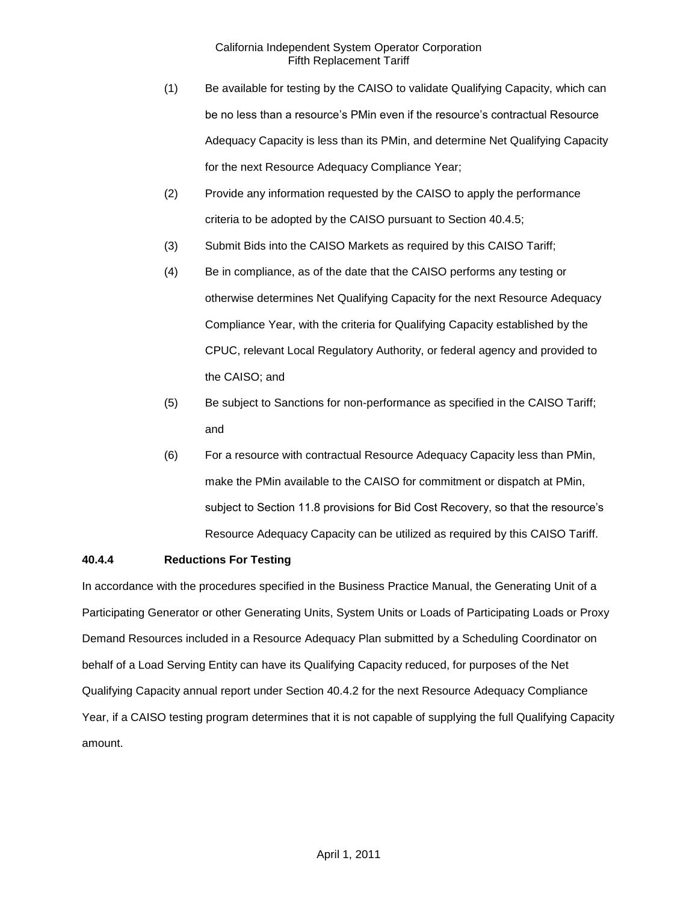- (1) Be available for testing by the CAISO to validate Qualifying Capacity, which can be no less than a resource's PMin even if the resource's contractual Resource Adequacy Capacity is less than its PMin, and determine Net Qualifying Capacity for the next Resource Adequacy Compliance Year;
- (2) Provide any information requested by the CAISO to apply the performance criteria to be adopted by the CAISO pursuant to Section 40.4.5;
- (3) Submit Bids into the CAISO Markets as required by this CAISO Tariff;
- (4) Be in compliance, as of the date that the CAISO performs any testing or otherwise determines Net Qualifying Capacity for the next Resource Adequacy Compliance Year, with the criteria for Qualifying Capacity established by the CPUC, relevant Local Regulatory Authority, or federal agency and provided to the CAISO; and
- (5) Be subject to Sanctions for non-performance as specified in the CAISO Tariff; and
- (6) For a resource with contractual Resource Adequacy Capacity less than PMin, make the PMin available to the CAISO for commitment or dispatch at PMin, subject to Section 11.8 provisions for Bid Cost Recovery, so that the resource's Resource Adequacy Capacity can be utilized as required by this CAISO Tariff.

### **40.4.4 Reductions For Testing**

In accordance with the procedures specified in the Business Practice Manual, the Generating Unit of a Participating Generator or other Generating Units, System Units or Loads of Participating Loads or Proxy Demand Resources included in a Resource Adequacy Plan submitted by a Scheduling Coordinator on behalf of a Load Serving Entity can have its Qualifying Capacity reduced, for purposes of the Net Qualifying Capacity annual report under Section 40.4.2 for the next Resource Adequacy Compliance Year, if a CAISO testing program determines that it is not capable of supplying the full Qualifying Capacity amount.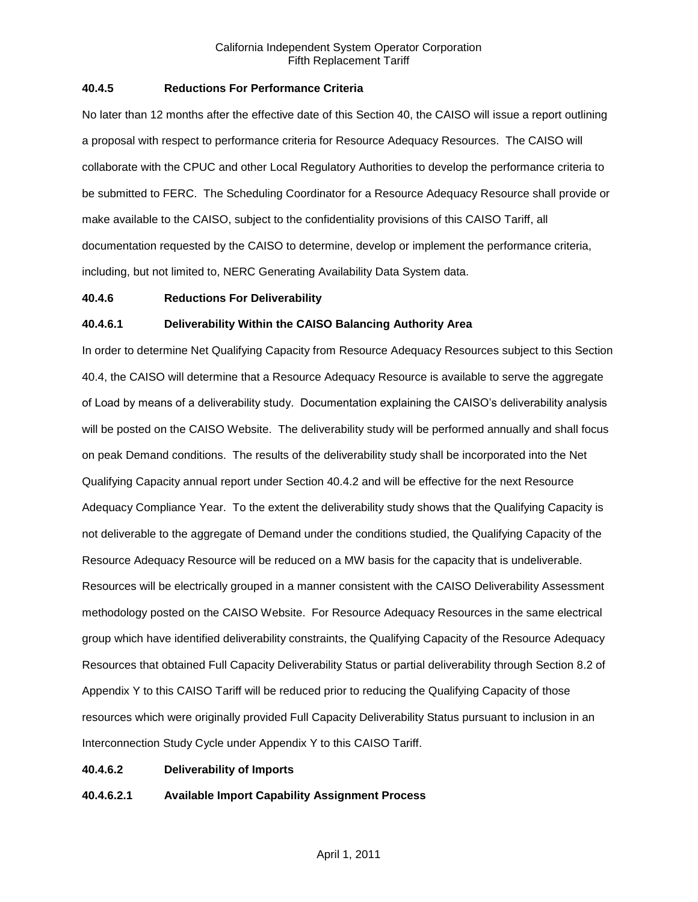### **40.4.5 Reductions For Performance Criteria**

No later than 12 months after the effective date of this Section 40, the CAISO will issue a report outlining a proposal with respect to performance criteria for Resource Adequacy Resources. The CAISO will collaborate with the CPUC and other Local Regulatory Authorities to develop the performance criteria to be submitted to FERC. The Scheduling Coordinator for a Resource Adequacy Resource shall provide or make available to the CAISO, subject to the confidentiality provisions of this CAISO Tariff, all documentation requested by the CAISO to determine, develop or implement the performance criteria, including, but not limited to, NERC Generating Availability Data System data.

#### **40.4.6 Reductions For Deliverability**

#### **40.4.6.1 Deliverability Within the CAISO Balancing Authority Area**

In order to determine Net Qualifying Capacity from Resource Adequacy Resources subject to this Section 40.4, the CAISO will determine that a Resource Adequacy Resource is available to serve the aggregate of Load by means of a deliverability study. Documentation explaining the CAISO's deliverability analysis will be posted on the CAISO Website. The deliverability study will be performed annually and shall focus on peak Demand conditions. The results of the deliverability study shall be incorporated into the Net Qualifying Capacity annual report under Section 40.4.2 and will be effective for the next Resource Adequacy Compliance Year. To the extent the deliverability study shows that the Qualifying Capacity is not deliverable to the aggregate of Demand under the conditions studied, the Qualifying Capacity of the Resource Adequacy Resource will be reduced on a MW basis for the capacity that is undeliverable. Resources will be electrically grouped in a manner consistent with the CAISO Deliverability Assessment methodology posted on the CAISO Website. For Resource Adequacy Resources in the same electrical group which have identified deliverability constraints, the Qualifying Capacity of the Resource Adequacy Resources that obtained Full Capacity Deliverability Status or partial deliverability through Section 8.2 of Appendix Y to this CAISO Tariff will be reduced prior to reducing the Qualifying Capacity of those resources which were originally provided Full Capacity Deliverability Status pursuant to inclusion in an Interconnection Study Cycle under Appendix Y to this CAISO Tariff.

### **40.4.6.2 Deliverability of Imports**

**40.4.6.2.1 Available Import Capability Assignment Process**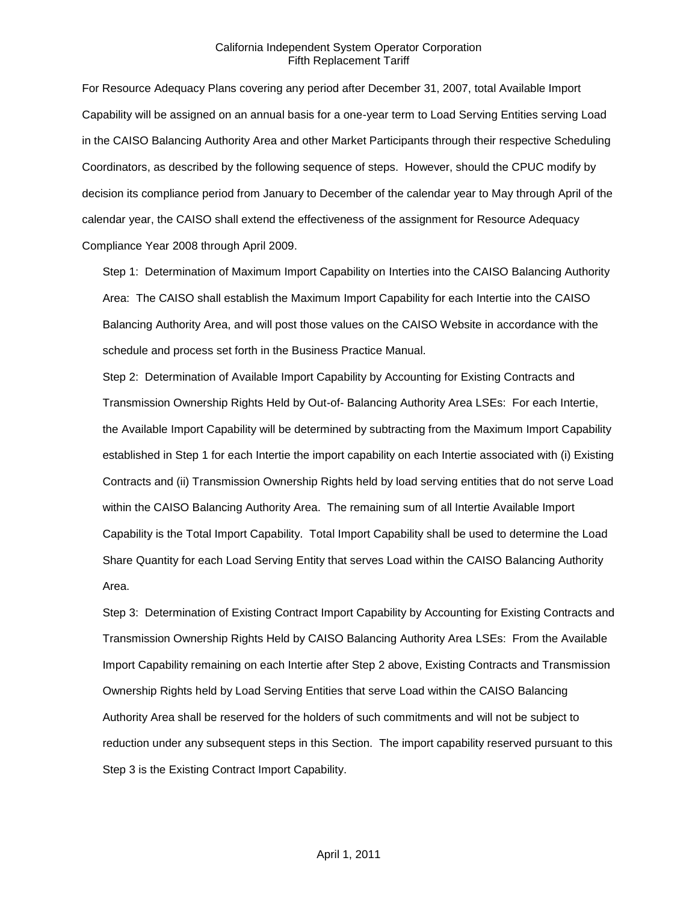For Resource Adequacy Plans covering any period after December 31, 2007, total Available Import Capability will be assigned on an annual basis for a one-year term to Load Serving Entities serving Load in the CAISO Balancing Authority Area and other Market Participants through their respective Scheduling Coordinators, as described by the following sequence of steps. However, should the CPUC modify by decision its compliance period from January to December of the calendar year to May through April of the calendar year, the CAISO shall extend the effectiveness of the assignment for Resource Adequacy Compliance Year 2008 through April 2009.

Step 1: Determination of Maximum Import Capability on Interties into the CAISO Balancing Authority Area: The CAISO shall establish the Maximum Import Capability for each Intertie into the CAISO Balancing Authority Area, and will post those values on the CAISO Website in accordance with the schedule and process set forth in the Business Practice Manual.

Step 2: Determination of Available Import Capability by Accounting for Existing Contracts and Transmission Ownership Rights Held by Out-of- Balancing Authority Area LSEs: For each Intertie, the Available Import Capability will be determined by subtracting from the Maximum Import Capability established in Step 1 for each Intertie the import capability on each Intertie associated with (i) Existing Contracts and (ii) Transmission Ownership Rights held by load serving entities that do not serve Load within the CAISO Balancing Authority Area. The remaining sum of all Intertie Available Import Capability is the Total Import Capability. Total Import Capability shall be used to determine the Load Share Quantity for each Load Serving Entity that serves Load within the CAISO Balancing Authority Area.

Step 3: Determination of Existing Contract Import Capability by Accounting for Existing Contracts and Transmission Ownership Rights Held by CAISO Balancing Authority Area LSEs: From the Available Import Capability remaining on each Intertie after Step 2 above, Existing Contracts and Transmission Ownership Rights held by Load Serving Entities that serve Load within the CAISO Balancing Authority Area shall be reserved for the holders of such commitments and will not be subject to reduction under any subsequent steps in this Section. The import capability reserved pursuant to this Step 3 is the Existing Contract Import Capability.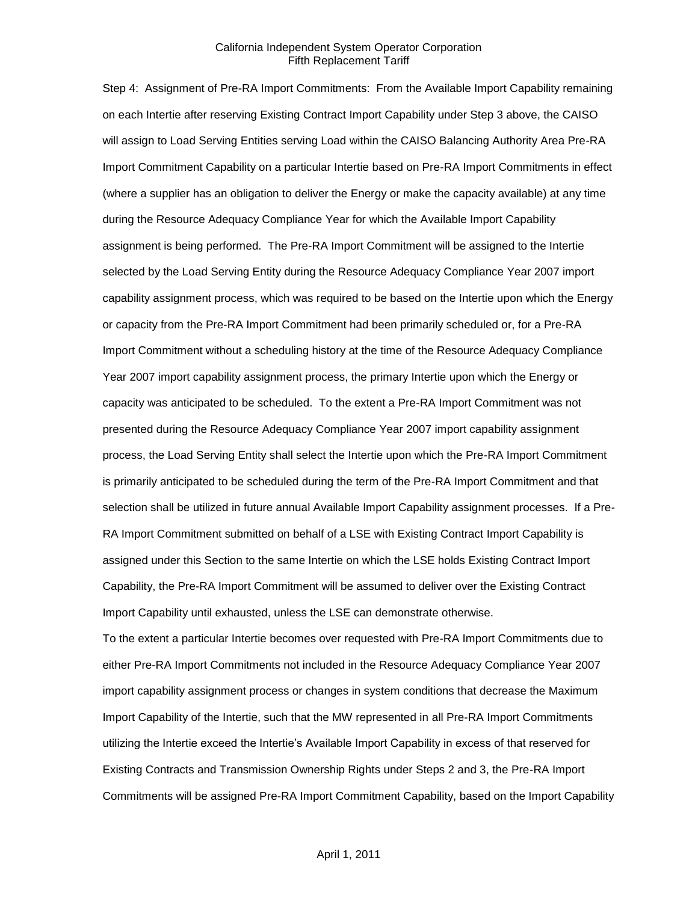Step 4: Assignment of Pre-RA Import Commitments: From the Available Import Capability remaining on each Intertie after reserving Existing Contract Import Capability under Step 3 above, the CAISO will assign to Load Serving Entities serving Load within the CAISO Balancing Authority Area Pre-RA Import Commitment Capability on a particular Intertie based on Pre-RA Import Commitments in effect (where a supplier has an obligation to deliver the Energy or make the capacity available) at any time during the Resource Adequacy Compliance Year for which the Available Import Capability assignment is being performed. The Pre-RA Import Commitment will be assigned to the Intertie selected by the Load Serving Entity during the Resource Adequacy Compliance Year 2007 import capability assignment process, which was required to be based on the Intertie upon which the Energy or capacity from the Pre-RA Import Commitment had been primarily scheduled or, for a Pre-RA Import Commitment without a scheduling history at the time of the Resource Adequacy Compliance Year 2007 import capability assignment process, the primary Intertie upon which the Energy or capacity was anticipated to be scheduled. To the extent a Pre-RA Import Commitment was not presented during the Resource Adequacy Compliance Year 2007 import capability assignment process, the Load Serving Entity shall select the Intertie upon which the Pre-RA Import Commitment is primarily anticipated to be scheduled during the term of the Pre-RA Import Commitment and that selection shall be utilized in future annual Available Import Capability assignment processes. If a Pre-RA Import Commitment submitted on behalf of a LSE with Existing Contract Import Capability is assigned under this Section to the same Intertie on which the LSE holds Existing Contract Import Capability, the Pre-RA Import Commitment will be assumed to deliver over the Existing Contract Import Capability until exhausted, unless the LSE can demonstrate otherwise.

To the extent a particular Intertie becomes over requested with Pre-RA Import Commitments due to either Pre-RA Import Commitments not included in the Resource Adequacy Compliance Year 2007 import capability assignment process or changes in system conditions that decrease the Maximum Import Capability of the Intertie, such that the MW represented in all Pre-RA Import Commitments utilizing the Intertie exceed the Intertie's Available Import Capability in excess of that reserved for Existing Contracts and Transmission Ownership Rights under Steps 2 and 3, the Pre-RA Import Commitments will be assigned Pre-RA Import Commitment Capability, based on the Import Capability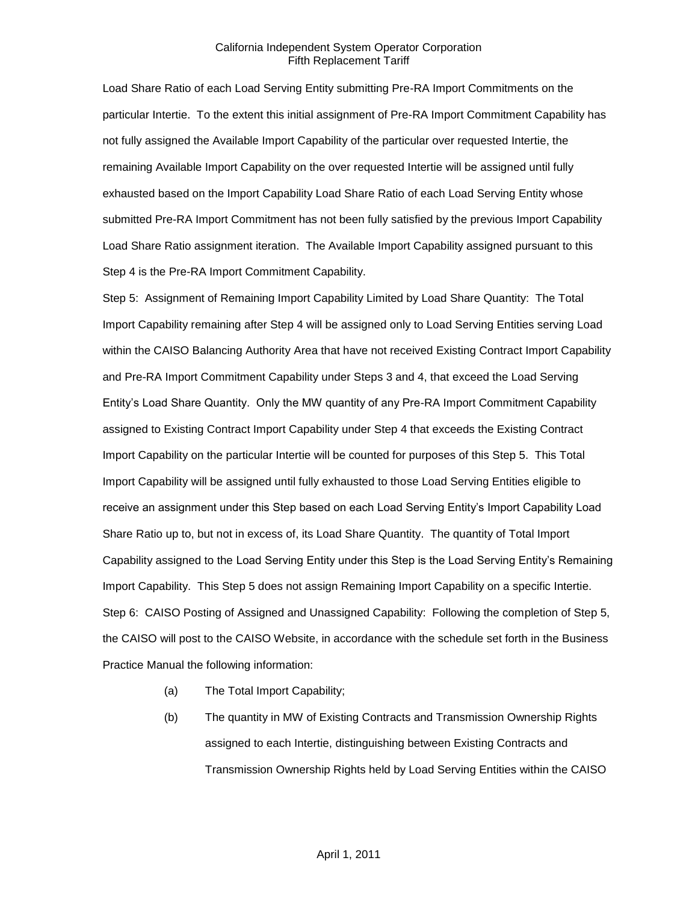Load Share Ratio of each Load Serving Entity submitting Pre-RA Import Commitments on the particular Intertie. To the extent this initial assignment of Pre-RA Import Commitment Capability has not fully assigned the Available Import Capability of the particular over requested Intertie, the remaining Available Import Capability on the over requested Intertie will be assigned until fully exhausted based on the Import Capability Load Share Ratio of each Load Serving Entity whose submitted Pre-RA Import Commitment has not been fully satisfied by the previous Import Capability Load Share Ratio assignment iteration. The Available Import Capability assigned pursuant to this Step 4 is the Pre-RA Import Commitment Capability.

Step 5: Assignment of Remaining Import Capability Limited by Load Share Quantity: The Total Import Capability remaining after Step 4 will be assigned only to Load Serving Entities serving Load within the CAISO Balancing Authority Area that have not received Existing Contract Import Capability and Pre-RA Import Commitment Capability under Steps 3 and 4, that exceed the Load Serving Entity's Load Share Quantity. Only the MW quantity of any Pre-RA Import Commitment Capability assigned to Existing Contract Import Capability under Step 4 that exceeds the Existing Contract Import Capability on the particular Intertie will be counted for purposes of this Step 5. This Total Import Capability will be assigned until fully exhausted to those Load Serving Entities eligible to receive an assignment under this Step based on each Load Serving Entity's Import Capability Load Share Ratio up to, but not in excess of, its Load Share Quantity. The quantity of Total Import Capability assigned to the Load Serving Entity under this Step is the Load Serving Entity's Remaining Import Capability. This Step 5 does not assign Remaining Import Capability on a specific Intertie. Step 6: CAISO Posting of Assigned and Unassigned Capability: Following the completion of Step 5, the CAISO will post to the CAISO Website, in accordance with the schedule set forth in the Business Practice Manual the following information:

- (a) The Total Import Capability;
- (b) The quantity in MW of Existing Contracts and Transmission Ownership Rights assigned to each Intertie, distinguishing between Existing Contracts and Transmission Ownership Rights held by Load Serving Entities within the CAISO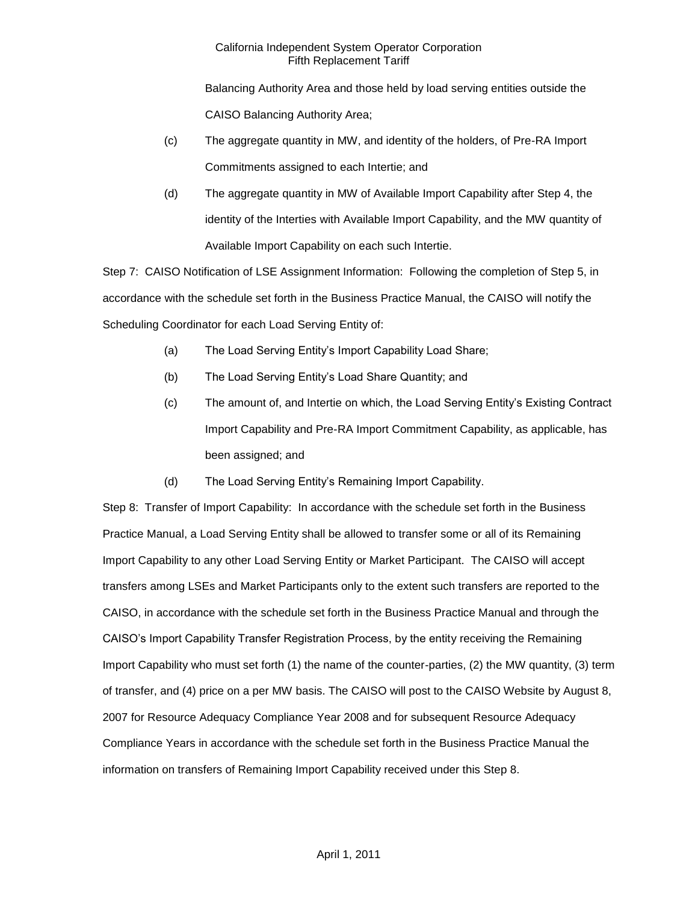Balancing Authority Area and those held by load serving entities outside the CAISO Balancing Authority Area;

- (c) The aggregate quantity in MW, and identity of the holders, of Pre-RA Import Commitments assigned to each Intertie; and
- (d) The aggregate quantity in MW of Available Import Capability after Step 4, the identity of the Interties with Available Import Capability, and the MW quantity of Available Import Capability on each such Intertie.

Step 7: CAISO Notification of LSE Assignment Information: Following the completion of Step 5, in accordance with the schedule set forth in the Business Practice Manual, the CAISO will notify the Scheduling Coordinator for each Load Serving Entity of:

- (a) The Load Serving Entity's Import Capability Load Share;
- (b) The Load Serving Entity's Load Share Quantity; and
- (c) The amount of, and Intertie on which, the Load Serving Entity's Existing Contract Import Capability and Pre-RA Import Commitment Capability, as applicable, has been assigned; and
- (d) The Load Serving Entity's Remaining Import Capability.

Step 8: Transfer of Import Capability: In accordance with the schedule set forth in the Business Practice Manual, a Load Serving Entity shall be allowed to transfer some or all of its Remaining Import Capability to any other Load Serving Entity or Market Participant. The CAISO will accept transfers among LSEs and Market Participants only to the extent such transfers are reported to the CAISO, in accordance with the schedule set forth in the Business Practice Manual and through the CAISO's Import Capability Transfer Registration Process, by the entity receiving the Remaining Import Capability who must set forth (1) the name of the counter-parties, (2) the MW quantity, (3) term of transfer, and (4) price on a per MW basis. The CAISO will post to the CAISO Website by August 8, 2007 for Resource Adequacy Compliance Year 2008 and for subsequent Resource Adequacy Compliance Years in accordance with the schedule set forth in the Business Practice Manual the information on transfers of Remaining Import Capability received under this Step 8.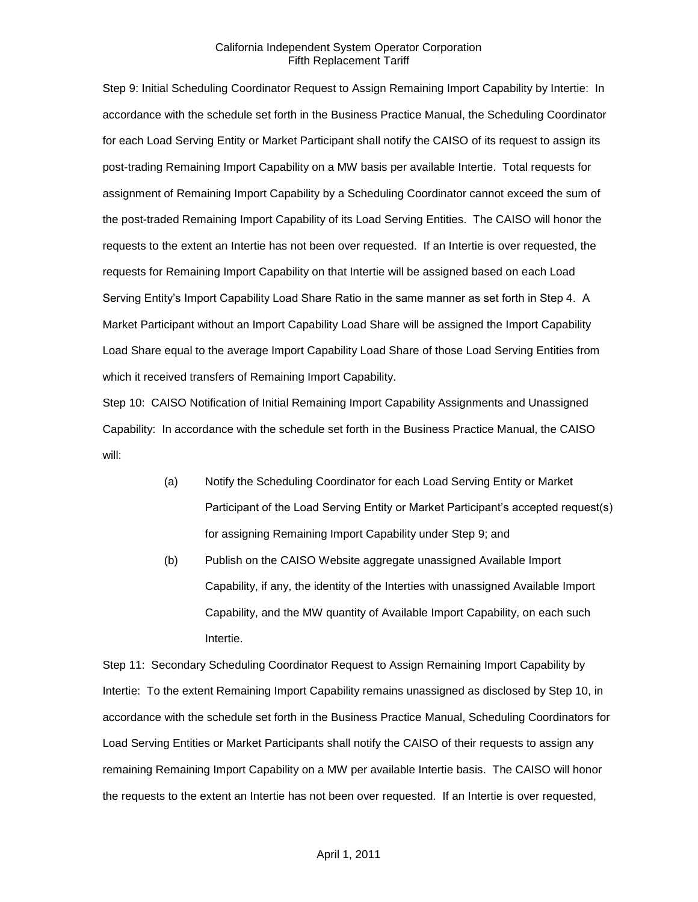Step 9: Initial Scheduling Coordinator Request to Assign Remaining Import Capability by Intertie: In accordance with the schedule set forth in the Business Practice Manual, the Scheduling Coordinator for each Load Serving Entity or Market Participant shall notify the CAISO of its request to assign its post-trading Remaining Import Capability on a MW basis per available Intertie. Total requests for assignment of Remaining Import Capability by a Scheduling Coordinator cannot exceed the sum of the post-traded Remaining Import Capability of its Load Serving Entities. The CAISO will honor the requests to the extent an Intertie has not been over requested. If an Intertie is over requested, the requests for Remaining Import Capability on that Intertie will be assigned based on each Load Serving Entity's Import Capability Load Share Ratio in the same manner as set forth in Step 4. A Market Participant without an Import Capability Load Share will be assigned the Import Capability Load Share equal to the average Import Capability Load Share of those Load Serving Entities from which it received transfers of Remaining Import Capability.

Step 10: CAISO Notification of Initial Remaining Import Capability Assignments and Unassigned Capability: In accordance with the schedule set forth in the Business Practice Manual, the CAISO will:

- (a) Notify the Scheduling Coordinator for each Load Serving Entity or Market Participant of the Load Serving Entity or Market Participant's accepted request(s) for assigning Remaining Import Capability under Step 9; and
- (b) Publish on the CAISO Website aggregate unassigned Available Import Capability, if any, the identity of the Interties with unassigned Available Import Capability, and the MW quantity of Available Import Capability, on each such Intertie.

Step 11: Secondary Scheduling Coordinator Request to Assign Remaining Import Capability by Intertie: To the extent Remaining Import Capability remains unassigned as disclosed by Step 10, in accordance with the schedule set forth in the Business Practice Manual, Scheduling Coordinators for Load Serving Entities or Market Participants shall notify the CAISO of their requests to assign any remaining Remaining Import Capability on a MW per available Intertie basis. The CAISO will honor the requests to the extent an Intertie has not been over requested. If an Intertie is over requested,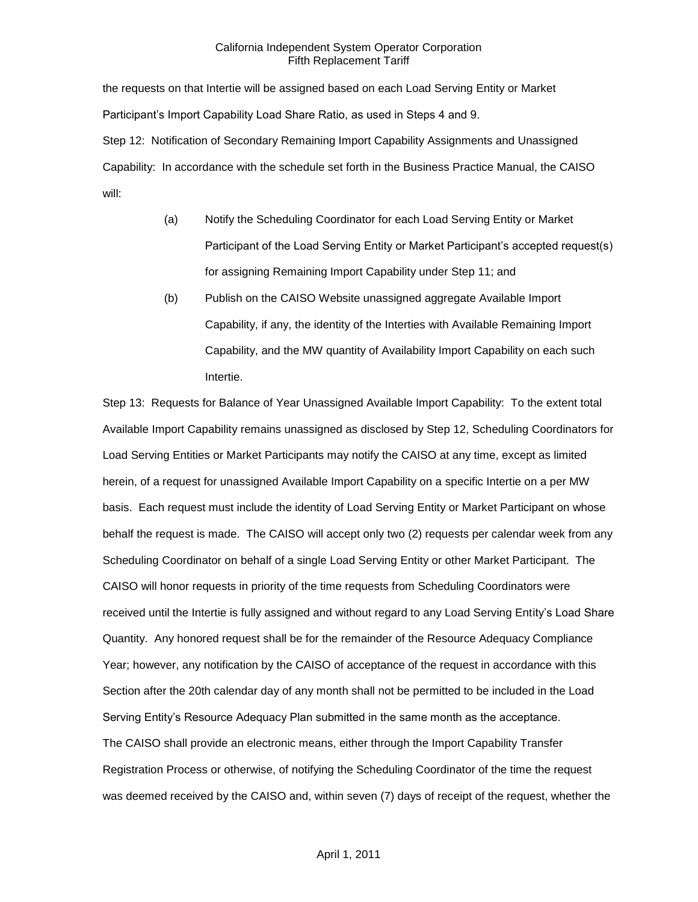the requests on that Intertie will be assigned based on each Load Serving Entity or Market Participant's Import Capability Load Share Ratio, as used in Steps 4 and 9. Step 12: Notification of Secondary Remaining Import Capability Assignments and Unassigned Capability: In accordance with the schedule set forth in the Business Practice Manual, the CAISO will:

- (a) Notify the Scheduling Coordinator for each Load Serving Entity or Market Participant of the Load Serving Entity or Market Participant's accepted request(s) for assigning Remaining Import Capability under Step 11; and
- (b) Publish on the CAISO Website unassigned aggregate Available Import Capability, if any, the identity of the Interties with Available Remaining Import Capability, and the MW quantity of Availability Import Capability on each such Intertie.

Step 13: Requests for Balance of Year Unassigned Available Import Capability: To the extent total Available Import Capability remains unassigned as disclosed by Step 12, Scheduling Coordinators for Load Serving Entities or Market Participants may notify the CAISO at any time, except as limited herein, of a request for unassigned Available Import Capability on a specific Intertie on a per MW basis. Each request must include the identity of Load Serving Entity or Market Participant on whose behalf the request is made. The CAISO will accept only two (2) requests per calendar week from any Scheduling Coordinator on behalf of a single Load Serving Entity or other Market Participant. The CAISO will honor requests in priority of the time requests from Scheduling Coordinators were received until the Intertie is fully assigned and without regard to any Load Serving Entity's Load Share Quantity. Any honored request shall be for the remainder of the Resource Adequacy Compliance Year; however, any notification by the CAISO of acceptance of the request in accordance with this Section after the 20th calendar day of any month shall not be permitted to be included in the Load Serving Entity's Resource Adequacy Plan submitted in the same month as the acceptance. The CAISO shall provide an electronic means, either through the Import Capability Transfer Registration Process or otherwise, of notifying the Scheduling Coordinator of the time the request was deemed received by the CAISO and, within seven (7) days of receipt of the request, whether the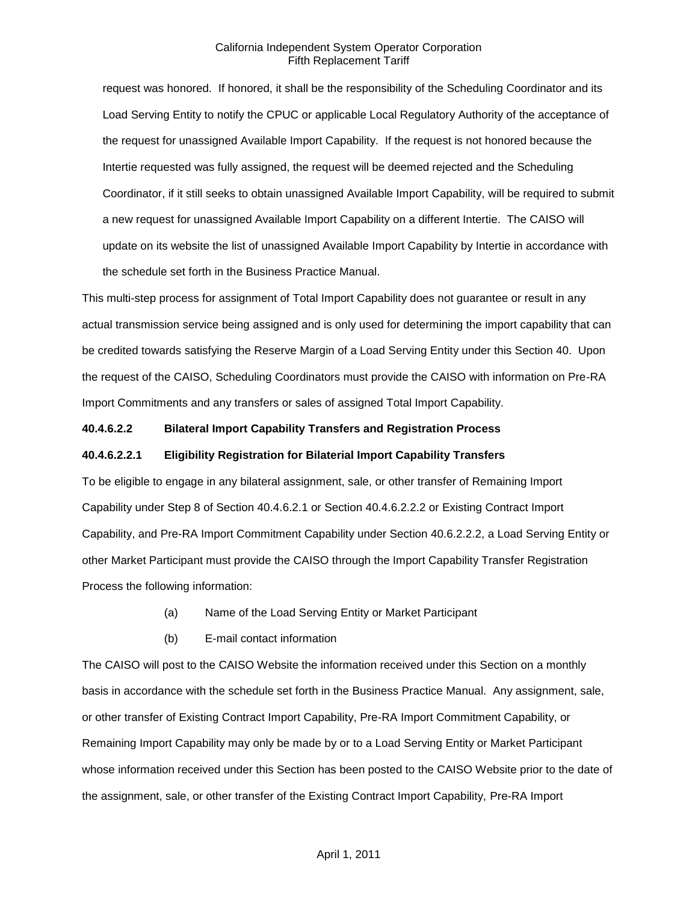request was honored. If honored, it shall be the responsibility of the Scheduling Coordinator and its Load Serving Entity to notify the CPUC or applicable Local Regulatory Authority of the acceptance of the request for unassigned Available Import Capability. If the request is not honored because the Intertie requested was fully assigned, the request will be deemed rejected and the Scheduling Coordinator, if it still seeks to obtain unassigned Available Import Capability, will be required to submit a new request for unassigned Available Import Capability on a different Intertie. The CAISO will update on its website the list of unassigned Available Import Capability by Intertie in accordance with the schedule set forth in the Business Practice Manual.

This multi-step process for assignment of Total Import Capability does not guarantee or result in any actual transmission service being assigned and is only used for determining the import capability that can be credited towards satisfying the Reserve Margin of a Load Serving Entity under this Section 40. Upon the request of the CAISO, Scheduling Coordinators must provide the CAISO with information on Pre-RA Import Commitments and any transfers or sales of assigned Total Import Capability.

### **40.4.6.2.2 Bilateral Import Capability Transfers and Registration Process**

#### **40.4.6.2.2.1 Eligibility Registration for Bilaterial Import Capability Transfers**

To be eligible to engage in any bilateral assignment, sale, or other transfer of Remaining Import Capability under Step 8 of Section 40.4.6.2.1 or Section 40.4.6.2.2.2 or Existing Contract Import Capability, and Pre-RA Import Commitment Capability under Section 40.6.2.2.2, a Load Serving Entity or other Market Participant must provide the CAISO through the Import Capability Transfer Registration Process the following information:

- (a) Name of the Load Serving Entity or Market Participant
- (b) E-mail contact information

The CAISO will post to the CAISO Website the information received under this Section on a monthly basis in accordance with the schedule set forth in the Business Practice Manual. Any assignment, sale, or other transfer of Existing Contract Import Capability, Pre-RA Import Commitment Capability, or Remaining Import Capability may only be made by or to a Load Serving Entity or Market Participant whose information received under this Section has been posted to the CAISO Website prior to the date of the assignment, sale, or other transfer of the Existing Contract Import Capability, Pre-RA Import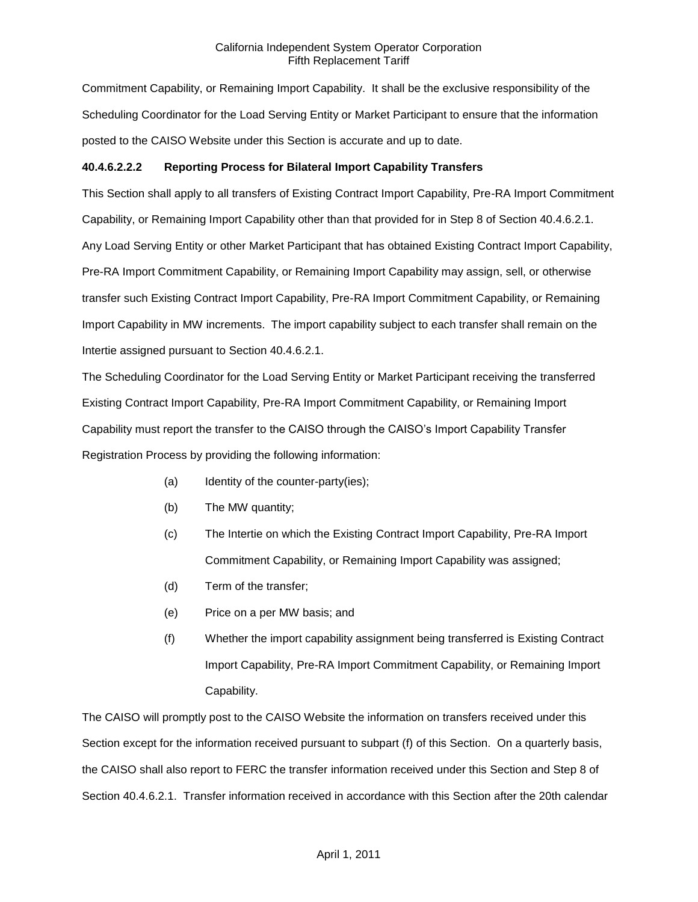Commitment Capability, or Remaining Import Capability. It shall be the exclusive responsibility of the Scheduling Coordinator for the Load Serving Entity or Market Participant to ensure that the information posted to the CAISO Website under this Section is accurate and up to date.

## **40.4.6.2.2.2 Reporting Process for Bilateral Import Capability Transfers**

This Section shall apply to all transfers of Existing Contract Import Capability, Pre-RA Import Commitment Capability, or Remaining Import Capability other than that provided for in Step 8 of Section 40.4.6.2.1. Any Load Serving Entity or other Market Participant that has obtained Existing Contract Import Capability, Pre-RA Import Commitment Capability, or Remaining Import Capability may assign, sell, or otherwise transfer such Existing Contract Import Capability, Pre-RA Import Commitment Capability, or Remaining Import Capability in MW increments. The import capability subject to each transfer shall remain on the Intertie assigned pursuant to Section 40.4.6.2.1.

The Scheduling Coordinator for the Load Serving Entity or Market Participant receiving the transferred Existing Contract Import Capability, Pre-RA Import Commitment Capability, or Remaining Import Capability must report the transfer to the CAISO through the CAISO's Import Capability Transfer Registration Process by providing the following information:

- (a) Identity of the counter-party(ies);
- (b) The MW quantity;
- (c) The Intertie on which the Existing Contract Import Capability, Pre-RA Import Commitment Capability, or Remaining Import Capability was assigned;
- (d) Term of the transfer;
- (e) Price on a per MW basis; and
- (f) Whether the import capability assignment being transferred is Existing Contract Import Capability, Pre-RA Import Commitment Capability, or Remaining Import Capability.

The CAISO will promptly post to the CAISO Website the information on transfers received under this Section except for the information received pursuant to subpart (f) of this Section. On a quarterly basis, the CAISO shall also report to FERC the transfer information received under this Section and Step 8 of Section 40.4.6.2.1. Transfer information received in accordance with this Section after the 20th calendar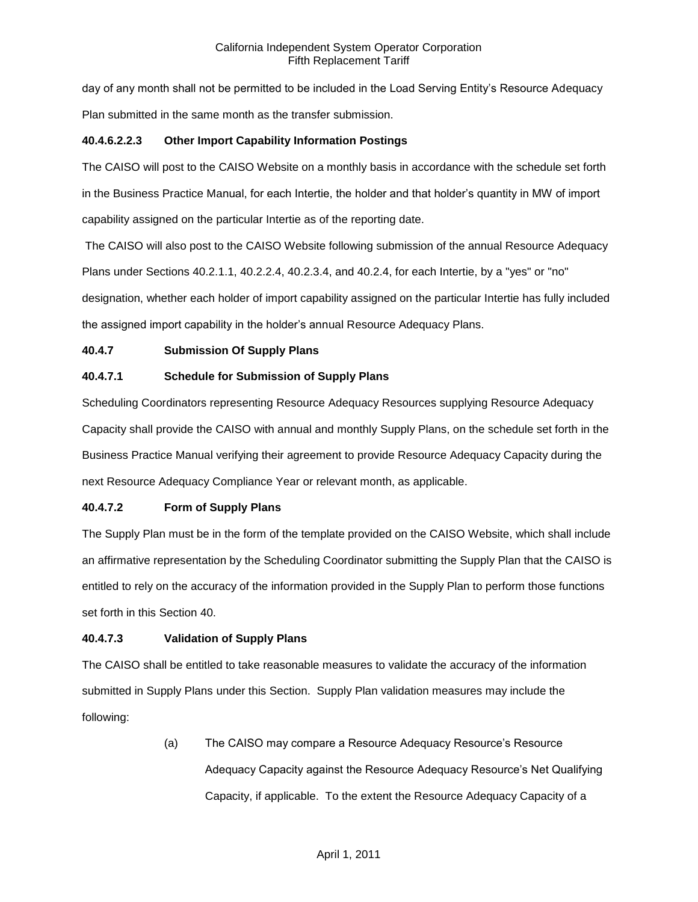day of any month shall not be permitted to be included in the Load Serving Entity's Resource Adequacy Plan submitted in the same month as the transfer submission.

## **40.4.6.2.2.3 Other Import Capability Information Postings**

The CAISO will post to the CAISO Website on a monthly basis in accordance with the schedule set forth in the Business Practice Manual, for each Intertie, the holder and that holder's quantity in MW of import capability assigned on the particular Intertie as of the reporting date.

The CAISO will also post to the CAISO Website following submission of the annual Resource Adequacy Plans under Sections 40.2.1.1, 40.2.2.4, 40.2.3.4, and 40.2.4, for each Intertie, by a "yes" or "no" designation, whether each holder of import capability assigned on the particular Intertie has fully included the assigned import capability in the holder's annual Resource Adequacy Plans.

# **40.4.7 Submission Of Supply Plans**

# **40.4.7.1 Schedule for Submission of Supply Plans**

Scheduling Coordinators representing Resource Adequacy Resources supplying Resource Adequacy Capacity shall provide the CAISO with annual and monthly Supply Plans, on the schedule set forth in the Business Practice Manual verifying their agreement to provide Resource Adequacy Capacity during the next Resource Adequacy Compliance Year or relevant month, as applicable.

# **40.4.7.2 Form of Supply Plans**

The Supply Plan must be in the form of the template provided on the CAISO Website, which shall include an affirmative representation by the Scheduling Coordinator submitting the Supply Plan that the CAISO is entitled to rely on the accuracy of the information provided in the Supply Plan to perform those functions set forth in this Section 40.

## **40.4.7.3 Validation of Supply Plans**

The CAISO shall be entitled to take reasonable measures to validate the accuracy of the information submitted in Supply Plans under this Section. Supply Plan validation measures may include the following:

> (a) The CAISO may compare a Resource Adequacy Resource's Resource Adequacy Capacity against the Resource Adequacy Resource's Net Qualifying Capacity, if applicable. To the extent the Resource Adequacy Capacity of a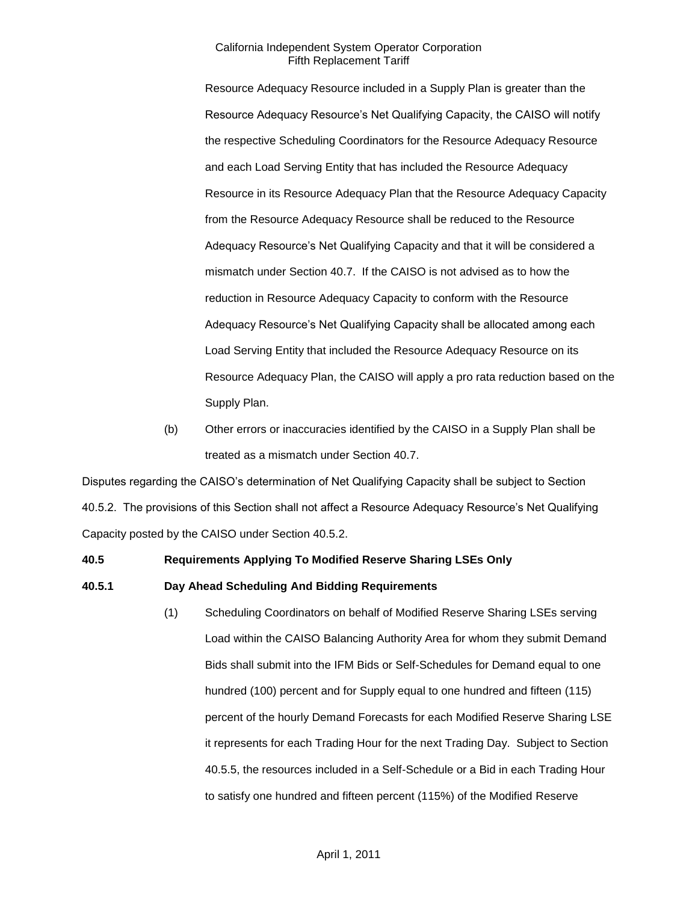Resource Adequacy Resource included in a Supply Plan is greater than the Resource Adequacy Resource's Net Qualifying Capacity, the CAISO will notify the respective Scheduling Coordinators for the Resource Adequacy Resource and each Load Serving Entity that has included the Resource Adequacy Resource in its Resource Adequacy Plan that the Resource Adequacy Capacity from the Resource Adequacy Resource shall be reduced to the Resource Adequacy Resource's Net Qualifying Capacity and that it will be considered a mismatch under Section 40.7. If the CAISO is not advised as to how the reduction in Resource Adequacy Capacity to conform with the Resource Adequacy Resource's Net Qualifying Capacity shall be allocated among each Load Serving Entity that included the Resource Adequacy Resource on its Resource Adequacy Plan, the CAISO will apply a pro rata reduction based on the Supply Plan.

(b) Other errors or inaccuracies identified by the CAISO in a Supply Plan shall be treated as a mismatch under Section 40.7.

Disputes regarding the CAISO's determination of Net Qualifying Capacity shall be subject to Section 40.5.2. The provisions of this Section shall not affect a Resource Adequacy Resource's Net Qualifying Capacity posted by the CAISO under Section 40.5.2.

### **40.5 Requirements Applying To Modified Reserve Sharing LSEs Only**

**40.5.1 Day Ahead Scheduling And Bidding Requirements**

(1) Scheduling Coordinators on behalf of Modified Reserve Sharing LSEs serving Load within the CAISO Balancing Authority Area for whom they submit Demand Bids shall submit into the IFM Bids or Self-Schedules for Demand equal to one hundred (100) percent and for Supply equal to one hundred and fifteen (115) percent of the hourly Demand Forecasts for each Modified Reserve Sharing LSE it represents for each Trading Hour for the next Trading Day. Subject to Section 40.5.5, the resources included in a Self-Schedule or a Bid in each Trading Hour to satisfy one hundred and fifteen percent (115%) of the Modified Reserve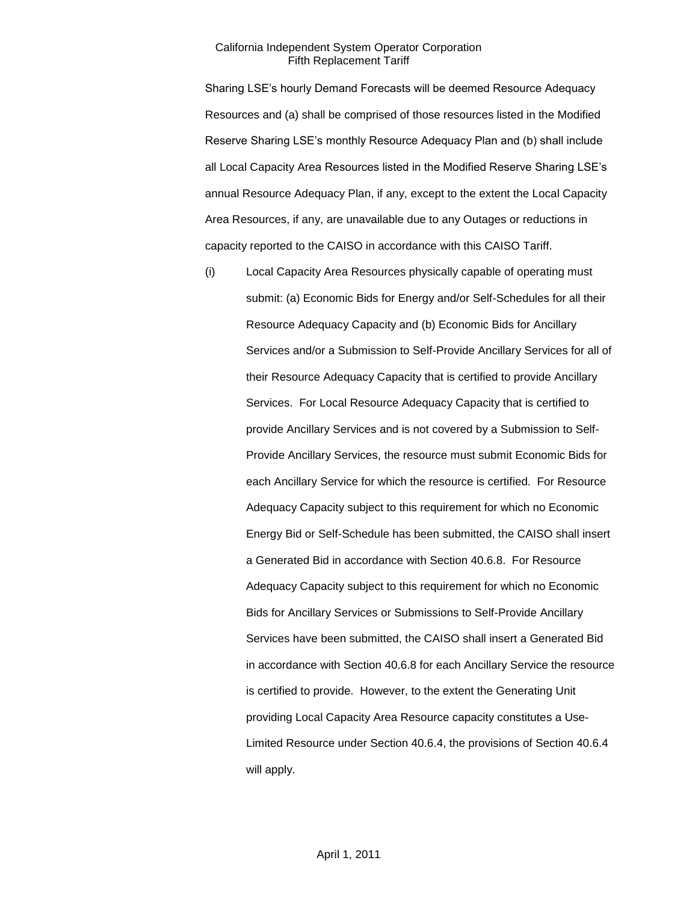Sharing LSE's hourly Demand Forecasts will be deemed Resource Adequacy Resources and (a) shall be comprised of those resources listed in the Modified Reserve Sharing LSE's monthly Resource Adequacy Plan and (b) shall include all Local Capacity Area Resources listed in the Modified Reserve Sharing LSE's annual Resource Adequacy Plan, if any, except to the extent the Local Capacity Area Resources, if any, are unavailable due to any Outages or reductions in capacity reported to the CAISO in accordance with this CAISO Tariff.

(i) Local Capacity Area Resources physically capable of operating must submit: (a) Economic Bids for Energy and/or Self-Schedules for all their Resource Adequacy Capacity and (b) Economic Bids for Ancillary Services and/or a Submission to Self-Provide Ancillary Services for all of their Resource Adequacy Capacity that is certified to provide Ancillary Services. For Local Resource Adequacy Capacity that is certified to provide Ancillary Services and is not covered by a Submission to Self-Provide Ancillary Services, the resource must submit Economic Bids for each Ancillary Service for which the resource is certified. For Resource Adequacy Capacity subject to this requirement for which no Economic Energy Bid or Self-Schedule has been submitted, the CAISO shall insert a Generated Bid in accordance with Section 40.6.8. For Resource Adequacy Capacity subject to this requirement for which no Economic Bids for Ancillary Services or Submissions to Self-Provide Ancillary Services have been submitted, the CAISO shall insert a Generated Bid in accordance with Section 40.6.8 for each Ancillary Service the resource is certified to provide. However, to the extent the Generating Unit providing Local Capacity Area Resource capacity constitutes a Use-Limited Resource under Section 40.6.4, the provisions of Section 40.6.4 will apply.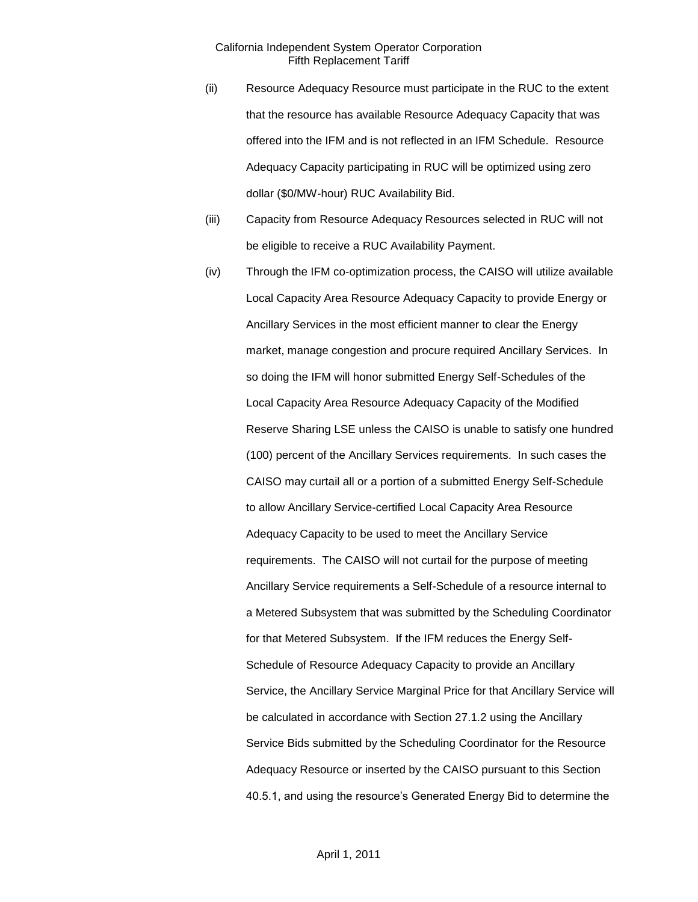- (ii) Resource Adequacy Resource must participate in the RUC to the extent that the resource has available Resource Adequacy Capacity that was offered into the IFM and is not reflected in an IFM Schedule. Resource Adequacy Capacity participating in RUC will be optimized using zero dollar (\$0/MW-hour) RUC Availability Bid.
- (iii) Capacity from Resource Adequacy Resources selected in RUC will not be eligible to receive a RUC Availability Payment.
- (iv) Through the IFM co-optimization process, the CAISO will utilize available Local Capacity Area Resource Adequacy Capacity to provide Energy or Ancillary Services in the most efficient manner to clear the Energy market, manage congestion and procure required Ancillary Services. In so doing the IFM will honor submitted Energy Self-Schedules of the Local Capacity Area Resource Adequacy Capacity of the Modified Reserve Sharing LSE unless the CAISO is unable to satisfy one hundred (100) percent of the Ancillary Services requirements. In such cases the CAISO may curtail all or a portion of a submitted Energy Self-Schedule to allow Ancillary Service-certified Local Capacity Area Resource Adequacy Capacity to be used to meet the Ancillary Service requirements. The CAISO will not curtail for the purpose of meeting Ancillary Service requirements a Self-Schedule of a resource internal to a Metered Subsystem that was submitted by the Scheduling Coordinator for that Metered Subsystem. If the IFM reduces the Energy Self-Schedule of Resource Adequacy Capacity to provide an Ancillary Service, the Ancillary Service Marginal Price for that Ancillary Service will be calculated in accordance with Section 27.1.2 using the Ancillary Service Bids submitted by the Scheduling Coordinator for the Resource Adequacy Resource or inserted by the CAISO pursuant to this Section 40.5.1, and using the resource's Generated Energy Bid to determine the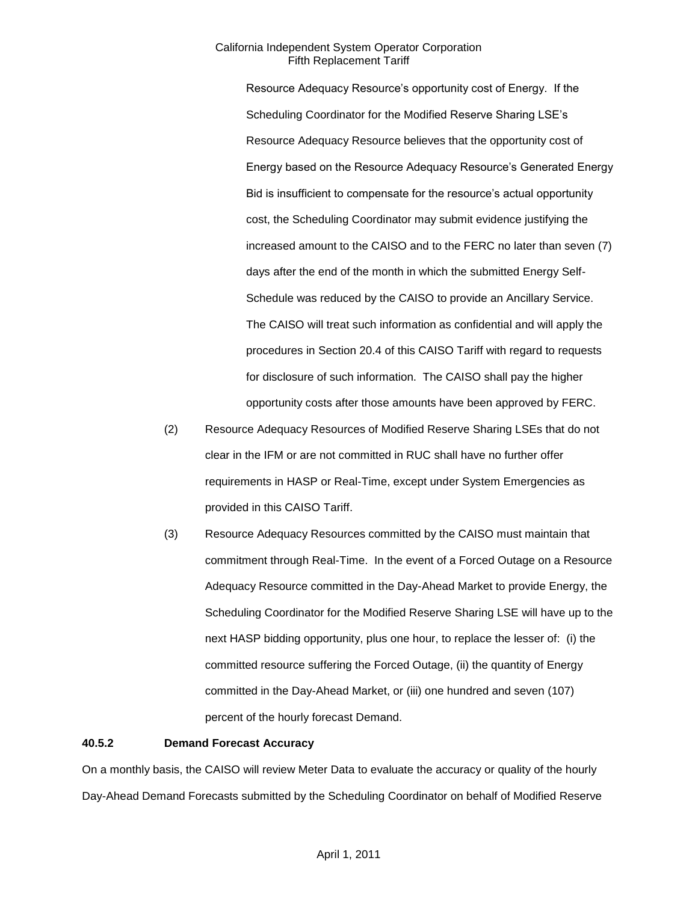Resource Adequacy Resource's opportunity cost of Energy. If the Scheduling Coordinator for the Modified Reserve Sharing LSE's Resource Adequacy Resource believes that the opportunity cost of Energy based on the Resource Adequacy Resource's Generated Energy Bid is insufficient to compensate for the resource's actual opportunity cost, the Scheduling Coordinator may submit evidence justifying the increased amount to the CAISO and to the FERC no later than seven (7) days after the end of the month in which the submitted Energy Self-Schedule was reduced by the CAISO to provide an Ancillary Service. The CAISO will treat such information as confidential and will apply the procedures in Section 20.4 of this CAISO Tariff with regard to requests for disclosure of such information. The CAISO shall pay the higher opportunity costs after those amounts have been approved by FERC.

- (2) Resource Adequacy Resources of Modified Reserve Sharing LSEs that do not clear in the IFM or are not committed in RUC shall have no further offer requirements in HASP or Real-Time, except under System Emergencies as provided in this CAISO Tariff.
- (3) Resource Adequacy Resources committed by the CAISO must maintain that commitment through Real-Time. In the event of a Forced Outage on a Resource Adequacy Resource committed in the Day-Ahead Market to provide Energy, the Scheduling Coordinator for the Modified Reserve Sharing LSE will have up to the next HASP bidding opportunity, plus one hour, to replace the lesser of: (i) the committed resource suffering the Forced Outage, (ii) the quantity of Energy committed in the Day-Ahead Market, or (iii) one hundred and seven (107) percent of the hourly forecast Demand.

#### **40.5.2 Demand Forecast Accuracy**

On a monthly basis, the CAISO will review Meter Data to evaluate the accuracy or quality of the hourly Day-Ahead Demand Forecasts submitted by the Scheduling Coordinator on behalf of Modified Reserve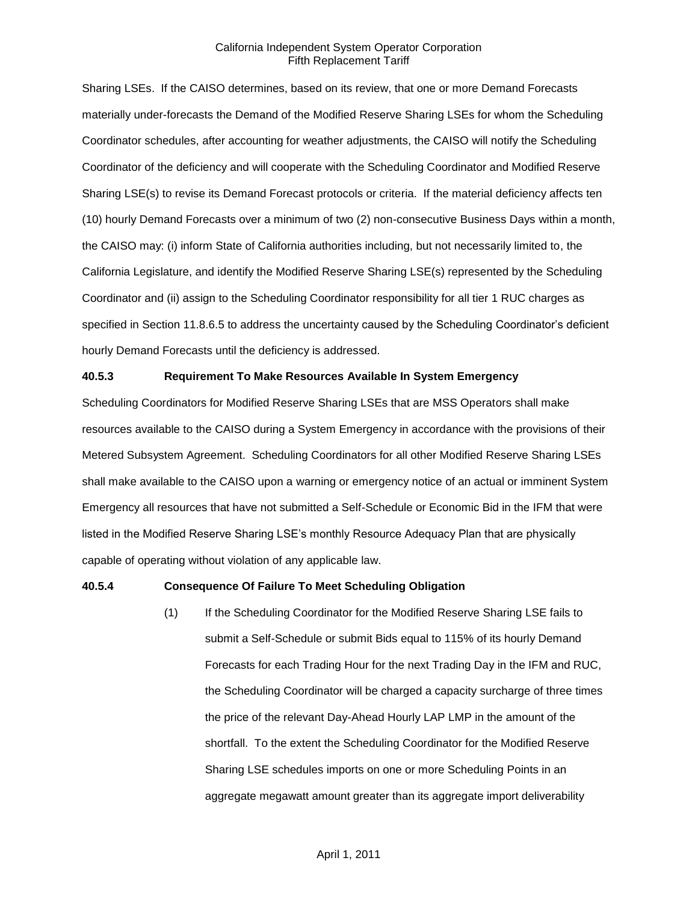Sharing LSEs. If the CAISO determines, based on its review, that one or more Demand Forecasts materially under-forecasts the Demand of the Modified Reserve Sharing LSEs for whom the Scheduling Coordinator schedules, after accounting for weather adjustments, the CAISO will notify the Scheduling Coordinator of the deficiency and will cooperate with the Scheduling Coordinator and Modified Reserve Sharing LSE(s) to revise its Demand Forecast protocols or criteria. If the material deficiency affects ten (10) hourly Demand Forecasts over a minimum of two (2) non-consecutive Business Days within a month, the CAISO may: (i) inform State of California authorities including, but not necessarily limited to, the California Legislature, and identify the Modified Reserve Sharing LSE(s) represented by the Scheduling Coordinator and (ii) assign to the Scheduling Coordinator responsibility for all tier 1 RUC charges as specified in Section 11.8.6.5 to address the uncertainty caused by the Scheduling Coordinator's deficient hourly Demand Forecasts until the deficiency is addressed.

#### **40.5.3 Requirement To Make Resources Available In System Emergency**

Scheduling Coordinators for Modified Reserve Sharing LSEs that are MSS Operators shall make resources available to the CAISO during a System Emergency in accordance with the provisions of their Metered Subsystem Agreement. Scheduling Coordinators for all other Modified Reserve Sharing LSEs shall make available to the CAISO upon a warning or emergency notice of an actual or imminent System Emergency all resources that have not submitted a Self-Schedule or Economic Bid in the IFM that were listed in the Modified Reserve Sharing LSE's monthly Resource Adequacy Plan that are physically capable of operating without violation of any applicable law.

#### **40.5.4 Consequence Of Failure To Meet Scheduling Obligation**

(1) If the Scheduling Coordinator for the Modified Reserve Sharing LSE fails to submit a Self-Schedule or submit Bids equal to 115% of its hourly Demand Forecasts for each Trading Hour for the next Trading Day in the IFM and RUC, the Scheduling Coordinator will be charged a capacity surcharge of three times the price of the relevant Day-Ahead Hourly LAP LMP in the amount of the shortfall. To the extent the Scheduling Coordinator for the Modified Reserve Sharing LSE schedules imports on one or more Scheduling Points in an aggregate megawatt amount greater than its aggregate import deliverability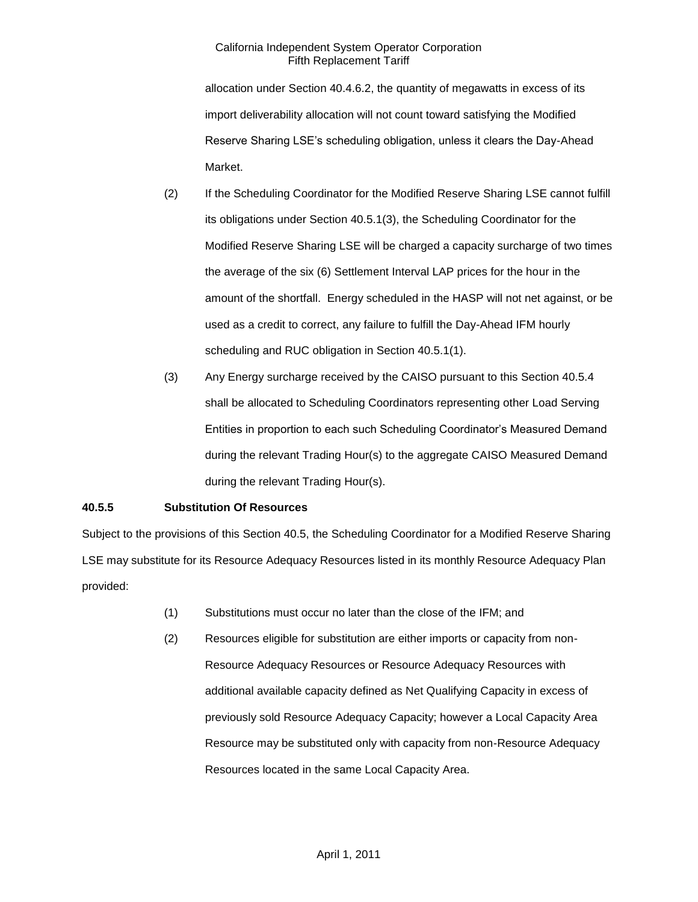allocation under Section 40.4.6.2, the quantity of megawatts in excess of its import deliverability allocation will not count toward satisfying the Modified Reserve Sharing LSE's scheduling obligation, unless it clears the Day-Ahead Market.

- (2) If the Scheduling Coordinator for the Modified Reserve Sharing LSE cannot fulfill its obligations under Section 40.5.1(3), the Scheduling Coordinator for the Modified Reserve Sharing LSE will be charged a capacity surcharge of two times the average of the six (6) Settlement Interval LAP prices for the hour in the amount of the shortfall. Energy scheduled in the HASP will not net against, or be used as a credit to correct, any failure to fulfill the Day-Ahead IFM hourly scheduling and RUC obligation in Section 40.5.1(1).
- (3) Any Energy surcharge received by the CAISO pursuant to this Section 40.5.4 shall be allocated to Scheduling Coordinators representing other Load Serving Entities in proportion to each such Scheduling Coordinator's Measured Demand during the relevant Trading Hour(s) to the aggregate CAISO Measured Demand during the relevant Trading Hour(s).

## **40.5.5 Substitution Of Resources**

Subject to the provisions of this Section 40.5, the Scheduling Coordinator for a Modified Reserve Sharing LSE may substitute for its Resource Adequacy Resources listed in its monthly Resource Adequacy Plan provided:

- (1) Substitutions must occur no later than the close of the IFM; and
- (2) Resources eligible for substitution are either imports or capacity from non-Resource Adequacy Resources or Resource Adequacy Resources with additional available capacity defined as Net Qualifying Capacity in excess of previously sold Resource Adequacy Capacity; however a Local Capacity Area Resource may be substituted only with capacity from non-Resource Adequacy Resources located in the same Local Capacity Area.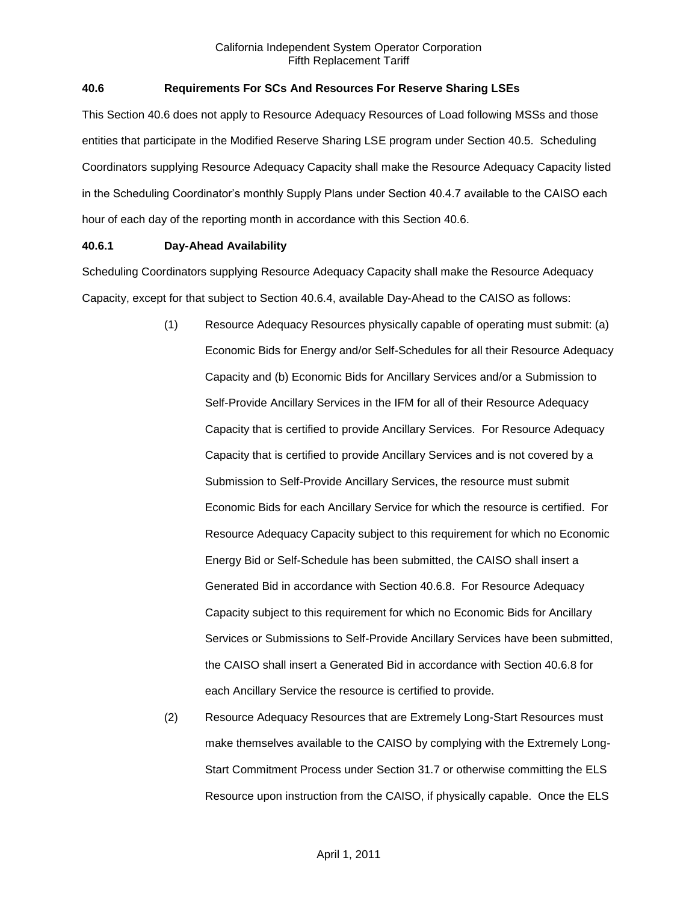## **40.6 Requirements For SCs And Resources For Reserve Sharing LSEs**

This Section 40.6 does not apply to Resource Adequacy Resources of Load following MSSs and those entities that participate in the Modified Reserve Sharing LSE program under Section 40.5. Scheduling Coordinators supplying Resource Adequacy Capacity shall make the Resource Adequacy Capacity listed in the Scheduling Coordinator's monthly Supply Plans under Section 40.4.7 available to the CAISO each hour of each day of the reporting month in accordance with this Section 40.6.

## **40.6.1 Day-Ahead Availability**

Scheduling Coordinators supplying Resource Adequacy Capacity shall make the Resource Adequacy Capacity, except for that subject to Section 40.6.4, available Day-Ahead to the CAISO as follows:

- (1) Resource Adequacy Resources physically capable of operating must submit: (a) Economic Bids for Energy and/or Self-Schedules for all their Resource Adequacy Capacity and (b) Economic Bids for Ancillary Services and/or a Submission to Self-Provide Ancillary Services in the IFM for all of their Resource Adequacy Capacity that is certified to provide Ancillary Services. For Resource Adequacy Capacity that is certified to provide Ancillary Services and is not covered by a Submission to Self-Provide Ancillary Services, the resource must submit Economic Bids for each Ancillary Service for which the resource is certified. For Resource Adequacy Capacity subject to this requirement for which no Economic Energy Bid or Self-Schedule has been submitted, the CAISO shall insert a Generated Bid in accordance with Section 40.6.8. For Resource Adequacy Capacity subject to this requirement for which no Economic Bids for Ancillary Services or Submissions to Self-Provide Ancillary Services have been submitted, the CAISO shall insert a Generated Bid in accordance with Section 40.6.8 for each Ancillary Service the resource is certified to provide.
- (2) Resource Adequacy Resources that are Extremely Long-Start Resources must make themselves available to the CAISO by complying with the Extremely Long-Start Commitment Process under Section 31.7 or otherwise committing the ELS Resource upon instruction from the CAISO, if physically capable. Once the ELS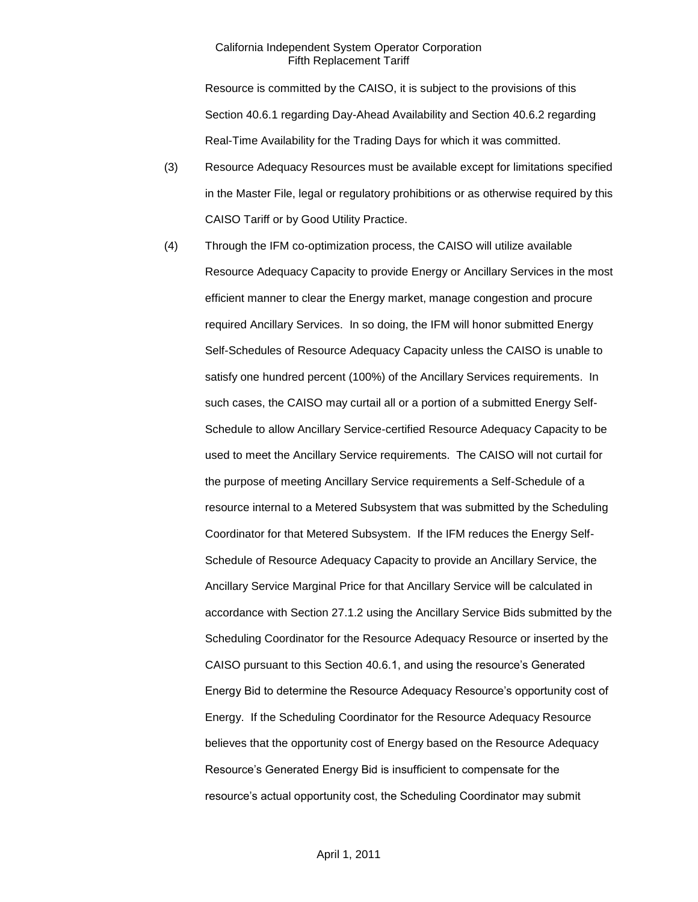Resource is committed by the CAISO, it is subject to the provisions of this Section 40.6.1 regarding Day-Ahead Availability and Section 40.6.2 regarding Real-Time Availability for the Trading Days for which it was committed.

- (3) Resource Adequacy Resources must be available except for limitations specified in the Master File, legal or regulatory prohibitions or as otherwise required by this CAISO Tariff or by Good Utility Practice.
- (4) Through the IFM co-optimization process, the CAISO will utilize available Resource Adequacy Capacity to provide Energy or Ancillary Services in the most efficient manner to clear the Energy market, manage congestion and procure required Ancillary Services. In so doing, the IFM will honor submitted Energy Self-Schedules of Resource Adequacy Capacity unless the CAISO is unable to satisfy one hundred percent (100%) of the Ancillary Services requirements. In such cases, the CAISO may curtail all or a portion of a submitted Energy Self-Schedule to allow Ancillary Service-certified Resource Adequacy Capacity to be used to meet the Ancillary Service requirements. The CAISO will not curtail for the purpose of meeting Ancillary Service requirements a Self-Schedule of a resource internal to a Metered Subsystem that was submitted by the Scheduling Coordinator for that Metered Subsystem. If the IFM reduces the Energy Self-Schedule of Resource Adequacy Capacity to provide an Ancillary Service, the Ancillary Service Marginal Price for that Ancillary Service will be calculated in accordance with Section 27.1.2 using the Ancillary Service Bids submitted by the Scheduling Coordinator for the Resource Adequacy Resource or inserted by the CAISO pursuant to this Section 40.6.1, and using the resource's Generated Energy Bid to determine the Resource Adequacy Resource's opportunity cost of Energy. If the Scheduling Coordinator for the Resource Adequacy Resource believes that the opportunity cost of Energy based on the Resource Adequacy Resource's Generated Energy Bid is insufficient to compensate for the resource's actual opportunity cost, the Scheduling Coordinator may submit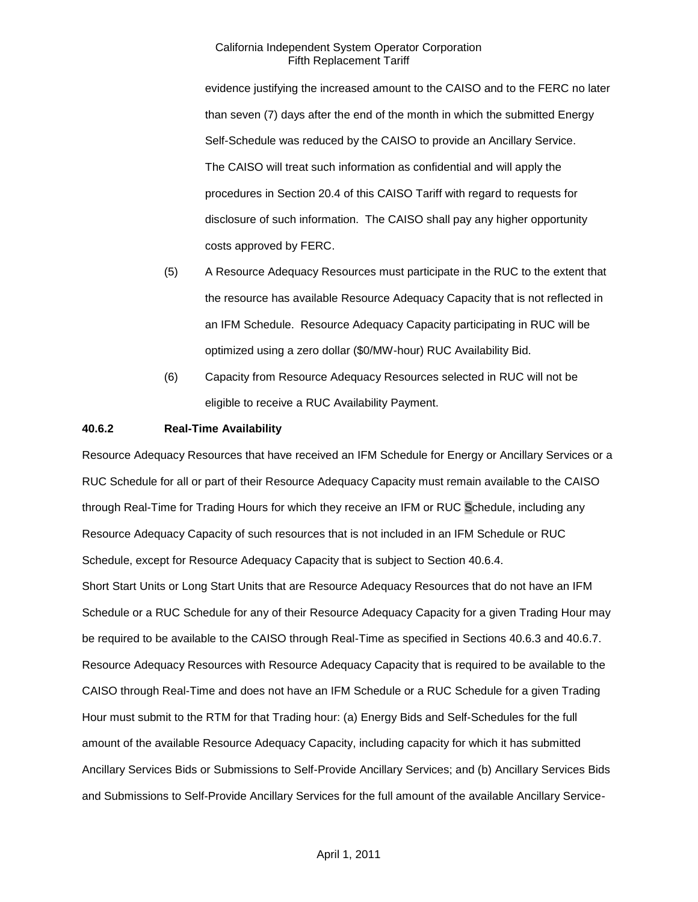evidence justifying the increased amount to the CAISO and to the FERC no later than seven (7) days after the end of the month in which the submitted Energy Self-Schedule was reduced by the CAISO to provide an Ancillary Service. The CAISO will treat such information as confidential and will apply the procedures in Section 20.4 of this CAISO Tariff with regard to requests for disclosure of such information. The CAISO shall pay any higher opportunity costs approved by FERC.

- (5) A Resource Adequacy Resources must participate in the RUC to the extent that the resource has available Resource Adequacy Capacity that is not reflected in an IFM Schedule. Resource Adequacy Capacity participating in RUC will be optimized using a zero dollar (\$0/MW-hour) RUC Availability Bid.
- (6) Capacity from Resource Adequacy Resources selected in RUC will not be eligible to receive a RUC Availability Payment.

### **40.6.2 Real-Time Availability**

Resource Adequacy Resources that have received an IFM Schedule for Energy or Ancillary Services or a RUC Schedule for all or part of their Resource Adequacy Capacity must remain available to the CAISO through Real-Time for Trading Hours for which they receive an IFM or RUC Schedule, including any Resource Adequacy Capacity of such resources that is not included in an IFM Schedule or RUC Schedule, except for Resource Adequacy Capacity that is subject to Section 40.6.4. Short Start Units or Long Start Units that are Resource Adequacy Resources that do not have an IFM Schedule or a RUC Schedule for any of their Resource Adequacy Capacity for a given Trading Hour may be required to be available to the CAISO through Real-Time as specified in Sections 40.6.3 and 40.6.7. Resource Adequacy Resources with Resource Adequacy Capacity that is required to be available to the CAISO through Real-Time and does not have an IFM Schedule or a RUC Schedule for a given Trading Hour must submit to the RTM for that Trading hour: (a) Energy Bids and Self-Schedules for the full amount of the available Resource Adequacy Capacity, including capacity for which it has submitted Ancillary Services Bids or Submissions to Self-Provide Ancillary Services; and (b) Ancillary Services Bids and Submissions to Self-Provide Ancillary Services for the full amount of the available Ancillary Service-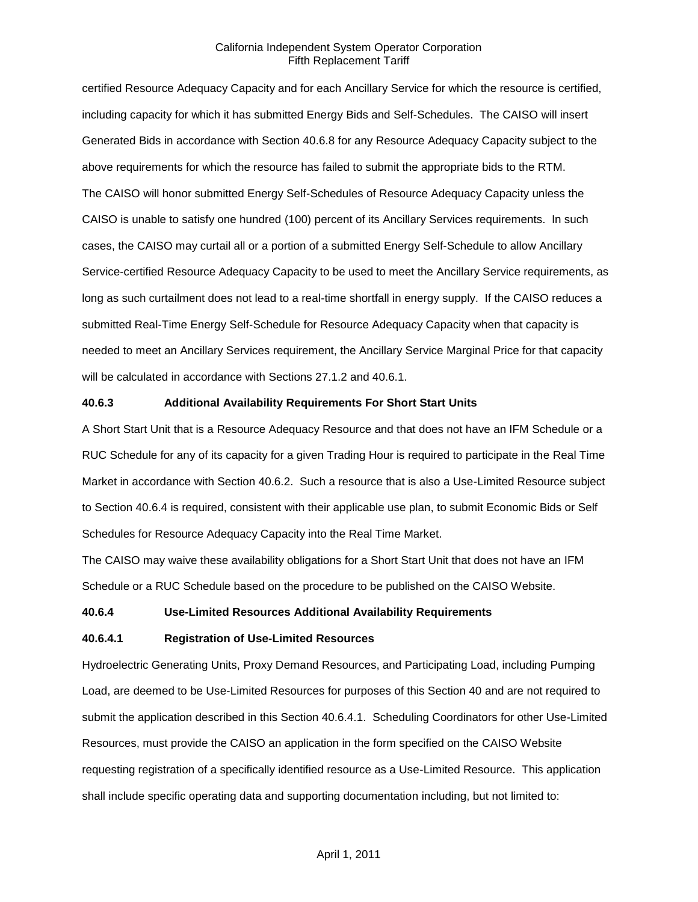certified Resource Adequacy Capacity and for each Ancillary Service for which the resource is certified, including capacity for which it has submitted Energy Bids and Self-Schedules. The CAISO will insert Generated Bids in accordance with Section 40.6.8 for any Resource Adequacy Capacity subject to the above requirements for which the resource has failed to submit the appropriate bids to the RTM. The CAISO will honor submitted Energy Self-Schedules of Resource Adequacy Capacity unless the CAISO is unable to satisfy one hundred (100) percent of its Ancillary Services requirements. In such cases, the CAISO may curtail all or a portion of a submitted Energy Self-Schedule to allow Ancillary Service-certified Resource Adequacy Capacity to be used to meet the Ancillary Service requirements, as long as such curtailment does not lead to a real-time shortfall in energy supply. If the CAISO reduces a submitted Real-Time Energy Self-Schedule for Resource Adequacy Capacity when that capacity is needed to meet an Ancillary Services requirement, the Ancillary Service Marginal Price for that capacity will be calculated in accordance with Sections 27.1.2 and 40.6.1.

#### **40.6.3 Additional Availability Requirements For Short Start Units**

A Short Start Unit that is a Resource Adequacy Resource and that does not have an IFM Schedule or a RUC Schedule for any of its capacity for a given Trading Hour is required to participate in the Real Time Market in accordance with Section 40.6.2. Such a resource that is also a Use-Limited Resource subject to Section 40.6.4 is required, consistent with their applicable use plan, to submit Economic Bids or Self Schedules for Resource Adequacy Capacity into the Real Time Market.

The CAISO may waive these availability obligations for a Short Start Unit that does not have an IFM Schedule or a RUC Schedule based on the procedure to be published on the CAISO Website.

#### **40.6.4 Use-Limited Resources Additional Availability Requirements**

#### **40.6.4.1 Registration of Use-Limited Resources**

Hydroelectric Generating Units, Proxy Demand Resources, and Participating Load, including Pumping Load, are deemed to be Use-Limited Resources for purposes of this Section 40 and are not required to submit the application described in this Section 40.6.4.1. Scheduling Coordinators for other Use-Limited Resources, must provide the CAISO an application in the form specified on the CAISO Website requesting registration of a specifically identified resource as a Use-Limited Resource. This application shall include specific operating data and supporting documentation including, but not limited to: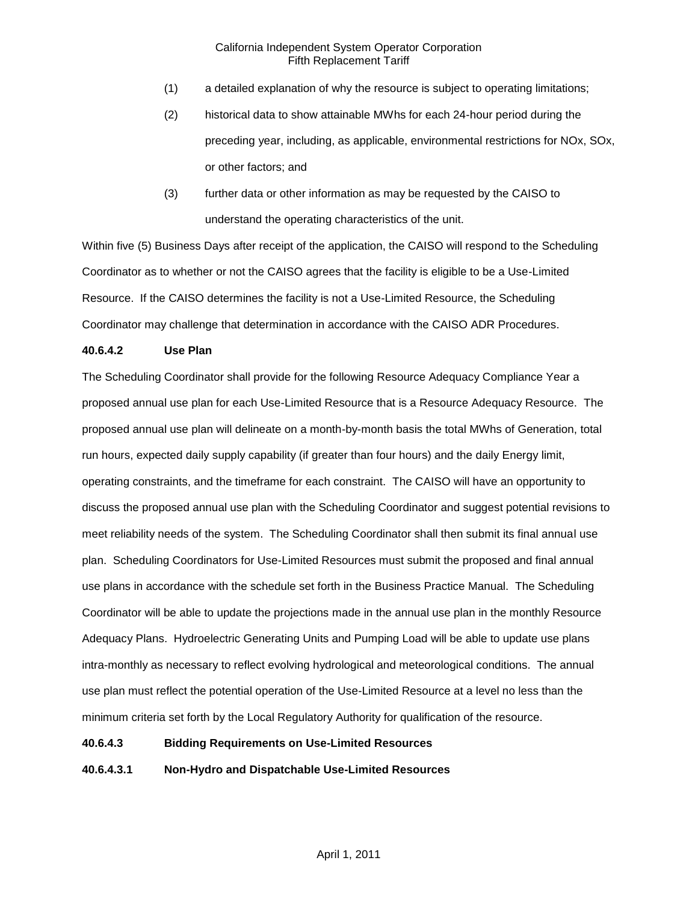- (1) a detailed explanation of why the resource is subject to operating limitations;
- (2) historical data to show attainable MWhs for each 24-hour period during the preceding year, including, as applicable, environmental restrictions for NOx, SOx, or other factors; and
- (3) further data or other information as may be requested by the CAISO to understand the operating characteristics of the unit.

Within five (5) Business Days after receipt of the application, the CAISO will respond to the Scheduling Coordinator as to whether or not the CAISO agrees that the facility is eligible to be a Use-Limited Resource. If the CAISO determines the facility is not a Use-Limited Resource, the Scheduling Coordinator may challenge that determination in accordance with the CAISO ADR Procedures.

## **40.6.4.2 Use Plan**

The Scheduling Coordinator shall provide for the following Resource Adequacy Compliance Year a proposed annual use plan for each Use-Limited Resource that is a Resource Adequacy Resource. The proposed annual use plan will delineate on a month-by-month basis the total MWhs of Generation, total run hours, expected daily supply capability (if greater than four hours) and the daily Energy limit, operating constraints, and the timeframe for each constraint. The CAISO will have an opportunity to discuss the proposed annual use plan with the Scheduling Coordinator and suggest potential revisions to meet reliability needs of the system. The Scheduling Coordinator shall then submit its final annual use plan. Scheduling Coordinators for Use-Limited Resources must submit the proposed and final annual use plans in accordance with the schedule set forth in the Business Practice Manual. The Scheduling Coordinator will be able to update the projections made in the annual use plan in the monthly Resource Adequacy Plans. Hydroelectric Generating Units and Pumping Load will be able to update use plans intra-monthly as necessary to reflect evolving hydrological and meteorological conditions. The annual use plan must reflect the potential operation of the Use-Limited Resource at a level no less than the minimum criteria set forth by the Local Regulatory Authority for qualification of the resource.

## **40.6.4.3 Bidding Requirements on Use-Limited Resources**

**40.6.4.3.1 Non-Hydro and Dispatchable Use-Limited Resources**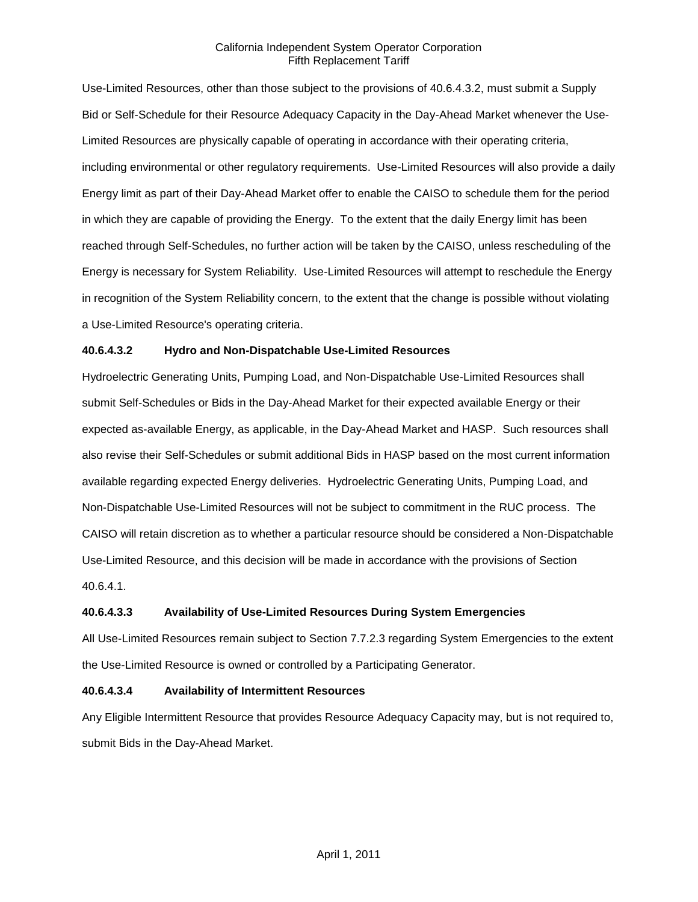Use-Limited Resources, other than those subject to the provisions of 40.6.4.3.2, must submit a Supply Bid or Self-Schedule for their Resource Adequacy Capacity in the Day-Ahead Market whenever the Use-Limited Resources are physically capable of operating in accordance with their operating criteria, including environmental or other regulatory requirements. Use-Limited Resources will also provide a daily Energy limit as part of their Day-Ahead Market offer to enable the CAISO to schedule them for the period in which they are capable of providing the Energy. To the extent that the daily Energy limit has been reached through Self-Schedules, no further action will be taken by the CAISO, unless rescheduling of the Energy is necessary for System Reliability. Use-Limited Resources will attempt to reschedule the Energy in recognition of the System Reliability concern, to the extent that the change is possible without violating a Use-Limited Resource's operating criteria.

### **40.6.4.3.2 Hydro and Non-Dispatchable Use-Limited Resources**

Hydroelectric Generating Units, Pumping Load, and Non-Dispatchable Use-Limited Resources shall submit Self-Schedules or Bids in the Day-Ahead Market for their expected available Energy or their expected as-available Energy, as applicable, in the Day-Ahead Market and HASP. Such resources shall also revise their Self-Schedules or submit additional Bids in HASP based on the most current information available regarding expected Energy deliveries. Hydroelectric Generating Units, Pumping Load, and Non-Dispatchable Use-Limited Resources will not be subject to commitment in the RUC process. The CAISO will retain discretion as to whether a particular resource should be considered a Non-Dispatchable Use-Limited Resource, and this decision will be made in accordance with the provisions of Section 40.6.4.1.

### **40.6.4.3.3 Availability of Use-Limited Resources During System Emergencies**

All Use-Limited Resources remain subject to Section 7.7.2.3 regarding System Emergencies to the extent the Use-Limited Resource is owned or controlled by a Participating Generator.

### **40.6.4.3.4 Availability of Intermittent Resources**

Any Eligible Intermittent Resource that provides Resource Adequacy Capacity may, but is not required to, submit Bids in the Day-Ahead Market.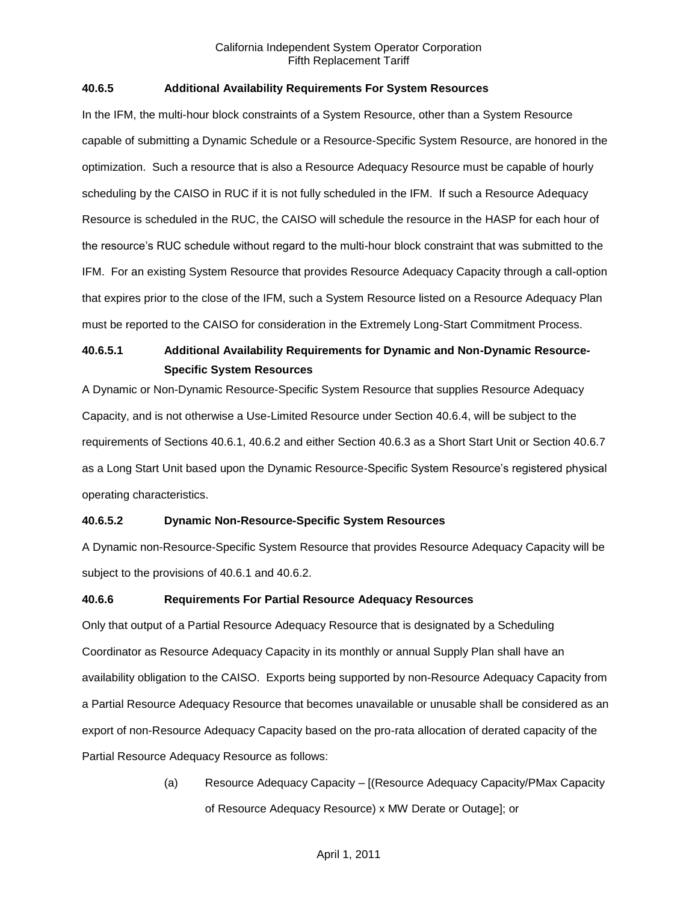### **40.6.5 Additional Availability Requirements For System Resources**

In the IFM, the multi-hour block constraints of a System Resource, other than a System Resource capable of submitting a Dynamic Schedule or a Resource-Specific System Resource, are honored in the optimization. Such a resource that is also a Resource Adequacy Resource must be capable of hourly scheduling by the CAISO in RUC if it is not fully scheduled in the IFM. If such a Resource Adequacy Resource is scheduled in the RUC, the CAISO will schedule the resource in the HASP for each hour of the resource's RUC schedule without regard to the multi-hour block constraint that was submitted to the IFM. For an existing System Resource that provides Resource Adequacy Capacity through a call-option that expires prior to the close of the IFM, such a System Resource listed on a Resource Adequacy Plan must be reported to the CAISO for consideration in the Extremely Long-Start Commitment Process.

# **40.6.5.1 Additional Availability Requirements for Dynamic and Non-Dynamic Resource-Specific System Resources**

A Dynamic or Non-Dynamic Resource-Specific System Resource that supplies Resource Adequacy Capacity, and is not otherwise a Use-Limited Resource under Section 40.6.4, will be subject to the requirements of Sections 40.6.1, 40.6.2 and either Section 40.6.3 as a Short Start Unit or Section 40.6.7 as a Long Start Unit based upon the Dynamic Resource-Specific System Resource's registered physical operating characteristics.

# **40.6.5.2 Dynamic Non-Resource-Specific System Resources**

A Dynamic non-Resource-Specific System Resource that provides Resource Adequacy Capacity will be subject to the provisions of 40.6.1 and 40.6.2.

### **40.6.6 Requirements For Partial Resource Adequacy Resources**

Only that output of a Partial Resource Adequacy Resource that is designated by a Scheduling Coordinator as Resource Adequacy Capacity in its monthly or annual Supply Plan shall have an availability obligation to the CAISO. Exports being supported by non-Resource Adequacy Capacity from a Partial Resource Adequacy Resource that becomes unavailable or unusable shall be considered as an export of non-Resource Adequacy Capacity based on the pro-rata allocation of derated capacity of the Partial Resource Adequacy Resource as follows:

> (a) Resource Adequacy Capacity – [(Resource Adequacy Capacity/PMax Capacity of Resource Adequacy Resource) x MW Derate or Outage]; or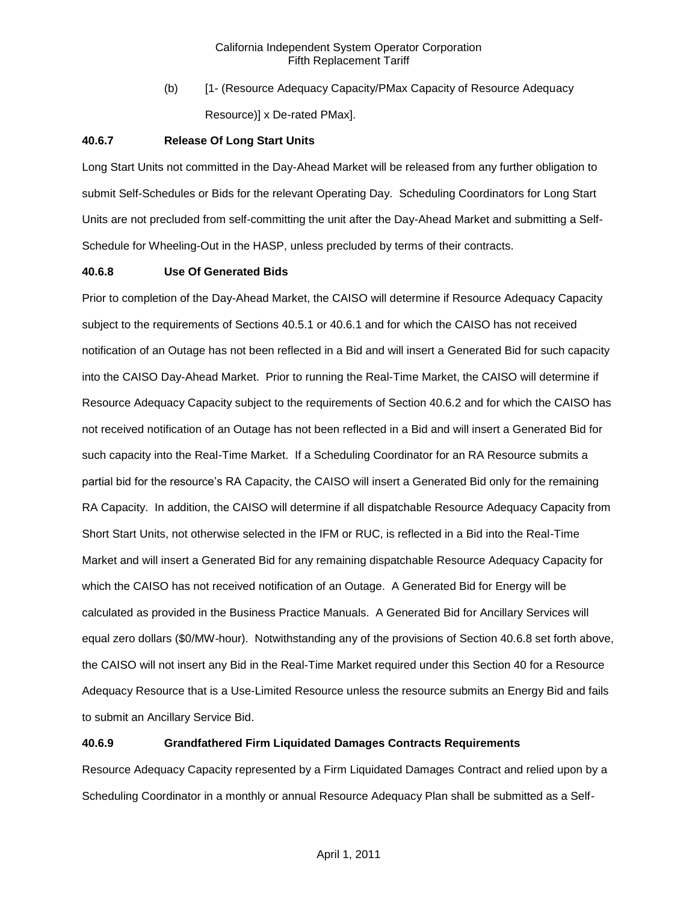(b) [1- (Resource Adequacy Capacity/PMax Capacity of Resource Adequacy Resource)] x De-rated PMax].

#### **40.6.7 Release Of Long Start Units**

Long Start Units not committed in the Day-Ahead Market will be released from any further obligation to submit Self-Schedules or Bids for the relevant Operating Day. Scheduling Coordinators for Long Start Units are not precluded from self-committing the unit after the Day-Ahead Market and submitting a Self-Schedule for Wheeling-Out in the HASP, unless precluded by terms of their contracts.

### **40.6.8 Use Of Generated Bids**

Prior to completion of the Day-Ahead Market, the CAISO will determine if Resource Adequacy Capacity subject to the requirements of Sections 40.5.1 or 40.6.1 and for which the CAISO has not received notification of an Outage has not been reflected in a Bid and will insert a Generated Bid for such capacity into the CAISO Day-Ahead Market. Prior to running the Real-Time Market, the CAISO will determine if Resource Adequacy Capacity subject to the requirements of Section 40.6.2 and for which the CAISO has not received notification of an Outage has not been reflected in a Bid and will insert a Generated Bid for such capacity into the Real-Time Market. If a Scheduling Coordinator for an RA Resource submits a partial bid for the resource's RA Capacity, the CAISO will insert a Generated Bid only for the remaining RA Capacity. In addition, the CAISO will determine if all dispatchable Resource Adequacy Capacity from Short Start Units, not otherwise selected in the IFM or RUC, is reflected in a Bid into the Real-Time Market and will insert a Generated Bid for any remaining dispatchable Resource Adequacy Capacity for which the CAISO has not received notification of an Outage. A Generated Bid for Energy will be calculated as provided in the Business Practice Manuals. A Generated Bid for Ancillary Services will equal zero dollars (\$0/MW-hour). Notwithstanding any of the provisions of Section 40.6.8 set forth above, the CAISO will not insert any Bid in the Real-Time Market required under this Section 40 for a Resource Adequacy Resource that is a Use-Limited Resource unless the resource submits an Energy Bid and fails to submit an Ancillary Service Bid.

### **40.6.9 Grandfathered Firm Liquidated Damages Contracts Requirements**

Resource Adequacy Capacity represented by a Firm Liquidated Damages Contract and relied upon by a Scheduling Coordinator in a monthly or annual Resource Adequacy Plan shall be submitted as a Self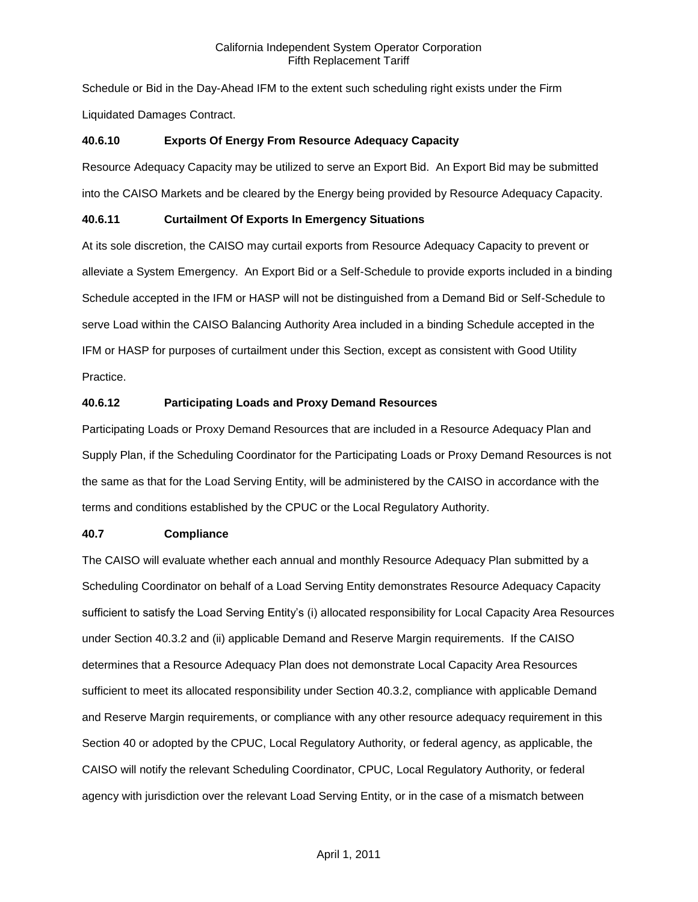Schedule or Bid in the Day-Ahead IFM to the extent such scheduling right exists under the Firm Liquidated Damages Contract.

# **40.6.10 Exports Of Energy From Resource Adequacy Capacity**

Resource Adequacy Capacity may be utilized to serve an Export Bid. An Export Bid may be submitted into the CAISO Markets and be cleared by the Energy being provided by Resource Adequacy Capacity.

# **40.6.11 Curtailment Of Exports In Emergency Situations**

At its sole discretion, the CAISO may curtail exports from Resource Adequacy Capacity to prevent or alleviate a System Emergency. An Export Bid or a Self-Schedule to provide exports included in a binding Schedule accepted in the IFM or HASP will not be distinguished from a Demand Bid or Self-Schedule to serve Load within the CAISO Balancing Authority Area included in a binding Schedule accepted in the IFM or HASP for purposes of curtailment under this Section, except as consistent with Good Utility Practice.

# **40.6.12 Participating Loads and Proxy Demand Resources**

Participating Loads or Proxy Demand Resources that are included in a Resource Adequacy Plan and Supply Plan, if the Scheduling Coordinator for the Participating Loads or Proxy Demand Resources is not the same as that for the Load Serving Entity, will be administered by the CAISO in accordance with the terms and conditions established by the CPUC or the Local Regulatory Authority.

# **40.7 Compliance**

The CAISO will evaluate whether each annual and monthly Resource Adequacy Plan submitted by a Scheduling Coordinator on behalf of a Load Serving Entity demonstrates Resource Adequacy Capacity sufficient to satisfy the Load Serving Entity's (i) allocated responsibility for Local Capacity Area Resources under Section 40.3.2 and (ii) applicable Demand and Reserve Margin requirements. If the CAISO determines that a Resource Adequacy Plan does not demonstrate Local Capacity Area Resources sufficient to meet its allocated responsibility under Section 40.3.2, compliance with applicable Demand and Reserve Margin requirements, or compliance with any other resource adequacy requirement in this Section 40 or adopted by the CPUC, Local Regulatory Authority, or federal agency, as applicable, the CAISO will notify the relevant Scheduling Coordinator, CPUC, Local Regulatory Authority, or federal agency with jurisdiction over the relevant Load Serving Entity, or in the case of a mismatch between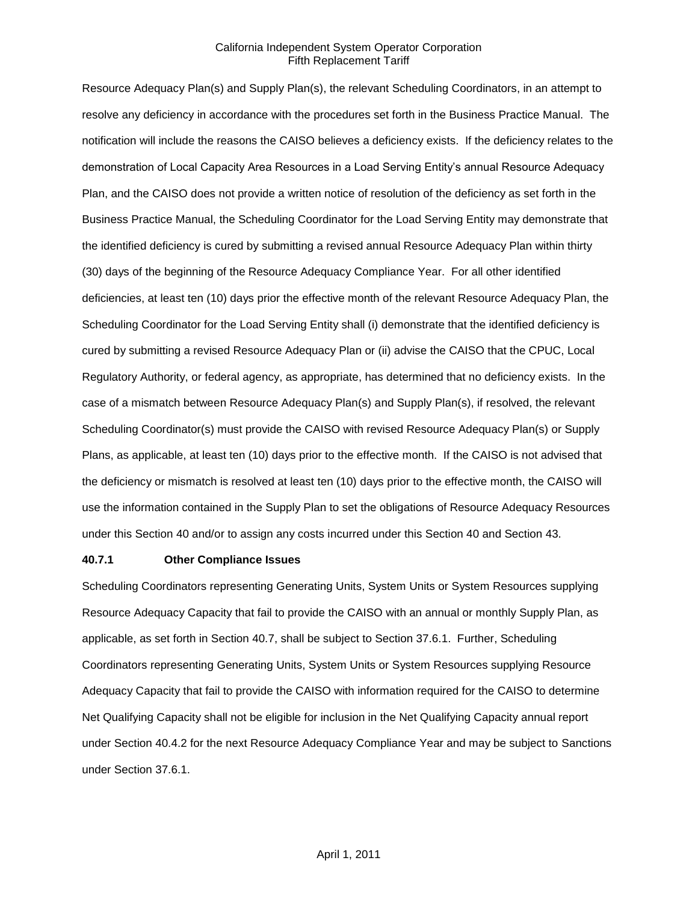Resource Adequacy Plan(s) and Supply Plan(s), the relevant Scheduling Coordinators, in an attempt to resolve any deficiency in accordance with the procedures set forth in the Business Practice Manual. The notification will include the reasons the CAISO believes a deficiency exists. If the deficiency relates to the demonstration of Local Capacity Area Resources in a Load Serving Entity's annual Resource Adequacy Plan, and the CAISO does not provide a written notice of resolution of the deficiency as set forth in the Business Practice Manual, the Scheduling Coordinator for the Load Serving Entity may demonstrate that the identified deficiency is cured by submitting a revised annual Resource Adequacy Plan within thirty (30) days of the beginning of the Resource Adequacy Compliance Year. For all other identified deficiencies, at least ten (10) days prior the effective month of the relevant Resource Adequacy Plan, the Scheduling Coordinator for the Load Serving Entity shall (i) demonstrate that the identified deficiency is cured by submitting a revised Resource Adequacy Plan or (ii) advise the CAISO that the CPUC, Local Regulatory Authority, or federal agency, as appropriate, has determined that no deficiency exists. In the case of a mismatch between Resource Adequacy Plan(s) and Supply Plan(s), if resolved, the relevant Scheduling Coordinator(s) must provide the CAISO with revised Resource Adequacy Plan(s) or Supply Plans, as applicable, at least ten (10) days prior to the effective month. If the CAISO is not advised that the deficiency or mismatch is resolved at least ten (10) days prior to the effective month, the CAISO will use the information contained in the Supply Plan to set the obligations of Resource Adequacy Resources under this Section 40 and/or to assign any costs incurred under this Section 40 and Section 43.

#### **40.7.1 Other Compliance Issues**

Scheduling Coordinators representing Generating Units, System Units or System Resources supplying Resource Adequacy Capacity that fail to provide the CAISO with an annual or monthly Supply Plan, as applicable, as set forth in Section 40.7, shall be subject to Section 37.6.1. Further, Scheduling Coordinators representing Generating Units, System Units or System Resources supplying Resource Adequacy Capacity that fail to provide the CAISO with information required for the CAISO to determine Net Qualifying Capacity shall not be eligible for inclusion in the Net Qualifying Capacity annual report under Section 40.4.2 for the next Resource Adequacy Compliance Year and may be subject to Sanctions under Section 37.6.1.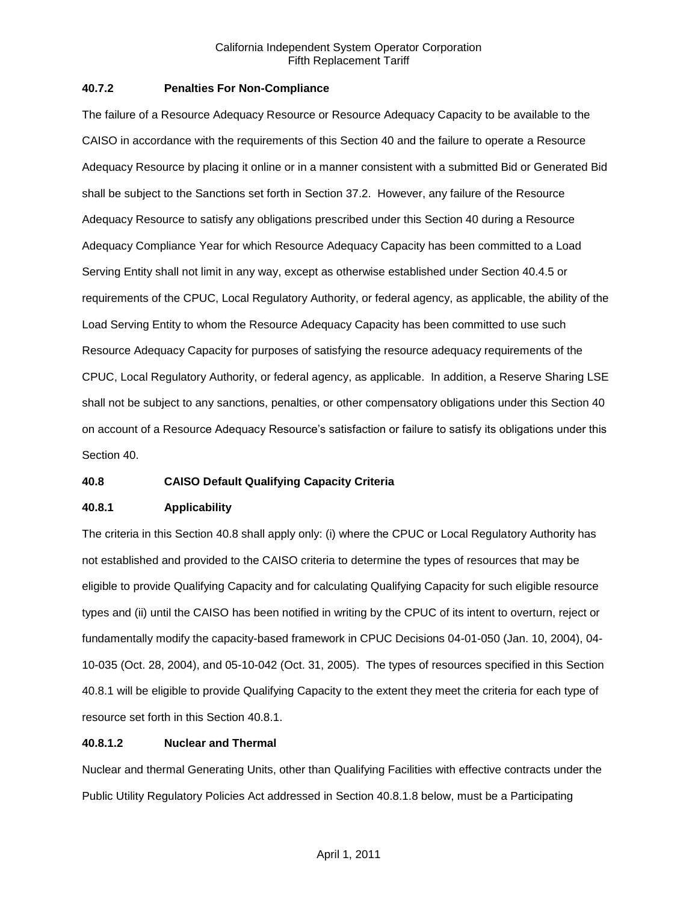## **40.7.2 Penalties For Non-Compliance**

The failure of a Resource Adequacy Resource or Resource Adequacy Capacity to be available to the CAISO in accordance with the requirements of this Section 40 and the failure to operate a Resource Adequacy Resource by placing it online or in a manner consistent with a submitted Bid or Generated Bid shall be subject to the Sanctions set forth in Section 37.2. However, any failure of the Resource Adequacy Resource to satisfy any obligations prescribed under this Section 40 during a Resource Adequacy Compliance Year for which Resource Adequacy Capacity has been committed to a Load Serving Entity shall not limit in any way, except as otherwise established under Section 40.4.5 or requirements of the CPUC, Local Regulatory Authority, or federal agency, as applicable, the ability of the Load Serving Entity to whom the Resource Adequacy Capacity has been committed to use such Resource Adequacy Capacity for purposes of satisfying the resource adequacy requirements of the CPUC, Local Regulatory Authority, or federal agency, as applicable. In addition, a Reserve Sharing LSE shall not be subject to any sanctions, penalties, or other compensatory obligations under this Section 40 on account of a Resource Adequacy Resource's satisfaction or failure to satisfy its obligations under this Section 40.

# **40.8 CAISO Default Qualifying Capacity Criteria**

### **40.8.1 Applicability**

The criteria in this Section 40.8 shall apply only: (i) where the CPUC or Local Regulatory Authority has not established and provided to the CAISO criteria to determine the types of resources that may be eligible to provide Qualifying Capacity and for calculating Qualifying Capacity for such eligible resource types and (ii) until the CAISO has been notified in writing by the CPUC of its intent to overturn, reject or fundamentally modify the capacity-based framework in CPUC Decisions 04-01-050 (Jan. 10, 2004), 04- 10-035 (Oct. 28, 2004), and 05-10-042 (Oct. 31, 2005). The types of resources specified in this Section 40.8.1 will be eligible to provide Qualifying Capacity to the extent they meet the criteria for each type of resource set forth in this Section 40.8.1.

# **40.8.1.2 Nuclear and Thermal**

Nuclear and thermal Generating Units, other than Qualifying Facilities with effective contracts under the Public Utility Regulatory Policies Act addressed in Section 40.8.1.8 below, must be a Participating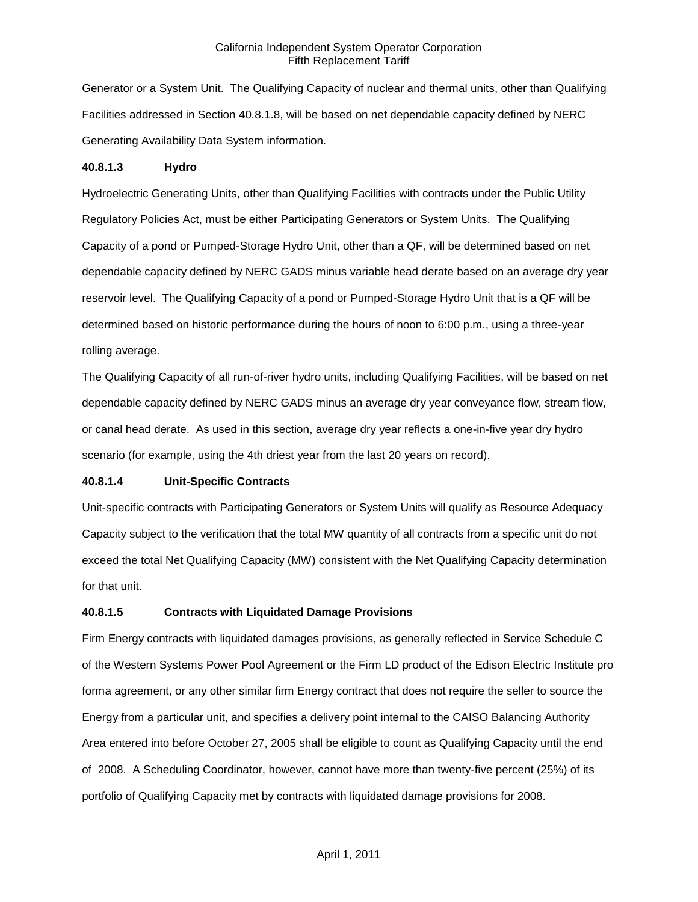Generator or a System Unit. The Qualifying Capacity of nuclear and thermal units, other than Qualifying Facilities addressed in Section 40.8.1.8, will be based on net dependable capacity defined by NERC Generating Availability Data System information.

#### **40.8.1.3 Hydro**

Hydroelectric Generating Units, other than Qualifying Facilities with contracts under the Public Utility Regulatory Policies Act, must be either Participating Generators or System Units. The Qualifying Capacity of a pond or Pumped-Storage Hydro Unit, other than a QF, will be determined based on net dependable capacity defined by NERC GADS minus variable head derate based on an average dry year reservoir level. The Qualifying Capacity of a pond or Pumped-Storage Hydro Unit that is a QF will be determined based on historic performance during the hours of noon to 6:00 p.m., using a three-year rolling average.

The Qualifying Capacity of all run-of-river hydro units, including Qualifying Facilities, will be based on net dependable capacity defined by NERC GADS minus an average dry year conveyance flow, stream flow, or canal head derate. As used in this section, average dry year reflects a one-in-five year dry hydro scenario (for example, using the 4th driest year from the last 20 years on record).

#### **40.8.1.4 Unit-Specific Contracts**

Unit-specific contracts with Participating Generators or System Units will qualify as Resource Adequacy Capacity subject to the verification that the total MW quantity of all contracts from a specific unit do not exceed the total Net Qualifying Capacity (MW) consistent with the Net Qualifying Capacity determination for that unit.

#### **40.8.1.5 Contracts with Liquidated Damage Provisions**

Firm Energy contracts with liquidated damages provisions, as generally reflected in Service Schedule C of the Western Systems Power Pool Agreement or the Firm LD product of the Edison Electric Institute pro forma agreement, or any other similar firm Energy contract that does not require the seller to source the Energy from a particular unit, and specifies a delivery point internal to the CAISO Balancing Authority Area entered into before October 27, 2005 shall be eligible to count as Qualifying Capacity until the end of 2008. A Scheduling Coordinator, however, cannot have more than twenty-five percent (25%) of its portfolio of Qualifying Capacity met by contracts with liquidated damage provisions for 2008.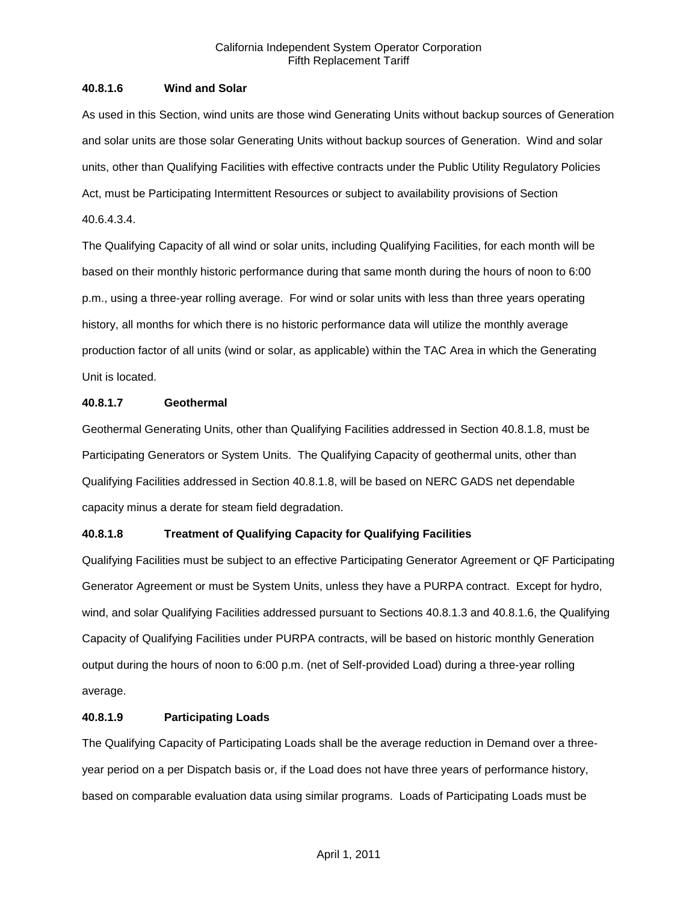## **40.8.1.6 Wind and Solar**

As used in this Section, wind units are those wind Generating Units without backup sources of Generation and solar units are those solar Generating Units without backup sources of Generation. Wind and solar units, other than Qualifying Facilities with effective contracts under the Public Utility Regulatory Policies Act, must be Participating Intermittent Resources or subject to availability provisions of Section 40.6.4.3.4.

The Qualifying Capacity of all wind or solar units, including Qualifying Facilities, for each month will be based on their monthly historic performance during that same month during the hours of noon to 6:00 p.m., using a three-year rolling average. For wind or solar units with less than three years operating history, all months for which there is no historic performance data will utilize the monthly average production factor of all units (wind or solar, as applicable) within the TAC Area in which the Generating Unit is located.

### **40.8.1.7 Geothermal**

Geothermal Generating Units, other than Qualifying Facilities addressed in Section 40.8.1.8, must be Participating Generators or System Units. The Qualifying Capacity of geothermal units, other than Qualifying Facilities addressed in Section 40.8.1.8, will be based on NERC GADS net dependable capacity minus a derate for steam field degradation.

# **40.8.1.8 Treatment of Qualifying Capacity for Qualifying Facilities**

Qualifying Facilities must be subject to an effective Participating Generator Agreement or QF Participating Generator Agreement or must be System Units, unless they have a PURPA contract. Except for hydro, wind, and solar Qualifying Facilities addressed pursuant to Sections 40.8.1.3 and 40.8.1.6, the Qualifying Capacity of Qualifying Facilities under PURPA contracts, will be based on historic monthly Generation output during the hours of noon to 6:00 p.m. (net of Self-provided Load) during a three-year rolling average.

### **40.8.1.9 Participating Loads**

The Qualifying Capacity of Participating Loads shall be the average reduction in Demand over a threeyear period on a per Dispatch basis or, if the Load does not have three years of performance history, based on comparable evaluation data using similar programs. Loads of Participating Loads must be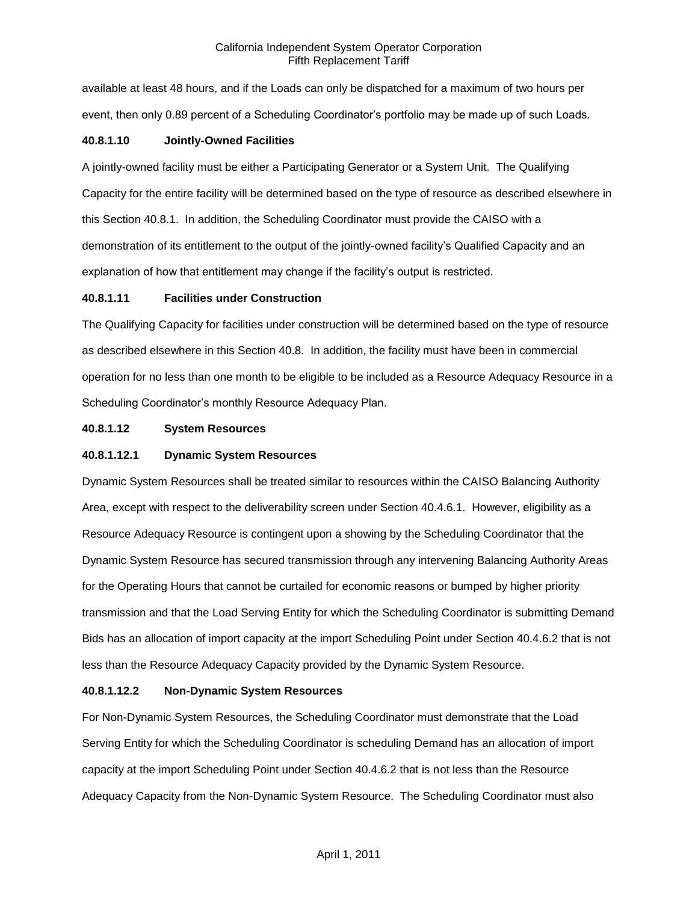available at least 48 hours, and if the Loads can only be dispatched for a maximum of two hours per event, then only 0.89 percent of a Scheduling Coordinator's portfolio may be made up of such Loads.

### **40.8.1.10 Jointly-Owned Facilities**

A jointly-owned facility must be either a Participating Generator or a System Unit. The Qualifying Capacity for the entire facility will be determined based on the type of resource as described elsewhere in this Section 40.8.1. In addition, the Scheduling Coordinator must provide the CAISO with a demonstration of its entitlement to the output of the jointly-owned facility's Qualified Capacity and an explanation of how that entitlement may change if the facility's output is restricted.

### **40.8.1.11 Facilities under Construction**

The Qualifying Capacity for facilities under construction will be determined based on the type of resource as described elsewhere in this Section 40.8. In addition, the facility must have been in commercial operation for no less than one month to be eligible to be included as a Resource Adequacy Resource in a Scheduling Coordinator's monthly Resource Adequacy Plan.

### **40.8.1.12 System Resources**

## **40.8.1.12.1 Dynamic System Resources**

Dynamic System Resources shall be treated similar to resources within the CAISO Balancing Authority Area, except with respect to the deliverability screen under Section 40.4.6.1. However, eligibility as a Resource Adequacy Resource is contingent upon a showing by the Scheduling Coordinator that the Dynamic System Resource has secured transmission through any intervening Balancing Authority Areas for the Operating Hours that cannot be curtailed for economic reasons or bumped by higher priority transmission and that the Load Serving Entity for which the Scheduling Coordinator is submitting Demand Bids has an allocation of import capacity at the import Scheduling Point under Section 40.4.6.2 that is not less than the Resource Adequacy Capacity provided by the Dynamic System Resource.

### **40.8.1.12.2 Non-Dynamic System Resources**

For Non-Dynamic System Resources, the Scheduling Coordinator must demonstrate that the Load Serving Entity for which the Scheduling Coordinator is scheduling Demand has an allocation of import capacity at the import Scheduling Point under Section 40.4.6.2 that is not less than the Resource Adequacy Capacity from the Non-Dynamic System Resource. The Scheduling Coordinator must also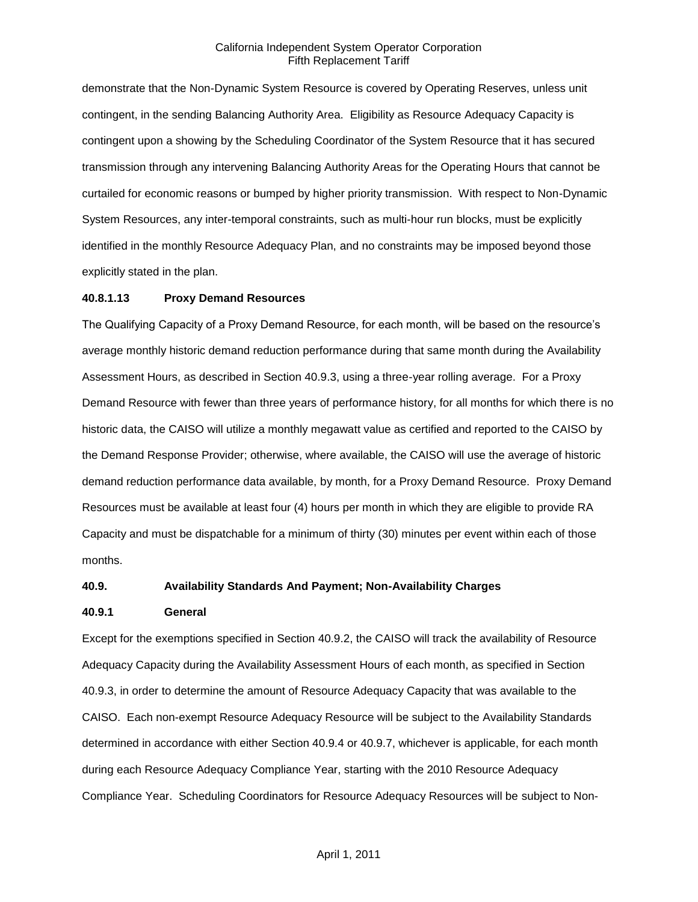demonstrate that the Non-Dynamic System Resource is covered by Operating Reserves, unless unit contingent, in the sending Balancing Authority Area. Eligibility as Resource Adequacy Capacity is contingent upon a showing by the Scheduling Coordinator of the System Resource that it has secured transmission through any intervening Balancing Authority Areas for the Operating Hours that cannot be curtailed for economic reasons or bumped by higher priority transmission. With respect to Non-Dynamic System Resources, any inter-temporal constraints, such as multi-hour run blocks, must be explicitly identified in the monthly Resource Adequacy Plan, and no constraints may be imposed beyond those explicitly stated in the plan.

#### **40.8.1.13 Proxy Demand Resources**

The Qualifying Capacity of a Proxy Demand Resource, for each month, will be based on the resource's average monthly historic demand reduction performance during that same month during the Availability Assessment Hours, as described in Section 40.9.3, using a three-year rolling average. For a Proxy Demand Resource with fewer than three years of performance history, for all months for which there is no historic data, the CAISO will utilize a monthly megawatt value as certified and reported to the CAISO by the Demand Response Provider; otherwise, where available, the CAISO will use the average of historic demand reduction performance data available, by month, for a Proxy Demand Resource. Proxy Demand Resources must be available at least four (4) hours per month in which they are eligible to provide RA Capacity and must be dispatchable for a minimum of thirty (30) minutes per event within each of those months.

#### **40.9. Availability Standards And Payment; Non-Availability Charges**

#### **40.9.1 General**

Except for the exemptions specified in Section 40.9.2, the CAISO will track the availability of Resource Adequacy Capacity during the Availability Assessment Hours of each month, as specified in Section 40.9.3, in order to determine the amount of Resource Adequacy Capacity that was available to the CAISO. Each non-exempt Resource Adequacy Resource will be subject to the Availability Standards determined in accordance with either Section 40.9.4 or 40.9.7, whichever is applicable, for each month during each Resource Adequacy Compliance Year, starting with the 2010 Resource Adequacy Compliance Year. Scheduling Coordinators for Resource Adequacy Resources will be subject to Non-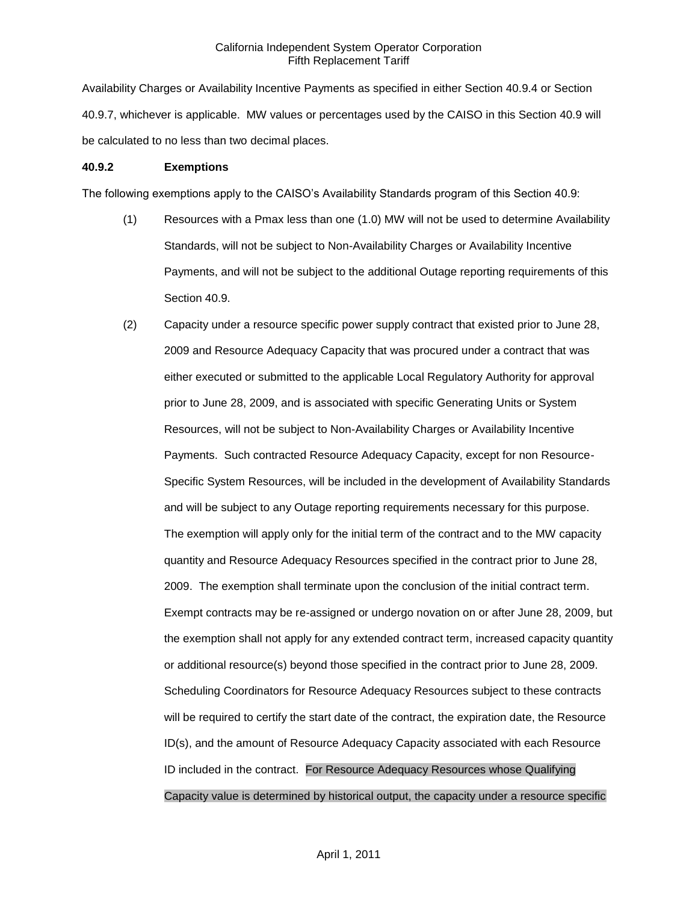Availability Charges or Availability Incentive Payments as specified in either Section 40.9.4 or Section 40.9.7, whichever is applicable. MW values or percentages used by the CAISO in this Section 40.9 will be calculated to no less than two decimal places.

### **40.9.2 Exemptions**

The following exemptions apply to the CAISO's Availability Standards program of this Section 40.9:

- (1) Resources with a Pmax less than one (1.0) MW will not be used to determine Availability Standards, will not be subject to Non-Availability Charges or Availability Incentive Payments, and will not be subject to the additional Outage reporting requirements of this Section 40.9.
- (2) Capacity under a resource specific power supply contract that existed prior to June 28, 2009 and Resource Adequacy Capacity that was procured under a contract that was either executed or submitted to the applicable Local Regulatory Authority for approval prior to June 28, 2009, and is associated with specific Generating Units or System Resources, will not be subject to Non-Availability Charges or Availability Incentive Payments. Such contracted Resource Adequacy Capacity, except for non Resource-Specific System Resources, will be included in the development of Availability Standards and will be subject to any Outage reporting requirements necessary for this purpose. The exemption will apply only for the initial term of the contract and to the MW capacity quantity and Resource Adequacy Resources specified in the contract prior to June 28, 2009. The exemption shall terminate upon the conclusion of the initial contract term. Exempt contracts may be re-assigned or undergo novation on or after June 28, 2009, but the exemption shall not apply for any extended contract term, increased capacity quantity or additional resource(s) beyond those specified in the contract prior to June 28, 2009. Scheduling Coordinators for Resource Adequacy Resources subject to these contracts will be required to certify the start date of the contract, the expiration date, the Resource ID(s), and the amount of Resource Adequacy Capacity associated with each Resource ID included in the contract. For Resource Adequacy Resources whose Qualifying Capacity value is determined by historical output, the capacity under a resource specific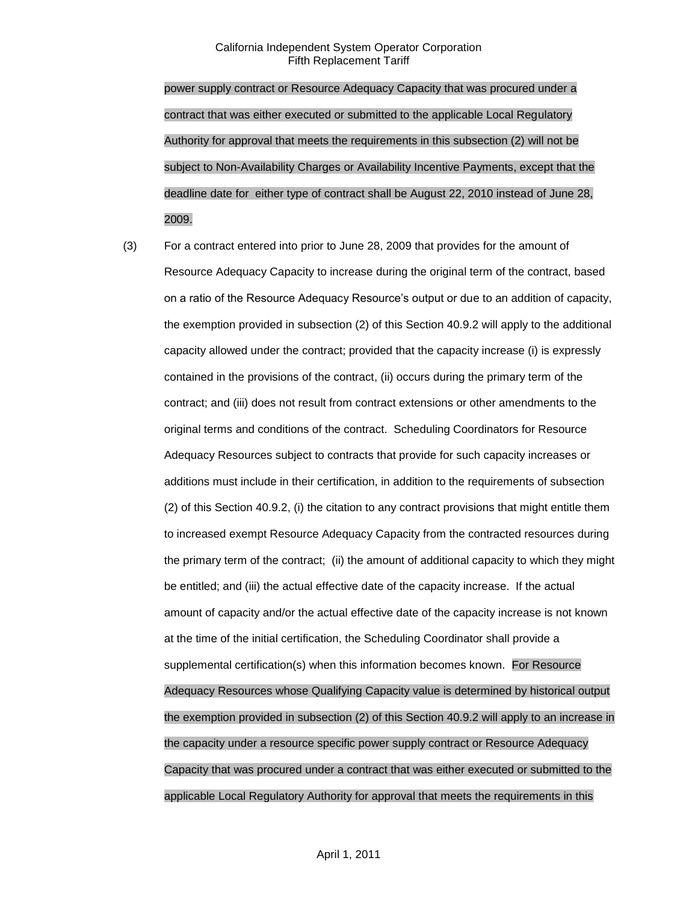power supply contract or Resource Adequacy Capacity that was procured under a contract that was either executed or submitted to the applicable Local Regulatory Authority for approval that meets the requirements in this subsection (2) will not be subject to Non-Availability Charges or Availability Incentive Payments, except that the deadline date for either type of contract shall be August 22, 2010 instead of June 28, 2009.

(3) For a contract entered into prior to June 28, 2009 that provides for the amount of Resource Adequacy Capacity to increase during the original term of the contract, based on a ratio of the Resource Adequacy Resource's output or due to an addition of capacity, the exemption provided in subsection (2) of this Section 40.9.2 will apply to the additional capacity allowed under the contract; provided that the capacity increase (i) is expressly contained in the provisions of the contract, (ii) occurs during the primary term of the contract; and (iii) does not result from contract extensions or other amendments to the original terms and conditions of the contract. Scheduling Coordinators for Resource Adequacy Resources subject to contracts that provide for such capacity increases or additions must include in their certification, in addition to the requirements of subsection (2) of this Section 40.9.2, (i) the citation to any contract provisions that might entitle them to increased exempt Resource Adequacy Capacity from the contracted resources during the primary term of the contract; (ii) the amount of additional capacity to which they might be entitled; and (iii) the actual effective date of the capacity increase. If the actual amount of capacity and/or the actual effective date of the capacity increase is not known at the time of the initial certification, the Scheduling Coordinator shall provide a supplemental certification(s) when this information becomes known. For Resource Adequacy Resources whose Qualifying Capacity value is determined by historical output the exemption provided in subsection (2) of this Section 40.9.2 will apply to an increase in the capacity under a resource specific power supply contract or Resource Adequacy Capacity that was procured under a contract that was either executed or submitted to the applicable Local Regulatory Authority for approval that meets the requirements in this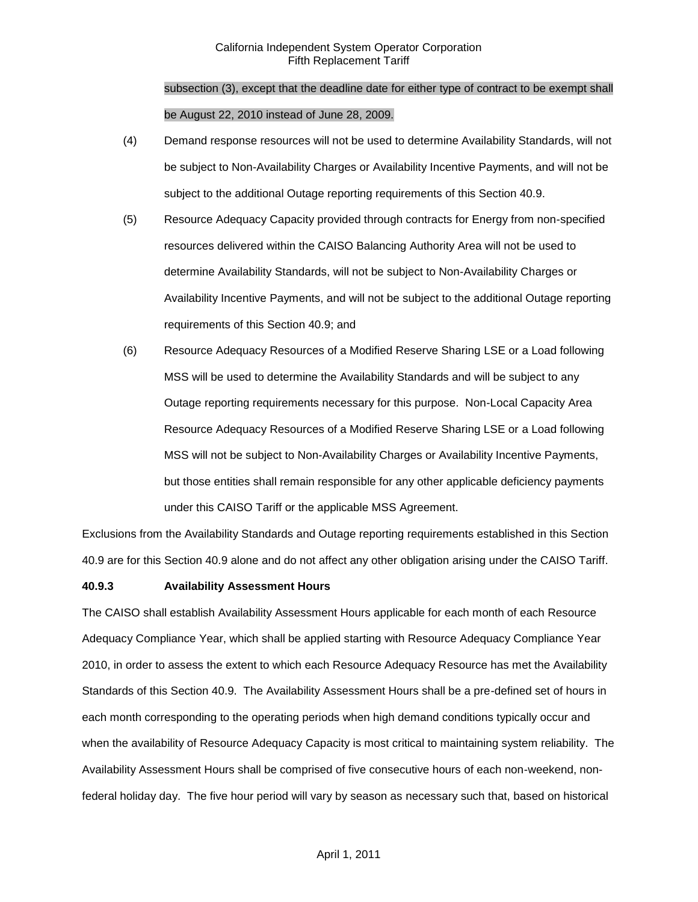subsection (3), except that the deadline date for either type of contract to be exempt shall be August 22, 2010 instead of June 28, 2009.

- (4) Demand response resources will not be used to determine Availability Standards, will not be subject to Non-Availability Charges or Availability Incentive Payments, and will not be subject to the additional Outage reporting requirements of this Section 40.9.
- (5) Resource Adequacy Capacity provided through contracts for Energy from non-specified resources delivered within the CAISO Balancing Authority Area will not be used to determine Availability Standards, will not be subject to Non-Availability Charges or Availability Incentive Payments, and will not be subject to the additional Outage reporting requirements of this Section 40.9; and
- (6) Resource Adequacy Resources of a Modified Reserve Sharing LSE or a Load following MSS will be used to determine the Availability Standards and will be subject to any Outage reporting requirements necessary for this purpose. Non-Local Capacity Area Resource Adequacy Resources of a Modified Reserve Sharing LSE or a Load following MSS will not be subject to Non-Availability Charges or Availability Incentive Payments, but those entities shall remain responsible for any other applicable deficiency payments under this CAISO Tariff or the applicable MSS Agreement.

Exclusions from the Availability Standards and Outage reporting requirements established in this Section 40.9 are for this Section 40.9 alone and do not affect any other obligation arising under the CAISO Tariff.

### **40.9.3 Availability Assessment Hours**

The CAISO shall establish Availability Assessment Hours applicable for each month of each Resource Adequacy Compliance Year, which shall be applied starting with Resource Adequacy Compliance Year 2010, in order to assess the extent to which each Resource Adequacy Resource has met the Availability Standards of this Section 40.9. The Availability Assessment Hours shall be a pre-defined set of hours in each month corresponding to the operating periods when high demand conditions typically occur and when the availability of Resource Adequacy Capacity is most critical to maintaining system reliability. The Availability Assessment Hours shall be comprised of five consecutive hours of each non-weekend, nonfederal holiday day. The five hour period will vary by season as necessary such that, based on historical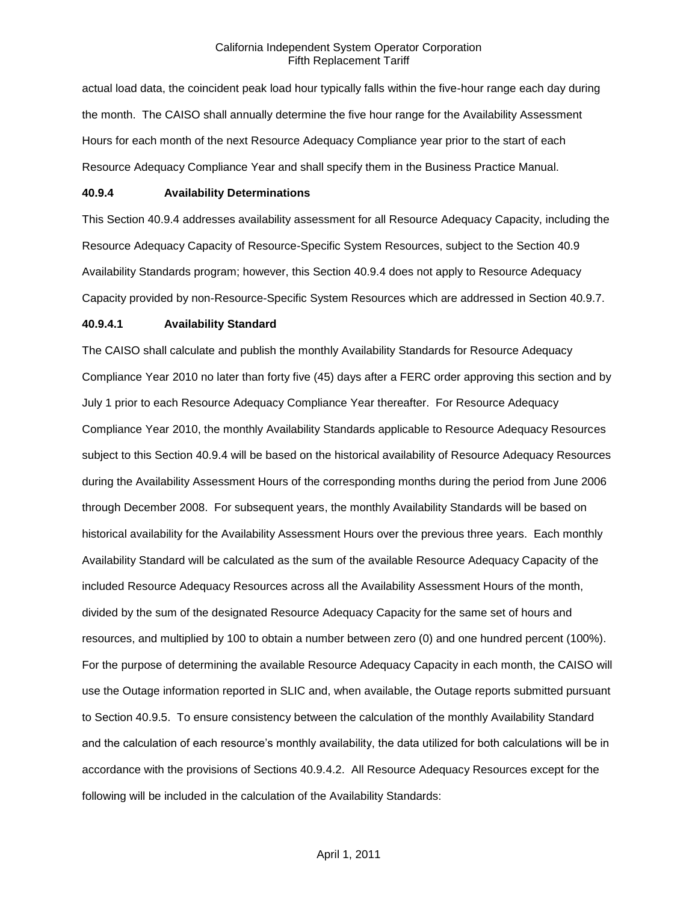actual load data, the coincident peak load hour typically falls within the five-hour range each day during the month. The CAISO shall annually determine the five hour range for the Availability Assessment Hours for each month of the next Resource Adequacy Compliance year prior to the start of each Resource Adequacy Compliance Year and shall specify them in the Business Practice Manual.

### **40.9.4 Availability Determinations**

This Section 40.9.4 addresses availability assessment for all Resource Adequacy Capacity, including the Resource Adequacy Capacity of Resource-Specific System Resources, subject to the Section 40.9 Availability Standards program; however, this Section 40.9.4 does not apply to Resource Adequacy Capacity provided by non-Resource-Specific System Resources which are addressed in Section 40.9.7.

#### **40.9.4.1 Availability Standard**

The CAISO shall calculate and publish the monthly Availability Standards for Resource Adequacy Compliance Year 2010 no later than forty five (45) days after a FERC order approving this section and by July 1 prior to each Resource Adequacy Compliance Year thereafter. For Resource Adequacy Compliance Year 2010, the monthly Availability Standards applicable to Resource Adequacy Resources subject to this Section 40.9.4 will be based on the historical availability of Resource Adequacy Resources during the Availability Assessment Hours of the corresponding months during the period from June 2006 through December 2008. For subsequent years, the monthly Availability Standards will be based on historical availability for the Availability Assessment Hours over the previous three years. Each monthly Availability Standard will be calculated as the sum of the available Resource Adequacy Capacity of the included Resource Adequacy Resources across all the Availability Assessment Hours of the month, divided by the sum of the designated Resource Adequacy Capacity for the same set of hours and resources, and multiplied by 100 to obtain a number between zero (0) and one hundred percent (100%). For the purpose of determining the available Resource Adequacy Capacity in each month, the CAISO will use the Outage information reported in SLIC and, when available, the Outage reports submitted pursuant to Section 40.9.5. To ensure consistency between the calculation of the monthly Availability Standard and the calculation of each resource's monthly availability, the data utilized for both calculations will be in accordance with the provisions of Sections 40.9.4.2. All Resource Adequacy Resources except for the following will be included in the calculation of the Availability Standards: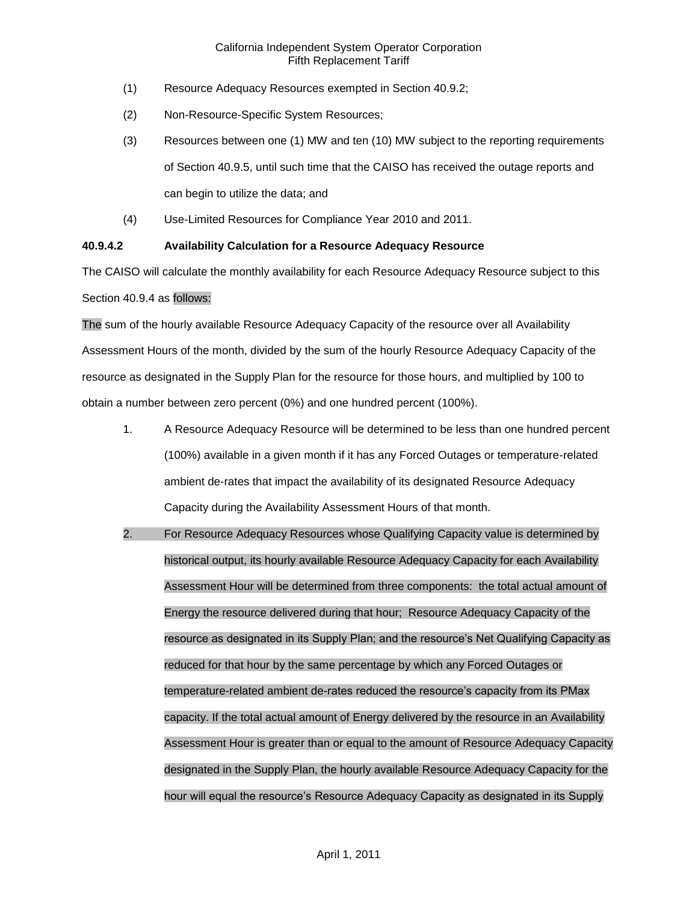- (1) Resource Adequacy Resources exempted in Section 40.9.2;
- (2) Non-Resource-Specific System Resources;
- (3) Resources between one (1) MW and ten (10) MW subject to the reporting requirements of Section 40.9.5, until such time that the CAISO has received the outage reports and can begin to utilize the data; and
- (4) Use-Limited Resources for Compliance Year 2010 and 2011.

### **40.9.4.2 Availability Calculation for a Resource Adequacy Resource**

The CAISO will calculate the monthly availability for each Resource Adequacy Resource subject to this Section 40.9.4 as follows:

The sum of the hourly available Resource Adequacy Capacity of the resource over all Availability Assessment Hours of the month, divided by the sum of the hourly Resource Adequacy Capacity of the resource as designated in the Supply Plan for the resource for those hours, and multiplied by 100 to obtain a number between zero percent (0%) and one hundred percent (100%).

- 1. A Resource Adequacy Resource will be determined to be less than one hundred percent (100%) available in a given month if it has any Forced Outages or temperature-related ambient de-rates that impact the availability of its designated Resource Adequacy Capacity during the Availability Assessment Hours of that month.
- 2. For Resource Adequacy Resources whose Qualifying Capacity value is determined by historical output, its hourly available Resource Adequacy Capacity for each Availability Assessment Hour will be determined from three components: the total actual amount of Energy the resource delivered during that hour; Resource Adequacy Capacity of the resource as designated in its Supply Plan; and the resource's Net Qualifying Capacity as reduced for that hour by the same percentage by which any Forced Outages or temperature-related ambient de-rates reduced the resource's capacity from its PMax capacity. If the total actual amount of Energy delivered by the resource in an Availability Assessment Hour is greater than or equal to the amount of Resource Adequacy Capacity designated in the Supply Plan, the hourly available Resource Adequacy Capacity for the hour will equal the resource's Resource Adequacy Capacity as designated in its Supply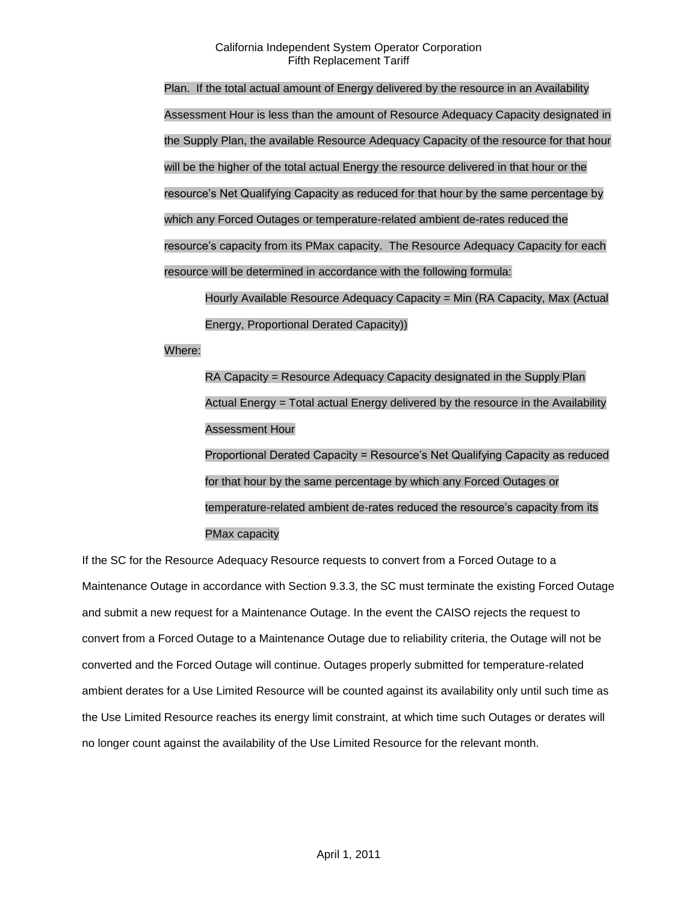Plan. If the total actual amount of Energy delivered by the resource in an Availability Assessment Hour is less than the amount of Resource Adequacy Capacity designated in the Supply Plan, the available Resource Adequacy Capacity of the resource for that hour will be the higher of the total actual Energy the resource delivered in that hour or the resource's Net Qualifying Capacity as reduced for that hour by the same percentage by which any Forced Outages or temperature-related ambient de-rates reduced the resource's capacity from its PMax capacity. The Resource Adequacy Capacity for each resource will be determined in accordance with the following formula: Hourly Available Resource Adequacy Capacity = Min (RA Capacity, Max (Actual

Energy, Proportional Derated Capacity))

Where:

RA Capacity = Resource Adequacy Capacity designated in the Supply Plan Actual Energy = Total actual Energy delivered by the resource in the Availability Assessment Hour

Proportional Derated Capacity = Resource's Net Qualifying Capacity as reduced for that hour by the same percentage by which any Forced Outages or temperature-related ambient de-rates reduced the resource's capacity from its PMax capacity

If the SC for the Resource Adequacy Resource requests to convert from a Forced Outage to a Maintenance Outage in accordance with Section 9.3.3, the SC must terminate the existing Forced Outage and submit a new request for a Maintenance Outage. In the event the CAISO rejects the request to convert from a Forced Outage to a Maintenance Outage due to reliability criteria, the Outage will not be converted and the Forced Outage will continue. Outages properly submitted for temperature-related ambient derates for a Use Limited Resource will be counted against its availability only until such time as the Use Limited Resource reaches its energy limit constraint, at which time such Outages or derates will no longer count against the availability of the Use Limited Resource for the relevant month.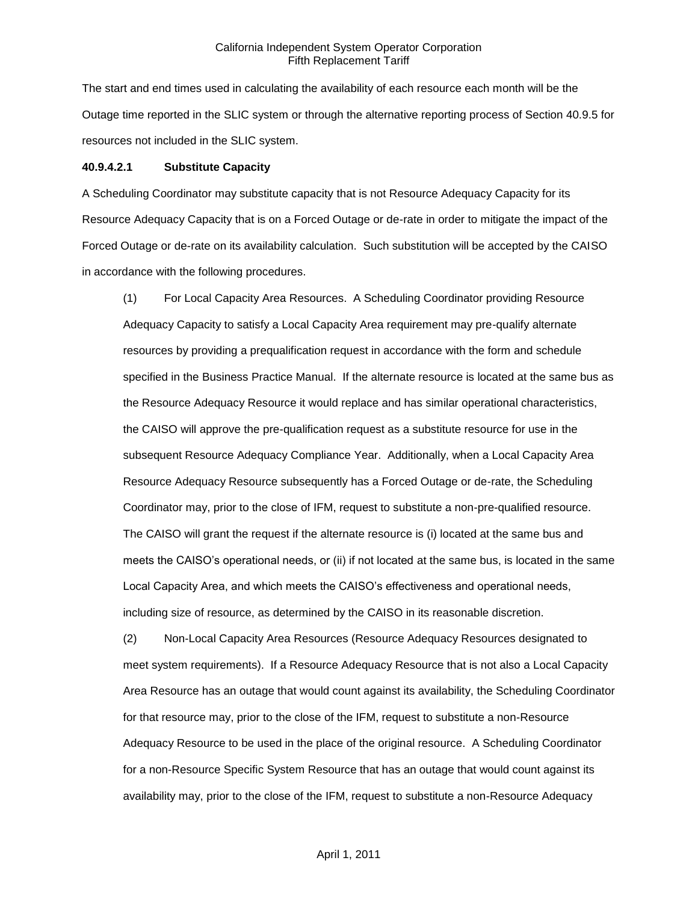The start and end times used in calculating the availability of each resource each month will be the Outage time reported in the SLIC system or through the alternative reporting process of Section 40.9.5 for resources not included in the SLIC system.

#### **40.9.4.2.1 Substitute Capacity**

A Scheduling Coordinator may substitute capacity that is not Resource Adequacy Capacity for its Resource Adequacy Capacity that is on a Forced Outage or de-rate in order to mitigate the impact of the Forced Outage or de-rate on its availability calculation. Such substitution will be accepted by the CAISO in accordance with the following procedures.

(1) For Local Capacity Area Resources. A Scheduling Coordinator providing Resource Adequacy Capacity to satisfy a Local Capacity Area requirement may pre-qualify alternate resources by providing a prequalification request in accordance with the form and schedule specified in the Business Practice Manual. If the alternate resource is located at the same bus as the Resource Adequacy Resource it would replace and has similar operational characteristics, the CAISO will approve the pre-qualification request as a substitute resource for use in the subsequent Resource Adequacy Compliance Year. Additionally, when a Local Capacity Area Resource Adequacy Resource subsequently has a Forced Outage or de-rate, the Scheduling Coordinator may, prior to the close of IFM, request to substitute a non-pre-qualified resource. The CAISO will grant the request if the alternate resource is (i) located at the same bus and meets the CAISO's operational needs, or (ii) if not located at the same bus, is located in the same Local Capacity Area, and which meets the CAISO's effectiveness and operational needs, including size of resource, as determined by the CAISO in its reasonable discretion.

(2) Non-Local Capacity Area Resources (Resource Adequacy Resources designated to meet system requirements). If a Resource Adequacy Resource that is not also a Local Capacity Area Resource has an outage that would count against its availability, the Scheduling Coordinator for that resource may, prior to the close of the IFM, request to substitute a non-Resource Adequacy Resource to be used in the place of the original resource. A Scheduling Coordinator for a non-Resource Specific System Resource that has an outage that would count against its availability may, prior to the close of the IFM, request to substitute a non-Resource Adequacy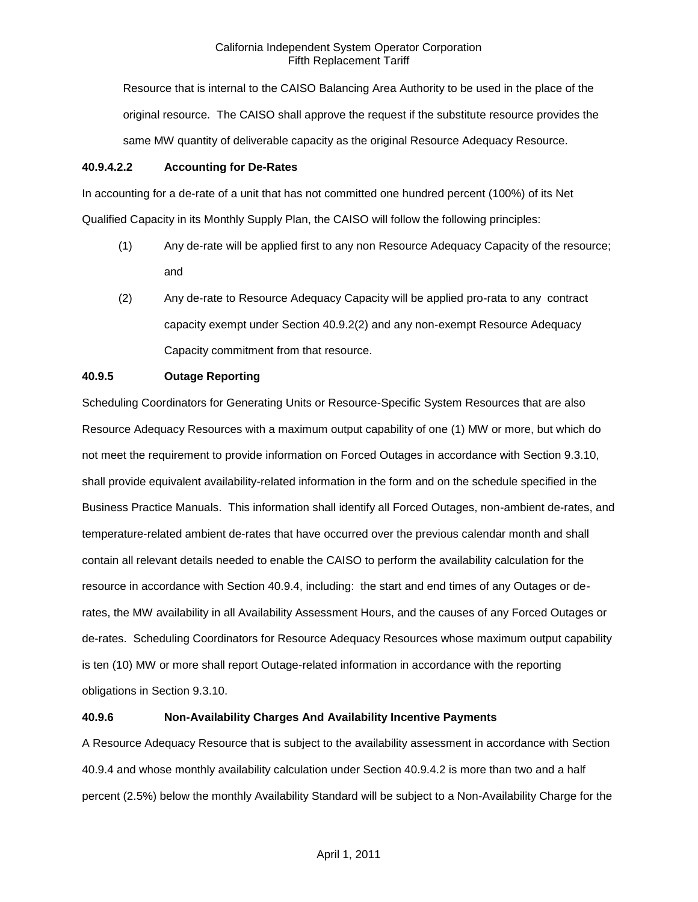Resource that is internal to the CAISO Balancing Area Authority to be used in the place of the original resource. The CAISO shall approve the request if the substitute resource provides the same MW quantity of deliverable capacity as the original Resource Adequacy Resource.

### **40.9.4.2.2 Accounting for De-Rates**

In accounting for a de-rate of a unit that has not committed one hundred percent (100%) of its Net Qualified Capacity in its Monthly Supply Plan, the CAISO will follow the following principles:

- (1) Any de-rate will be applied first to any non Resource Adequacy Capacity of the resource; and
- (2) Any de-rate to Resource Adequacy Capacity will be applied pro-rata to any contract capacity exempt under Section 40.9.2(2) and any non-exempt Resource Adequacy Capacity commitment from that resource.

# **40.9.5 Outage Reporting**

Scheduling Coordinators for Generating Units or Resource-Specific System Resources that are also Resource Adequacy Resources with a maximum output capability of one (1) MW or more, but which do not meet the requirement to provide information on Forced Outages in accordance with Section 9.3.10, shall provide equivalent availability-related information in the form and on the schedule specified in the Business Practice Manuals. This information shall identify all Forced Outages, non-ambient de-rates, and temperature-related ambient de-rates that have occurred over the previous calendar month and shall contain all relevant details needed to enable the CAISO to perform the availability calculation for the resource in accordance with Section 40.9.4, including: the start and end times of any Outages or derates, the MW availability in all Availability Assessment Hours, and the causes of any Forced Outages or de-rates. Scheduling Coordinators for Resource Adequacy Resources whose maximum output capability is ten (10) MW or more shall report Outage-related information in accordance with the reporting obligations in Section 9.3.10.

# **40.9.6 Non-Availability Charges And Availability Incentive Payments**

A Resource Adequacy Resource that is subject to the availability assessment in accordance with Section 40.9.4 and whose monthly availability calculation under Section 40.9.4.2 is more than two and a half percent (2.5%) below the monthly Availability Standard will be subject to a Non-Availability Charge for the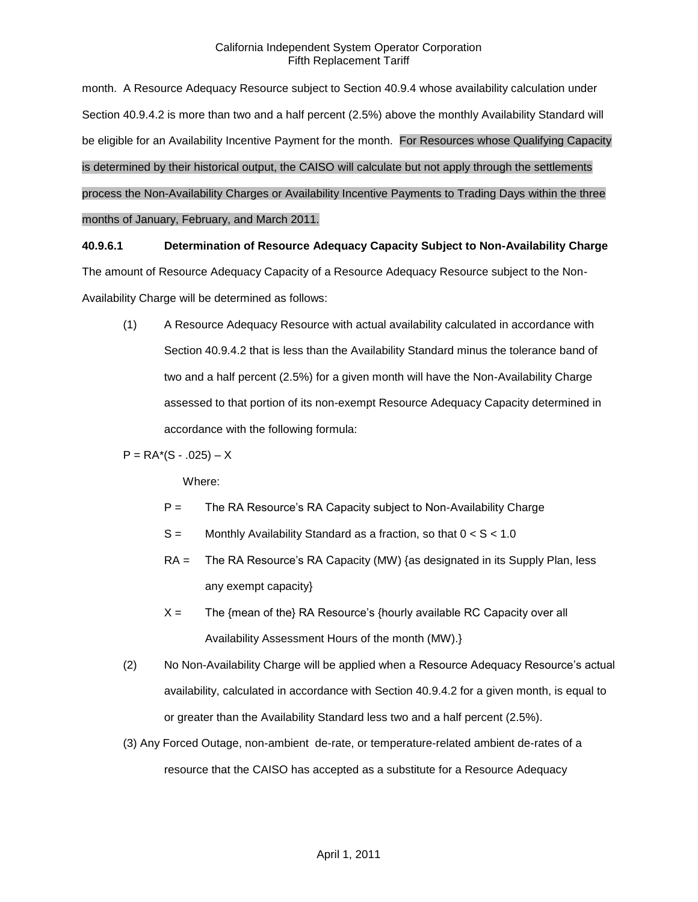month. A Resource Adequacy Resource subject to Section 40.9.4 whose availability calculation under Section 40.9.4.2 is more than two and a half percent (2.5%) above the monthly Availability Standard will be eligible for an Availability Incentive Payment for the month. For Resources whose Qualifying Capacity is determined by their historical output, the CAISO will calculate but not apply through the settlements process the Non-Availability Charges or Availability Incentive Payments to Trading Days within the three months of January, February, and March 2011.

**40.9.6.1 Determination of Resource Adequacy Capacity Subject to Non-Availability Charge** The amount of Resource Adequacy Capacity of a Resource Adequacy Resource subject to the Non-

Availability Charge will be determined as follows:

(1) A Resource Adequacy Resource with actual availability calculated in accordance with Section 40.9.4.2 that is less than the Availability Standard minus the tolerance band of two and a half percent (2.5%) for a given month will have the Non-Availability Charge assessed to that portion of its non-exempt Resource Adequacy Capacity determined in accordance with the following formula:

 $P = RA*(S - .025) - X$ 

Where:

- P = The RA Resource's RA Capacity subject to Non-Availability Charge
- $S =$  Monthly Availability Standard as a fraction, so that  $0 < S < 1.0$
- RA = The RA Resource's RA Capacity (MW) {as designated in its Supply Plan, less any exempt capacity}
- $X =$  The {mean of the} RA Resource's {hourly available RC Capacity over all Availability Assessment Hours of the month (MW).}
- (2) No Non-Availability Charge will be applied when a Resource Adequacy Resource's actual availability, calculated in accordance with Section 40.9.4.2 for a given month, is equal to or greater than the Availability Standard less two and a half percent (2.5%).
- (3) Any Forced Outage, non-ambient de-rate, or temperature-related ambient de-rates of a resource that the CAISO has accepted as a substitute for a Resource Adequacy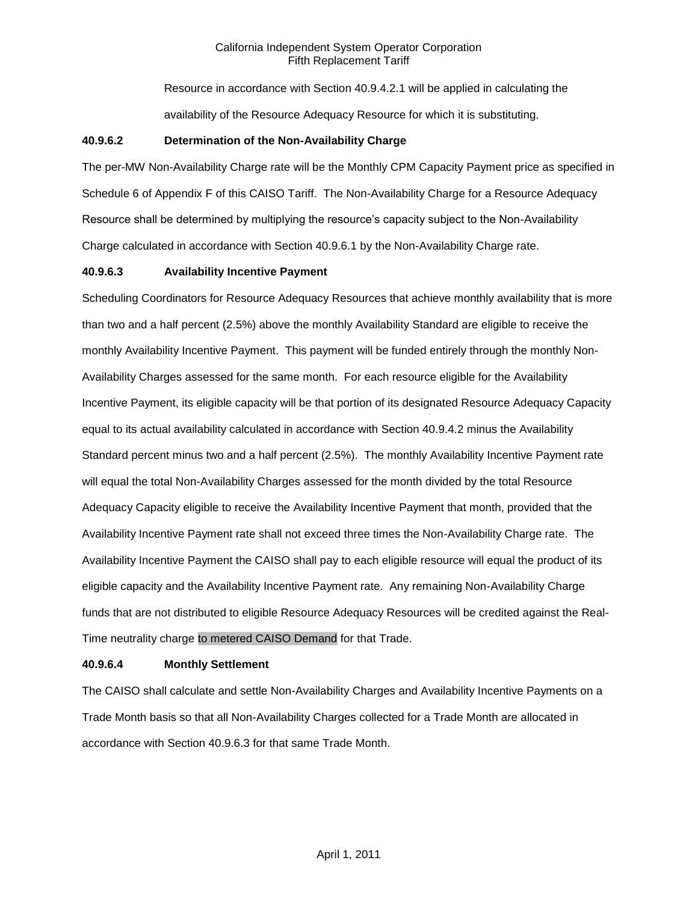Resource in accordance with Section 40.9.4.2.1 will be applied in calculating the availability of the Resource Adequacy Resource for which it is substituting.

### **40.9.6.2 Determination of the Non-Availability Charge**

The per-MW Non-Availability Charge rate will be the Monthly CPM Capacity Payment price as specified in Schedule 6 of Appendix F of this CAISO Tariff. The Non-Availability Charge for a Resource Adequacy Resource shall be determined by multiplying the resource's capacity subject to the Non-Availability Charge calculated in accordance with Section 40.9.6.1 by the Non-Availability Charge rate.

### **40.9.6.3 Availability Incentive Payment**

Scheduling Coordinators for Resource Adequacy Resources that achieve monthly availability that is more than two and a half percent (2.5%) above the monthly Availability Standard are eligible to receive the monthly Availability Incentive Payment. This payment will be funded entirely through the monthly Non-Availability Charges assessed for the same month. For each resource eligible for the Availability Incentive Payment, its eligible capacity will be that portion of its designated Resource Adequacy Capacity equal to its actual availability calculated in accordance with Section 40.9.4.2 minus the Availability Standard percent minus two and a half percent (2.5%). The monthly Availability Incentive Payment rate will equal the total Non-Availability Charges assessed for the month divided by the total Resource Adequacy Capacity eligible to receive the Availability Incentive Payment that month, provided that the Availability Incentive Payment rate shall not exceed three times the Non-Availability Charge rate. The Availability Incentive Payment the CAISO shall pay to each eligible resource will equal the product of its eligible capacity and the Availability Incentive Payment rate. Any remaining Non-Availability Charge funds that are not distributed to eligible Resource Adequacy Resources will be credited against the Real-Time neutrality charge to metered CAISO Demand for that Trade.

### **40.9.6.4 Monthly Settlement**

The CAISO shall calculate and settle Non-Availability Charges and Availability Incentive Payments on a Trade Month basis so that all Non-Availability Charges collected for a Trade Month are allocated in accordance with Section 40.9.6.3 for that same Trade Month.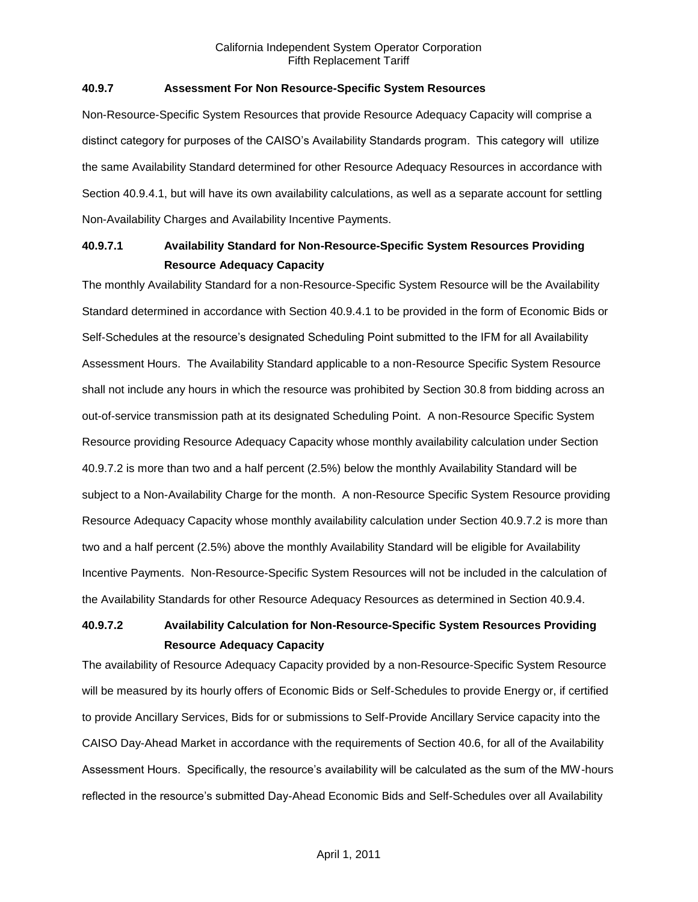### **40.9.7 Assessment For Non Resource-Specific System Resources**

Non-Resource-Specific System Resources that provide Resource Adequacy Capacity will comprise a distinct category for purposes of the CAISO's Availability Standards program. This category will utilize the same Availability Standard determined for other Resource Adequacy Resources in accordance with Section 40.9.4.1, but will have its own availability calculations, as well as a separate account for settling Non-Availability Charges and Availability Incentive Payments.

# **40.9.7.1 Availability Standard for Non-Resource-Specific System Resources Providing Resource Adequacy Capacity**

The monthly Availability Standard for a non-Resource-Specific System Resource will be the Availability Standard determined in accordance with Section 40.9.4.1 to be provided in the form of Economic Bids or Self-Schedules at the resource's designated Scheduling Point submitted to the IFM for all Availability Assessment Hours. The Availability Standard applicable to a non-Resource Specific System Resource shall not include any hours in which the resource was prohibited by Section 30.8 from bidding across an out-of-service transmission path at its designated Scheduling Point. A non-Resource Specific System Resource providing Resource Adequacy Capacity whose monthly availability calculation under Section 40.9.7.2 is more than two and a half percent (2.5%) below the monthly Availability Standard will be subject to a Non-Availability Charge for the month. A non-Resource Specific System Resource providing Resource Adequacy Capacity whose monthly availability calculation under Section 40.9.7.2 is more than two and a half percent (2.5%) above the monthly Availability Standard will be eligible for Availability Incentive Payments. Non-Resource-Specific System Resources will not be included in the calculation of the Availability Standards for other Resource Adequacy Resources as determined in Section 40.9.4.

# **40.9.7.2 Availability Calculation for Non-Resource-Specific System Resources Providing Resource Adequacy Capacity**

The availability of Resource Adequacy Capacity provided by a non-Resource-Specific System Resource will be measured by its hourly offers of Economic Bids or Self-Schedules to provide Energy or, if certified to provide Ancillary Services, Bids for or submissions to Self-Provide Ancillary Service capacity into the CAISO Day-Ahead Market in accordance with the requirements of Section 40.6, for all of the Availability Assessment Hours. Specifically, the resource's availability will be calculated as the sum of the MW-hours reflected in the resource's submitted Day-Ahead Economic Bids and Self-Schedules over all Availability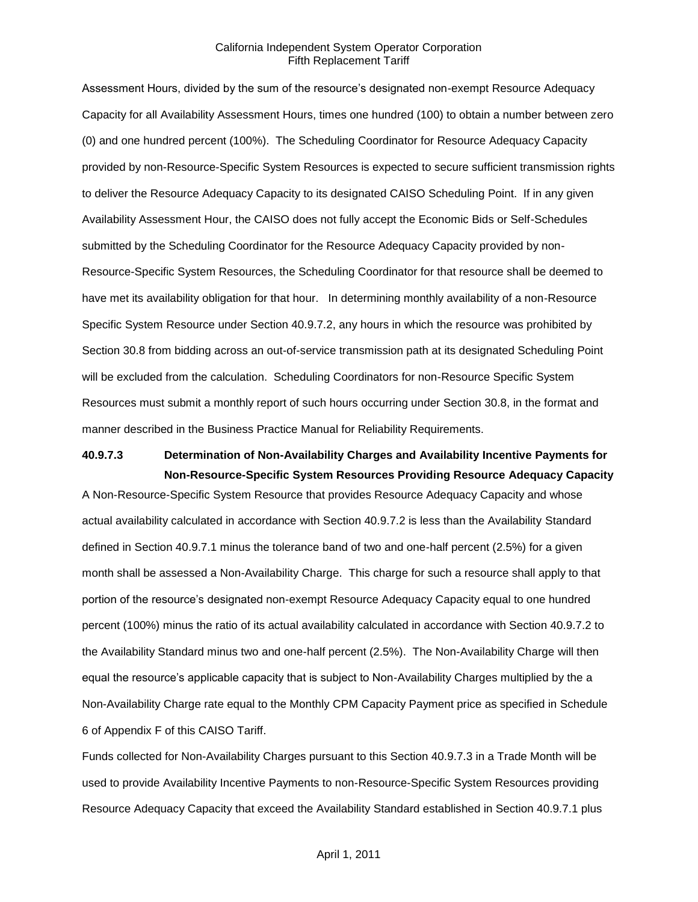Assessment Hours, divided by the sum of the resource's designated non-exempt Resource Adequacy Capacity for all Availability Assessment Hours, times one hundred (100) to obtain a number between zero (0) and one hundred percent (100%). The Scheduling Coordinator for Resource Adequacy Capacity provided by non-Resource-Specific System Resources is expected to secure sufficient transmission rights to deliver the Resource Adequacy Capacity to its designated CAISO Scheduling Point. If in any given Availability Assessment Hour, the CAISO does not fully accept the Economic Bids or Self-Schedules submitted by the Scheduling Coordinator for the Resource Adequacy Capacity provided by non-Resource-Specific System Resources, the Scheduling Coordinator for that resource shall be deemed to have met its availability obligation for that hour. In determining monthly availability of a non-Resource Specific System Resource under Section 40.9.7.2, any hours in which the resource was prohibited by Section 30.8 from bidding across an out-of-service transmission path at its designated Scheduling Point will be excluded from the calculation. Scheduling Coordinators for non-Resource Specific System Resources must submit a monthly report of such hours occurring under Section 30.8, in the format and manner described in the Business Practice Manual for Reliability Requirements.

# **40.9.7.3 Determination of Non-Availability Charges and Availability Incentive Payments for Non-Resource-Specific System Resources Providing Resource Adequacy Capacity**

A Non-Resource-Specific System Resource that provides Resource Adequacy Capacity and whose actual availability calculated in accordance with Section 40.9.7.2 is less than the Availability Standard defined in Section 40.9.7.1 minus the tolerance band of two and one-half percent (2.5%) for a given month shall be assessed a Non-Availability Charge. This charge for such a resource shall apply to that portion of the resource's designated non-exempt Resource Adequacy Capacity equal to one hundred percent (100%) minus the ratio of its actual availability calculated in accordance with Section 40.9.7.2 to the Availability Standard minus two and one-half percent (2.5%). The Non-Availability Charge will then equal the resource's applicable capacity that is subject to Non-Availability Charges multiplied by the a Non-Availability Charge rate equal to the Monthly CPM Capacity Payment price as specified in Schedule 6 of Appendix F of this CAISO Tariff.

Funds collected for Non-Availability Charges pursuant to this Section 40.9.7.3 in a Trade Month will be used to provide Availability Incentive Payments to non-Resource-Specific System Resources providing Resource Adequacy Capacity that exceed the Availability Standard established in Section 40.9.7.1 plus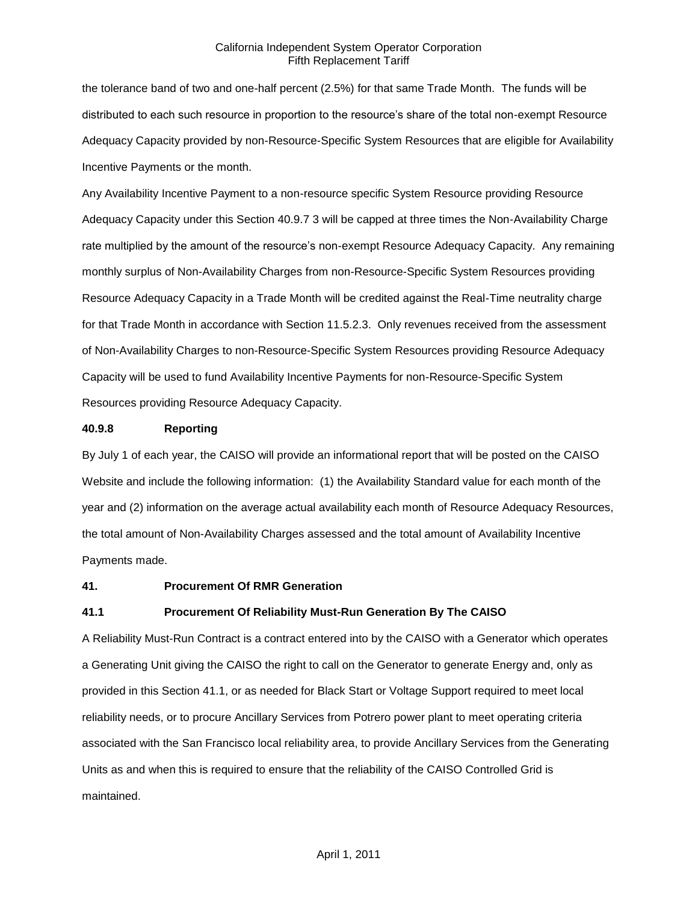the tolerance band of two and one-half percent (2.5%) for that same Trade Month. The funds will be distributed to each such resource in proportion to the resource's share of the total non-exempt Resource Adequacy Capacity provided by non-Resource-Specific System Resources that are eligible for Availability Incentive Payments or the month.

Any Availability Incentive Payment to a non-resource specific System Resource providing Resource Adequacy Capacity under this Section 40.9.7 3 will be capped at three times the Non-Availability Charge rate multiplied by the amount of the resource's non-exempt Resource Adequacy Capacity. Any remaining monthly surplus of Non-Availability Charges from non-Resource-Specific System Resources providing Resource Adequacy Capacity in a Trade Month will be credited against the Real-Time neutrality charge for that Trade Month in accordance with Section 11.5.2.3. Only revenues received from the assessment of Non-Availability Charges to non-Resource-Specific System Resources providing Resource Adequacy Capacity will be used to fund Availability Incentive Payments for non-Resource-Specific System Resources providing Resource Adequacy Capacity.

### **40.9.8 Reporting**

By July 1 of each year, the CAISO will provide an informational report that will be posted on the CAISO Website and include the following information: (1) the Availability Standard value for each month of the year and (2) information on the average actual availability each month of Resource Adequacy Resources, the total amount of Non-Availability Charges assessed and the total amount of Availability Incentive Payments made.

### **41. Procurement Of RMR Generation**

### **41.1 Procurement Of Reliability Must-Run Generation By The CAISO**

A Reliability Must-Run Contract is a contract entered into by the CAISO with a Generator which operates a Generating Unit giving the CAISO the right to call on the Generator to generate Energy and, only as provided in this Section 41.1, or as needed for Black Start or Voltage Support required to meet local reliability needs, or to procure Ancillary Services from Potrero power plant to meet operating criteria associated with the San Francisco local reliability area, to provide Ancillary Services from the Generating Units as and when this is required to ensure that the reliability of the CAISO Controlled Grid is maintained.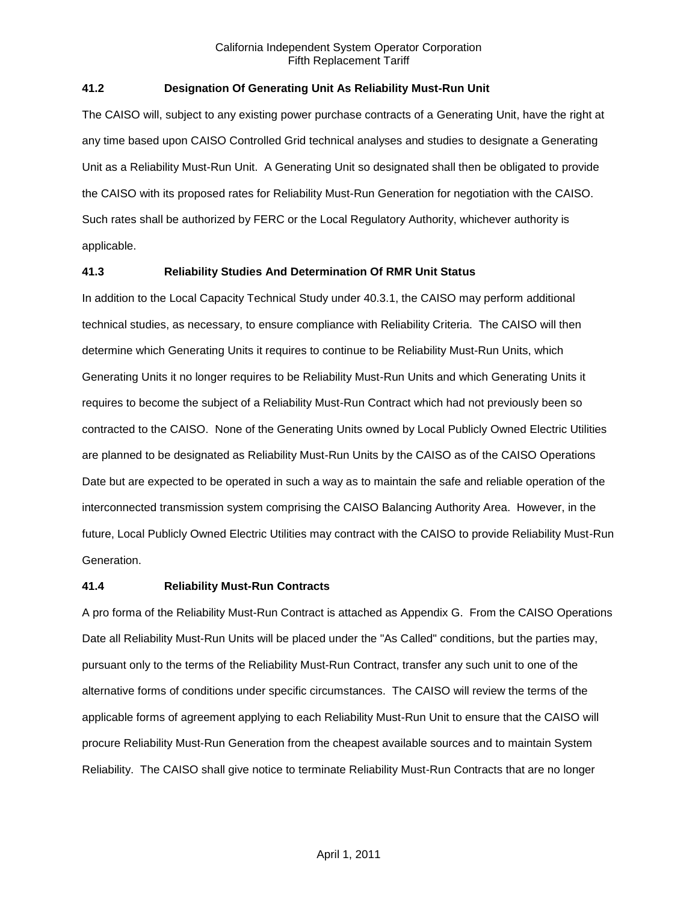## **41.2 Designation Of Generating Unit As Reliability Must-Run Unit**

The CAISO will, subject to any existing power purchase contracts of a Generating Unit, have the right at any time based upon CAISO Controlled Grid technical analyses and studies to designate a Generating Unit as a Reliability Must-Run Unit. A Generating Unit so designated shall then be obligated to provide the CAISO with its proposed rates for Reliability Must-Run Generation for negotiation with the CAISO. Such rates shall be authorized by FERC or the Local Regulatory Authority, whichever authority is applicable.

### **41.3 Reliability Studies And Determination Of RMR Unit Status**

In addition to the Local Capacity Technical Study under 40.3.1, the CAISO may perform additional technical studies, as necessary, to ensure compliance with Reliability Criteria. The CAISO will then determine which Generating Units it requires to continue to be Reliability Must-Run Units, which Generating Units it no longer requires to be Reliability Must-Run Units and which Generating Units it requires to become the subject of a Reliability Must-Run Contract which had not previously been so contracted to the CAISO. None of the Generating Units owned by Local Publicly Owned Electric Utilities are planned to be designated as Reliability Must-Run Units by the CAISO as of the CAISO Operations Date but are expected to be operated in such a way as to maintain the safe and reliable operation of the interconnected transmission system comprising the CAISO Balancing Authority Area. However, in the future, Local Publicly Owned Electric Utilities may contract with the CAISO to provide Reliability Must-Run Generation.

### **41.4 Reliability Must-Run Contracts**

A pro forma of the Reliability Must-Run Contract is attached as Appendix G. From the CAISO Operations Date all Reliability Must-Run Units will be placed under the "As Called" conditions, but the parties may, pursuant only to the terms of the Reliability Must-Run Contract, transfer any such unit to one of the alternative forms of conditions under specific circumstances. The CAISO will review the terms of the applicable forms of agreement applying to each Reliability Must-Run Unit to ensure that the CAISO will procure Reliability Must-Run Generation from the cheapest available sources and to maintain System Reliability. The CAISO shall give notice to terminate Reliability Must-Run Contracts that are no longer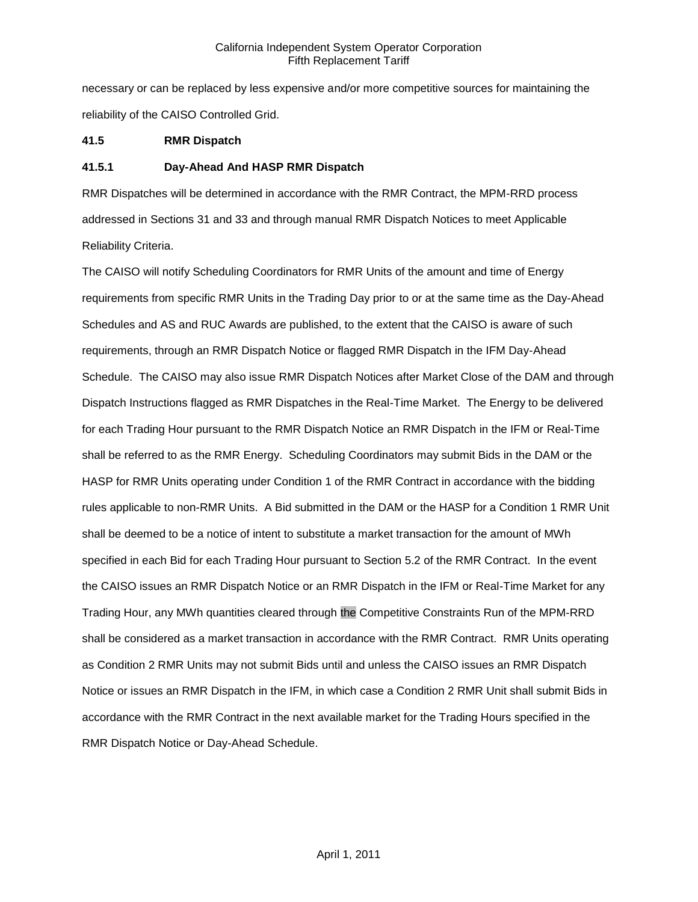necessary or can be replaced by less expensive and/or more competitive sources for maintaining the reliability of the CAISO Controlled Grid.

### **41.5 RMR Dispatch**

### **41.5.1 Day-Ahead And HASP RMR Dispatch**

RMR Dispatches will be determined in accordance with the RMR Contract, the MPM-RRD process addressed in Sections 31 and 33 and through manual RMR Dispatch Notices to meet Applicable Reliability Criteria.

The CAISO will notify Scheduling Coordinators for RMR Units of the amount and time of Energy requirements from specific RMR Units in the Trading Day prior to or at the same time as the Day-Ahead Schedules and AS and RUC Awards are published, to the extent that the CAISO is aware of such requirements, through an RMR Dispatch Notice or flagged RMR Dispatch in the IFM Day-Ahead Schedule. The CAISO may also issue RMR Dispatch Notices after Market Close of the DAM and through Dispatch Instructions flagged as RMR Dispatches in the Real-Time Market. The Energy to be delivered for each Trading Hour pursuant to the RMR Dispatch Notice an RMR Dispatch in the IFM or Real-Time shall be referred to as the RMR Energy. Scheduling Coordinators may submit Bids in the DAM or the HASP for RMR Units operating under Condition 1 of the RMR Contract in accordance with the bidding rules applicable to non-RMR Units. A Bid submitted in the DAM or the HASP for a Condition 1 RMR Unit shall be deemed to be a notice of intent to substitute a market transaction for the amount of MWh specified in each Bid for each Trading Hour pursuant to Section 5.2 of the RMR Contract. In the event the CAISO issues an RMR Dispatch Notice or an RMR Dispatch in the IFM or Real-Time Market for any Trading Hour, any MWh quantities cleared through the Competitive Constraints Run of the MPM-RRD shall be considered as a market transaction in accordance with the RMR Contract. RMR Units operating as Condition 2 RMR Units may not submit Bids until and unless the CAISO issues an RMR Dispatch Notice or issues an RMR Dispatch in the IFM, in which case a Condition 2 RMR Unit shall submit Bids in accordance with the RMR Contract in the next available market for the Trading Hours specified in the RMR Dispatch Notice or Day-Ahead Schedule.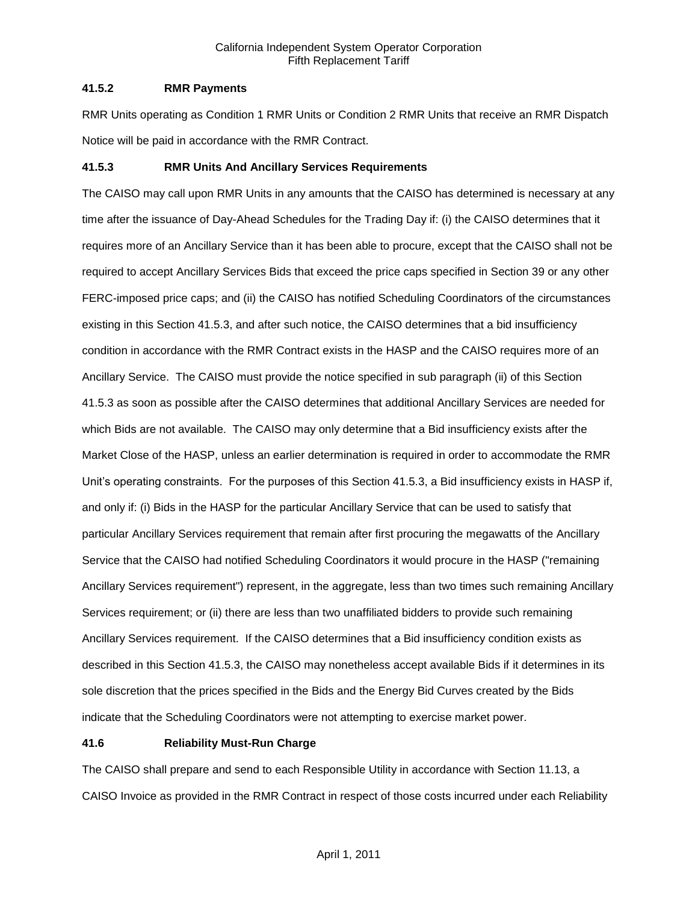### **41.5.2 RMR Payments**

RMR Units operating as Condition 1 RMR Units or Condition 2 RMR Units that receive an RMR Dispatch Notice will be paid in accordance with the RMR Contract.

## **41.5.3 RMR Units And Ancillary Services Requirements**

The CAISO may call upon RMR Units in any amounts that the CAISO has determined is necessary at any time after the issuance of Day-Ahead Schedules for the Trading Day if: (i) the CAISO determines that it requires more of an Ancillary Service than it has been able to procure, except that the CAISO shall not be required to accept Ancillary Services Bids that exceed the price caps specified in Section 39 or any other FERC-imposed price caps; and (ii) the CAISO has notified Scheduling Coordinators of the circumstances existing in this Section 41.5.3, and after such notice, the CAISO determines that a bid insufficiency condition in accordance with the RMR Contract exists in the HASP and the CAISO requires more of an Ancillary Service. The CAISO must provide the notice specified in sub paragraph (ii) of this Section 41.5.3 as soon as possible after the CAISO determines that additional Ancillary Services are needed for which Bids are not available. The CAISO may only determine that a Bid insufficiency exists after the Market Close of the HASP, unless an earlier determination is required in order to accommodate the RMR Unit's operating constraints. For the purposes of this Section 41.5.3, a Bid insufficiency exists in HASP if, and only if: (i) Bids in the HASP for the particular Ancillary Service that can be used to satisfy that particular Ancillary Services requirement that remain after first procuring the megawatts of the Ancillary Service that the CAISO had notified Scheduling Coordinators it would procure in the HASP ("remaining Ancillary Services requirement") represent, in the aggregate, less than two times such remaining Ancillary Services requirement; or (ii) there are less than two unaffiliated bidders to provide such remaining Ancillary Services requirement. If the CAISO determines that a Bid insufficiency condition exists as described in this Section 41.5.3, the CAISO may nonetheless accept available Bids if it determines in its sole discretion that the prices specified in the Bids and the Energy Bid Curves created by the Bids indicate that the Scheduling Coordinators were not attempting to exercise market power.

# **41.6 Reliability Must-Run Charge**

The CAISO shall prepare and send to each Responsible Utility in accordance with Section 11.13, a CAISO Invoice as provided in the RMR Contract in respect of those costs incurred under each Reliability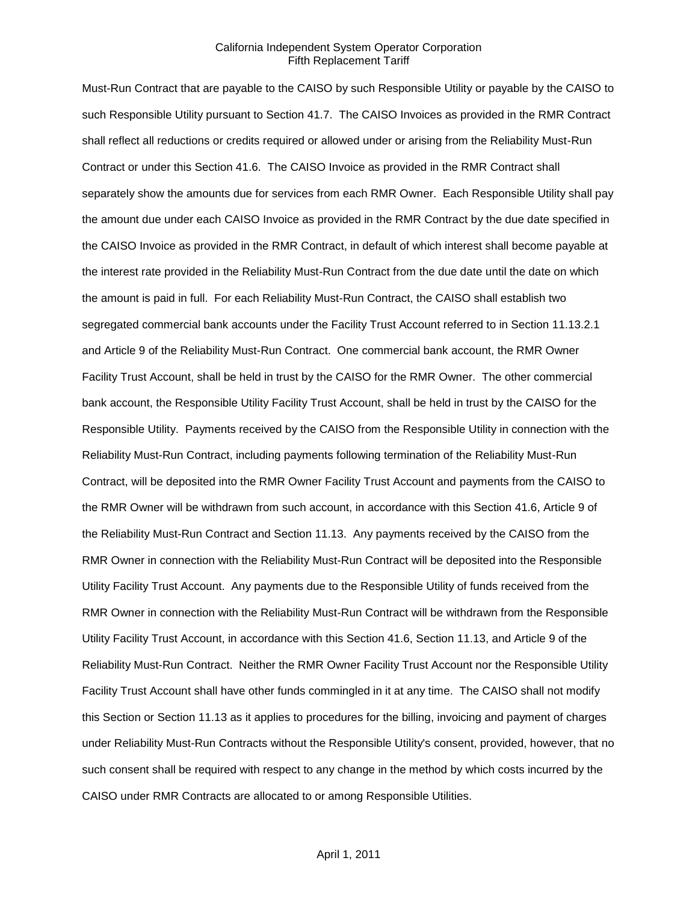Must-Run Contract that are payable to the CAISO by such Responsible Utility or payable by the CAISO to such Responsible Utility pursuant to Section 41.7. The CAISO Invoices as provided in the RMR Contract shall reflect all reductions or credits required or allowed under or arising from the Reliability Must-Run Contract or under this Section 41.6. The CAISO Invoice as provided in the RMR Contract shall separately show the amounts due for services from each RMR Owner. Each Responsible Utility shall pay the amount due under each CAISO Invoice as provided in the RMR Contract by the due date specified in the CAISO Invoice as provided in the RMR Contract, in default of which interest shall become payable at the interest rate provided in the Reliability Must-Run Contract from the due date until the date on which the amount is paid in full. For each Reliability Must-Run Contract, the CAISO shall establish two segregated commercial bank accounts under the Facility Trust Account referred to in Section 11.13.2.1 and Article 9 of the Reliability Must-Run Contract. One commercial bank account, the RMR Owner Facility Trust Account, shall be held in trust by the CAISO for the RMR Owner. The other commercial bank account, the Responsible Utility Facility Trust Account, shall be held in trust by the CAISO for the Responsible Utility. Payments received by the CAISO from the Responsible Utility in connection with the Reliability Must-Run Contract, including payments following termination of the Reliability Must-Run Contract, will be deposited into the RMR Owner Facility Trust Account and payments from the CAISO to the RMR Owner will be withdrawn from such account, in accordance with this Section 41.6, Article 9 of the Reliability Must-Run Contract and Section 11.13. Any payments received by the CAISO from the RMR Owner in connection with the Reliability Must-Run Contract will be deposited into the Responsible Utility Facility Trust Account. Any payments due to the Responsible Utility of funds received from the RMR Owner in connection with the Reliability Must-Run Contract will be withdrawn from the Responsible Utility Facility Trust Account, in accordance with this Section 41.6, Section 11.13, and Article 9 of the Reliability Must-Run Contract. Neither the RMR Owner Facility Trust Account nor the Responsible Utility Facility Trust Account shall have other funds commingled in it at any time. The CAISO shall not modify this Section or Section 11.13 as it applies to procedures for the billing, invoicing and payment of charges under Reliability Must-Run Contracts without the Responsible Utility's consent, provided, however, that no such consent shall be required with respect to any change in the method by which costs incurred by the CAISO under RMR Contracts are allocated to or among Responsible Utilities.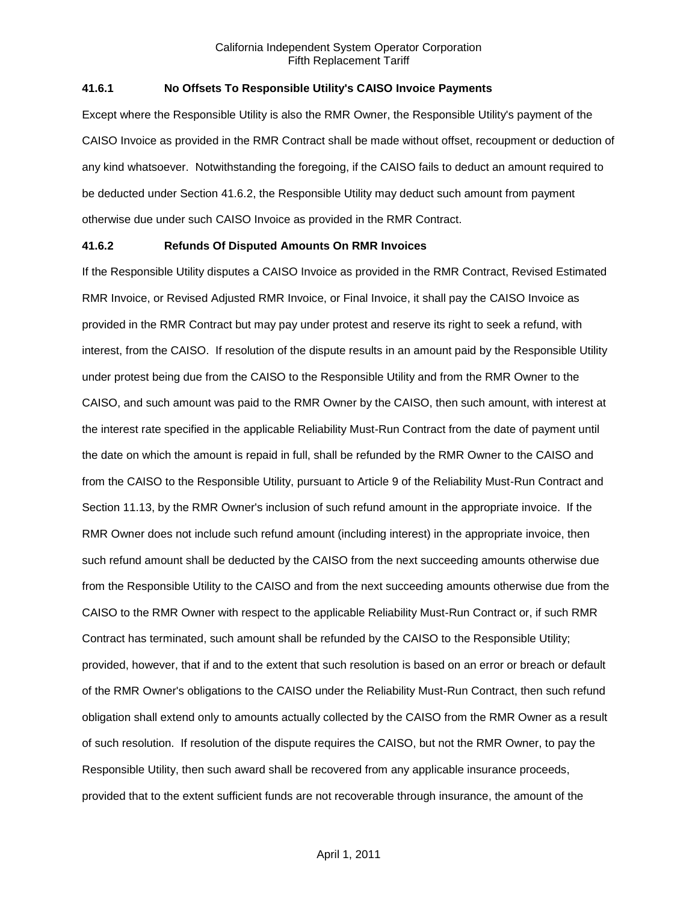### **41.6.1 No Offsets To Responsible Utility's CAISO Invoice Payments**

Except where the Responsible Utility is also the RMR Owner, the Responsible Utility's payment of the CAISO Invoice as provided in the RMR Contract shall be made without offset, recoupment or deduction of any kind whatsoever. Notwithstanding the foregoing, if the CAISO fails to deduct an amount required to be deducted under Section 41.6.2, the Responsible Utility may deduct such amount from payment otherwise due under such CAISO Invoice as provided in the RMR Contract.

#### **41.6.2 Refunds Of Disputed Amounts On RMR Invoices**

If the Responsible Utility disputes a CAISO Invoice as provided in the RMR Contract, Revised Estimated RMR Invoice, or Revised Adjusted RMR Invoice, or Final Invoice, it shall pay the CAISO Invoice as provided in the RMR Contract but may pay under protest and reserve its right to seek a refund, with interest, from the CAISO. If resolution of the dispute results in an amount paid by the Responsible Utility under protest being due from the CAISO to the Responsible Utility and from the RMR Owner to the CAISO, and such amount was paid to the RMR Owner by the CAISO, then such amount, with interest at the interest rate specified in the applicable Reliability Must-Run Contract from the date of payment until the date on which the amount is repaid in full, shall be refunded by the RMR Owner to the CAISO and from the CAISO to the Responsible Utility, pursuant to Article 9 of the Reliability Must-Run Contract and Section 11.13, by the RMR Owner's inclusion of such refund amount in the appropriate invoice. If the RMR Owner does not include such refund amount (including interest) in the appropriate invoice, then such refund amount shall be deducted by the CAISO from the next succeeding amounts otherwise due from the Responsible Utility to the CAISO and from the next succeeding amounts otherwise due from the CAISO to the RMR Owner with respect to the applicable Reliability Must-Run Contract or, if such RMR Contract has terminated, such amount shall be refunded by the CAISO to the Responsible Utility; provided, however, that if and to the extent that such resolution is based on an error or breach or default of the RMR Owner's obligations to the CAISO under the Reliability Must-Run Contract, then such refund obligation shall extend only to amounts actually collected by the CAISO from the RMR Owner as a result of such resolution. If resolution of the dispute requires the CAISO, but not the RMR Owner, to pay the Responsible Utility, then such award shall be recovered from any applicable insurance proceeds, provided that to the extent sufficient funds are not recoverable through insurance, the amount of the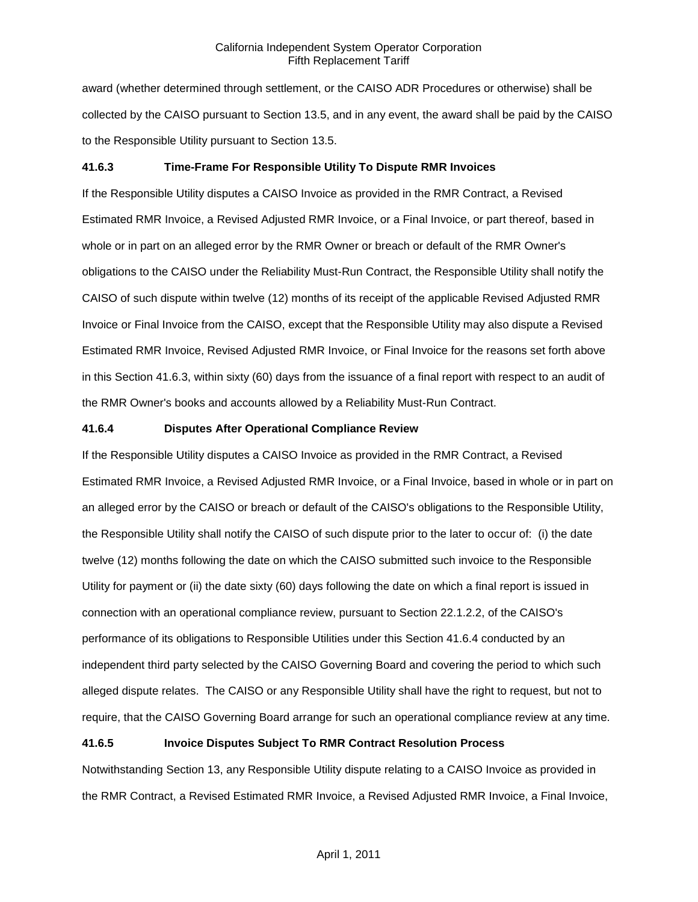award (whether determined through settlement, or the CAISO ADR Procedures or otherwise) shall be collected by the CAISO pursuant to Section 13.5, and in any event, the award shall be paid by the CAISO to the Responsible Utility pursuant to Section 13.5.

### **41.6.3 Time-Frame For Responsible Utility To Dispute RMR Invoices**

If the Responsible Utility disputes a CAISO Invoice as provided in the RMR Contract, a Revised Estimated RMR Invoice, a Revised Adjusted RMR Invoice, or a Final Invoice, or part thereof, based in whole or in part on an alleged error by the RMR Owner or breach or default of the RMR Owner's obligations to the CAISO under the Reliability Must-Run Contract, the Responsible Utility shall notify the CAISO of such dispute within twelve (12) months of its receipt of the applicable Revised Adjusted RMR Invoice or Final Invoice from the CAISO, except that the Responsible Utility may also dispute a Revised Estimated RMR Invoice, Revised Adjusted RMR Invoice, or Final Invoice for the reasons set forth above in this Section 41.6.3, within sixty (60) days from the issuance of a final report with respect to an audit of the RMR Owner's books and accounts allowed by a Reliability Must-Run Contract.

#### **41.6.4 Disputes After Operational Compliance Review**

If the Responsible Utility disputes a CAISO Invoice as provided in the RMR Contract, a Revised Estimated RMR Invoice, a Revised Adjusted RMR Invoice, or a Final Invoice, based in whole or in part on an alleged error by the CAISO or breach or default of the CAISO's obligations to the Responsible Utility, the Responsible Utility shall notify the CAISO of such dispute prior to the later to occur of: (i) the date twelve (12) months following the date on which the CAISO submitted such invoice to the Responsible Utility for payment or (ii) the date sixty (60) days following the date on which a final report is issued in connection with an operational compliance review, pursuant to Section 22.1.2.2, of the CAISO's performance of its obligations to Responsible Utilities under this Section 41.6.4 conducted by an independent third party selected by the CAISO Governing Board and covering the period to which such alleged dispute relates. The CAISO or any Responsible Utility shall have the right to request, but not to require, that the CAISO Governing Board arrange for such an operational compliance review at any time.

#### **41.6.5 Invoice Disputes Subject To RMR Contract Resolution Process**

Notwithstanding Section 13, any Responsible Utility dispute relating to a CAISO Invoice as provided in the RMR Contract, a Revised Estimated RMR Invoice, a Revised Adjusted RMR Invoice, a Final Invoice,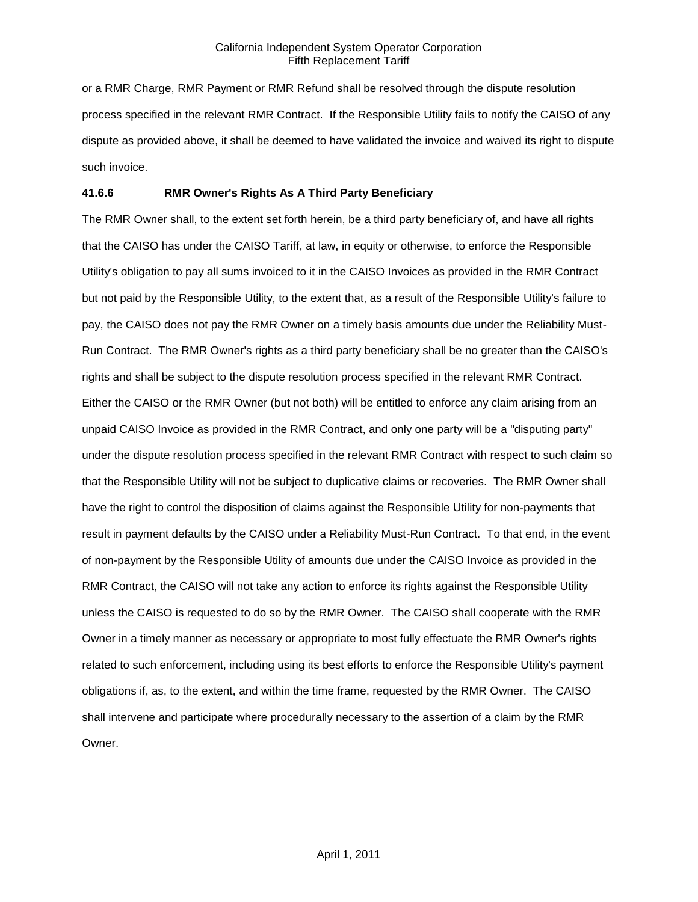or a RMR Charge, RMR Payment or RMR Refund shall be resolved through the dispute resolution process specified in the relevant RMR Contract. If the Responsible Utility fails to notify the CAISO of any dispute as provided above, it shall be deemed to have validated the invoice and waived its right to dispute such invoice.

### **41.6.6 RMR Owner's Rights As A Third Party Beneficiary**

The RMR Owner shall, to the extent set forth herein, be a third party beneficiary of, and have all rights that the CAISO has under the CAISO Tariff, at law, in equity or otherwise, to enforce the Responsible Utility's obligation to pay all sums invoiced to it in the CAISO Invoices as provided in the RMR Contract but not paid by the Responsible Utility, to the extent that, as a result of the Responsible Utility's failure to pay, the CAISO does not pay the RMR Owner on a timely basis amounts due under the Reliability Must-Run Contract. The RMR Owner's rights as a third party beneficiary shall be no greater than the CAISO's rights and shall be subject to the dispute resolution process specified in the relevant RMR Contract. Either the CAISO or the RMR Owner (but not both) will be entitled to enforce any claim arising from an unpaid CAISO Invoice as provided in the RMR Contract, and only one party will be a "disputing party" under the dispute resolution process specified in the relevant RMR Contract with respect to such claim so that the Responsible Utility will not be subject to duplicative claims or recoveries. The RMR Owner shall have the right to control the disposition of claims against the Responsible Utility for non-payments that result in payment defaults by the CAISO under a Reliability Must-Run Contract. To that end, in the event of non-payment by the Responsible Utility of amounts due under the CAISO Invoice as provided in the RMR Contract, the CAISO will not take any action to enforce its rights against the Responsible Utility unless the CAISO is requested to do so by the RMR Owner. The CAISO shall cooperate with the RMR Owner in a timely manner as necessary or appropriate to most fully effectuate the RMR Owner's rights related to such enforcement, including using its best efforts to enforce the Responsible Utility's payment obligations if, as, to the extent, and within the time frame, requested by the RMR Owner. The CAISO shall intervene and participate where procedurally necessary to the assertion of a claim by the RMR Owner.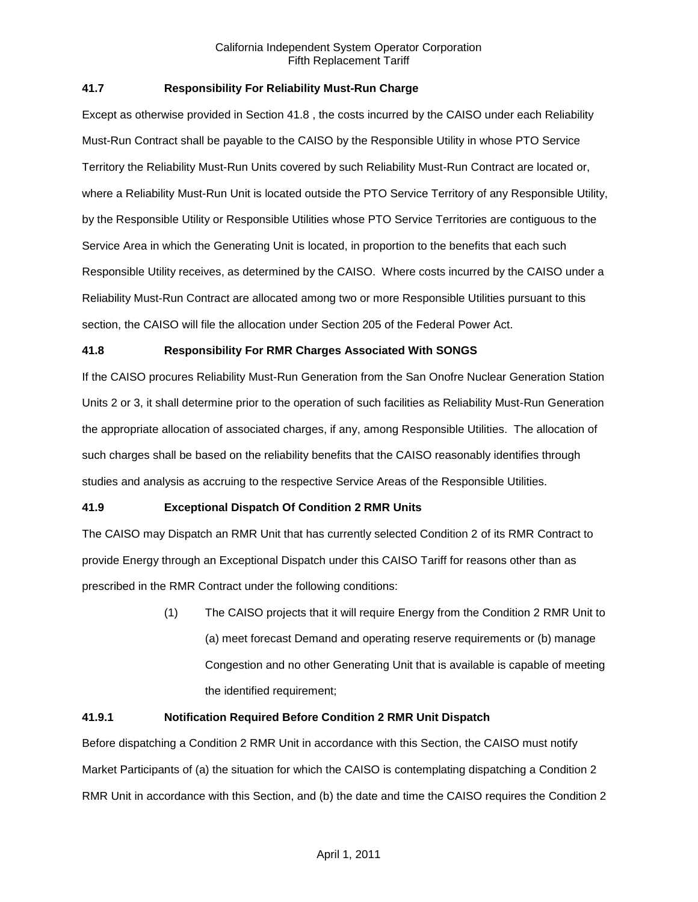## **41.7 Responsibility For Reliability Must-Run Charge**

Except as otherwise provided in Section 41.8 , the costs incurred by the CAISO under each Reliability Must-Run Contract shall be payable to the CAISO by the Responsible Utility in whose PTO Service Territory the Reliability Must-Run Units covered by such Reliability Must-Run Contract are located or, where a Reliability Must-Run Unit is located outside the PTO Service Territory of any Responsible Utility, by the Responsible Utility or Responsible Utilities whose PTO Service Territories are contiguous to the Service Area in which the Generating Unit is located, in proportion to the benefits that each such Responsible Utility receives, as determined by the CAISO. Where costs incurred by the CAISO under a Reliability Must-Run Contract are allocated among two or more Responsible Utilities pursuant to this section, the CAISO will file the allocation under Section 205 of the Federal Power Act.

### **41.8 Responsibility For RMR Charges Associated With SONGS**

If the CAISO procures Reliability Must-Run Generation from the San Onofre Nuclear Generation Station Units 2 or 3, it shall determine prior to the operation of such facilities as Reliability Must-Run Generation the appropriate allocation of associated charges, if any, among Responsible Utilities. The allocation of such charges shall be based on the reliability benefits that the CAISO reasonably identifies through studies and analysis as accruing to the respective Service Areas of the Responsible Utilities.

# **41.9 Exceptional Dispatch Of Condition 2 RMR Units**

The CAISO may Dispatch an RMR Unit that has currently selected Condition 2 of its RMR Contract to provide Energy through an Exceptional Dispatch under this CAISO Tariff for reasons other than as prescribed in the RMR Contract under the following conditions:

> (1) The CAISO projects that it will require Energy from the Condition 2 RMR Unit to (a) meet forecast Demand and operating reserve requirements or (b) manage Congestion and no other Generating Unit that is available is capable of meeting the identified requirement;

### **41.9.1 Notification Required Before Condition 2 RMR Unit Dispatch**

Before dispatching a Condition 2 RMR Unit in accordance with this Section, the CAISO must notify Market Participants of (a) the situation for which the CAISO is contemplating dispatching a Condition 2 RMR Unit in accordance with this Section, and (b) the date and time the CAISO requires the Condition 2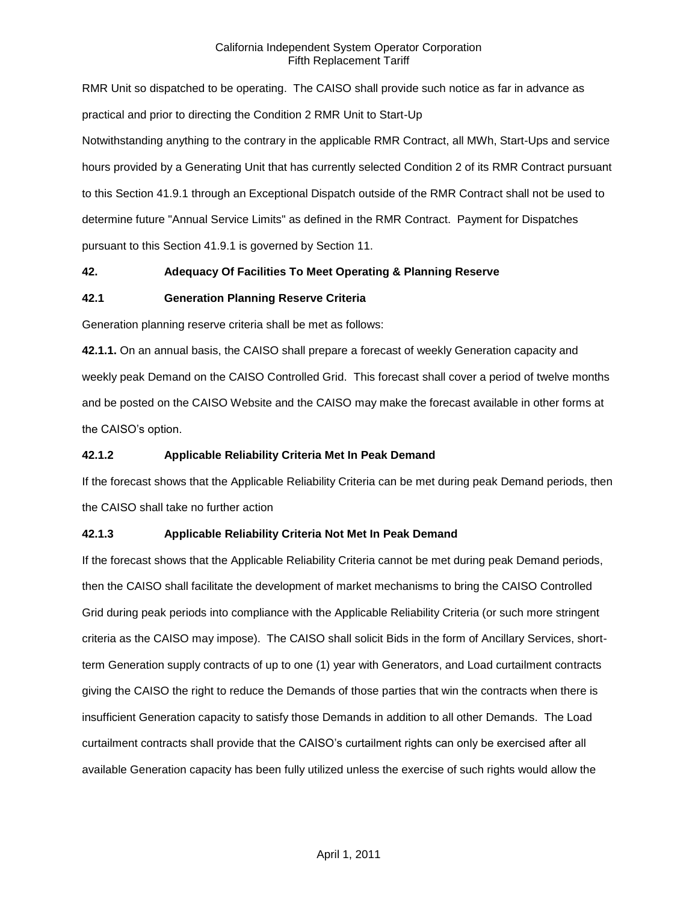RMR Unit so dispatched to be operating. The CAISO shall provide such notice as far in advance as practical and prior to directing the Condition 2 RMR Unit to Start-Up Notwithstanding anything to the contrary in the applicable RMR Contract, all MWh, Start-Ups and service hours provided by a Generating Unit that has currently selected Condition 2 of its RMR Contract pursuant to this Section 41.9.1 through an Exceptional Dispatch outside of the RMR Contract shall not be used to determine future "Annual Service Limits" as defined in the RMR Contract. Payment for Dispatches pursuant to this Section 41.9.1 is governed by Section 11.

### **42. Adequacy Of Facilities To Meet Operating & Planning Reserve**

### **42.1 Generation Planning Reserve Criteria**

Generation planning reserve criteria shall be met as follows:

**42.1.1.** On an annual basis, the CAISO shall prepare a forecast of weekly Generation capacity and weekly peak Demand on the CAISO Controlled Grid. This forecast shall cover a period of twelve months and be posted on the CAISO Website and the CAISO may make the forecast available in other forms at the CAISO's option.

### **42.1.2 Applicable Reliability Criteria Met In Peak Demand**

If the forecast shows that the Applicable Reliability Criteria can be met during peak Demand periods, then the CAISO shall take no further action

# **42.1.3 Applicable Reliability Criteria Not Met In Peak Demand**

If the forecast shows that the Applicable Reliability Criteria cannot be met during peak Demand periods, then the CAISO shall facilitate the development of market mechanisms to bring the CAISO Controlled Grid during peak periods into compliance with the Applicable Reliability Criteria (or such more stringent criteria as the CAISO may impose). The CAISO shall solicit Bids in the form of Ancillary Services, shortterm Generation supply contracts of up to one (1) year with Generators, and Load curtailment contracts giving the CAISO the right to reduce the Demands of those parties that win the contracts when there is insufficient Generation capacity to satisfy those Demands in addition to all other Demands. The Load curtailment contracts shall provide that the CAISO's curtailment rights can only be exercised after all available Generation capacity has been fully utilized unless the exercise of such rights would allow the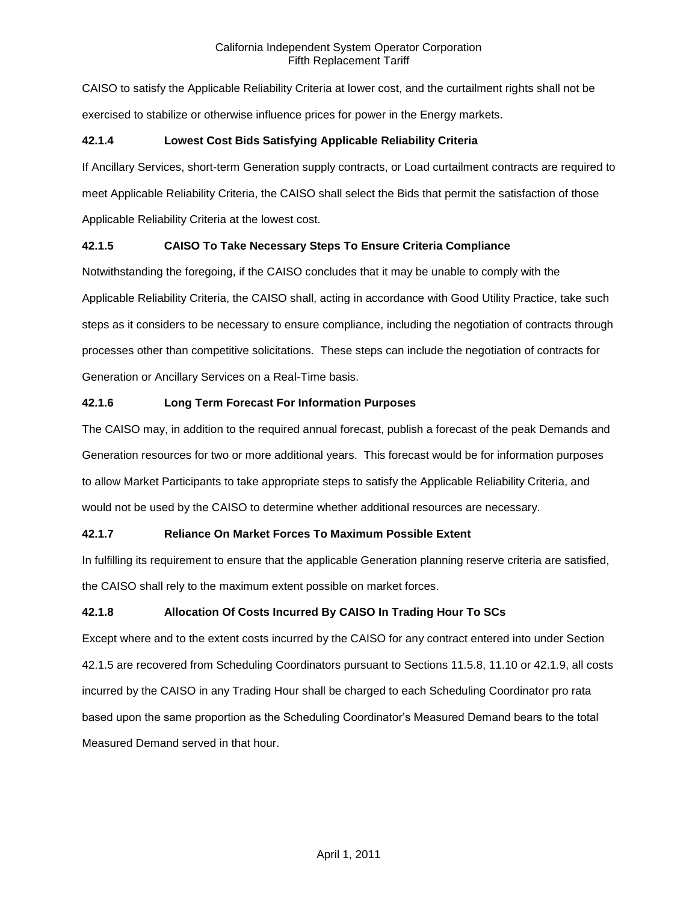CAISO to satisfy the Applicable Reliability Criteria at lower cost, and the curtailment rights shall not be exercised to stabilize or otherwise influence prices for power in the Energy markets.

# **42.1.4 Lowest Cost Bids Satisfying Applicable Reliability Criteria**

If Ancillary Services, short-term Generation supply contracts, or Load curtailment contracts are required to meet Applicable Reliability Criteria, the CAISO shall select the Bids that permit the satisfaction of those Applicable Reliability Criteria at the lowest cost.

# **42.1.5 CAISO To Take Necessary Steps To Ensure Criteria Compliance**

Notwithstanding the foregoing, if the CAISO concludes that it may be unable to comply with the Applicable Reliability Criteria, the CAISO shall, acting in accordance with Good Utility Practice, take such steps as it considers to be necessary to ensure compliance, including the negotiation of contracts through processes other than competitive solicitations. These steps can include the negotiation of contracts for Generation or Ancillary Services on a Real-Time basis.

# **42.1.6 Long Term Forecast For Information Purposes**

The CAISO may, in addition to the required annual forecast, publish a forecast of the peak Demands and Generation resources for two or more additional years. This forecast would be for information purposes to allow Market Participants to take appropriate steps to satisfy the Applicable Reliability Criteria, and would not be used by the CAISO to determine whether additional resources are necessary.

# **42.1.7 Reliance On Market Forces To Maximum Possible Extent**

In fulfilling its requirement to ensure that the applicable Generation planning reserve criteria are satisfied, the CAISO shall rely to the maximum extent possible on market forces.

# **42.1.8 Allocation Of Costs Incurred By CAISO In Trading Hour To SCs**

Except where and to the extent costs incurred by the CAISO for any contract entered into under Section 42.1.5 are recovered from Scheduling Coordinators pursuant to Sections 11.5.8, 11.10 or 42.1.9, all costs incurred by the CAISO in any Trading Hour shall be charged to each Scheduling Coordinator pro rata based upon the same proportion as the Scheduling Coordinator's Measured Demand bears to the total Measured Demand served in that hour.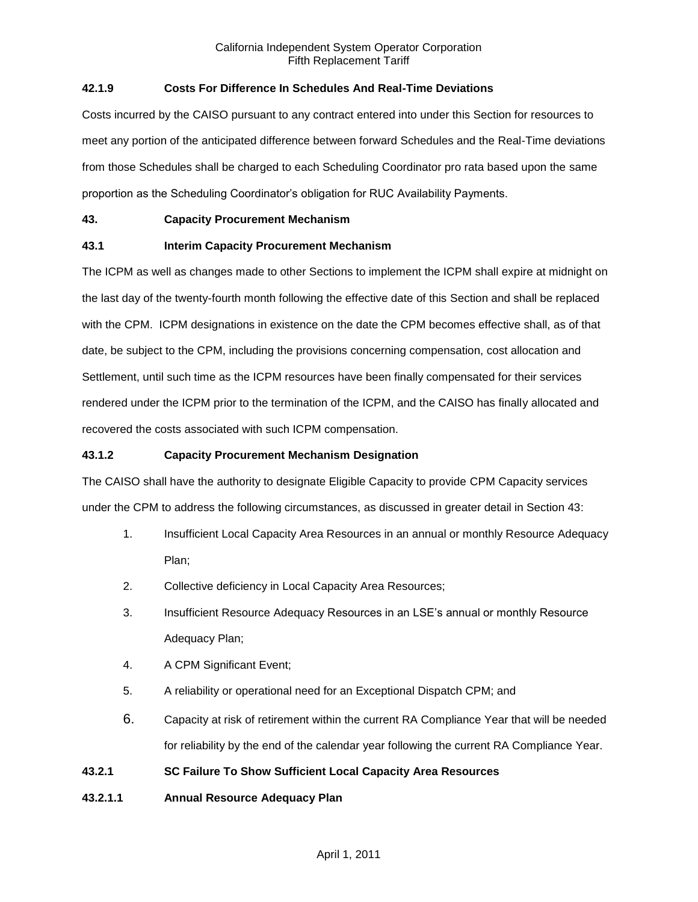# **42.1.9 Costs For Difference In Schedules And Real-Time Deviations**

Costs incurred by the CAISO pursuant to any contract entered into under this Section for resources to meet any portion of the anticipated difference between forward Schedules and the Real-Time deviations from those Schedules shall be charged to each Scheduling Coordinator pro rata based upon the same proportion as the Scheduling Coordinator's obligation for RUC Availability Payments.

# **43. Capacity Procurement Mechanism**

# **43.1 Interim Capacity Procurement Mechanism**

The ICPM as well as changes made to other Sections to implement the ICPM shall expire at midnight on the last day of the twenty-fourth month following the effective date of this Section and shall be replaced with the CPM. ICPM designations in existence on the date the CPM becomes effective shall, as of that date, be subject to the CPM, including the provisions concerning compensation, cost allocation and Settlement, until such time as the ICPM resources have been finally compensated for their services rendered under the ICPM prior to the termination of the ICPM, and the CAISO has finally allocated and recovered the costs associated with such ICPM compensation.

# **43.1.2 Capacity Procurement Mechanism Designation**

The CAISO shall have the authority to designate Eligible Capacity to provide CPM Capacity services under the CPM to address the following circumstances, as discussed in greater detail in Section 43:

- 1. Insufficient Local Capacity Area Resources in an annual or monthly Resource Adequacy Plan;
- 2. Collective deficiency in Local Capacity Area Resources;
- 3. Insufficient Resource Adequacy Resources in an LSE's annual or monthly Resource Adequacy Plan;
- 4. A CPM Significant Event;
- 5. A reliability or operational need for an Exceptional Dispatch CPM; and
- 6. Capacity at risk of retirement within the current RA Compliance Year that will be needed for reliability by the end of the calendar year following the current RA Compliance Year.

# **43.2.1 SC Failure To Show Sufficient Local Capacity Area Resources**

# **43.2.1.1 Annual Resource Adequacy Plan**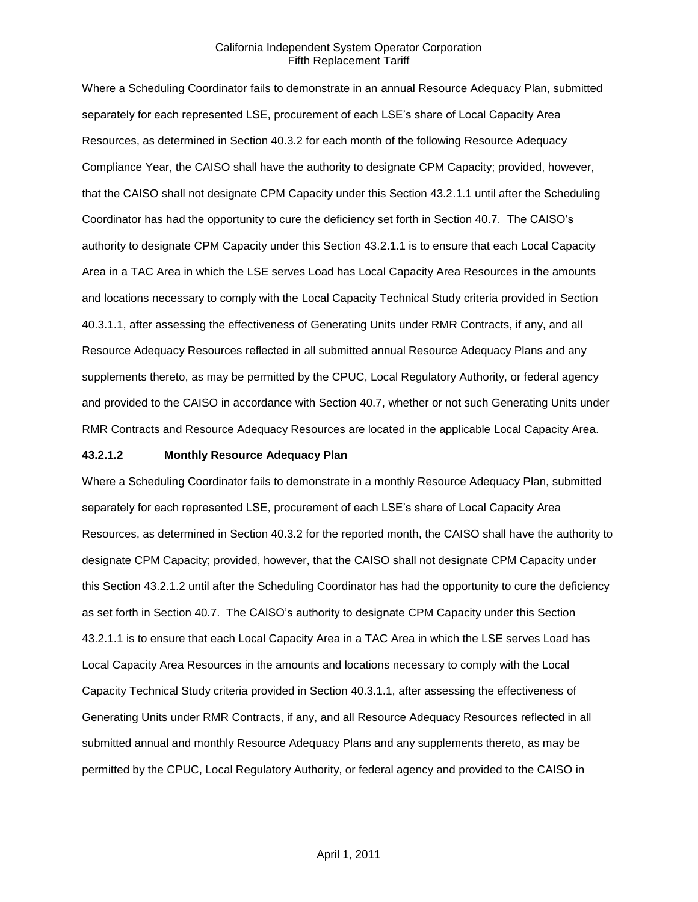Where a Scheduling Coordinator fails to demonstrate in an annual Resource Adequacy Plan, submitted separately for each represented LSE, procurement of each LSE's share of Local Capacity Area Resources, as determined in Section 40.3.2 for each month of the following Resource Adequacy Compliance Year, the CAISO shall have the authority to designate CPM Capacity; provided, however, that the CAISO shall not designate CPM Capacity under this Section 43.2.1.1 until after the Scheduling Coordinator has had the opportunity to cure the deficiency set forth in Section 40.7. The CAISO's authority to designate CPM Capacity under this Section 43.2.1.1 is to ensure that each Local Capacity Area in a TAC Area in which the LSE serves Load has Local Capacity Area Resources in the amounts and locations necessary to comply with the Local Capacity Technical Study criteria provided in Section 40.3.1.1, after assessing the effectiveness of Generating Units under RMR Contracts, if any, and all Resource Adequacy Resources reflected in all submitted annual Resource Adequacy Plans and any supplements thereto, as may be permitted by the CPUC, Local Regulatory Authority, or federal agency and provided to the CAISO in accordance with Section 40.7, whether or not such Generating Units under RMR Contracts and Resource Adequacy Resources are located in the applicable Local Capacity Area.

#### **43.2.1.2 Monthly Resource Adequacy Plan**

Where a Scheduling Coordinator fails to demonstrate in a monthly Resource Adequacy Plan, submitted separately for each represented LSE, procurement of each LSE's share of Local Capacity Area Resources, as determined in Section 40.3.2 for the reported month, the CAISO shall have the authority to designate CPM Capacity; provided, however, that the CAISO shall not designate CPM Capacity under this Section 43.2.1.2 until after the Scheduling Coordinator has had the opportunity to cure the deficiency as set forth in Section 40.7. The CAISO's authority to designate CPM Capacity under this Section 43.2.1.1 is to ensure that each Local Capacity Area in a TAC Area in which the LSE serves Load has Local Capacity Area Resources in the amounts and locations necessary to comply with the Local Capacity Technical Study criteria provided in Section 40.3.1.1, after assessing the effectiveness of Generating Units under RMR Contracts, if any, and all Resource Adequacy Resources reflected in all submitted annual and monthly Resource Adequacy Plans and any supplements thereto, as may be permitted by the CPUC, Local Regulatory Authority, or federal agency and provided to the CAISO in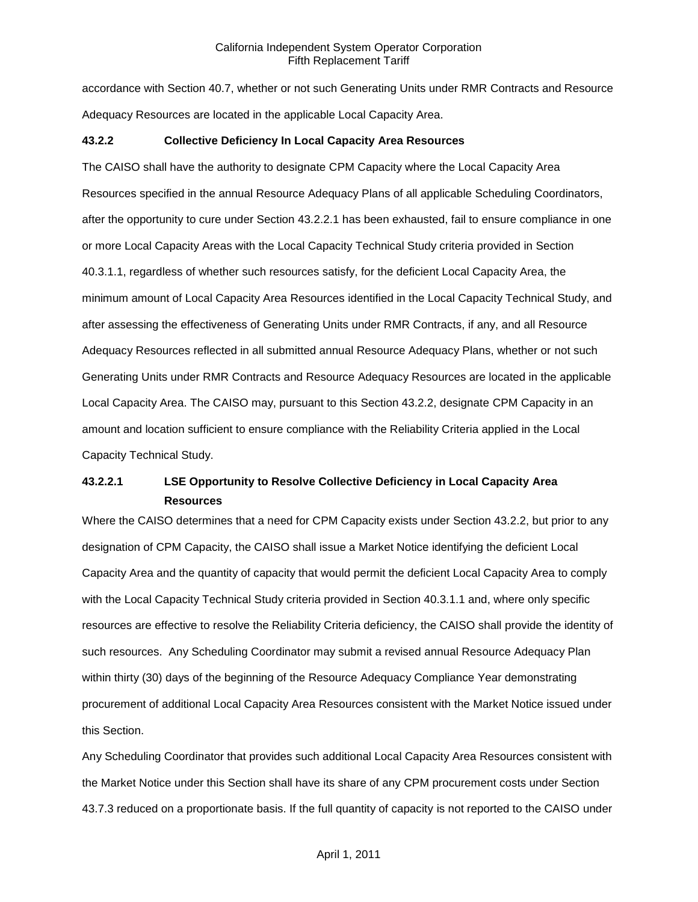accordance with Section 40.7, whether or not such Generating Units under RMR Contracts and Resource Adequacy Resources are located in the applicable Local Capacity Area.

#### **43.2.2 Collective Deficiency In Local Capacity Area Resources**

The CAISO shall have the authority to designate CPM Capacity where the Local Capacity Area Resources specified in the annual Resource Adequacy Plans of all applicable Scheduling Coordinators, after the opportunity to cure under Section 43.2.2.1 has been exhausted, fail to ensure compliance in one or more Local Capacity Areas with the Local Capacity Technical Study criteria provided in Section 40.3.1.1, regardless of whether such resources satisfy, for the deficient Local Capacity Area, the minimum amount of Local Capacity Area Resources identified in the Local Capacity Technical Study, and after assessing the effectiveness of Generating Units under RMR Contracts, if any, and all Resource Adequacy Resources reflected in all submitted annual Resource Adequacy Plans, whether or not such Generating Units under RMR Contracts and Resource Adequacy Resources are located in the applicable Local Capacity Area. The CAISO may, pursuant to this Section 43.2.2, designate CPM Capacity in an amount and location sufficient to ensure compliance with the Reliability Criteria applied in the Local Capacity Technical Study.

# **43.2.2.1 LSE Opportunity to Resolve Collective Deficiency in Local Capacity Area Resources**

Where the CAISO determines that a need for CPM Capacity exists under Section 43.2.2, but prior to any designation of CPM Capacity, the CAISO shall issue a Market Notice identifying the deficient Local Capacity Area and the quantity of capacity that would permit the deficient Local Capacity Area to comply with the Local Capacity Technical Study criteria provided in Section 40.3.1.1 and, where only specific resources are effective to resolve the Reliability Criteria deficiency, the CAISO shall provide the identity of such resources. Any Scheduling Coordinator may submit a revised annual Resource Adequacy Plan within thirty (30) days of the beginning of the Resource Adequacy Compliance Year demonstrating procurement of additional Local Capacity Area Resources consistent with the Market Notice issued under this Section.

Any Scheduling Coordinator that provides such additional Local Capacity Area Resources consistent with the Market Notice under this Section shall have its share of any CPM procurement costs under Section 43.7.3 reduced on a proportionate basis. If the full quantity of capacity is not reported to the CAISO under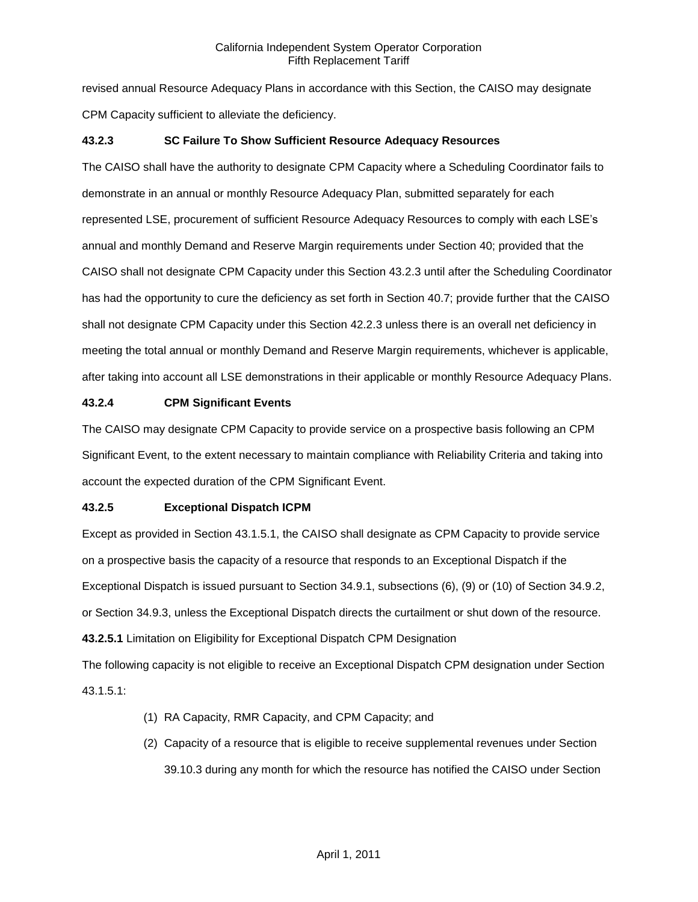revised annual Resource Adequacy Plans in accordance with this Section, the CAISO may designate CPM Capacity sufficient to alleviate the deficiency.

## **43.2.3 SC Failure To Show Sufficient Resource Adequacy Resources**

The CAISO shall have the authority to designate CPM Capacity where a Scheduling Coordinator fails to demonstrate in an annual or monthly Resource Adequacy Plan, submitted separately for each represented LSE, procurement of sufficient Resource Adequacy Resources to comply with each LSE's annual and monthly Demand and Reserve Margin requirements under Section 40; provided that the CAISO shall not designate CPM Capacity under this Section 43.2.3 until after the Scheduling Coordinator has had the opportunity to cure the deficiency as set forth in Section 40.7; provide further that the CAISO shall not designate CPM Capacity under this Section 42.2.3 unless there is an overall net deficiency in meeting the total annual or monthly Demand and Reserve Margin requirements, whichever is applicable, after taking into account all LSE demonstrations in their applicable or monthly Resource Adequacy Plans.

## **43.2.4 CPM Significant Events**

The CAISO may designate CPM Capacity to provide service on a prospective basis following an CPM Significant Event, to the extent necessary to maintain compliance with Reliability Criteria and taking into account the expected duration of the CPM Significant Event.

# **43.2.5 Exceptional Dispatch ICPM**

Except as provided in Section 43.1.5.1, the CAISO shall designate as CPM Capacity to provide service on a prospective basis the capacity of a resource that responds to an Exceptional Dispatch if the Exceptional Dispatch is issued pursuant to Section 34.9.1, subsections (6), (9) or (10) of Section 34.9.2, or Section 34.9.3, unless the Exceptional Dispatch directs the curtailment or shut down of the resource. **43.2.5.1** Limitation on Eligibility for Exceptional Dispatch CPM Designation

The following capacity is not eligible to receive an Exceptional Dispatch CPM designation under Section 43.1.5.1:

- (1) RA Capacity, RMR Capacity, and CPM Capacity; and
- (2) Capacity of a resource that is eligible to receive supplemental revenues under Section 39.10.3 during any month for which the resource has notified the CAISO under Section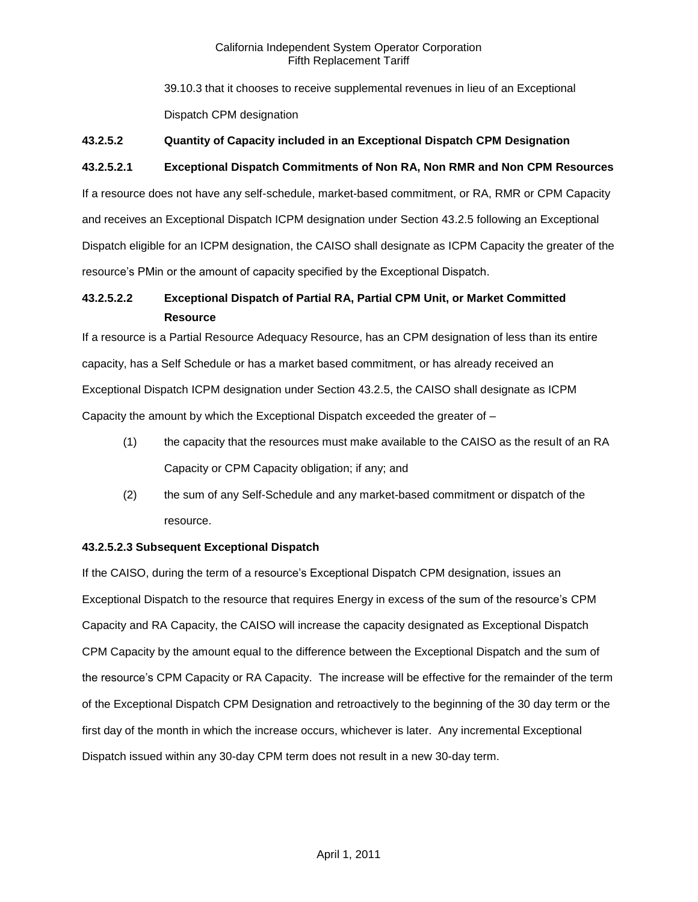39.10.3 that it chooses to receive supplemental revenues in lieu of an Exceptional Dispatch CPM designation

# **43.2.5.2 Quantity of Capacity included in an Exceptional Dispatch CPM Designation**

# **43.2.5.2.1 Exceptional Dispatch Commitments of Non RA, Non RMR and Non CPM Resources**

If a resource does not have any self-schedule, market-based commitment, or RA, RMR or CPM Capacity and receives an Exceptional Dispatch ICPM designation under Section 43.2.5 following an Exceptional Dispatch eligible for an ICPM designation, the CAISO shall designate as ICPM Capacity the greater of the resource's PMin or the amount of capacity specified by the Exceptional Dispatch.

# **43.2.5.2.2 Exceptional Dispatch of Partial RA, Partial CPM Unit, or Market Committed Resource**

If a resource is a Partial Resource Adequacy Resource, has an CPM designation of less than its entire capacity, has a Self Schedule or has a market based commitment, or has already received an Exceptional Dispatch ICPM designation under Section 43.2.5, the CAISO shall designate as ICPM Capacity the amount by which the Exceptional Dispatch exceeded the greater of –

- (1) the capacity that the resources must make available to the CAISO as the result of an RA Capacity or CPM Capacity obligation; if any; and
- (2) the sum of any Self-Schedule and any market-based commitment or dispatch of the resource.

# **43.2.5.2.3 Subsequent Exceptional Dispatch**

If the CAISO, during the term of a resource's Exceptional Dispatch CPM designation, issues an Exceptional Dispatch to the resource that requires Energy in excess of the sum of the resource's CPM Capacity and RA Capacity, the CAISO will increase the capacity designated as Exceptional Dispatch CPM Capacity by the amount equal to the difference between the Exceptional Dispatch and the sum of the resource's CPM Capacity or RA Capacity. The increase will be effective for the remainder of the term of the Exceptional Dispatch CPM Designation and retroactively to the beginning of the 30 day term or the first day of the month in which the increase occurs, whichever is later. Any incremental Exceptional Dispatch issued within any 30-day CPM term does not result in a new 30-day term.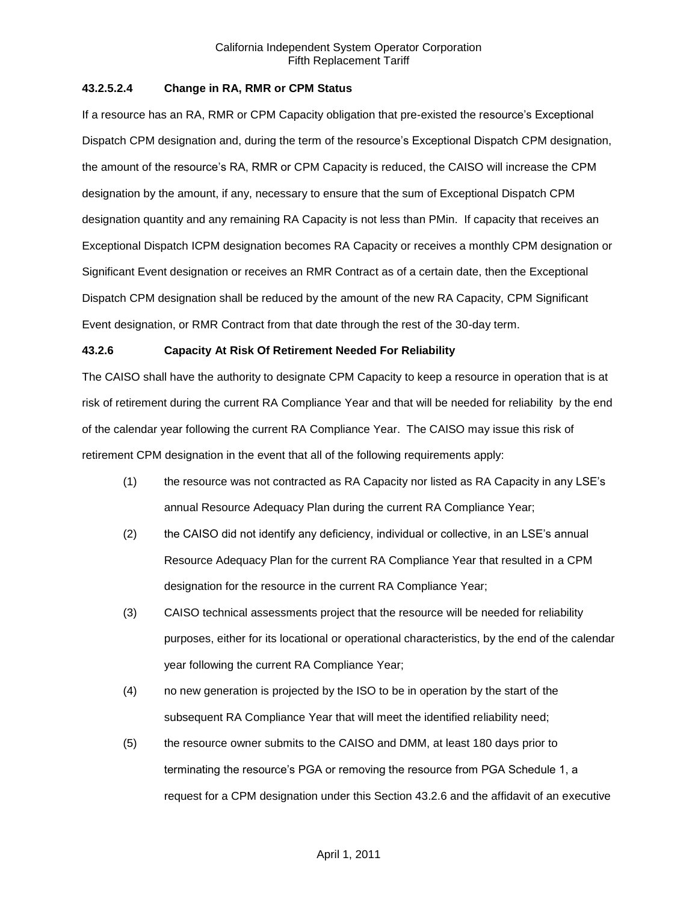## **43.2.5.2.4 Change in RA, RMR or CPM Status**

If a resource has an RA, RMR or CPM Capacity obligation that pre-existed the resource's Exceptional Dispatch CPM designation and, during the term of the resource's Exceptional Dispatch CPM designation, the amount of the resource's RA, RMR or CPM Capacity is reduced, the CAISO will increase the CPM designation by the amount, if any, necessary to ensure that the sum of Exceptional Dispatch CPM designation quantity and any remaining RA Capacity is not less than PMin. If capacity that receives an Exceptional Dispatch ICPM designation becomes RA Capacity or receives a monthly CPM designation or Significant Event designation or receives an RMR Contract as of a certain date, then the Exceptional Dispatch CPM designation shall be reduced by the amount of the new RA Capacity, CPM Significant Event designation, or RMR Contract from that date through the rest of the 30-day term.

## **43.2.6 Capacity At Risk Of Retirement Needed For Reliability**

The CAISO shall have the authority to designate CPM Capacity to keep a resource in operation that is at risk of retirement during the current RA Compliance Year and that will be needed for reliability by the end of the calendar year following the current RA Compliance Year. The CAISO may issue this risk of retirement CPM designation in the event that all of the following requirements apply:

- (1) the resource was not contracted as RA Capacity nor listed as RA Capacity in any LSE's annual Resource Adequacy Plan during the current RA Compliance Year;
- (2) the CAISO did not identify any deficiency, individual or collective, in an LSE's annual Resource Adequacy Plan for the current RA Compliance Year that resulted in a CPM designation for the resource in the current RA Compliance Year;
- (3) CAISO technical assessments project that the resource will be needed for reliability purposes, either for its locational or operational characteristics, by the end of the calendar year following the current RA Compliance Year;
- (4) no new generation is projected by the ISO to be in operation by the start of the subsequent RA Compliance Year that will meet the identified reliability need;
- (5) the resource owner submits to the CAISO and DMM, at least 180 days prior to terminating the resource's PGA or removing the resource from PGA Schedule 1, a request for a CPM designation under this Section 43.2.6 and the affidavit of an executive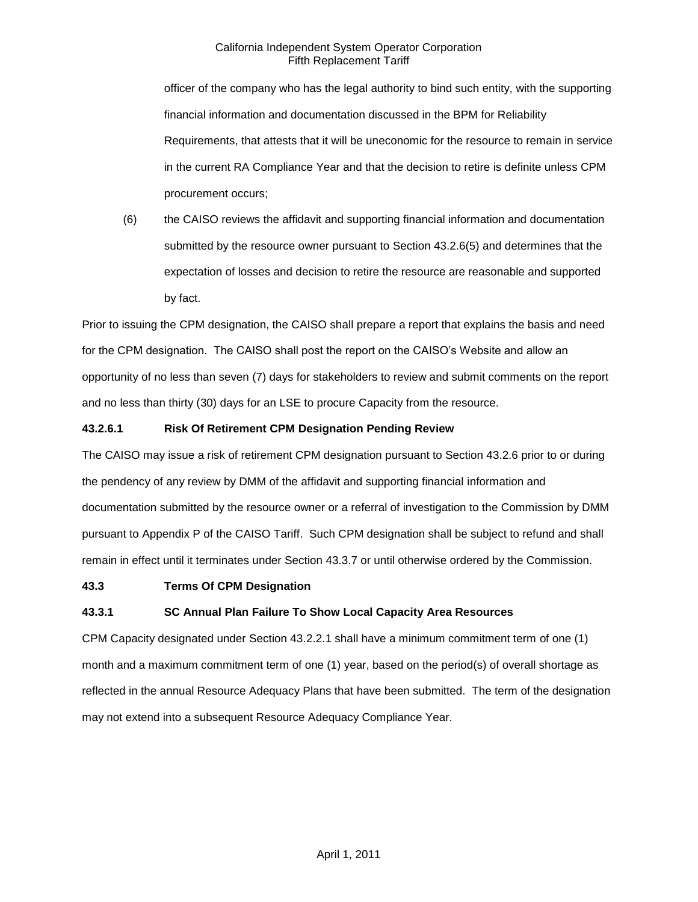officer of the company who has the legal authority to bind such entity, with the supporting financial information and documentation discussed in the BPM for Reliability Requirements, that attests that it will be uneconomic for the resource to remain in service in the current RA Compliance Year and that the decision to retire is definite unless CPM procurement occurs;

(6) the CAISO reviews the affidavit and supporting financial information and documentation submitted by the resource owner pursuant to Section 43.2.6(5) and determines that the expectation of losses and decision to retire the resource are reasonable and supported by fact.

Prior to issuing the CPM designation, the CAISO shall prepare a report that explains the basis and need for the CPM designation. The CAISO shall post the report on the CAISO's Website and allow an opportunity of no less than seven (7) days for stakeholders to review and submit comments on the report and no less than thirty (30) days for an LSE to procure Capacity from the resource.

# **43.2.6.1 Risk Of Retirement CPM Designation Pending Review**

The CAISO may issue a risk of retirement CPM designation pursuant to Section 43.2.6 prior to or during the pendency of any review by DMM of the affidavit and supporting financial information and documentation submitted by the resource owner or a referral of investigation to the Commission by DMM pursuant to Appendix P of the CAISO Tariff. Such CPM designation shall be subject to refund and shall remain in effect until it terminates under Section 43.3.7 or until otherwise ordered by the Commission.

# **43.3 Terms Of CPM Designation**

# **43.3.1 SC Annual Plan Failure To Show Local Capacity Area Resources**

CPM Capacity designated under Section 43.2.2.1 shall have a minimum commitment term of one (1) month and a maximum commitment term of one (1) year, based on the period(s) of overall shortage as reflected in the annual Resource Adequacy Plans that have been submitted. The term of the designation may not extend into a subsequent Resource Adequacy Compliance Year.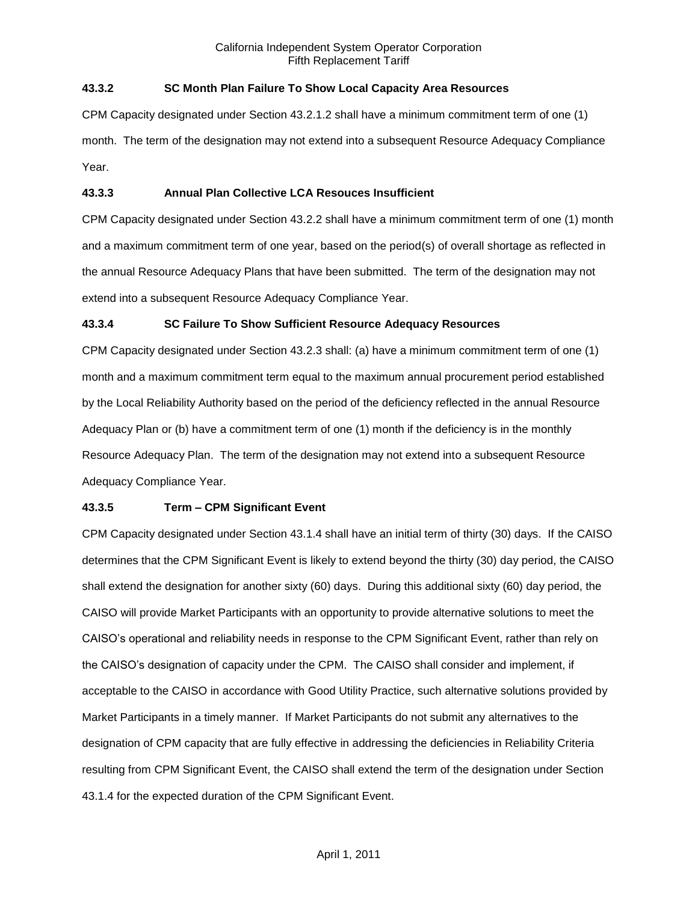## **43.3.2 SC Month Plan Failure To Show Local Capacity Area Resources**

CPM Capacity designated under Section 43.2.1.2 shall have a minimum commitment term of one (1) month. The term of the designation may not extend into a subsequent Resource Adequacy Compliance Year.

#### **43.3.3 Annual Plan Collective LCA Resouces Insufficient**

CPM Capacity designated under Section 43.2.2 shall have a minimum commitment term of one (1) month and a maximum commitment term of one year, based on the period(s) of overall shortage as reflected in the annual Resource Adequacy Plans that have been submitted. The term of the designation may not extend into a subsequent Resource Adequacy Compliance Year.

#### **43.3.4 SC Failure To Show Sufficient Resource Adequacy Resources**

CPM Capacity designated under Section 43.2.3 shall: (a) have a minimum commitment term of one (1) month and a maximum commitment term equal to the maximum annual procurement period established by the Local Reliability Authority based on the period of the deficiency reflected in the annual Resource Adequacy Plan or (b) have a commitment term of one (1) month if the deficiency is in the monthly Resource Adequacy Plan. The term of the designation may not extend into a subsequent Resource Adequacy Compliance Year.

#### **43.3.5 Term – CPM Significant Event**

CPM Capacity designated under Section 43.1.4 shall have an initial term of thirty (30) days. If the CAISO determines that the CPM Significant Event is likely to extend beyond the thirty (30) day period, the CAISO shall extend the designation for another sixty (60) days. During this additional sixty (60) day period, the CAISO will provide Market Participants with an opportunity to provide alternative solutions to meet the CAISO's operational and reliability needs in response to the CPM Significant Event, rather than rely on the CAISO's designation of capacity under the CPM. The CAISO shall consider and implement, if acceptable to the CAISO in accordance with Good Utility Practice, such alternative solutions provided by Market Participants in a timely manner. If Market Participants do not submit any alternatives to the designation of CPM capacity that are fully effective in addressing the deficiencies in Reliability Criteria resulting from CPM Significant Event, the CAISO shall extend the term of the designation under Section 43.1.4 for the expected duration of the CPM Significant Event.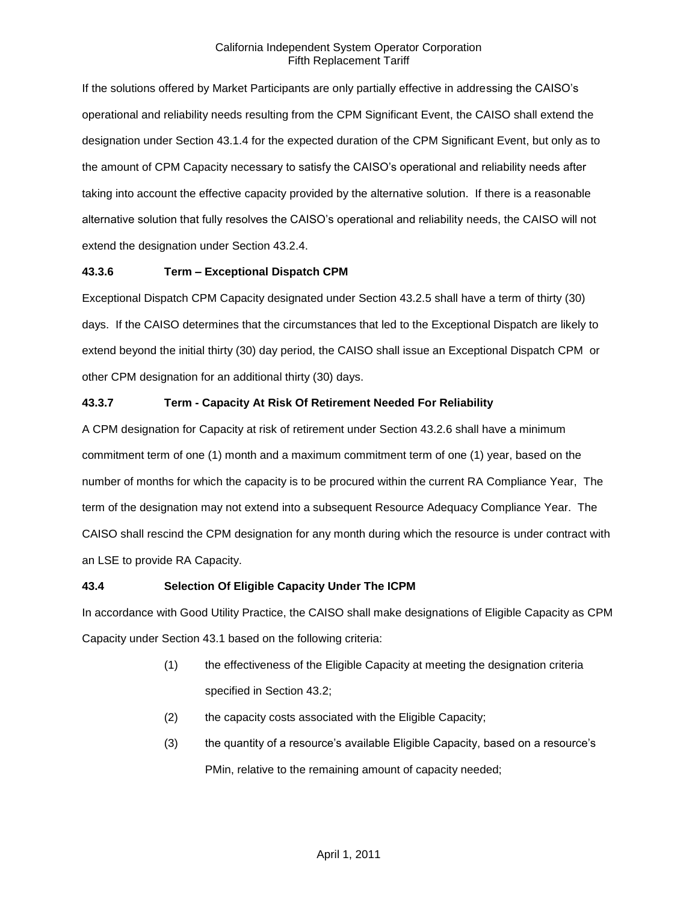If the solutions offered by Market Participants are only partially effective in addressing the CAISO's operational and reliability needs resulting from the CPM Significant Event, the CAISO shall extend the designation under Section 43.1.4 for the expected duration of the CPM Significant Event, but only as to the amount of CPM Capacity necessary to satisfy the CAISO's operational and reliability needs after taking into account the effective capacity provided by the alternative solution. If there is a reasonable alternative solution that fully resolves the CAISO's operational and reliability needs, the CAISO will not extend the designation under Section 43.2.4.

## **43.3.6 Term – Exceptional Dispatch CPM**

Exceptional Dispatch CPM Capacity designated under Section 43.2.5 shall have a term of thirty (30) days. If the CAISO determines that the circumstances that led to the Exceptional Dispatch are likely to extend beyond the initial thirty (30) day period, the CAISO shall issue an Exceptional Dispatch CPM or other CPM designation for an additional thirty (30) days.

## **43.3.7 Term - Capacity At Risk Of Retirement Needed For Reliability**

A CPM designation for Capacity at risk of retirement under Section 43.2.6 shall have a minimum commitment term of one (1) month and a maximum commitment term of one (1) year, based on the number of months for which the capacity is to be procured within the current RA Compliance Year, The term of the designation may not extend into a subsequent Resource Adequacy Compliance Year. The CAISO shall rescind the CPM designation for any month during which the resource is under contract with an LSE to provide RA Capacity.

# **43.4 Selection Of Eligible Capacity Under The ICPM**

In accordance with Good Utility Practice, the CAISO shall make designations of Eligible Capacity as CPM Capacity under Section 43.1 based on the following criteria:

- (1) the effectiveness of the Eligible Capacity at meeting the designation criteria specified in Section 43.2;
- (2) the capacity costs associated with the Eligible Capacity;
- (3) the quantity of a resource's available Eligible Capacity, based on a resource's PMin, relative to the remaining amount of capacity needed;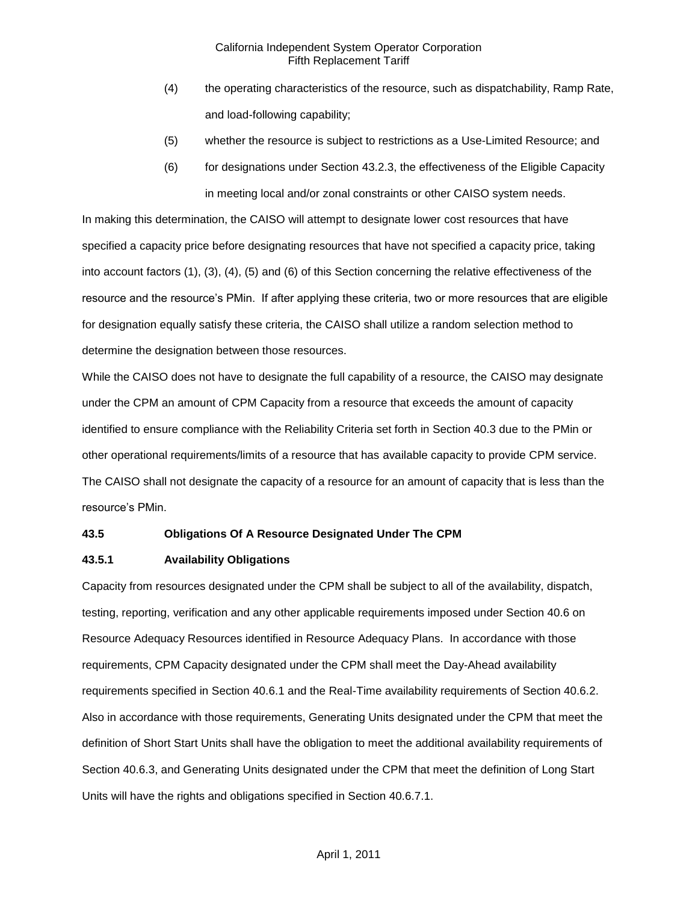- (4) the operating characteristics of the resource, such as dispatchability, Ramp Rate, and load-following capability;
- (5) whether the resource is subject to restrictions as a Use-Limited Resource; and
- (6) for designations under Section 43.2.3, the effectiveness of the Eligible Capacity in meeting local and/or zonal constraints or other CAISO system needs.

In making this determination, the CAISO will attempt to designate lower cost resources that have specified a capacity price before designating resources that have not specified a capacity price, taking into account factors (1), (3), (4), (5) and (6) of this Section concerning the relative effectiveness of the resource and the resource's PMin. If after applying these criteria, two or more resources that are eligible for designation equally satisfy these criteria, the CAISO shall utilize a random selection method to determine the designation between those resources.

While the CAISO does not have to designate the full capability of a resource, the CAISO may designate under the CPM an amount of CPM Capacity from a resource that exceeds the amount of capacity identified to ensure compliance with the Reliability Criteria set forth in Section 40.3 due to the PMin or other operational requirements/limits of a resource that has available capacity to provide CPM service. The CAISO shall not designate the capacity of a resource for an amount of capacity that is less than the resource's PMin.

#### **43.5 Obligations Of A Resource Designated Under The CPM**

#### **43.5.1 Availability Obligations**

Capacity from resources designated under the CPM shall be subject to all of the availability, dispatch, testing, reporting, verification and any other applicable requirements imposed under Section 40.6 on Resource Adequacy Resources identified in Resource Adequacy Plans. In accordance with those requirements, CPM Capacity designated under the CPM shall meet the Day-Ahead availability requirements specified in Section 40.6.1 and the Real-Time availability requirements of Section 40.6.2. Also in accordance with those requirements, Generating Units designated under the CPM that meet the definition of Short Start Units shall have the obligation to meet the additional availability requirements of Section 40.6.3, and Generating Units designated under the CPM that meet the definition of Long Start Units will have the rights and obligations specified in Section 40.6.7.1.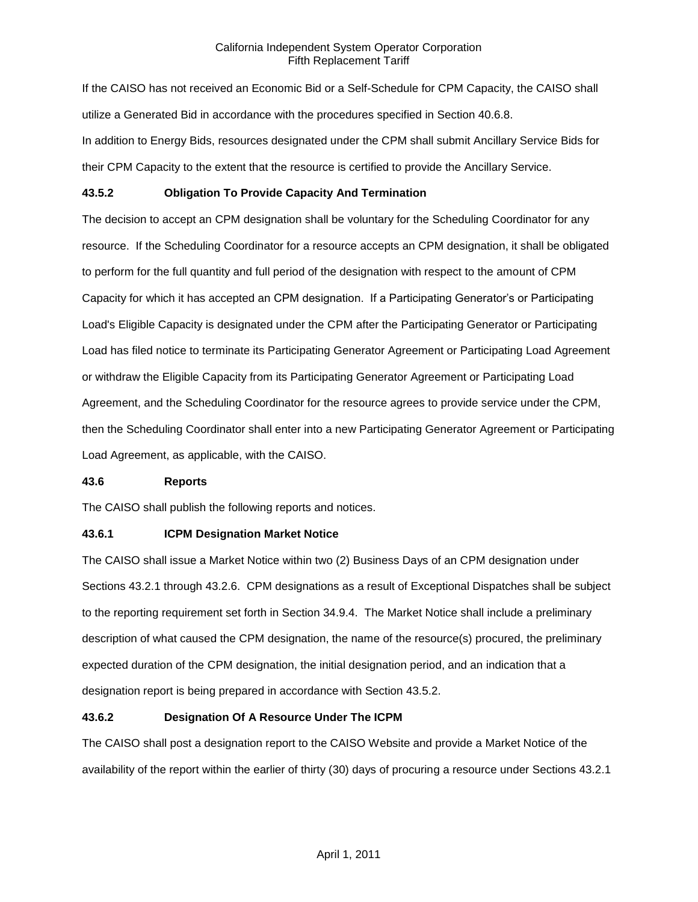If the CAISO has not received an Economic Bid or a Self-Schedule for CPM Capacity, the CAISO shall utilize a Generated Bid in accordance with the procedures specified in Section 40.6.8. In addition to Energy Bids, resources designated under the CPM shall submit Ancillary Service Bids for their CPM Capacity to the extent that the resource is certified to provide the Ancillary Service.

## **43.5.2 Obligation To Provide Capacity And Termination**

The decision to accept an CPM designation shall be voluntary for the Scheduling Coordinator for any resource. If the Scheduling Coordinator for a resource accepts an CPM designation, it shall be obligated to perform for the full quantity and full period of the designation with respect to the amount of CPM Capacity for which it has accepted an CPM designation. If a Participating Generator's or Participating Load's Eligible Capacity is designated under the CPM after the Participating Generator or Participating Load has filed notice to terminate its Participating Generator Agreement or Participating Load Agreement or withdraw the Eligible Capacity from its Participating Generator Agreement or Participating Load Agreement, and the Scheduling Coordinator for the resource agrees to provide service under the CPM, then the Scheduling Coordinator shall enter into a new Participating Generator Agreement or Participating Load Agreement, as applicable, with the CAISO.

#### **43.6 Reports**

The CAISO shall publish the following reports and notices.

# **43.6.1 ICPM Designation Market Notice**

The CAISO shall issue a Market Notice within two (2) Business Days of an CPM designation under Sections 43.2.1 through 43.2.6. CPM designations as a result of Exceptional Dispatches shall be subject to the reporting requirement set forth in Section 34.9.4. The Market Notice shall include a preliminary description of what caused the CPM designation, the name of the resource(s) procured, the preliminary expected duration of the CPM designation, the initial designation period, and an indication that a designation report is being prepared in accordance with Section 43.5.2.

# **43.6.2 Designation Of A Resource Under The ICPM**

The CAISO shall post a designation report to the CAISO Website and provide a Market Notice of the availability of the report within the earlier of thirty (30) days of procuring a resource under Sections 43.2.1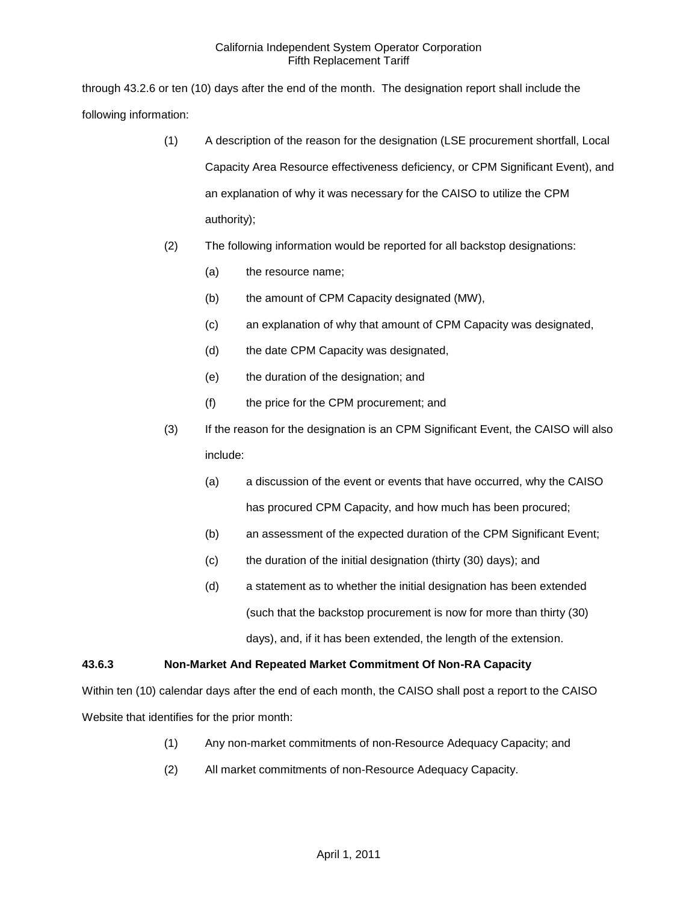through 43.2.6 or ten (10) days after the end of the month. The designation report shall include the following information:

- (1) A description of the reason for the designation (LSE procurement shortfall, Local Capacity Area Resource effectiveness deficiency, or CPM Significant Event), and an explanation of why it was necessary for the CAISO to utilize the CPM authority);
- (2) The following information would be reported for all backstop designations:
	- (a) the resource name;
	- (b) the amount of CPM Capacity designated (MW),
	- (c) an explanation of why that amount of CPM Capacity was designated,
	- (d) the date CPM Capacity was designated,
	- (e) the duration of the designation; and
	- (f) the price for the CPM procurement; and
- (3) If the reason for the designation is an CPM Significant Event, the CAISO will also include:
	- (a) a discussion of the event or events that have occurred, why the CAISO has procured CPM Capacity, and how much has been procured;
	- (b) an assessment of the expected duration of the CPM Significant Event;
	- (c) the duration of the initial designation (thirty (30) days); and
	- (d) a statement as to whether the initial designation has been extended (such that the backstop procurement is now for more than thirty (30) days), and, if it has been extended, the length of the extension.

# **43.6.3 Non-Market And Repeated Market Commitment Of Non-RA Capacity**

Within ten (10) calendar days after the end of each month, the CAISO shall post a report to the CAISO Website that identifies for the prior month:

- (1) Any non-market commitments of non-Resource Adequacy Capacity; and
- (2) All market commitments of non-Resource Adequacy Capacity.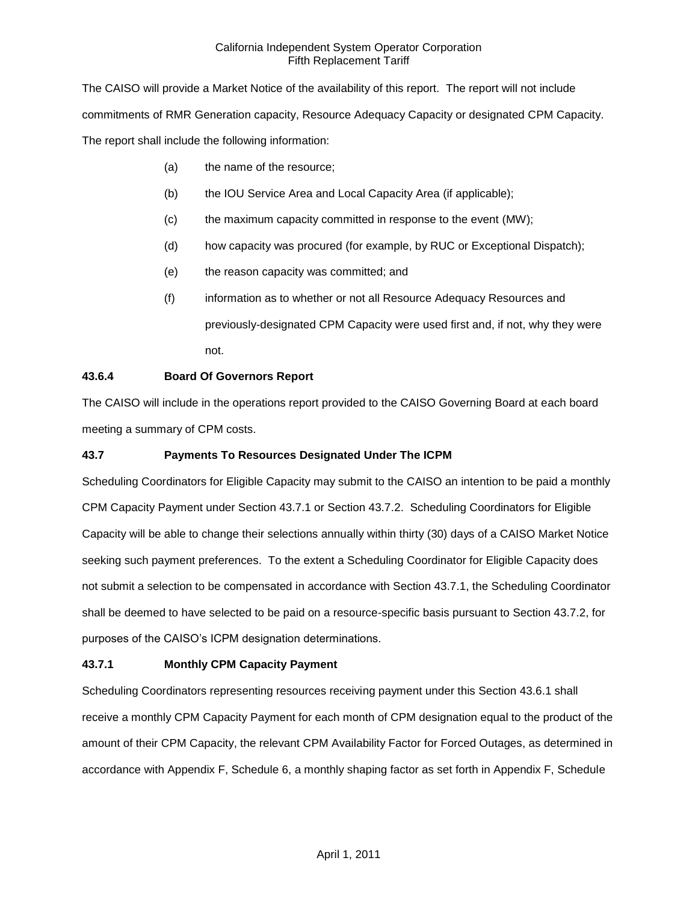The CAISO will provide a Market Notice of the availability of this report. The report will not include commitments of RMR Generation capacity, Resource Adequacy Capacity or designated CPM Capacity. The report shall include the following information:

- (a) the name of the resource;
- (b) the IOU Service Area and Local Capacity Area (if applicable);
- (c) the maximum capacity committed in response to the event (MW);
- (d) how capacity was procured (for example, by RUC or Exceptional Dispatch);
- (e) the reason capacity was committed; and
- (f) information as to whether or not all Resource Adequacy Resources and previously-designated CPM Capacity were used first and, if not, why they were not.

#### **43.6.4 Board Of Governors Report**

The CAISO will include in the operations report provided to the CAISO Governing Board at each board meeting a summary of CPM costs.

#### **43.7 Payments To Resources Designated Under The ICPM**

Scheduling Coordinators for Eligible Capacity may submit to the CAISO an intention to be paid a monthly CPM Capacity Payment under Section 43.7.1 or Section 43.7.2. Scheduling Coordinators for Eligible Capacity will be able to change their selections annually within thirty (30) days of a CAISO Market Notice seeking such payment preferences. To the extent a Scheduling Coordinator for Eligible Capacity does not submit a selection to be compensated in accordance with Section 43.7.1, the Scheduling Coordinator shall be deemed to have selected to be paid on a resource-specific basis pursuant to Section 43.7.2, for purposes of the CAISO's ICPM designation determinations.

#### **43.7.1 Monthly CPM Capacity Payment**

Scheduling Coordinators representing resources receiving payment under this Section 43.6.1 shall receive a monthly CPM Capacity Payment for each month of CPM designation equal to the product of the amount of their CPM Capacity, the relevant CPM Availability Factor for Forced Outages, as determined in accordance with Appendix F, Schedule 6, a monthly shaping factor as set forth in Appendix F, Schedule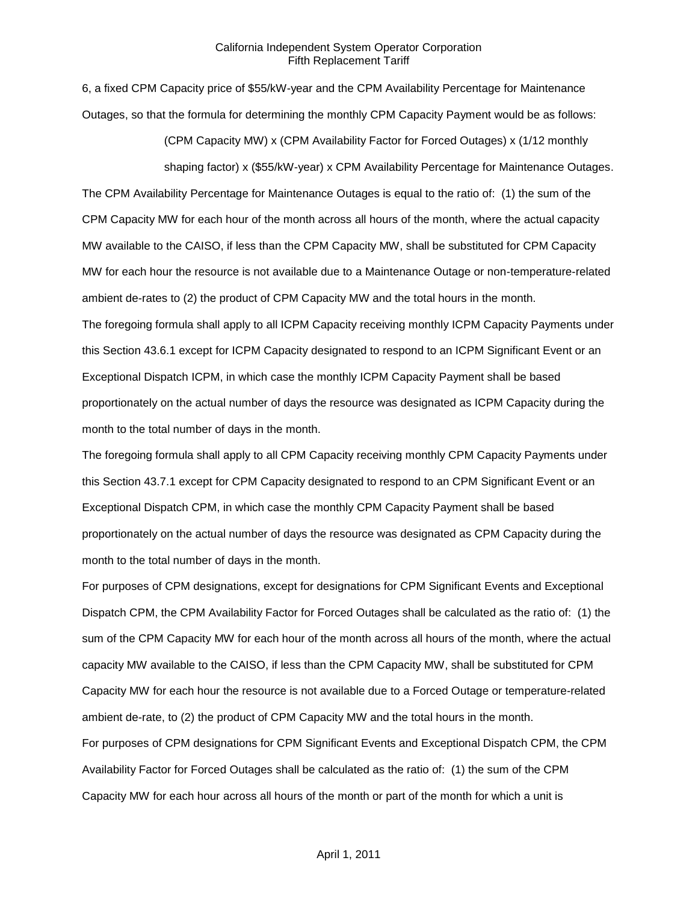6, a fixed CPM Capacity price of \$55/kW-year and the CPM Availability Percentage for Maintenance Outages, so that the formula for determining the monthly CPM Capacity Payment would be as follows:

(CPM Capacity MW) x (CPM Availability Factor for Forced Outages) x (1/12 monthly

shaping factor) x (\$55/kW-year) x CPM Availability Percentage for Maintenance Outages. The CPM Availability Percentage for Maintenance Outages is equal to the ratio of: (1) the sum of the CPM Capacity MW for each hour of the month across all hours of the month, where the actual capacity MW available to the CAISO, if less than the CPM Capacity MW, shall be substituted for CPM Capacity MW for each hour the resource is not available due to a Maintenance Outage or non-temperature-related ambient de-rates to (2) the product of CPM Capacity MW and the total hours in the month. The foregoing formula shall apply to all ICPM Capacity receiving monthly ICPM Capacity Payments under this Section 43.6.1 except for ICPM Capacity designated to respond to an ICPM Significant Event or an Exceptional Dispatch ICPM, in which case the monthly ICPM Capacity Payment shall be based proportionately on the actual number of days the resource was designated as ICPM Capacity during the month to the total number of days in the month.

The foregoing formula shall apply to all CPM Capacity receiving monthly CPM Capacity Payments under this Section 43.7.1 except for CPM Capacity designated to respond to an CPM Significant Event or an Exceptional Dispatch CPM, in which case the monthly CPM Capacity Payment shall be based proportionately on the actual number of days the resource was designated as CPM Capacity during the month to the total number of days in the month.

For purposes of CPM designations, except for designations for CPM Significant Events and Exceptional Dispatch CPM, the CPM Availability Factor for Forced Outages shall be calculated as the ratio of: (1) the sum of the CPM Capacity MW for each hour of the month across all hours of the month, where the actual capacity MW available to the CAISO, if less than the CPM Capacity MW, shall be substituted for CPM Capacity MW for each hour the resource is not available due to a Forced Outage or temperature-related ambient de-rate, to (2) the product of CPM Capacity MW and the total hours in the month. For purposes of CPM designations for CPM Significant Events and Exceptional Dispatch CPM, the CPM Availability Factor for Forced Outages shall be calculated as the ratio of: (1) the sum of the CPM Capacity MW for each hour across all hours of the month or part of the month for which a unit is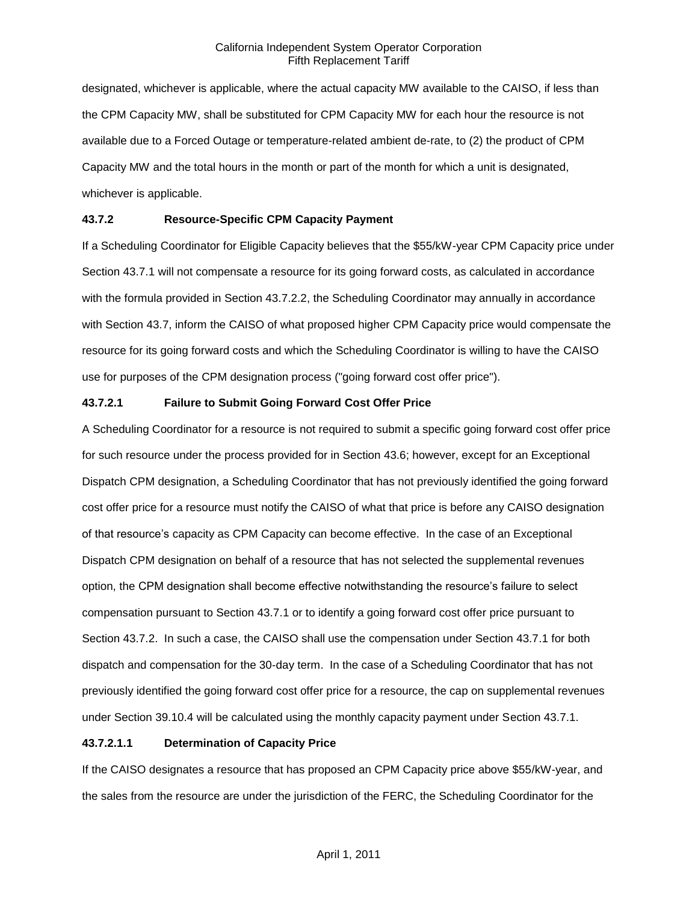designated, whichever is applicable, where the actual capacity MW available to the CAISO, if less than the CPM Capacity MW, shall be substituted for CPM Capacity MW for each hour the resource is not available due to a Forced Outage or temperature-related ambient de-rate, to (2) the product of CPM Capacity MW and the total hours in the month or part of the month for which a unit is designated, whichever is applicable.

# **43.7.2 Resource-Specific CPM Capacity Payment**

If a Scheduling Coordinator for Eligible Capacity believes that the \$55/kW-year CPM Capacity price under Section 43.7.1 will not compensate a resource for its going forward costs, as calculated in accordance with the formula provided in Section 43.7.2.2, the Scheduling Coordinator may annually in accordance with Section 43.7, inform the CAISO of what proposed higher CPM Capacity price would compensate the resource for its going forward costs and which the Scheduling Coordinator is willing to have the CAISO use for purposes of the CPM designation process ("going forward cost offer price").

## **43.7.2.1 Failure to Submit Going Forward Cost Offer Price**

A Scheduling Coordinator for a resource is not required to submit a specific going forward cost offer price for such resource under the process provided for in Section 43.6; however, except for an Exceptional Dispatch CPM designation, a Scheduling Coordinator that has not previously identified the going forward cost offer price for a resource must notify the CAISO of what that price is before any CAISO designation of that resource's capacity as CPM Capacity can become effective. In the case of an Exceptional Dispatch CPM designation on behalf of a resource that has not selected the supplemental revenues option, the CPM designation shall become effective notwithstanding the resource's failure to select compensation pursuant to Section 43.7.1 or to identify a going forward cost offer price pursuant to Section 43.7.2. In such a case, the CAISO shall use the compensation under Section 43.7.1 for both dispatch and compensation for the 30-day term. In the case of a Scheduling Coordinator that has not previously identified the going forward cost offer price for a resource, the cap on supplemental revenues under Section 39.10.4 will be calculated using the monthly capacity payment under Section 43.7.1.

# **43.7.2.1.1 Determination of Capacity Price**

If the CAISO designates a resource that has proposed an CPM Capacity price above \$55/kW-year, and the sales from the resource are under the jurisdiction of the FERC, the Scheduling Coordinator for the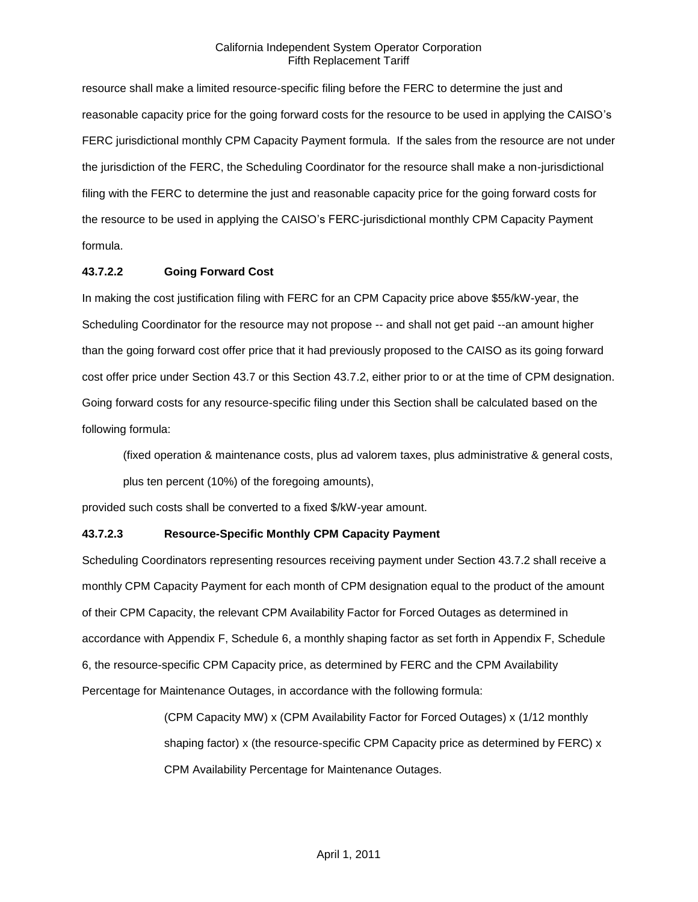resource shall make a limited resource-specific filing before the FERC to determine the just and reasonable capacity price for the going forward costs for the resource to be used in applying the CAISO's FERC jurisdictional monthly CPM Capacity Payment formula. If the sales from the resource are not under the jurisdiction of the FERC, the Scheduling Coordinator for the resource shall make a non-jurisdictional filing with the FERC to determine the just and reasonable capacity price for the going forward costs for the resource to be used in applying the CAISO's FERC-jurisdictional monthly CPM Capacity Payment formula.

## **43.7.2.2 Going Forward Cost**

In making the cost justification filing with FERC for an CPM Capacity price above \$55/kW-year, the Scheduling Coordinator for the resource may not propose -- and shall not get paid --an amount higher than the going forward cost offer price that it had previously proposed to the CAISO as its going forward cost offer price under Section 43.7 or this Section 43.7.2, either prior to or at the time of CPM designation. Going forward costs for any resource-specific filing under this Section shall be calculated based on the following formula:

(fixed operation & maintenance costs, plus ad valorem taxes, plus administrative & general costs, plus ten percent (10%) of the foregoing amounts),

provided such costs shall be converted to a fixed \$/kW-year amount.

#### **43.7.2.3 Resource-Specific Monthly CPM Capacity Payment**

Scheduling Coordinators representing resources receiving payment under Section 43.7.2 shall receive a monthly CPM Capacity Payment for each month of CPM designation equal to the product of the amount of their CPM Capacity, the relevant CPM Availability Factor for Forced Outages as determined in accordance with Appendix F, Schedule 6, a monthly shaping factor as set forth in Appendix F, Schedule 6, the resource-specific CPM Capacity price, as determined by FERC and the CPM Availability Percentage for Maintenance Outages, in accordance with the following formula:

> (CPM Capacity MW) x (CPM Availability Factor for Forced Outages) x (1/12 monthly shaping factor) x (the resource-specific CPM Capacity price as determined by FERC) x CPM Availability Percentage for Maintenance Outages.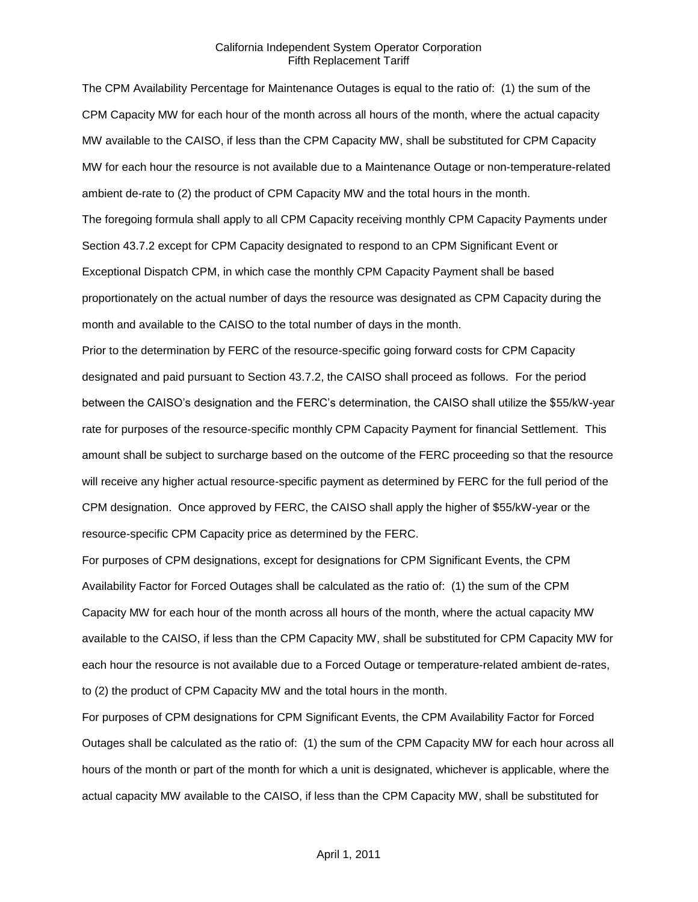The CPM Availability Percentage for Maintenance Outages is equal to the ratio of: (1) the sum of the CPM Capacity MW for each hour of the month across all hours of the month, where the actual capacity MW available to the CAISO, if less than the CPM Capacity MW, shall be substituted for CPM Capacity MW for each hour the resource is not available due to a Maintenance Outage or non-temperature-related ambient de-rate to (2) the product of CPM Capacity MW and the total hours in the month. The foregoing formula shall apply to all CPM Capacity receiving monthly CPM Capacity Payments under Section 43.7.2 except for CPM Capacity designated to respond to an CPM Significant Event or Exceptional Dispatch CPM, in which case the monthly CPM Capacity Payment shall be based proportionately on the actual number of days the resource was designated as CPM Capacity during the month and available to the CAISO to the total number of days in the month.

Prior to the determination by FERC of the resource-specific going forward costs for CPM Capacity designated and paid pursuant to Section 43.7.2, the CAISO shall proceed as follows. For the period between the CAISO's designation and the FERC's determination, the CAISO shall utilize the \$55/kW-year rate for purposes of the resource-specific monthly CPM Capacity Payment for financial Settlement. This amount shall be subject to surcharge based on the outcome of the FERC proceeding so that the resource will receive any higher actual resource-specific payment as determined by FERC for the full period of the CPM designation. Once approved by FERC, the CAISO shall apply the higher of \$55/kW-year or the resource-specific CPM Capacity price as determined by the FERC.

For purposes of CPM designations, except for designations for CPM Significant Events, the CPM Availability Factor for Forced Outages shall be calculated as the ratio of: (1) the sum of the CPM Capacity MW for each hour of the month across all hours of the month, where the actual capacity MW available to the CAISO, if less than the CPM Capacity MW, shall be substituted for CPM Capacity MW for each hour the resource is not available due to a Forced Outage or temperature-related ambient de-rates, to (2) the product of CPM Capacity MW and the total hours in the month.

For purposes of CPM designations for CPM Significant Events, the CPM Availability Factor for Forced Outages shall be calculated as the ratio of: (1) the sum of the CPM Capacity MW for each hour across all hours of the month or part of the month for which a unit is designated, whichever is applicable, where the actual capacity MW available to the CAISO, if less than the CPM Capacity MW, shall be substituted for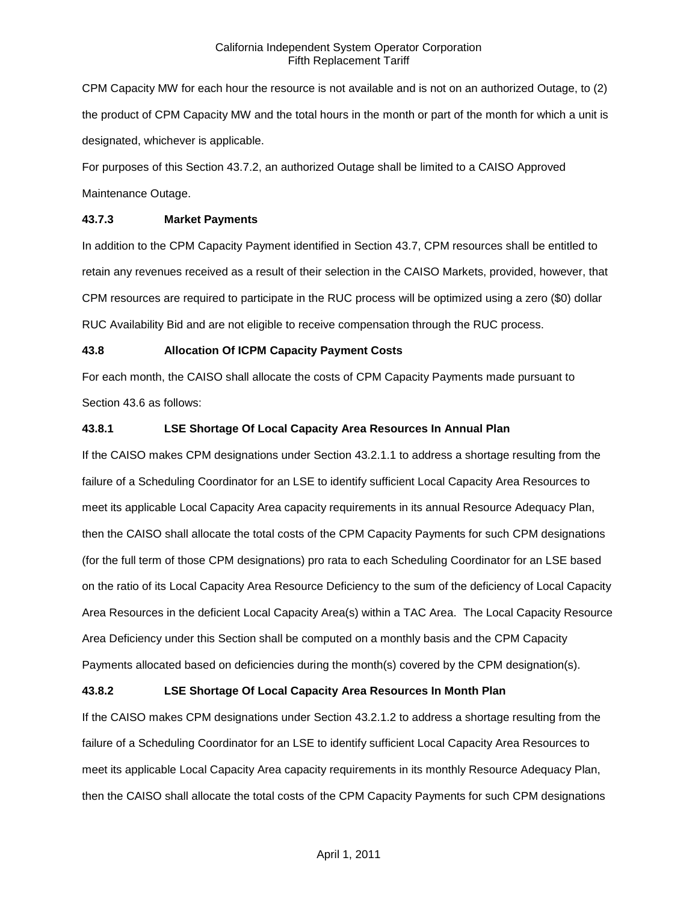CPM Capacity MW for each hour the resource is not available and is not on an authorized Outage, to (2) the product of CPM Capacity MW and the total hours in the month or part of the month for which a unit is designated, whichever is applicable.

For purposes of this Section 43.7.2, an authorized Outage shall be limited to a CAISO Approved Maintenance Outage.

## **43.7.3 Market Payments**

In addition to the CPM Capacity Payment identified in Section 43.7, CPM resources shall be entitled to retain any revenues received as a result of their selection in the CAISO Markets, provided, however, that CPM resources are required to participate in the RUC process will be optimized using a zero (\$0) dollar RUC Availability Bid and are not eligible to receive compensation through the RUC process.

# **43.8 Allocation Of ICPM Capacity Payment Costs**

For each month, the CAISO shall allocate the costs of CPM Capacity Payments made pursuant to Section 43.6 as follows:

# **43.8.1 LSE Shortage Of Local Capacity Area Resources In Annual Plan**

If the CAISO makes CPM designations under Section 43.2.1.1 to address a shortage resulting from the failure of a Scheduling Coordinator for an LSE to identify sufficient Local Capacity Area Resources to meet its applicable Local Capacity Area capacity requirements in its annual Resource Adequacy Plan, then the CAISO shall allocate the total costs of the CPM Capacity Payments for such CPM designations (for the full term of those CPM designations) pro rata to each Scheduling Coordinator for an LSE based on the ratio of its Local Capacity Area Resource Deficiency to the sum of the deficiency of Local Capacity Area Resources in the deficient Local Capacity Area(s) within a TAC Area. The Local Capacity Resource Area Deficiency under this Section shall be computed on a monthly basis and the CPM Capacity Payments allocated based on deficiencies during the month(s) covered by the CPM designation(s).

# **43.8.2 LSE Shortage Of Local Capacity Area Resources In Month Plan**

If the CAISO makes CPM designations under Section 43.2.1.2 to address a shortage resulting from the failure of a Scheduling Coordinator for an LSE to identify sufficient Local Capacity Area Resources to meet its applicable Local Capacity Area capacity requirements in its monthly Resource Adequacy Plan, then the CAISO shall allocate the total costs of the CPM Capacity Payments for such CPM designations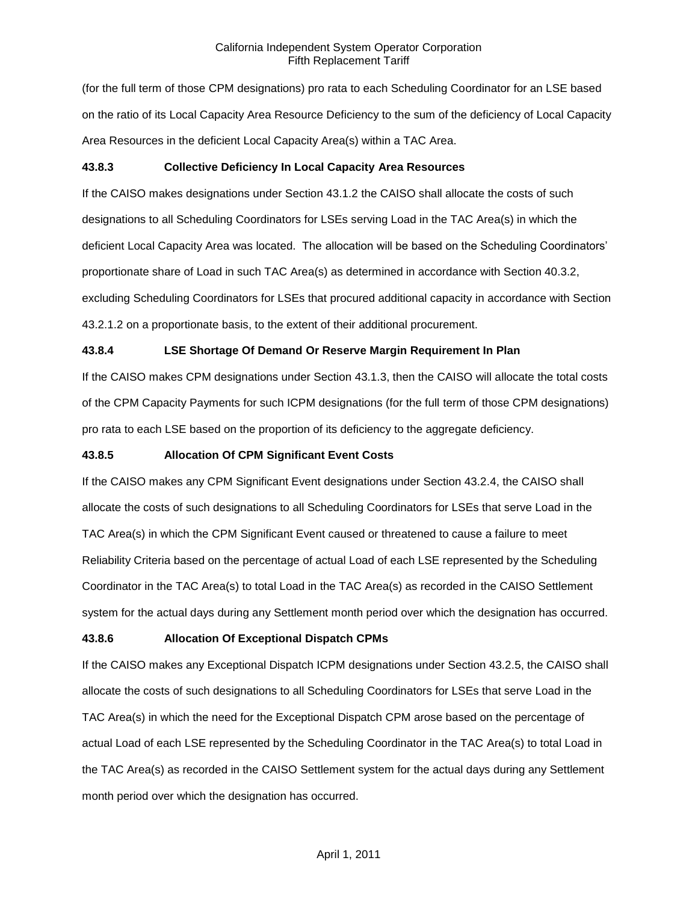(for the full term of those CPM designations) pro rata to each Scheduling Coordinator for an LSE based on the ratio of its Local Capacity Area Resource Deficiency to the sum of the deficiency of Local Capacity Area Resources in the deficient Local Capacity Area(s) within a TAC Area.

## **43.8.3 Collective Deficiency In Local Capacity Area Resources**

If the CAISO makes designations under Section 43.1.2 the CAISO shall allocate the costs of such designations to all Scheduling Coordinators for LSEs serving Load in the TAC Area(s) in which the deficient Local Capacity Area was located. The allocation will be based on the Scheduling Coordinators' proportionate share of Load in such TAC Area(s) as determined in accordance with Section 40.3.2, excluding Scheduling Coordinators for LSEs that procured additional capacity in accordance with Section 43.2.1.2 on a proportionate basis, to the extent of their additional procurement.

## **43.8.4 LSE Shortage Of Demand Or Reserve Margin Requirement In Plan**

If the CAISO makes CPM designations under Section 43.1.3, then the CAISO will allocate the total costs of the CPM Capacity Payments for such ICPM designations (for the full term of those CPM designations) pro rata to each LSE based on the proportion of its deficiency to the aggregate deficiency.

#### **43.8.5 Allocation Of CPM Significant Event Costs**

If the CAISO makes any CPM Significant Event designations under Section 43.2.4, the CAISO shall allocate the costs of such designations to all Scheduling Coordinators for LSEs that serve Load in the TAC Area(s) in which the CPM Significant Event caused or threatened to cause a failure to meet Reliability Criteria based on the percentage of actual Load of each LSE represented by the Scheduling Coordinator in the TAC Area(s) to total Load in the TAC Area(s) as recorded in the CAISO Settlement system for the actual days during any Settlement month period over which the designation has occurred.

#### **43.8.6 Allocation Of Exceptional Dispatch CPMs**

If the CAISO makes any Exceptional Dispatch ICPM designations under Section 43.2.5, the CAISO shall allocate the costs of such designations to all Scheduling Coordinators for LSEs that serve Load in the TAC Area(s) in which the need for the Exceptional Dispatch CPM arose based on the percentage of actual Load of each LSE represented by the Scheduling Coordinator in the TAC Area(s) to total Load in the TAC Area(s) as recorded in the CAISO Settlement system for the actual days during any Settlement month period over which the designation has occurred.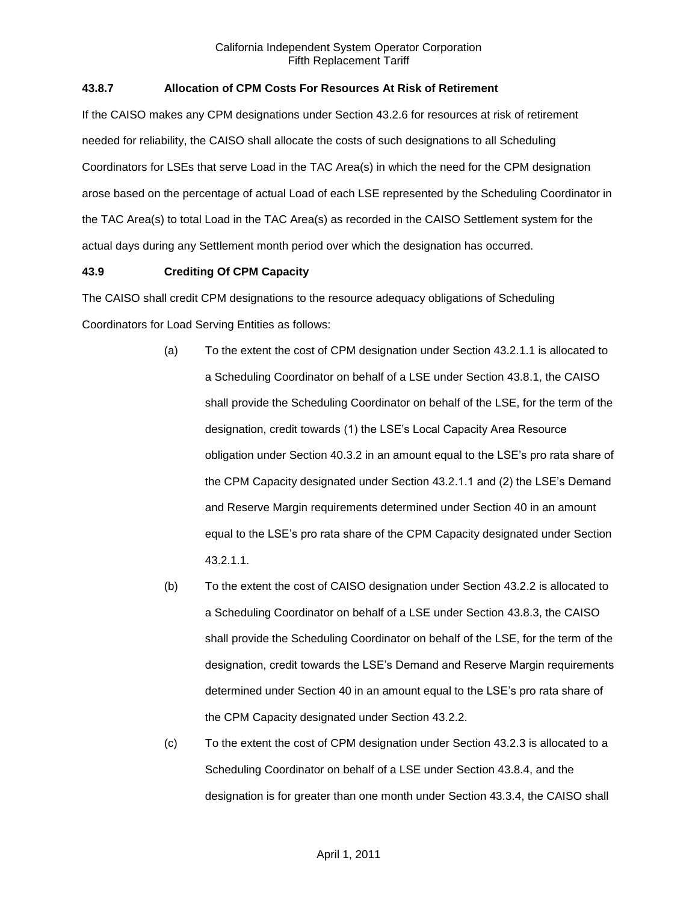## **43.8.7 Allocation of CPM Costs For Resources At Risk of Retirement**

If the CAISO makes any CPM designations under Section 43.2.6 for resources at risk of retirement needed for reliability, the CAISO shall allocate the costs of such designations to all Scheduling Coordinators for LSEs that serve Load in the TAC Area(s) in which the need for the CPM designation arose based on the percentage of actual Load of each LSE represented by the Scheduling Coordinator in the TAC Area(s) to total Load in the TAC Area(s) as recorded in the CAISO Settlement system for the actual days during any Settlement month period over which the designation has occurred.

## **43.9 Crediting Of CPM Capacity**

The CAISO shall credit CPM designations to the resource adequacy obligations of Scheduling Coordinators for Load Serving Entities as follows:

- (a) To the extent the cost of CPM designation under Section 43.2.1.1 is allocated to a Scheduling Coordinator on behalf of a LSE under Section 43.8.1, the CAISO shall provide the Scheduling Coordinator on behalf of the LSE, for the term of the designation, credit towards (1) the LSE's Local Capacity Area Resource obligation under Section 40.3.2 in an amount equal to the LSE's pro rata share of the CPM Capacity designated under Section 43.2.1.1 and (2) the LSE's Demand and Reserve Margin requirements determined under Section 40 in an amount equal to the LSE's pro rata share of the CPM Capacity designated under Section 43.2.1.1.
- (b) To the extent the cost of CAISO designation under Section 43.2.2 is allocated to a Scheduling Coordinator on behalf of a LSE under Section 43.8.3, the CAISO shall provide the Scheduling Coordinator on behalf of the LSE, for the term of the designation, credit towards the LSE's Demand and Reserve Margin requirements determined under Section 40 in an amount equal to the LSE's pro rata share of the CPM Capacity designated under Section 43.2.2.
- (c) To the extent the cost of CPM designation under Section 43.2.3 is allocated to a Scheduling Coordinator on behalf of a LSE under Section 43.8.4, and the designation is for greater than one month under Section 43.3.4, the CAISO shall